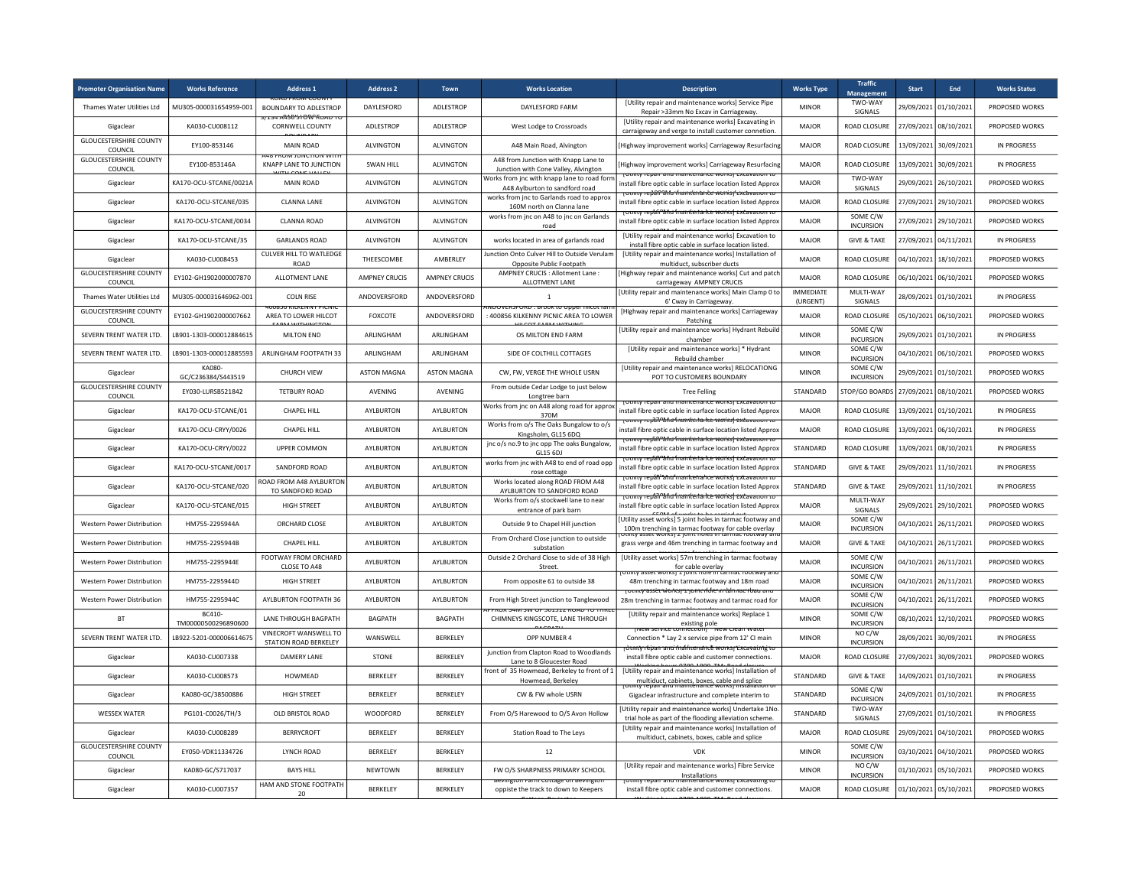| <b>Promoter Organisation Name</b>        | <b>Works Reference</b>        | Address <sub>1</sub>                                           | <b>Address 2</b>     | Town                 | <b>Works Location</b>                                                                   | <b>Description</b>                                                                                                                                                   | <b>Works Type</b>            | <b>Traffic</b><br>Management | <b>Start</b> | End                   | <b>Works Status</b> |
|------------------------------------------|-------------------------------|----------------------------------------------------------------|----------------------|----------------------|-----------------------------------------------------------------------------------------|----------------------------------------------------------------------------------------------------------------------------------------------------------------------|------------------------------|------------------------------|--------------|-----------------------|---------------------|
| Thames Water Utilities Ltd               | MU305-000031654959-001        | BOUNDARY TO ADLESTROP                                          | DAYLESFORD           | <b>ADLESTROP</b>     | DAYLESFORD FARM                                                                         | [Utility repair and maintenance works] Service Pipe<br>Repair >33mm No Excav in Carriageway.                                                                         | <b>MINOR</b>                 | TWO-WAY<br>SIGNALS           |              | 29/09/2021 01/10/2021 | PROPOSED WORKS      |
| Gigaclear                                | KA030-CU008112                | <del>571547A38'31OW KOAD TO</del><br><b>CORNWELL COUNTY</b>    | <b>ADI ESTROP</b>    | ADLESTROP            | West Lodge to Crossroads                                                                | [Utility repair and maintenance works] Excavating in<br>carraigeway and verge to install customer connetion.                                                         | MAIOR                        | ROAD CLOSURE                 |              | 27/09/2021 08/10/2021 | PROPOSED WORKS      |
| <b>GLOUCESTERSHIRE COUNTY</b><br>COUNCIL | EY100-853146                  | <b>MAIN ROAD</b>                                               | <b>ALVINGTON</b>     | <b>ALVINGTON</b>     | A48 Main Road, Alvington                                                                | [Highway improvement works] Carriageway Resurfacing                                                                                                                  | MAJOR                        | ROAD CLOSURE                 | 13/09/2021   | 30/09/2021            | IN PROGRESS         |
| <b>GLOUCESTERSHIRE COUNTY</b><br>COUNCIL | EY100-853146A                 | <b>HO FRUIN JUINCHUIN WHI</b><br><b>KNAPP LANE TO JUNCTION</b> | SWAN HILL            | ALVINGTON            | A48 from Junction with Knapp Lane to<br>Junction with Cone Valley, Alvington            | Highway improvement works] Carriageway Resurfacing                                                                                                                   | MAJOR                        | ROAD CLOSURE                 | 13/09/2021   | 30/09/2021            | IN PROGRESS         |
| Gigaclear                                | KA170-OCU-STCANE/0021A        | <b>MAIN ROAD</b>                                               | <b>ALVINGTON</b>     | <b>ALVINGTON</b>     | Norks from jnc with knapp lane to road form<br>A48 Aylburton to sandford road           | <b>Utility repair and maintenance works) excavation to</b><br>nstall fibre optic cable in surface location listed Approx                                             | MAJOR                        | TWO-WAY<br>SIGNALS           | 29/09/2021   | 26/10/2021            | PROPOSED WORKS      |
| Gigaclear                                | KA170-OCU-STCANE/035          | <b>CLANNA LANE</b>                                             | <b>ALVINGTON</b>     | <b>ALVINGTON</b>     | works from jnc to Garlands road to approx<br>160M north on Clanna lane                  | <del>omity repan anti-firamtenance worksj excavation to</del><br>nstall fibre optic cable in surface location listed Approx                                          | MAJOR                        | ROAD CLOSURE                 | 27/09/2021   | 29/10/2021            | PROPOSED WORKS      |
| Gigaclear                                | KA170-OCU-STCANE/0034         | <b>CLANNA ROAD</b>                                             | <b>ALVINGTON</b>     | <b>ALVINGTON</b>     | works from jnc on A48 to jnc on Garlands<br>road                                        | <u>דסמוונץ דפולהו להתחולות החולטות המוליטת המשפט ה</u><br>install fibre optic cable in surface location listed Appro:                                                | MAJOR                        | SOME C/W<br><b>INCURSION</b> |              | 27/09/2021 29/10/2021 | PROPOSED WORKS      |
| Gigaclear                                | KA170-OCU-STCANE/35           | <b>GARLANDS ROAD</b>                                           | <b>ALVINGTON</b>     | <b>ALVINGTON</b>     | works located in area of garlands road                                                  | [Utility repair and maintenance works] Excavation to<br>install fibre optic cable in surface location listed.                                                        | MAJOR                        | <b>GIVE &amp; TAKE</b>       |              | 27/09/2021 04/11/2021 | <b>IN PROGRESS</b>  |
| Gigaclear                                | KA030-CU008453                | CULVER HILL TO WATLEDGE<br>ROAD                                | THEESCOMBE           | <b>AMBERIFY</b>      | Junction Onto Culver Hill to Outside Verulam<br>Opposite Public Footpath                | [Utility repair and maintenance works] Installation of<br>multiduct, subscriber ducts                                                                                | MAIOR                        | ROAD CLOSURE                 |              | 04/10/2021 18/10/2021 | PROPOSED WORKS      |
| <b>GLOUCESTERSHIRE COUNTY</b><br>COUNCIL | EY102-GH1902000007870         | ALLOTMENT LANE                                                 | <b>AMPNEY CRUCIS</b> | <b>AMPNEY CRUCIS</b> | AMPNEY CRUCIS : Allotment Lane :<br>ALLOTMENT LANE                                      | [Highway repair and maintenance works] Cut and patch<br>carriageway AMPNEY CRUCIS                                                                                    | MAJOR                        | ROAD CLOSURE                 |              | 06/10/2021 06/10/2021 | PROPOSED WORKS      |
| Thames Water Utilities Ltd               | MU305-000031646962-001        | <b>COLN RISE</b>                                               | ANDOVERSFORD         | ANDOVERSFORD         | $\overline{1}$                                                                          | [Utility repair and maintenance works] Main Clamp 0 to<br>6' Cway in Carriageway.                                                                                    | <b>IMMEDIATE</b><br>(URGENT) | MULTI-WAY<br>SIGNALS         |              | 28/09/2021 01/10/2021 | <b>IN PROGRESS</b>  |
| <b>GLOUCESTERSHIRE COUNTY</b><br>COUNCIL | EY102-GH1902000007662         | AREA TO LOWER HILCOT                                           | FOXCOTE              | ANDOVERSFORD         | וויט וואסטר איז אטטופ, און איז איז איז א<br>400856 KILKENNY PICNIC AREA TO LOWER        | [Highway repair and maintenance works] Carriageway<br>Patching                                                                                                       | <b>MAJOR</b>                 | ROAD CLOSURE                 |              | 05/10/2021 06/10/2021 | PROPOSED WORKS      |
| SEVERN TRENT WATER LTD.                  | LB901-1303-000012884615       | MILTON END                                                     | ARLINGHAM            | ARLINGHAM            | OS MILTON END FARM                                                                      | [Utility repair and maintenance works] Hydrant Rebuild<br>chamber                                                                                                    | <b>MINOR</b>                 | SOME C/W<br><b>INCURSION</b> |              | 29/09/2021 01/10/2021 | <b>IN PROGRESS</b>  |
| SEVERN TRENT WATER LTD.                  | LB901-1303-000012885593       | ARLINGHAM FOOTPATH 33                                          | <b>ARI INGHAM</b>    | <b>ARIINGHAM</b>     | SIDE OF COLTHILL COTTAGES                                                               | [Utility repair and maintenance works] * Hydrant<br>Rebuild chamber                                                                                                  | <b>MINOR</b>                 | SOME C/W<br><b>INCURSION</b> | 04/10/2021   | 06/10/2021            | PROPOSED WORKS      |
| Gigaclear                                | KA080-<br>GC/C236384/S443519  | CHURCH VIEW                                                    | <b>ASTON MAGNA</b>   | <b>ASTON MAGNA</b>   | CW, FW, VERGE THE WHOLE USRN                                                            | [Utility repair and maintenance works] RELOCATIONG<br>POT TO CUSTOMERS BOUNDARY                                                                                      | <b>MINOR</b>                 | SOME C/W<br><b>INCURSION</b> |              | 29/09/2021 01/10/2021 | PROPOSED WORKS      |
| <b>GLOUCESTERSHIRE COUNTY</b><br>COUNCIL | EY030-LURSB521842             | <b>TETBURY ROAD</b>                                            | AVENING              | AVENING              | From outside Cedar Lodge to just below<br>Longtree barn                                 | <b>Tree Felling</b>                                                                                                                                                  | STANDARD                     | STOP/GO BOARDS               | 27/09/2021   | 08/10/2021            | PROPOSED WORKS      |
| Gigaclear                                | KA170-OCU-STCANE/01           | CHAPEL HILL                                                    | AYLBURTON            | AYLBURTON            | Works from jnc on A48 along road for approx<br>370M                                     | <u>TOUTHLY TEDAIT and maintenance workst excavation to</u><br>install fibre optic cable in surface location listed Approx                                            | MAJOR                        | <b>ROAD CLOSURE</b>          |              | 13/09/2021 01/10/2021 | <b>IN PROGRESS</b>  |
| Gigaclear                                | KA170-OCU-CRYY/0026           | CHAPEL HILL                                                    | AYLBURTON            | AYLBURTON            | Works from o/s The Oaks Bungalow to o/s<br>Kingsholm, GL15 6DQ                          | tormy repairant mamlenarice works) excavation to<br>install fibre optic cable in surface location listed Appro:                                                      | MAJOR                        | ROAD CLOSURE                 | 13/09/2021   | 06/10/2021            | <b>IN PROGRESS</b>  |
| Gigaclear                                | KA170-OCU-CRYY/0022           | UPPER COMMON                                                   | AYLBURTON            | AYLBURTON            | jnc o/s no.9 to jnc opp The oaks Bungalow,<br>GL15 6DJ                                  | totility repairant firamteriarite works) extavation<br>install fibre optic cable in surface location listed Approx                                                   | STANDARD                     | ROAD CLOSURE                 |              | 13/09/2021 08/10/2021 | <b>IN PROGRESS</b>  |
| Gigaclear                                | KA170-OCU-STCANE/0017         | SANDFORD ROAD                                                  | AYLBURTON            | AYLBURTON            | works from jnc with A48 to end of road opp<br>rose cottage                              | <del>otmty repair and firamteriarite worksj extavation t</del><br>install fibre optic cable in surface location listed Approx                                        | STANDARD                     | <b>GIVE &amp; TAKE</b>       | 29/09/2021   | 11/10/2021            | <b>IN PROGRESS</b>  |
| Gigaclear                                | KA170-OCU-STCANE/020          | ROAD FROM A48 AYI BURTON<br>TO SANDFORD ROAD                   | AYLBURTON            | AYLBURTON            | Works located along ROAD FROM A48<br>AYLBURTON TO SANDFORD ROAD                         | <u>miny reuali and maidretaire writes ratavammin</u><br>install fibre optic cable in surface location listed Approx                                                  | STANDARD                     | <b>GIVE &amp; TAKE</b>       |              | 29/09/2021 11/10/2021 | <b>IN PROGRESS</b>  |
| Gigaclear                                | KA170-OCU-STCANE/015          | <b>HIGH STREET</b>                                             | AYLBURTON            | AYLBURTON            | Works from o/s stockwell lane to near<br>entrance of park barn                          | <del>דטנווונע דפטמור (And finantiertaritte works) באלמעם נוסד</del><br>install fibre optic cable in surface location listed Approx                                   | <b>MAJOR</b>                 | MULTI-WAY<br>SIGNALS         |              | 29/09/2021 29/10/2021 | PROPOSED WORKS      |
| Western Power Distribution               | HM755-2295944A                | ORCHARD CLOSE                                                  | AYLBURTON            | AYLBURTON            | Outside 9 to Chapel Hill junction                                                       | [Utility asset works] 5 joint holes in tarmac footway and                                                                                                            | MAJOR                        | SOME C/W<br><b>INCURSION</b> |              | 04/10/2021 26/11/2021 | PROPOSED WORKS      |
| Western Power Distribution               | HM755-2295944B                | CHAPEL HILL                                                    | AYLBURTON            | AYLBURTON            | From Orchard Close junction to outside<br>substation                                    | <u>100m trenching in tarmac footway for cable overlay</u><br>סימות asset works באוטות ווחסן בן לא הסימות המוד<br>grass verge and 46m trenching in tarmac footway and | MAJOR                        | <b>GIVE &amp; TAKE</b>       |              | 04/10/2021 26/11/2021 | PROPOSED WORKS      |
| Western Power Distribution               | HM755-2295944E                | FOOTWAY FROM ORCHARD<br>CLOSE TO A48                           | AYLBURTON            | AYLBURTON            | Outside 2 Orchard Close to side of 38 High<br>Street.                                   | [Utility asset works] 57m trenching in tarmac footway<br>for cable overlay                                                                                           | <b>MAJOR</b>                 | SOME C/W<br><b>INCURSION</b> |              | 04/10/2021 26/11/2021 | PROPOSED WORKS      |
| Western Power Distribution               | HM755-2295944D                | <b>HIGH STREET</b>                                             | AYLBURTON            | AYLBURTON            | From opposite 61 to outside 38                                                          | runty asset works <del>j i jonit noie in tarmac rootway a</del> i<br>48m trenching in tarmac footway and 18m road                                                    | <b>MAJOR</b>                 | SOME C/W<br><b>INCURSION</b> |              | 04/10/2021 26/11/2021 | PROPOSED WORKS      |
| Western Power Distribution               | HM755-2295944C                | AYLBURTON FOOTPATH 36                                          | AYLBURTON            | AYLBURTON            | From High Street junction to Tanglewood                                                 | <del>zunty asset worksj 1 jonnt ridre in lah nac rbau a</del><br>28m trenching in tarmac footway and tarmac road for                                                 | MAJOR                        | SOME C/W<br><b>INCURSION</b> |              | 04/10/2021 26/11/2021 | PROPOSED WORKS      |
| <b>BT</b>                                | BC410-<br>TM00000500296890600 | LANE THROUGH BAGPATH                                           | <b>BAGPATH</b>       | BAGPATH              | אווו טו שאטח גבנבטכ זט אינ ואו <del>וי</del> כ מטור<br>CHIMNEYS KINGSCOTE, LANE THROUGH | [Utility repair and maintenance works] Replace 1                                                                                                                     | <b>MINOR</b>                 | SOME C/W<br><b>INCURSION</b> | 08/10/2021   | 12/10/2021            | PROPOSED WORKS      |
| SEVERN TRENT WATER LTD.                  | LB922-5201-000006614675       | VINECROFT WANSWELL TO<br>STATION ROAD BERKELEY                 | WANSWELL             | BERKELEY             | OPP NUMBER 4                                                                            | existing pole<br>Them service connection privem cream water<br>Connection * Lay 2 x service pipe from 12' CI main                                                    | <b>MINOR</b>                 | NO C/W<br><b>INCURSION</b>   |              | 28/09/2021 30/09/2021 | <b>IN PROGRESS</b>  |
| Gigaclear                                | KA030-CU007338                | <b>DAMERY LANE</b>                                             | STONE                | BERKELEY             | junction from Clapton Road to Woodlands<br>Lane to 8 Gloucester Road                    | <del>nty repair ano manhemance worksi Excavating t</del><br>install fibre optic cable and customer connections.                                                      | MAJOR                        | ROAD CLOSURE                 |              | 27/09/2021 30/09/2021 | PROPOSED WORKS      |
| Gigaclear                                | KA030-CU008573                | HOWMEAD                                                        | <b>BERKELEY</b>      | BERKELEY             | front of 35 Howmead, Berkeley to front of 1<br>Howmead, Berkeley                        | [Utility repair and maintenance works] Installation of                                                                                                               | <b>STANDARD</b>              | <b>GIVE &amp; TAKE</b>       |              | 14/09/2021 01/10/2021 | IN PROGRESS         |
| Gigaclear                                | KA080-GC/38500886             | <b>HIGH STREET</b>                                             | BERKELEY             | BERKELEY             | CW & FW whole USRN                                                                      | multiduct, cabinets, boxes, cable and splice<br>Ity repair and manuferiance works installant<br>Gigaclear infrastructure and complete interim to                     | STANDARD                     | SOME C/W<br><b>INCURSION</b> |              | 24/09/2021 01/10/2021 | IN PROGRESS         |
| <b>WESSEX WATER</b>                      | PG101-C0026/TH/3              | OLD BRISTOL ROAD                                               | WOODFORD             | BERKELEY             | From O/S Harewood to O/S Avon Hollow                                                    | Utility repair and maintenance works] Undertake 1No<br>trial hole as part of the flooding alleviation scheme.                                                        | STANDARD                     | TWO-WAY<br>SIGNALS           |              | 27/09/2021 01/10/2021 | IN PROGRESS         |
| Gigaclear                                | KA030-CU008289                | <b>BERRYCROFT</b>                                              | BERKELEY             | BERKELEY             | Station Road to The Leys                                                                | [Utility repair and maintenance works] Installation of<br>multiduct, cabinets, boxes, cable and splice                                                               | MAJOR                        | <b>ROAD CLOSURE</b>          |              | 29/09/2021 04/10/2021 | PROPOSED WORKS      |
| <b>GLOUCESTERSHIRE COUNTY</b><br>COUNCIL | EY050-VDK11334726             | LYNCH ROAD                                                     | BERKELEY             | BERKELEY             | 12                                                                                      | <b>VDK</b>                                                                                                                                                           | <b>MINOR</b>                 | SOME C/W<br><b>INCURSION</b> |              | 03/10/2021 04/10/2021 | PROPOSED WORKS      |
| Gigaclear                                | KA080-GC/S717037              | <b>BAYS HILL</b>                                               | <b>NEWTOWN</b>       | BERKELEY             | FW O/S SHARPNESS PRIMARY SCHOOL                                                         | [Utility repair and maintenance works] Fibre Service<br>Installations                                                                                                | <b>MINOR</b>                 | NO C/W<br><b>INCURSION</b>   |              | 01/10/2021 05/10/2021 | PROPOSED WORKS      |
| Gigaclear                                | KA030-CU007357                | HAM AND STONE FOOTPATH<br>20 <sup>2</sup>                      | BERKELEY             | BERKELEY             | peviligton ranni cottage on peviligt<br>oppiste the track to down to Keepers            | install fibre optic cable and customer connections.                                                                                                                  | <b>MAJOR</b>                 | ROAD CLOSURE                 |              | 01/10/2021 05/10/2021 | PROPOSED WORKS      |
|                                          |                               |                                                                |                      |                      |                                                                                         |                                                                                                                                                                      |                              |                              |              |                       |                     |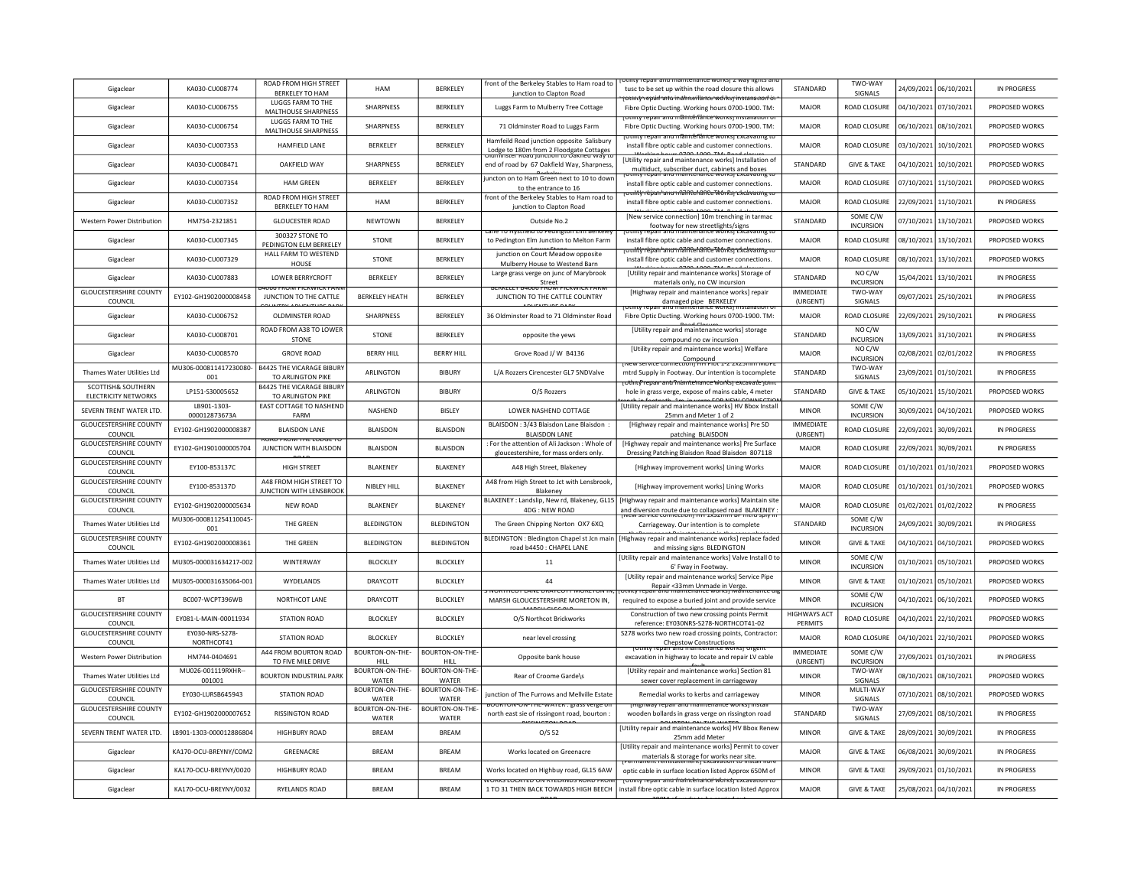| Gigaclear                                  | KA030-CU008774                | ROAD FROM HIGH STREET<br><b>BERKELEY TO HAM</b>       | <b>HAM</b>               | BERKELEY                 | front of the Berkeley Stables to Ham road to<br>junction to Clapton Road                                   | tusc to be set up within the road closure this allows                                                                                                                 | STANDARD                       | TWO-WAY<br>SIGNALS           | 24/09/2021 06/10/2021    | IN PROGRESS           |
|--------------------------------------------|-------------------------------|-------------------------------------------------------|--------------------------|--------------------------|------------------------------------------------------------------------------------------------------------|-----------------------------------------------------------------------------------------------------------------------------------------------------------------------|--------------------------------|------------------------------|--------------------------|-----------------------|
| Gigaclear                                  | KA030-CU006755                | LUGGS FARM TO THE<br>MALTHOUSE SHARPNESS              | SHARPNESS                | BERKELEY                 | Luggs Farm to Mulberry Tree Cottage                                                                        | rotmtv repail and malmeilance worksrinstanation o<br>Fibre Optic Ducting. Working hours 0700-1900. TM:                                                                | MAJOR                          | ROAD CLOSURE                 | 04/10/2021 07/10/2021    | PROPOSED WORKS        |
| Gigaclear                                  | KA030-CU006754                | LUGGS FARM TO THE<br>MALTHOUSE SHARPNESS              | SHARPNESS                | BERKELEY                 | 71 Oldminster Road to Luggs Farm                                                                           | <u>iotility repair and manterfance works; installation o</u><br>Fibre Optic Ducting. Working hours 0700-1900. TM:                                                     | MAJOR                          | ROAD CLOSURE                 | 06/10/2021 08/10/2021    | PROPOSED WORKS        |
| Gigaclear                                  | KA030-CU007353                | HAMFIELD LANE                                         | BERKELEY                 | BERKELEY                 | Hamfeild Road junction opposite Salisbury<br>Lodge to 180m from 2 Floodgate Cottages                       | iotility repair and mamteriance works) excavating to<br>install fibre optic cable and customer connections.                                                           | <b>MAJOR</b>                   | ROAD CLOSURE                 | 03/10/2021<br>10/10/2021 | PROPOSED WORKS        |
| Gigaclear                                  | KA030-CU008471                | <b>OAKFIELD WAY</b>                                   | SHARPNESS                | BERKELEY                 | end of road by 67 Oakfield Way, Sharpness,                                                                 | [Utility repair and maintenance works] Installation of<br>multiduct, subscriber duct, cabinets and boxes                                                              | STANDARD                       | <b>GIVE &amp; TAKE</b>       | 10/10/2021<br>04/10/2021 | PROPOSED WORKS        |
| Gigaclear                                  | KA030-CU007354                | <b>HAM GRFFN</b>                                      | <b>BERKELEY</b>          | BERKELEY                 | uncton on to Ham Green next to 10 to dowr<br>to the entrance to 16                                         | install fibre optic cable and customer connections.                                                                                                                   | MAIOR                          | ROAD CLOSURE                 | 07/10/2021 11/10/2021    | PROPOSED WORKS        |
| Gigaclear                                  | KA030-CU007352                | ROAD FROM HIGH STREET<br><b>BERKELEY TO HAM</b>       | HAM                      | BERKELEY                 | front of the Berkeley Stables to Ham road to<br>junction to Clapton Road                                   | iltv rebair ano mähtenante workspekeavaring<br>install fibre optic cable and customer connections.                                                                    | MAJOR                          | ROAD CLOSURE                 | 22/09/2021 11/10/2021    | <b>IN PROGRESS</b>    |
| Western Power Distribution                 | HM754-2321851                 | <b>GLOUCESTER ROAD</b>                                | <b>NEWTOWN</b>           | BERKELEY                 | Outside No.2                                                                                               | [New service connection] 10m trenching in tarmac<br>footway for new streetlights/signs<br>repair and maintenance worksj excavating to                                 | STANDARD                       | SOME C/W<br><b>INCURSION</b> | 07/10/2021<br>13/10/2021 | PROPOSED WORKS        |
| Gigaclear                                  | KA030-CU007345                | 300327 STONE TO<br>PEDINGTON ELM BERKELEY             | STONE                    | BERKELEY                 | ane to <del>h</del> ystheid to redirigton <b>c</b> im berkele.<br>to Pedington Elm Junction to Melton Farm | install fibre optic cable and customer connections.                                                                                                                   | MAJOR                          | ROAD CLOSURE                 | 08/10/2021<br>13/10/2021 | PROPOSED WORKS        |
| Gigaclear                                  | KA030-CU007329                | HALL FARM TO WESTEND<br>HOUSE                         | <b>STONE</b>             | BERKELEY                 | junction on Court Meadow opposite<br>Mulberry House to Westend Barn                                        | ronitty rebail and mantenance worksi excavating to<br>install fibre optic cable and customer connections.                                                             | MAJOR                          | ROAD CLOSURE                 | 08/10/2021<br>13/10/2021 | PROPOSED WORKS        |
| Gigaclear                                  | KA030-CU007883                | <b>LOWER BERRYCROFT</b>                               | BERKELEY                 | BERKELEY                 | Large grass verge on junc of Marybrook<br>Street<br>האוכוחיד ססט <del>וי</del> כ                           | [Utility repair and maintenance works] Storage of<br>materials only, no CW incursion                                                                                  | STANDARD                       | NO C/W<br><b>INCURSION</b>   | 15/04/2021 13/10/2021    | <b>IN PROGRESS</b>    |
| <b>GLOUCESTERSHIRE COUNTY</b><br>COUNCIL   | EY102-GH1902000008458         | JUNCTION TO THE CATTLE                                | <b>BERKELEY HEATH</b>    | BERKELEY                 | <b>BBCCCC</b><br>JUNCTION TO THE CATTLE COUNTRY                                                            | [Highway repair and maintenance works] repair<br>damaged pipe BERKELEY                                                                                                | <b>IMMFDIATE</b><br>(URGENT)   | TWO-WAY<br>SIGNALS           | 09/07/2021 25/10/2021    | <b>IN PROGRESS</b>    |
| Gigaclear                                  | KA030-CU006752                | <b>OLDMINSTER ROAD</b>                                | SHARPNESS                | BERKELEY                 | 36 Oldminster Road to 71 Oldminster Road                                                                   | Fibre Optic Ducting. Working hours 0700-1900. TM:                                                                                                                     | MAJOR                          | ROAD CLOSURE                 | 22/09/2021 29/10/2021    | <b>IN PROGRESS</b>    |
| Gigaclear                                  | KA030-CU008701                | ROAD FROM A38 TO LOWER<br><b>STONE</b>                | STONE                    | BERKELEY                 | opposite the yews                                                                                          | [Utility repair and maintenance works] storage<br>compound no cw incursion                                                                                            | STANDARD                       | NO C/W<br><b>INCURSION</b>   | 13/09/2021 31/10/2021    | IN PROGRESS           |
| Gigaclear                                  | KA030-CU008570                | <b>GROVE ROAD</b>                                     | <b>BERRY HILL</b>        | <b>BERRY HILL</b>        | Grove Road J/ W B4136                                                                                      | [Utility repair and maintenance works] Welfare<br>Compound<br>Export to Compound The Plut 1-2 2x23                                                                    | MAJOR                          | NO C/W<br><b>INCURSION</b>   | 02/08/2021 02/01/2022    | <b>IN PROGRESS</b>    |
| Thames Water Utilities Ltd                 | MU306-000811417230080-<br>001 | <b>B4425 THE VICARAGE BIBURY</b><br>TO ARLINGTON PIKE | ARLINGTON                | <b>BIBURY</b>            | L/A Rozzers Cirencester GL7 5NDValve                                                                       | mtrd Supply in Footway. Our intention is tocomplete                                                                                                                   | STANDARD                       | TWO-WAY<br>SIGNALS           | 23/09/2021 01/10/2021    | <b>IN PROGRESS</b>    |
| SCOTTISH& SOUTHERN<br>ELECTRICITY NETWORKS | LP151-S30005652               | <b>B4425 THE VICARAGE BIBURY</b><br>TO ARLINGTON PIKE | <b>ARIINGTON</b>         | <b>BIBURY</b>            | O/S Rozzers                                                                                                | <del>⊺othn√repair anti?näintefrance Worksj excavate joi</del><br>hole in grass verge, expose of mains cable, 4 meter                                                  | <b>STANDARD</b>                | <b>GIVE &amp; TAKE</b>       | 15/10/2021<br>05/10/2021 | PROPOSED WORKS        |
| SEVERN TRENT WATER LTD.                    | LB901-1303-<br>000012873673A  | EAST COTTAGE TO NASHEND<br>FARM                       | NASHEND                  | <b>BISLEY</b>            | LOWER NASHEND COTTAGE                                                                                      | <b>IUtility repair and maintenance worksl HV Bbox Install</b><br>25mm and Meter 1 of 2                                                                                | <b>MINOR</b>                   | SOME C/W<br><b>INCURSION</b> | 30/09/2021<br>04/10/2021 | PROPOSED WORKS        |
| <b>GLOUCESTERSHIRE COUNTY</b><br>COUNCIL   | EY102-GH1902000008387         | <b>BLAISDON LANE</b>                                  | <b>BLAISDON</b>          | <b>BLAISDON</b>          | BLAISDON: 3/43 Blaisdon Lane Blaisdon:<br><b>BLAISDON LANE</b>                                             | [Highway repair and maintenance works] Pre SD<br>patching BLAISDON                                                                                                    | <b>IMMEDIATE</b><br>(URGENT)   | ROAD CLOSURE                 | 22/09/2021<br>30/09/2021 | <b>IN PROGRESS</b>    |
| <b>GLOUCESTERSHIRE COUNTY</b><br>COUNCIL   | EY102-GH1901000005704         | JUNCTION WITH BLAISDON                                | <b>BLAISDON</b>          | <b>BLAISDON</b>          | For the attention of Ali Jackson : Whole of<br>gloucestershire, for mass orders only.                      | [Highway repair and maintenance works] Pre Surface<br>Dressing Patching Blaisdon Road Blaisdon 807118                                                                 | MAJOR                          | ROAD CLOSURE                 | 22/09/2021<br>30/09/2021 | <b>IN PROGRESS</b>    |
| <b>GLOUCESTERSHIRE COUNTY</b><br>COUNCIL   | EY100-853137C                 | <b>HIGH STREET</b>                                    | <b>BLAKENEY</b>          | BLAKENEY                 | A48 High Street, Blakeney                                                                                  | [Highway improvement works] Lining Works                                                                                                                              | <b>MAJOR</b>                   | <b>ROAD CLOSURE</b>          | 01/10/2021<br>01/10/2021 | PROPOSED WORKS        |
| <b>GLOUCESTERSHIRE COUNTY</b><br>COUNCIL   | EY100-853137D                 | A48 FROM HIGH STREET TO<br>JUNCTION WITH LENSBROOK    | NIBI FY HILL             | <b>BI AKENEY</b>         | A48 from High Street to Jct with Lensbrook,<br><b>Blakeney</b>                                             | [Highway improvement works] Lining Works                                                                                                                              | MAIOR                          | ROAD CLOSURE                 | 01/10/2021 01/10/2021    | PROPOSED WORKS        |
| <b>GLOUCESTERSHIRE COUNTY</b><br>COUNCIL   | EY102-GH1902000005634         | <b>NEW ROAD</b>                                       | <b>BLAKENEY</b>          | <b>BLAKENEY</b>          | BLAKENEY : Landslip, New rd, Blakeney, GL15<br>4DG: NEW ROAD                                               | [Highway repair and maintenance works] Maintain site<br>and diversion route due to collapsed road BLAKENEY<br>Them service connection on TASZIIIIII BP fitted spiy in | MAJOR                          | ROAD CLOSURE                 | 01/02/2021 01/02/2022    | <b>IN PROGRESS</b>    |
| Thames Water Utilities Ltd                 | MU306-000811254110045-<br>001 | THE GREEN                                             | <b>BLEDINGTON</b>        | <b>BLEDINGTON</b>        | The Green Chipping Norton OX7 6XQ                                                                          | Carriageway. Our intention is to complete                                                                                                                             | STANDARD                       | SOME C/W<br><b>INCURSION</b> | 24/09/2021<br>30/09/2021 | <b>IN PROGRESS</b>    |
| <b>GLOUCESTERSHIRE COUNTY</b><br>COUNCIL   | EY102-GH1902000008361         | THE GREEN                                             | <b>BLEDINGTON</b>        | <b>BLEDINGTON</b>        | BLEDINGTON : Bledington Chapel st Jcn main<br>road b4450 : CHAPEL LANE                                     | [Highway repair and maintenance works] replace faded<br>and missing signs BLEDINGTON                                                                                  | <b>MINOR</b>                   | <b>GIVE &amp; TAKE</b>       | 04/10/2021<br>04/10/2021 | PROPOSED WORKS        |
| Thames Water Utilities Ltd                 | MU305-000031634217-002        | WINTERWAY                                             | <b>BLOCKLEY</b>          | BLOCKLEY                 | 11                                                                                                         | Utility repair and maintenance works] Valve Install 0 to<br>6' Fway in Footway                                                                                        | <b>MINOR</b>                   | SOME C/W<br><b>INCURSION</b> | 01/10/2021 05/10/2021    | PROPOSED WORKS        |
| Thames Water Utilities Ltd                 | MU305-000031635064-001        | WYDELANDS                                             | DRAYCOTT                 | <b>BLOCKLEY</b>          | $\Delta\Delta$<br>WAS TRUCK AND LODGED AT A 45                                                             | [Utility repair and maintenance works] Service Pipe<br>Repair <33mm Unmade in Verge<br>ance works                                                                     | <b>MINOR</b>                   | <b>GIVE &amp; TAKE</b>       | 01/10/2021 05/10/2021    | <b>PROPOSED WORKS</b> |
| <b>BT</b>                                  | BC007-WCPT396WB               | NORTHCOT LANE                                         | DRAYCOTT                 | <b>BLOCKLEY</b>          | MARSH GLOUCESTERSHIRE MORETON IN.                                                                          | required to expose a buried joint and provide service                                                                                                                 | <b>MINOR</b>                   | SOME C/W<br><b>INCURSION</b> | 04/10/2021<br>06/10/2021 | PROPOSED WORKS        |
| <b>GLOUCESTERSHIRE COUNTY</b><br>COUNCIL   | EY081-L-MAIN-00011934         | <b>STATION ROAD</b>                                   | <b>BLOCKLEY</b>          | <b>BLOCKLEY</b>          | O/S Northcot Brickworks                                                                                    | Construction of two new crossing points Permit<br>reference: EY030NRS-S278-NORTHCOT41-02                                                                              | <b>HIGHWAYS ACT</b><br>PERMITS | ROAD CLOSURE                 | 04/10/2021<br>22/10/2021 | PROPOSED WORKS        |
| <b>GLOUCESTERSHIRE COUNTY</b><br>COUNCIL   | EY030-NRS-S278-<br>NORTHCOT41 | <b>STATION ROAD</b>                                   | <b>BLOCKLEY</b>          | BLOCKLEY                 | near level crossing                                                                                        | S278 works two new road crossing points, Contractor:<br>Chepstow Constructions<br>epair and maintenance works Jorge                                                   | MAJOR                          | ROAD CLOSURE                 | 22/10/2021<br>04/10/2021 | PROPOSED WORKS        |
| Western Power Distribution                 | HM744-0404691                 | A44 FROM BOURTON ROAD<br>TO FIVE MILE DRIVE           | BOURTON-ON-THE-<br>HILL  | BOURTON-ON-THE-<br>HILL  | Opposite bank house                                                                                        | excavation in highway to locate and repair LV cable                                                                                                                   | IMMEDIATE<br>(URGENT)          | SOME C/W<br><b>INCURSION</b> | 27/09/2021 01/10/2021    | IN PROGRESS           |
| Thames Water Utilities Ltd                 | MU026-001119RXHR-<br>001001   | <b>BOURTON INDUSTRIAL PARK</b>                        | BOURTON-ON-THE-<br>WATER | BOURTON-ON-THE-<br>WATER | Rear of Croome Garde\s                                                                                     | [Utility repair and maintenance works] Section 81<br>sewer cover replacement in carriageway                                                                           | <b>MINOR</b>                   | TWO-WAY<br>SIGNALS           | 08/10/2021 08/10/2021    | PROPOSED WORKS        |
| <b>GLOUCESTERSHIRE COUNTY</b><br>COUNCIL   | EY030-LURSB645943             | STATION ROAD                                          | BOURTON-ON-THE-<br>WATER | BOURTON-ON-THE-<br>WATER | junction of The Furrows and Mellville Estate<br>וס-אוסיוואט (און-יווס-אור-אוס-אוס-א                        | Remedial works to kerbs and carriageway<br>ienway repair and maintenance works                                                                                        | <b>MINOR</b>                   | MULTI-WAY<br>SIGNALS         | 07/10/2021 08/10/2021    | PROPOSED WORKS        |
| <b>GLOUCESTERSHIRE COUNTY</b><br>COUNCIL   | EY102-GH1902000007652         | <b>RISSINGTON ROAD</b>                                | BOURTON-ON-THE-<br>WATER | BOURTON-ON-THE-<br>WATER | north east sie of rissingont road, bourton :                                                               | wooden bollards in grass verge on rissington road                                                                                                                     | STANDARD                       | TWO-WAY<br>SIGNALS           | 27/09/2021 08/10/2021    | <b>IN PROGRESS</b>    |
| SEVERN TRENT WATER LTD.                    | LB901-1303-000012886804       | <b>HIGHBURY ROAD</b>                                  | <b>BREAM</b>             | <b>BREAM</b>             | O/S 52                                                                                                     | [Utility repair and maintenance works] HV Bbox Renew<br>25mm add Meter                                                                                                | <b>MINOR</b>                   | <b>GIVE &amp; TAKE</b>       | 28/09/2021 30/09/2021    | IN PROGRESS           |
| Gigaclear                                  | KA170-OCU-BREYNY/COM2         | GREENACRE                                             | <b>BREAM</b>             | <b>BREAM</b>             | Works located on Greenacre                                                                                 | [Utility repair and maintenance works] Permit to cover<br>materials & storage for works near site.<br>anent remstatement Excavation to msta                           | MAJOR                          | <b>GIVE &amp; TAKE</b>       | 06/08/2021 30/09/2021    | <b>IN PROGRESS</b>    |
| Gigaclear                                  | KA170-OCU-BREYNY/0020         | <b>HIGHBURY ROAD</b>                                  | <b>BREAM</b>             | <b>BREAM</b>             | Works located on Highbuy road, GL15 6AW                                                                    | optic cable in surface location listed Approx 650M of                                                                                                                 | <b>MINOR</b>                   | <b>GIVE &amp; TAKE</b>       | 29/09/2021 01/10/2021    | <b>IN PROGRESS</b>    |
| Gigaclear                                  | KA170-OCU-BREYNY/0032         | <b>RYELANDS ROAD</b>                                  | <b>BREAM</b>             | <b>BREAM</b>             | יטוויז שאטה כשוואטים ווייט שבוראיזט בהוויט<br>1 TO 31 THEN BACK TOWARDS HIGH BEECH                         | <del>roumy repair and thaintenance worksj Excavation to</del><br>install fibre optic cable in surface location listed Approx                                          | MAIOR                          | <b>GIVE &amp; TAKE</b>       | 25/08/2021 04/10/2021    | IN PROGRESS           |
|                                            |                               |                                                       |                          |                          |                                                                                                            |                                                                                                                                                                       |                                |                              |                          |                       |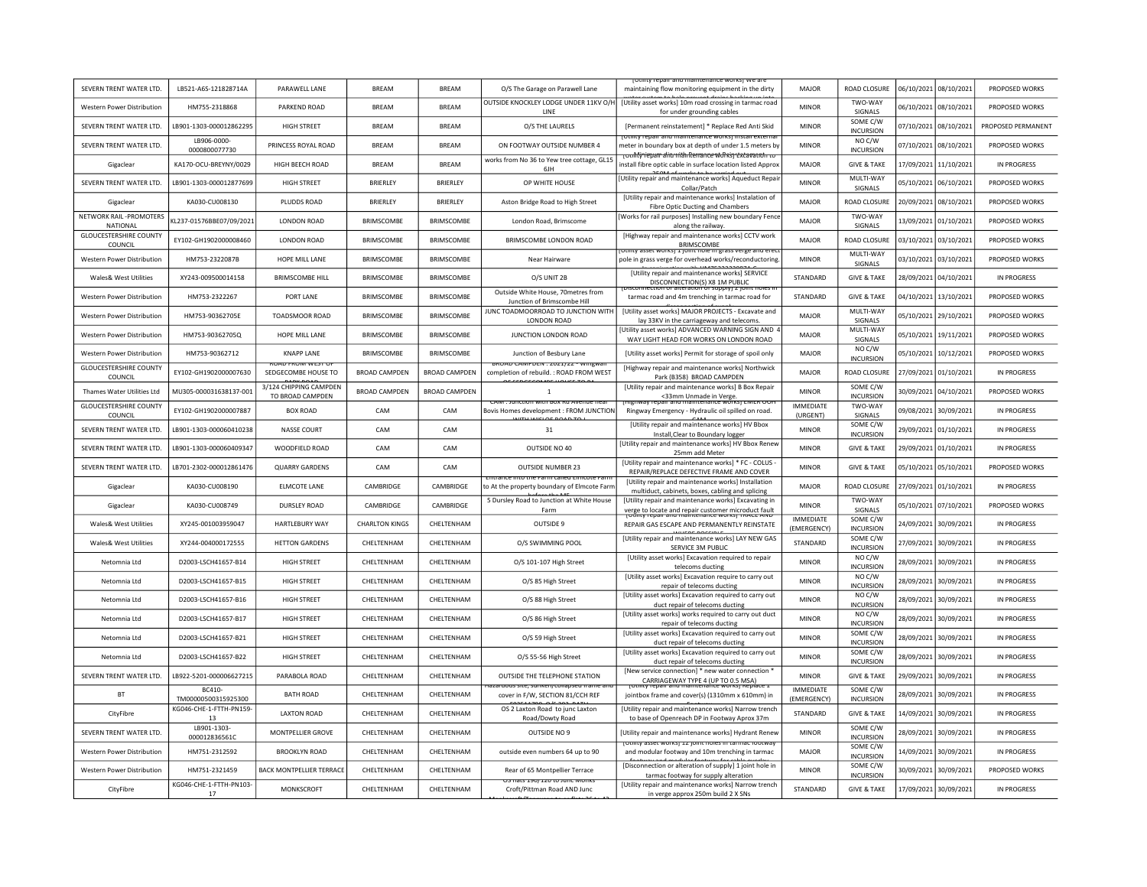|                                          |                                                                                                                                                                                                                                                                                                                                                                      |                                            |                       |                      |                                                                                      | epair and maintenance worksj we a                                                                                                                                     |                                 |                              |            |            |                    |
|------------------------------------------|----------------------------------------------------------------------------------------------------------------------------------------------------------------------------------------------------------------------------------------------------------------------------------------------------------------------------------------------------------------------|--------------------------------------------|-----------------------|----------------------|--------------------------------------------------------------------------------------|-----------------------------------------------------------------------------------------------------------------------------------------------------------------------|---------------------------------|------------------------------|------------|------------|--------------------|
| SEVERN TRENT WATER LTD.                  | IB521-A6S-121828714A                                                                                                                                                                                                                                                                                                                                                 | PARAWELL LANE                              | <b>BREAM</b>          | <b>BREAM</b>         | O/S The Garage on Parawell Lane                                                      | maintaining flow monitoring equipment in the dirty                                                                                                                    | MAIOR                           | ROAD CLOSURE                 | 06/10/2021 | 08/10/2021 | PROPOSED WORKS     |
| Western Power Distribution               | HM755-2318868                                                                                                                                                                                                                                                                                                                                                        | PARKEND ROAD                               | <b>BREAM</b>          | BREAM                | OUTSIDE KNOCKLEY LODGE UNDER 11KV O/H<br>LINE                                        | [Utility asset works] 10m road crossing in tarmac road<br>for under grounding cables                                                                                  | <b>MINOR</b>                    | TWO-WAY<br>SIGNALS           | 06/10/2021 | 08/10/2021 | PROPOSED WORKS     |
| SEVERN TRENT WATER LTD.                  | LB901-1303-000012862295                                                                                                                                                                                                                                                                                                                                              | <b>HIGH STREET</b>                         | <b>BREAM</b>          | BREAM                | O/S THE LAURELS                                                                      | [Permanent reinstatement] * Replace Red Anti Skid                                                                                                                     | <b>MINOR</b>                    | SOME C/W<br><b>INCURSION</b> | 07/10/2021 | 08/10/2021 | PROPOSED PERMANENT |
| SEVERN TRENT WATER LTD.                  | LB906-0000-<br>0000800077730                                                                                                                                                                                                                                                                                                                                         | PRINCESS ROYAL ROAD                        | <b>BREAM</b>          | <b>BREAM</b>         | ON FOOTWAY OUTSIDE NUMBER 4                                                          | וטנווונץ וכטמו מווט ווומווונכוומוונכ שטו ג. ווואנמו כגנכווומ<br>meter in boundary box at depth of under 1.5 meters by                                                 | <b>MINOR</b>                    | NO C/W<br><b>INCURSION</b>   | 07/10/2021 | 08/10/2021 | PROPOSED WORKS     |
| Gigaclear                                | KA170-OCU-BREYNY/0029                                                                                                                                                                                                                                                                                                                                                | <b>HIGH BEECH ROAD</b>                     | <b>BREAM</b>          | <b>BRFAM</b>         | works from No 36 to Yew tree cottage, GL15<br>6JH                                    | Tounty fepan aliu niamiterrance works) Extavation to<br>install fibre optic cable in surface location listed Approx                                                   | <b>MAJOR</b>                    | <b>GIVE &amp; TAKE</b>       | 17/09/2021 | 11/10/2021 | <b>IN PROGRESS</b> |
| SEVERN TRENT WATER LTD.                  | LB901-1303-000012877699                                                                                                                                                                                                                                                                                                                                              | <b>HIGH STREET</b>                         | BRIERLEY              | BRIERLEY             | OP WHITE HOUSE                                                                       | Utility repair and maintenance works] Aqueduct Repair<br>Collar/Patch                                                                                                 | <b>MINOR</b>                    | MULTI-WAY<br>SIGNALS         | 05/10/2021 | 06/10/2021 | PROPOSED WORKS     |
| Gigaclear                                | KA030-CU008130                                                                                                                                                                                                                                                                                                                                                       | PLUDDS ROAD                                | BRIERLEY              | <b>BRIERLEY</b>      | Aston Bridge Road to High Street                                                     | [Utility repair and maintenance works] Instalation of<br>Fibre Optic Ducting and Chambers                                                                             | MAJOR                           | ROAD CLOSURE                 | 20/09/2021 | 08/10/2021 | PROPOSED WORKS     |
| NETWORK RAIL -PROMOTERS<br>NATIONAL      | <l237-01576bbe07 09="" 2021<="" td=""><td><b>LONDON ROAD</b></td><td><b>BRIMSCOMBE</b></td><td><b>BRIMSCOMBE</b></td><td>London Road, Brimscome</td><td>[Works for rail purposes] Installing new boundary Fence<br/>along the railway.</td><td>MAJOR</td><td>TWO-WAY<br/>SIGNALS</td><td>13/09/2021</td><td>01/10/2021</td><td>PROPOSED WORKS</td></l237-01576bbe07> | <b>LONDON ROAD</b>                         | <b>BRIMSCOMBE</b>     | <b>BRIMSCOMBE</b>    | London Road, Brimscome                                                               | [Works for rail purposes] Installing new boundary Fence<br>along the railway.                                                                                         | MAJOR                           | TWO-WAY<br>SIGNALS           | 13/09/2021 | 01/10/2021 | PROPOSED WORKS     |
| <b>GLOUCESTERSHIRE COUNTY</b><br>COUNCIL | EY102-GH1902000008460                                                                                                                                                                                                                                                                                                                                                | LONDON ROAD                                | BRIMSCOMBE            | <b>BRIMSCOMBE</b>    | BRIMSCOMBE LONDON ROAD                                                               | [Highway repair and maintenance works] CCTV work<br>BRIMSCOMBE                                                                                                        | MAJOR                           | <b>ROAD CLOSURE</b>          | 03/10/2021 | 03/10/2021 | PROPOSED WORKS     |
| Western Power Distribution               | HM753-2322087B                                                                                                                                                                                                                                                                                                                                                       | HOPE MILL LANE                             | <b>BRIMSCOMBE</b>     | <b>BRIMSCOMBE</b>    | Near Hairware                                                                        | Othity asset works) I joint noie in grass verge and ered<br>pole in grass verge for overhead works/reconductoring.                                                    | <b>MINOR</b>                    | MULTI-WAY<br>SIGNALS         | 03/10/2021 | 03/10/2021 | PROPOSED WORKS     |
| Wales& West Utilities                    | XY243-009500014158                                                                                                                                                                                                                                                                                                                                                   | <b>BRIMSCOMBE HILL</b>                     | <b>BRIMSCOMBE</b>     | <b>BRIMSCOMBE</b>    | O/S UNIT 2B                                                                          | [Utility repair and maintenance works] SERVICE<br>DISCONNECTION(S) X8 1M PUBLIC<br>ection of arteration of supply) 2 join                                             | STANDARD                        | <b>GIVE &amp; TAKE</b>       | 28/09/2021 | 04/10/2021 | <b>IN PROGRESS</b> |
| Western Power Distribution               | HM753-2322267                                                                                                                                                                                                                                                                                                                                                        | PORT LANE                                  | <b>BRIMSCOMBE</b>     | <b>BRIMSCOMBE</b>    | Outside White House, 70metres from<br>Junction of Brimscombe Hill                    | tarmac road and 4m trenching in tarmac road for                                                                                                                       | STANDARD                        | <b>GIVE &amp; TAKE</b>       | 04/10/2021 | 13/10/2021 | PROPOSED WORKS     |
| Western Power Distribution               | HM753-90362705E                                                                                                                                                                                                                                                                                                                                                      | TOADSMOOR ROAD                             | <b>BRIMSCOMBE</b>     | BRIMSCOMBE           | JUNC TOADMOORROAD TO JUNCTION WITH<br>LONDON ROAD                                    | [Utility asset works] MAJOR PROJECTS - Excavate and<br>lay 33KV in the carriageway and telecoms.                                                                      | MAJOR                           | MULTI-WAY<br>SIGNALS         | 05/10/2021 | 29/10/2021 | PROPOSED WORKS     |
| Western Power Distribution               | HM753-90362705Q                                                                                                                                                                                                                                                                                                                                                      | HOPE MILL LANE                             | <b>BRIMSCOMBE</b>     | <b>BRIMSCOMBE</b>    | JUNCTION LONDON ROAD                                                                 | [Utility asset works] ADVANCED WARNING SIGN AND 4<br>WAY LIGHT HEAD FOR WORKS ON LONDON ROAD                                                                          | MAJOR                           | MULTI-WAY<br>SIGNALS         | 05/10/2021 | 19/11/2021 | PROPOSED WORKS     |
| Western Power Distribution               | HM753-90362712                                                                                                                                                                                                                                                                                                                                                       | <b>KNAPP LANE</b>                          | BRIMSCOMBE            | BRIMSCOMBE           | Junction of Besbury Lane                                                             | [Utility asset works] Permit for storage of spoil only                                                                                                                | MAJOR                           | NO C/W<br><b>INCURSION</b>   | 05/10/2021 | 10/12/2021 | PROPOSED WORKS     |
| <b>GLOUCESTERSHIRE COUNTY</b><br>COUNCIL | EY102-GH1902000007630                                                                                                                                                                                                                                                                                                                                                | <b>UAD FRO</b><br>SEDGECOMBE HOUSE TO      | <b>BROAD CAMPDEN</b>  | <b>BROAD CAMPDEN</b> | RUAD CANIPDEN : 2021/22 - WINKWa<br>completion of rebuild. : ROAD FROM WEST          | [Highway repair and maintenance works] Northwick<br>Park (B358) BROAD CAMPDEN                                                                                         | MAJOR                           | ROAD CLOSURE                 | 27/09/2021 | 01/10/2021 | <b>IN PROGRESS</b> |
| Thames Water Utilities Ltd               | MU305-000031638137-001                                                                                                                                                                                                                                                                                                                                               | 3/124 CHIPPING CAMPDEN<br>TO BROAD CAMPDEN | <b>BROAD CAMPDEN</b>  | <b>BROAD CAMPDEN</b> | $\overline{1}$                                                                       | [Utility repair and maintenance works] B Box Repair                                                                                                                   | <b>MINOR</b>                    | SOME C/W<br><b>INCURSION</b> | 30/09/2021 | 04/10/2021 | PROPOSED WORKS     |
| <b>GLOUCESTERSHIRE COUNTY</b><br>COUNCIL | EY102-GH1902000007887                                                                                                                                                                                                                                                                                                                                                | <b>BOX ROAD</b>                            | CAM                   | CAM                  | <u> 1980 - TOMCHON WILLIAM BOX BO AVE</u><br>Bovis Homes development : FROM JUNCTION | <33mm Unmade in Verge.<br>Tepair and maintenance works <sub>J</sub> Eivier OC<br>Ringway Emergency - Hydraulic oil spilled on road.                                   | <b>IMMEDIATE</b><br>(URGENT)    | TWO-WAY<br>SIGNALS           | 09/08/2021 | 30/09/2021 | <b>IN PROGRESS</b> |
| SEVERN TRENT WATER LTD.                  | LB901-1303-000060410238                                                                                                                                                                                                                                                                                                                                              | NASSE COURT                                | CAM                   | CAM                  | 31                                                                                   | [Utility repair and maintenance works] HV Bbox<br>Install, Clear to Boundary logger                                                                                   | <b>MINOR</b>                    | SOME C/W<br><b>INCURSION</b> | 29/09/2021 | 01/10/2021 | <b>IN PROGRESS</b> |
| SEVERN TRENT WATER LTD.                  | LB901-1303-000060409347                                                                                                                                                                                                                                                                                                                                              | WOODFIELD ROAD                             | CAM                   | CAM                  | OUTSIDE NO 40                                                                        | [Utility repair and maintenance works] HV Bbox Renew<br>25mm add Meter                                                                                                | <b>MINOR</b>                    | <b>GIVE &amp; TAKE</b>       | 29/09/2021 | 01/10/2021 | <b>IN PROGRESS</b> |
| SEVERN TRENT WATER LTD.                  | LB701-2302-000012861476                                                                                                                                                                                                                                                                                                                                              | <b>QUARRY GARDENS</b>                      | CAM                   | CAM                  | <b>OUTSIDE NUMBER 23</b>                                                             | [Utility repair and maintenance works] * FC - COLUS<br>REPAIR/REPLACE DEFECTIVE FRAME AND COVER                                                                       | <b>MINOR</b>                    | <b>GIVE &amp; TAKE</b>       | 05/10/2021 | 05/10/2021 | PROPOSED WORKS     |
| Gigaclear                                | KA030-CU008190                                                                                                                                                                                                                                                                                                                                                       | FI MCOTF LANE                              | CAMBRIDGE             | CAMBRIDGE            | to At the property boundary of Elmcote Farm                                          | [Utility repair and maintenance works] Installation<br>multiduct, cabinets, boxes, cabling and splicing                                                               | MAIOR                           | ROAD CLOSURE                 | 27/09/2021 | 01/10/2021 | IN PROGRESS        |
| Gigaclear                                | KA030-CU008749                                                                                                                                                                                                                                                                                                                                                       | <b>DURSLEY ROAD</b>                        | CAMBRIDGE             | CAMBRIDGE            | 5 Dursley Road to Junction at White House<br>Farm                                    | <b>IUtility repair and maintenance works] Excavating in</b><br>verge to locate and repair customer microduct fault<br>Totinty repair and maintenance works TIMACE AND | <b>MINOR</b>                    | TWO-WAY<br>SIGNALS           | 05/10/2021 | 07/10/2021 | PROPOSED WORKS     |
| Wales& West Utilities                    | XY245-001003959047                                                                                                                                                                                                                                                                                                                                                   | HARTLEBURY WAY                             | <b>CHARLTON KINGS</b> | CHELTENHAM           | OUTSIDE 9                                                                            | REPAIR GAS ESCAPE AND PERMANENTLY REINSTATE                                                                                                                           | <b>IMMEDIATE</b><br>(EMERGENCY) | SOME C/W<br><b>INCURSION</b> | 24/09/2021 | 30/09/2021 | <b>IN PROGRESS</b> |
| Wales& West Utilities                    | XY244-004000172555                                                                                                                                                                                                                                                                                                                                                   | <b>HETTON GARDENS</b>                      | CHELTENHAM            | CHELTENHAM           | O/S SWIMMING POOL                                                                    | [Utility repair and maintenance works] LAY NEW GAS<br>SERVICE 3M PUBLIC                                                                                               | STANDARD                        | SOME C/W<br><b>INCURSION</b> | 27/09/2021 | 30/09/2021 | <b>IN PROGRESS</b> |
| Netomnia Ltd                             | D2003-LSCH41657-B14                                                                                                                                                                                                                                                                                                                                                  | <b>HIGH STREET</b>                         | CHELTENHAM            | CHELTENHAM           | O/S 101-107 High Street                                                              | [Utility asset works] Excavation required to repair<br>telecoms ducting                                                                                               | <b>MINOR</b>                    | NO C/W<br><b>INCURSION</b>   | 28/09/2021 | 30/09/2021 | <b>IN PROGRESS</b> |
| Netomnia Ltd                             | D2003-LSCH41657-B15                                                                                                                                                                                                                                                                                                                                                  | <b>HIGH STREET</b>                         | CHELTENHAM            | CHELTENHAM           | O/S 85 High Street                                                                   | [Utility asset works] Excavation require to carry out<br>repair of telecoms ducting                                                                                   | <b>MINOR</b>                    | NO C/W<br><b>INCURSION</b>   | 28/09/2021 | 30/09/2021 | <b>IN PROGRESS</b> |
| Netomnia Ltd                             | D2003-LSCH41657-B16                                                                                                                                                                                                                                                                                                                                                  | <b>HIGH STREET</b>                         | CHELTENHAM            | CHELTENHAM           | O/S 88 High Street                                                                   | [Utility asset works] Excavation required to carry out<br>duct repair of telecoms ducting                                                                             | <b>MINOR</b>                    | NO C/W<br><b>INCURSION</b>   | 28/09/2021 | 30/09/2021 | <b>IN PROGRESS</b> |
| Netomnia Ltd                             | D2003-LSCH41657-B17                                                                                                                                                                                                                                                                                                                                                  | <b>HIGH STREET</b>                         | CHELTENHAM            | CHELTENHAM           | O/S 86 High Street                                                                   | [Utility asset works] works required to carry out duct<br>repair of telecoms ducting                                                                                  | <b>MINOR</b>                    | NO C/W<br><b>INCURSION</b>   | 28/09/2021 | 30/09/2021 | <b>IN PROGRESS</b> |
| Netomnia Ltd                             | D2003-LSCH41657-B21                                                                                                                                                                                                                                                                                                                                                  | <b>HIGH STREET</b>                         | CHELTENHAM            | CHELTENHAM           | O/S 59 High Street                                                                   | [Utility asset works] Excavation required to carry out<br>duct repair of telecoms ducting                                                                             | <b>MINOR</b>                    | SOME C/W<br><b>INCURSION</b> | 28/09/2021 | 30/09/2021 | <b>IN PROGRESS</b> |
| Netomnia Ltd                             | D2003-LSCH41657-B22                                                                                                                                                                                                                                                                                                                                                  | <b>HIGH STREET</b>                         | CHELTENHAM            | CHELTENHAM           | O/S 55-56 High Street                                                                | [Utility asset works] Excavation required to carry out<br>duct repair of telecoms ducting                                                                             | <b>MINOR</b>                    | SOME C/W<br><b>INCURSION</b> | 28/09/2021 | 30/09/2021 | <b>IN PROGRESS</b> |
| SEVERN TRENT WATER LTD.                  | LB922-5201-000006627215                                                                                                                                                                                                                                                                                                                                              | PARABOLA ROAD                              | CHELTENHAM            | CHELTENHAM           | OUTSIDE THE TELEPHONE STATION                                                        | [New service connection] * new water connection '<br>CARRIAGEWAY TYPE 4 (UP TO 0.5 MSA)<br>וועץ דפסמוד מוזמ והמותפוזמות שטראק הפטומפ                                  | <b>MINOR</b>                    | <b>GIVE &amp; TAKE</b>       | 29/09/2021 | 30/09/2021 | <b>IN PROGRESS</b> |
| <b>BT</b>                                | BC410-<br>TM00000500315925300                                                                                                                                                                                                                                                                                                                                        | <b>BATH ROAD</b>                           | <b>CHEITENHAM</b>     | <b>CHEITENHAM</b>    | dous site, sunken/conapsed frame<br>cover in F/W, SECTION 81/CCH REF                 | jointbox frame and cover(s) (1310mm x 610mm) in                                                                                                                       | <b>IMMFDIATE</b><br>(EMERGENCY) | SOME C/W<br><b>INCURSION</b> | 28/09/2021 | 30/09/2021 | <b>IN PROGRESS</b> |
| CityFibre                                | KG046-CHE-1-FTTH-PN159-<br>13                                                                                                                                                                                                                                                                                                                                        | <b>LAXTON ROAD</b>                         | CHELTENHAM            | CHELTENHAM           | OS 2 Laxton Road to junc Laxton<br>Road/Dowty Road                                   | <b>IUtility repair and maintenance works) Narrow trench</b><br>to base of Openreach DP in Footway Aprox 37m                                                           | STANDARD                        | <b>GIVE &amp; TAKE</b>       | 14/09/2021 | 30/09/2021 | <b>IN PROGRESS</b> |
| SEVERN TRENT WATER LTD.                  | LB901-1303-<br>000012836561C                                                                                                                                                                                                                                                                                                                                         | MONTPELLIER GROVE                          | CHELTENHAM            | CHELTENHAM           | OUTSIDE NO 9                                                                         | [Utility repair and maintenance works] Hydrant Renew                                                                                                                  | <b>MINOR</b>                    | SOME C/W<br><b>INCURSION</b> | 28/09/2021 | 30/09/2021 | <b>IN PROGRESS</b> |
| Western Power Distribution               | HM751-2312592                                                                                                                                                                                                                                                                                                                                                        | <b>BROOKLYN ROAD</b>                       | CHELTENHAM            | CHELTENHAM           | outside even numbers 64 up to 90                                                     | TOURN asset works) 12 Juni Holes III tarmac Joutway<br>and modular footway and 10m trenching in tarmac                                                                | MAJOR                           | SOME C/W<br><b>INCURSION</b> | 14/09/2021 | 30/09/2021 | <b>IN PROGRESS</b> |
| Western Power Distribution               | HM751-2321459                                                                                                                                                                                                                                                                                                                                                        | <b>BACK MONTPELLIER TERRACE</b>            | CHELTENHAM            | CHELTENHAM           | Rear of 65 Montpellier Terrace                                                       | [Disconnection or alteration of supply] 1 joint hole in<br>tarmac footway for supply alteration                                                                       | <b>MINOR</b>                    | SOME C/W<br><b>INCURSION</b> | 30/09/2021 | 30/09/2021 | PROPOSED WORKS     |
| CityFibre                                | KG046-CHE-1-FTTH-PN103-<br>17                                                                                                                                                                                                                                                                                                                                        | <b>MONKSCROFT</b>                          | CHELTENHAM            | CHELTENHAM           | <u>וווטואו טווטרטו טא נעט געשוו כט</u><br>Croft/Pittman Road AND Junc                | [Utility repair and maintenance works] Narrow trench<br>in verge approx 250m build 2 X SNs                                                                            | STANDARD                        | <b>GIVE &amp; TAKE</b>       | 17/09/2021 | 30/09/2021 | <b>IN PROGRESS</b> |
|                                          |                                                                                                                                                                                                                                                                                                                                                                      |                                            |                       |                      |                                                                                      |                                                                                                                                                                       |                                 |                              |            |            |                    |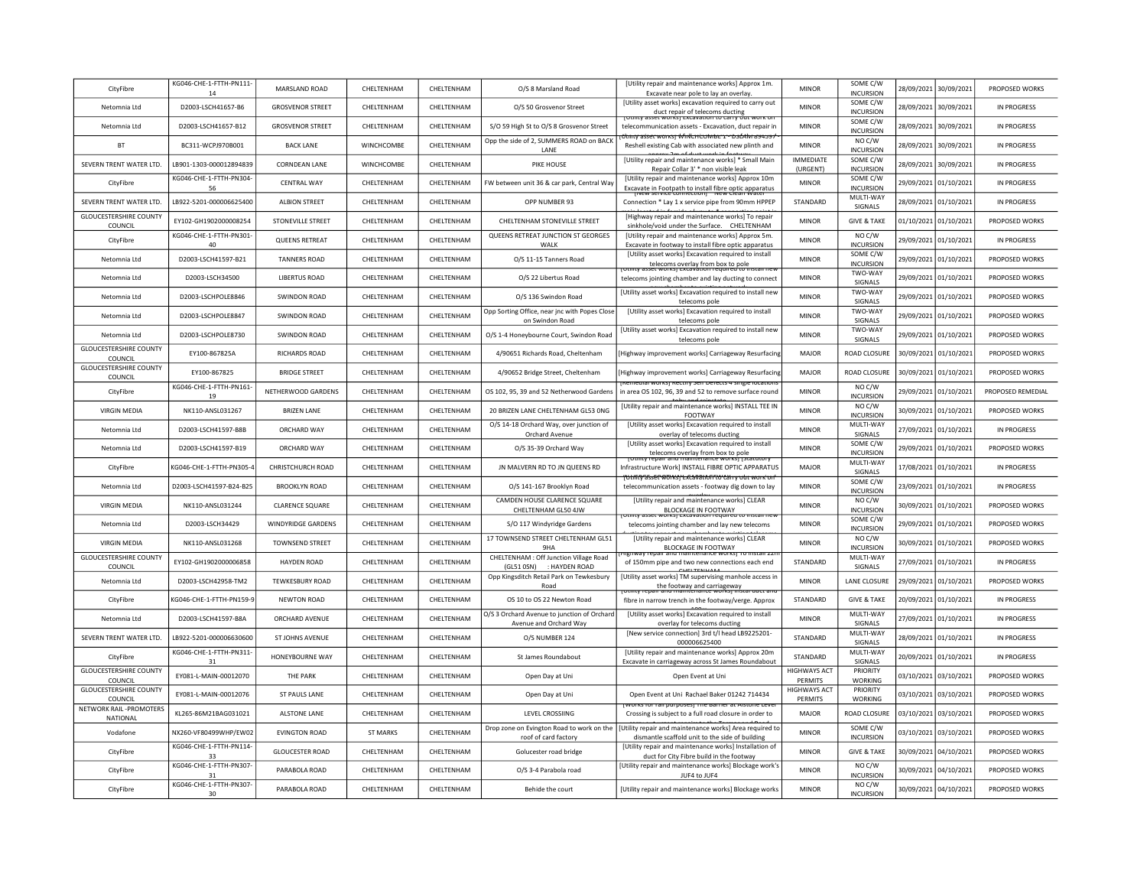| CityFibre                                  | KG046-CHE-1-FTTH-PN111-<br>14                                                                                                                                                                                                                                                                                                                                                                               | MARSLAND ROAD           | CHELTENHAM        | CHELTENHAM        | O/S 8 Marsland Road                                                   | [Utility repair and maintenance works] Approx 1m.<br>Excavate near pole to lay an overlay.                                 | <b>MINOR</b>                   | SOME C/W<br><b>INCURSION</b> |            | 28/09/2021 30/09/2021 | PROPOSED WORKS     |
|--------------------------------------------|-------------------------------------------------------------------------------------------------------------------------------------------------------------------------------------------------------------------------------------------------------------------------------------------------------------------------------------------------------------------------------------------------------------|-------------------------|-------------------|-------------------|-----------------------------------------------------------------------|----------------------------------------------------------------------------------------------------------------------------|--------------------------------|------------------------------|------------|-----------------------|--------------------|
| Netomnia Ltd                               | D2003-LSCH41657-B6                                                                                                                                                                                                                                                                                                                                                                                          | <b>GROSVENOR STREET</b> | CHELTENHAM        | CHELTENHAM        | O/S 50 Grosvenor Street                                               | [Utility asset works] excavation required to carry out<br>duct repair of telecoms ducting                                  | <b>MINOR</b>                   | SOME C/W<br><b>INCURSION</b> |            | 28/09/2021 30/09/2021 | <b>IN PROGRESS</b> |
| Netomnia Ltd                               | D2003-LSCH41657-B12                                                                                                                                                                                                                                                                                                                                                                                         | <b>GROSVENOR STREET</b> | CHELTENHAM        | CHELTENHAM        | S/O 59 High St to O/S 8 Grosvenor Street                              | τοιιπιγ asset worksj ελιανατισπ το carry d<br>telecommunication assets - Excavation, duct repair in                        | <b>MINOR</b>                   | SOME C/W<br><b>INCURSION</b> | 28/09/2021 | 30/09/2021            | <b>IN PROGRESS</b> |
| <b>BT</b>                                  | BC311-WCPJ970B001                                                                                                                                                                                                                                                                                                                                                                                           | <b>BACK LANE</b>        | WINCHCOMBE        | CHELTENHAM        | Opp the side of 2, SUMMERS ROAD on BACK<br>LANE                       | kmty aśser worksji Wirll micolwischer Soliklwi ap4557<br>Reshell existing Cab with associated new plinth and               | <b>MINOR</b>                   | NO C/W<br><b>INCURSION</b>   | 28/09/2021 | 30/09/2021            | <b>IN PROGRESS</b> |
| SEVERN TRENT WATER LTD.                    | LB901-1303-000012894839                                                                                                                                                                                                                                                                                                                                                                                     | CORNDEAN LANE           | <b>WINCHCOMBE</b> | <b>CHFITENHAM</b> | PIKE HOUSE                                                            | [Utility repair and maintenance works] * Small Main<br>Repair Collar 3' * non visible leak                                 | <b>IMMEDIATE</b><br>(URGENT)   | SOME C/W<br><b>INCURSION</b> | 18/09/2021 | 30/09/2021            | IN PROGRESS        |
| CityFibre                                  | KG046-CHE-1-FTTH-PN304-<br>56                                                                                                                                                                                                                                                                                                                                                                               | <b>CENTRAL WAY</b>      | CHELTENHAM        | CHELTENHAM        | FW between unit 36 & car park, Central Way                            | [Utility repair and maintenance works] Approx 10m<br>Excavate in Footpath to install fibre optic apparatus                 | <b>MINOR</b>                   | SOME C/W<br><b>INCURSION</b> |            | 29/09/2021 01/10/2021 | <b>IN PROGRESS</b> |
| SEVERN TRENT WATER LTD.                    | B922-5201-000006625400                                                                                                                                                                                                                                                                                                                                                                                      | <b>ALBION STREET</b>    | CHELTENHAM        | CHELTENHAM        | OPP NUMBER 93                                                         | vew service connectioni<br>Connection * Lay 1 x service pipe from 90mm HPPEP                                               | <b>STANDARD</b>                | MULTI-WAY<br>SIGNALS         | 28/09/2021 | 01/10/2021            | <b>IN PROGRESS</b> |
| <b>GLOUCESTERSHIRE COUNTY</b><br>COUNCIL   | EY102-GH1902000008254                                                                                                                                                                                                                                                                                                                                                                                       | STONEVILLE STREET       | CHELTENHAM        | CHELTENHAM        | CHELTENHAM STONEVILLE STREET                                          | [Highway repair and maintenance works] To repair<br>sinkhole/void under the Surface. CHELTENHAM                            | <b>MINOR</b>                   | <b>GIVE &amp; TAKE</b>       | 01/10/2021 | 01/10/2021            | PROPOSED WORKS     |
| CityFibre                                  | KG046-CHE-1-FTTH-PN301-<br>40                                                                                                                                                                                                                                                                                                                                                                               | QUEENS RETREAT          | CHELTENHAM        | CHELTENHAM        | QUEENS RETREAT JUNCTION ST GEORGES<br>WALK                            | [Utility repair and maintenance works] Approx 5m.<br>Excavate in footway to install fibre optic apparatus                  | <b>MINOR</b>                   | NO C/W<br><b>INCURSION</b>   | 9/09/2021  | 01/10/2021            | <b>IN PROGRESS</b> |
| Netomnia Ltd                               | D2003-LSCH41597-B21                                                                                                                                                                                                                                                                                                                                                                                         | <b>TANNERS ROAD</b>     | CHELTENHAM        | CHELTENHAM        | O/S 11-15 Tanners Road                                                | [Utility asset works] Excavation required to install<br>telecoms overlay from box to pole                                  | <b>MINOR</b>                   | SOME C/W<br><b>INCURSION</b> |            | 29/09/2021 01/10/2021 | PROPOSED WORKS     |
| Netomnia Itd                               | D2003-LSCH34500                                                                                                                                                                                                                                                                                                                                                                                             | <b>LIBERTUS ROAD</b>    | CHELTENHAM        | CHELTENHAM        | O/S 22 Libertus Road                                                  | pumy asset works) excavation required to install it<br>telecoms jointing chamber and lay ducting to connect                | <b>MINOR</b>                   | TWO-WAY<br><b>SIGNALS</b>    |            | 29/09/2021 01/10/2021 | PROPOSED WORKS     |
| Netomnia Ltd                               | D2003-LSCHPOLE8846                                                                                                                                                                                                                                                                                                                                                                                          | <b>SWINDON ROAD</b>     | CHELTENHAM        | CHELTENHAM        | O/S 136 Swindon Road                                                  | [Utility asset works] Excavation required to install new<br>telecoms pole                                                  | <b>MINOR</b>                   | TWO-WAY<br>SIGNALS           |            | 29/09/2021 01/10/2021 | PROPOSED WORKS     |
| Netomnia Ltd                               | D2003-LSCHPOLE8847                                                                                                                                                                                                                                                                                                                                                                                          | <b>SWINDON ROAD</b>     | CHELTENHAM        | CHELTENHAM        | Opp Sorting Office, near jnc with Popes Close<br>on Swindon Road      | [Utility asset works] Excavation required to install<br>telecoms pole                                                      | <b>MINOR</b>                   | TWO-WAY<br>SIGNALS           |            | 29/09/2021 01/10/2021 | PROPOSED WORKS     |
| Netomnia Ltd                               | D2003-LSCHPOLE8730                                                                                                                                                                                                                                                                                                                                                                                          | <b>SWINDON ROAD</b>     | CHELTENHAM        | CHELTENHAM        | O/S 1-4 Honeybourne Court, Swindon Road                               | [Utility asset works] Excavation required to install new<br>telecoms pole                                                  | <b>MINOR</b>                   | TWO-WAY<br>SIGNALS           |            | 29/09/2021 01/10/2021 | PROPOSED WORKS     |
| <b>GLOUCESTERSHIRE COUNTY</b><br>COUNCIL   | EY100-867825A                                                                                                                                                                                                                                                                                                                                                                                               | RICHARDS ROAD           | CHELTENHAM        | CHELTENHAM        | 4/90651 Richards Road, Cheltenham                                     | [Highway improvement works] Carriageway Resurfacing                                                                        | MAJOR                          | ROAD CLOSURE                 | 30/09/2021 | 01/10/2021            | PROPOSED WORKS     |
| <b>GLOUCESTERSHIRE COUNTY</b><br>COUNCIL   | EY100-867825                                                                                                                                                                                                                                                                                                                                                                                                | <b>BRIDGE STREET</b>    | CHELTENHAM        | CHELTENHAM        | 4/90652 Bridge Street, Cheltenham                                     | [Highway improvement works] Carriageway Resurfacing                                                                        | <b>MAJOR</b>                   | ROAD CLOSURE                 | 30/09/2021 | 01/10/2021            | PROPOSED WORKS     |
| CityFibre                                  | KG046-CHE-1-FTTH-PN161-<br>19                                                                                                                                                                                                                                                                                                                                                                               | NETHERWOOD GARDENS      | CHELTENHAM        | CHELTENHAM        | OS 102, 95, 39 and 52 Netherwood Gardens                              | emediai worksj Rectify seir Defects 4 single location<br>in area OS 102, 96, 39 and 52 to remove surface round             | <b>MINOR</b>                   | NO C/W<br><b>INCURSION</b>   | 29/09/2021 | 01/10/2021            | PROPOSED REMEDIAL  |
| <b>VIRGIN MEDIA</b>                        | NK110-ANSL031267                                                                                                                                                                                                                                                                                                                                                                                            | <b>BRIZEN LANE</b>      | CHELTENHAM        | CHELTENHAM        | 20 BRIZEN LANE CHELTENHAM GL53 ONG                                    | [Utility repair and maintenance works] INSTALL TEE IN<br>FOOTWAY                                                           | <b>MINOR</b>                   | NO C/W<br><b>INCURSION</b>   | 30/09/2021 | 01/10/2021            | PROPOSED WORKS     |
| Netomnia Ltd                               | D2003-LSCH41597-B8B                                                                                                                                                                                                                                                                                                                                                                                         | ORCHARD WAY             | CHELTENHAM        | CHELTENHAM        | O/S 14-18 Orchard Way, over junction of<br>Orchard Avenue             | [Utility asset works] Excavation required to install<br>overlay of telecoms ducting                                        | <b>MINOR</b>                   | MULTI-WAY<br>SIGNALS         | 27/09/2021 | 01/10/2021            | <b>IN PROGRESS</b> |
| Netomnia Ltd                               | D2003-LSCH41597-B19                                                                                                                                                                                                                                                                                                                                                                                         | ORCHARD WAY             | CHELTENHAM        | CHELTENHAM        | O/S 35-39 Orchard Way                                                 | [Utility asset works] Excavation required to install<br>telecoms overlay from box to pole                                  | <b>MINOR</b>                   | SOME C/W<br><b>INCURSION</b> | 29/09/2021 | 01/10/202             | PROPOSED WORKS     |
| CityFibre                                  | <g046-che-1-ftth-pn305-4< td=""><td>CHRISTCHURCH ROAD</td><td>CHELTENHAM</td><td>CHELTENHAM</td><td>JN MALVERN RD TO JN QUEENS RD</td><td>Infrastructure Work] INSTALL FIBRE OPTIC APPARATUS<br/><u> የປະເທດຈະລະອອນພວກເຮົາ Excavation ແບ່ carry obt work on</u></td><td>MAJOR</td><td>MULTI-WAY<br/>SIGNALS</td><td>17/08/2021</td><td>01/10/2021</td><td><b>IN PROGRESS</b></td></g046-che-1-ftth-pn305-4<> | CHRISTCHURCH ROAD       | CHELTENHAM        | CHELTENHAM        | JN MALVERN RD TO JN QUEENS RD                                         | Infrastructure Work] INSTALL FIBRE OPTIC APPARATUS<br><u> የປະເທດຈະລະອອນພວກເຮົາ Excavation ແບ່ carry obt work on</u>        | MAJOR                          | MULTI-WAY<br>SIGNALS         | 17/08/2021 | 01/10/2021            | <b>IN PROGRESS</b> |
| Netomnia Ltd                               | D2003-LSCH41597-B24-B25                                                                                                                                                                                                                                                                                                                                                                                     | <b>BROOKLYN ROAD</b>    | CHELTENHAM        | CHELTENHAM        | O/S 141-167 Brooklyn Road                                             | telecommunication assets - footway dig down to lay                                                                         | <b>MINOR</b>                   | SOME C/W<br><b>INCURSION</b> | 23/09/2021 | 01/10/2021            | IN PROGRESS        |
| <b>VIRGIN MEDIA</b>                        | NK110-ANSL031244                                                                                                                                                                                                                                                                                                                                                                                            | <b>CLARENCE SQUARE</b>  | CHELTENHAM        | CHELTENHAM        | CAMDEN HOUSE CLARENCE SQUARE<br>CHELTENHAM GL50 4JW                   | [Utility repair and maintenance works] CLEAR<br><b>BLOCKAGE IN FOOTWAY</b>                                                 | <b>MINOR</b>                   | NO C/W<br><b>INCURSION</b>   | 30/09/2021 | 01/10/2021            | PROPOSED WORKS     |
| Netomnia Itd                               | D2003-LSCH34429                                                                                                                                                                                                                                                                                                                                                                                             | WINDYRIDGE GARDENS      | CHFITFNHAM        | CHELTENHAM        | S/O 117 Windyridge Gardens                                            | telecoms jointing chamber and lay new telecoms                                                                             | <b>MINOR</b>                   | SOME C/W<br><b>INCURSION</b> |            | 29/09/2021 01/10/2021 | PROPOSED WORKS     |
| <b>VIRGIN MEDIA</b>                        | NK110-ANSL031268                                                                                                                                                                                                                                                                                                                                                                                            | <b>TOWNSEND STREET</b>  | CHELTENHAM        | CHELTENHAM        | 17 TOWNSEND STREET CHELTENHAM GL51<br>9HA                             | [Utility repair and maintenance works] CLEAR<br><b>BLOCKAGE IN FOOTWAY</b><br>mstan zz                                     | <b>MINOR</b>                   | NO C/W<br><b>INCURSION</b>   | 30/09/2021 | 01/10/2021            | PROPOSED WORKS     |
| <b>GLOUCESTERSHIRE COUNTY</b><br>COUNCIL   | EY102-GH1902000006858                                                                                                                                                                                                                                                                                                                                                                                       | <b>HAYDEN ROAD</b>      | CHELTENHAM        | CHELTENHAM        | CHELTENHAM : Off Junction Village Road<br>(GL51 0SN) : HAYDEN ROAD    | ignway repair and maintenance works) it<br>of 150mm pipe and two new connections each end<br><u>ALIELWENILLANA</u>         | STANDARD                       | MULTI-WAY<br>SIGNALS         | 27/09/2021 | 01/10/2021            | <b>IN PROGRESS</b> |
| Netomnia Ltd                               | D2003-LSCH42958-TM2                                                                                                                                                                                                                                                                                                                                                                                         | <b>TEWKESBURY ROAD</b>  | CHELTENHAM        | CHELTENHAM        | Opp Kingsditch Retail Park on Tewkesbury<br>Road                      | [Utility asset works] TM supervising manhole access in<br>the footway and carriageway<br>manumantenance worksj mstar uuttr | <b>MINOR</b>                   | LANE CLOSURE                 | 29/09/2021 | 01/10/2021            | PROPOSED WORKS     |
| CityFibre                                  | KG046-CHE-1-FTTH-PN159-9                                                                                                                                                                                                                                                                                                                                                                                    | NEWTON ROAD             | CHELTENHAM        | CHELTENHAM        | OS 10 to OS 22 Newton Road                                            | fibre in narrow trench in the footway/verge. Approx                                                                        | STANDARD                       | <b>GIVE &amp; TAKE</b>       | 20/09/2021 | 01/10/2021            | <b>IN PROGRESS</b> |
| Netomnia Itd                               | D2003-LSCH41597-B8A                                                                                                                                                                                                                                                                                                                                                                                         | ORCHARD AVENUE          | CHELTENHAM        | CHELTENHAM        | O/S 3 Orchard Avenue to junction of Orchard<br>Avenue and Orchard Way | [Utility asset works] Excavation required to install<br>overlay for telecoms ducting                                       | <b>MINOR</b>                   | MULTI-WAY<br>SIGNALS         | 27/09/2021 | 01/10/2021            | <b>IN PROGRESS</b> |
| SEVERN TRENT WATER LTD.                    | LB922-5201-000006630600                                                                                                                                                                                                                                                                                                                                                                                     | ST JOHNS AVENUE         | CHELTENHAM        | CHELTENHAM        | O/S NUMBER 124                                                        | [New service connection] 3rd t/l head LB9225201-<br>000006625400                                                           | STANDARD                       | MULTI-WAY<br><b>SIGNALS</b>  | 28/09/2021 | 01/10/2021            | <b>IN PROGRESS</b> |
| CityFibre                                  | KG046-CHE-1-FTTH-PN311-<br>31                                                                                                                                                                                                                                                                                                                                                                               | HONEYBOURNE WAY         | CHELTENHAM        | CHELTENHAM        | St James Roundabout                                                   | [Utility repair and maintenance works] Approx 20m<br>Excavate in carriageway across St James Roundabout                    | STANDARD                       | MULTI-WAY<br>SIGNALS         | 20/09/2021 | 01/10/2021            | <b>IN PROGRESS</b> |
| <b>GLOUCESTERSHIRE COUNTY</b><br>COUNCIL   | EY081-L-MAIN-00012070                                                                                                                                                                                                                                                                                                                                                                                       | <b>THE PARK</b>         | CHELTENHAM        | CHELTENHAM        | Open Day at Uni                                                       | Open Event at Uni                                                                                                          | <b>HIGHWAYS ACT</b><br>PERMITS | PRIORITY<br><b>WORKING</b>   | 03/10/2021 | 03/10/2021            | PROPOSED WORKS     |
| <b>GLOUCESTERSHIRE COUNTY</b><br>COUNCIL   | EY081-L-MAIN-00012076                                                                                                                                                                                                                                                                                                                                                                                       | <b>ST PAULS LANE</b>    | CHELTENHAM        | CHELTENHAM        | Open Day at Uni                                                       | Open Event at Uni Rachael Baker 01242 714434<br>works for fairburbosest the barrier at Alstone Leve                        | <b>HIGHWAYS ACT</b><br>PERMITS | PRIORITY<br><b>WORKING</b>   | 03/10/2021 | 03/10/2021            | PROPOSED WORKS     |
| NETWORK RAIL -PROMOTERS<br><b>NATIONAL</b> | KL265-86M21BAG031021                                                                                                                                                                                                                                                                                                                                                                                        | ALSTONE LANE            | CHELTENHAM        | CHELTENHAM        | LEVEL CROSSIING                                                       | Crossing is subject to a full road closure in order to                                                                     | MAJOR                          | ROAD CLOSURE                 | 03/10/2021 | 03/10/2021            | PROPOSED WORKS     |
| Vodafone                                   | NX260-VF80499WHP/EW02                                                                                                                                                                                                                                                                                                                                                                                       | <b>EVINGTON ROAD</b>    | <b>ST MARKS</b>   | CHELTENHAM        | Drop zone on Evington Road to work on the<br>roof of card factory     | [Utility repair and maintenance works] Area required to<br>dismantle scaffold unit to the side of building                 | <b>MINOR</b>                   | SOME C/W<br><b>INCURSION</b> |            | 03/10/2021 03/10/2021 | PROPOSED WORKS     |
| CityFibre                                  | KG046-CHE-1-FTTH-PN114-<br>33                                                                                                                                                                                                                                                                                                                                                                               | <b>GLOUCESTER ROAD</b>  | CHELTENHAM        | CHELTENHAM        | Golucester road bridge                                                | [Utility repair and maintenance works] Installation of<br>duct for City Fibre build in the footway                         | <b>MINOR</b>                   | <b>GIVE &amp; TAKE</b>       |            | 30/09/2021 04/10/2021 | PROPOSED WORKS     |
| CityFibre                                  | KG046-CHE-1-FTTH-PN307-<br>31                                                                                                                                                                                                                                                                                                                                                                               | PARABOLA ROAD           | CHELTENHAM        | CHELTENHAM        | O/S 3-4 Parabola road                                                 | <b>IUtility repair and maintenance works] Blockage work's</b><br>JUF4 to JUF4                                              | <b>MINOR</b>                   | NO C/W<br><b>INCURSION</b>   |            | 30/09/2021 04/10/2021 | PROPOSED WORKS     |
| CityFibre                                  | KG046-CHE-1-FTTH-PN307-<br>30                                                                                                                                                                                                                                                                                                                                                                               | PARABOLA ROAD           | CHELTENHAM        | CHELTENHAM        | Behide the court                                                      | [Utility repair and maintenance works] Blockage works                                                                      | <b>MINOR</b>                   | NO C/W<br><b>INCURSION</b>   |            | 30/09/2021 04/10/2021 | PROPOSED WORKS     |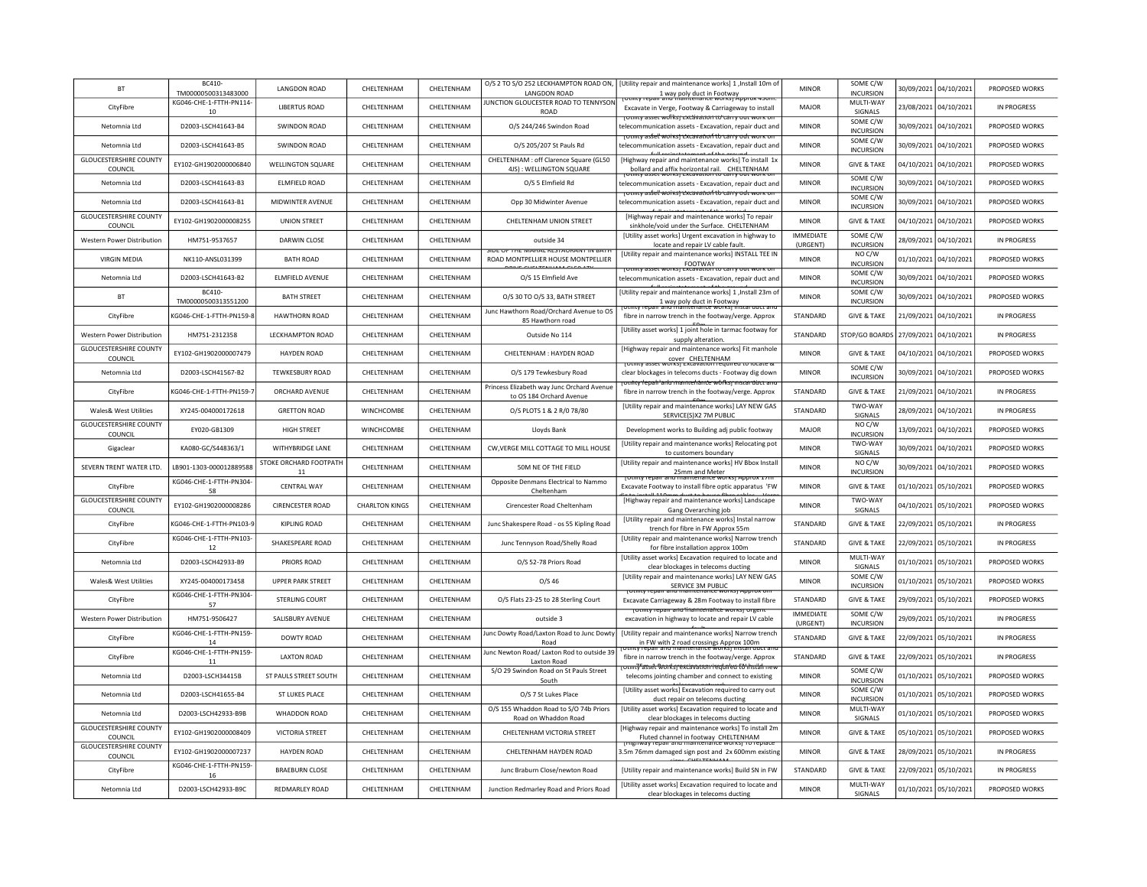| BT                                       | BC410<br>TM00000500313483000        | <b>LANGDON ROAD</b>          | CHELTENHAM            | CHELTENHAM        | <b>LANGDON ROAD</b>                                                          | O/S 2 TO S/O 252 LECKHAMPTON ROAD ON,   [Utility repair and maintenance works] 1 , Install 10m of<br>1 way poly duct in Footway                                        | <b>MINOR</b>                 | SOME C/W<br><b>INCURSION</b> | 30/09/2021            | 04/10/2021 | PROPOSED WORKS     |
|------------------------------------------|-------------------------------------|------------------------------|-----------------------|-------------------|------------------------------------------------------------------------------|------------------------------------------------------------------------------------------------------------------------------------------------------------------------|------------------------------|------------------------------|-----------------------|------------|--------------------|
| CityFibre                                | KG046-CHE-1-FTTH-PN114-<br>10       | <b>LIBERTUS ROAD</b>         | CHELTENHAM            | CHELTENHAM        | JUNCTION GLOUCESTER ROAD TO TENNYSON<br>ROAD                                 | rotility repair and maintenance works; Approx 450m<br>Excavate in Verge, Footway & Carriageway to install                                                              | MAJOR                        | MULTI-WAY<br>SIGNALS         | 23/08/2021 04/10/2021 |            | <b>IN PROGRESS</b> |
| Netomnia Ltd                             | D2003-LSCH41643-B4                  | SWINDON ROAD                 | CHELTENHAM            | CHELTENHAM        | O/S 244/246 Swindon Road                                                     | <u>TOtmty asset worksj cxtavation to tarry out work on</u><br>telecommunication assets - Excavation, repair duct and                                                   | <b>MINOR</b>                 | SOME C/W<br><b>INCURSION</b> | 30/09/2021            | 04/10/2021 | PROPOSED WORKS     |
| Netomnia Ltd                             | D2003-LSCH41643-B5                  | SWINDON ROAD                 | CHELTENHAM            | CHELTENHAM        | O/S 205/207 St Pauls Rd                                                      | Totmty assell works) theavation to carry out work or<br>telecommunication assets - Excavation, repair duct and                                                         | <b>MINOR</b>                 | SOME C/W<br><b>INCURSION</b> | 30/09/2021            | 04/10/2021 | PROPOSED WORKS     |
| <b>GLOUCESTERSHIRE COUNTY</b><br>COUNCIL | FY102-GH1902000006840               | <b>WELLINGTON SQUARE</b>     | CHELTENHAM            | <b>CHFITENHAM</b> | CHELTENHAM : off Clarence Square (GL50<br>4JS): WELLINGTON SQUARE            | [Highway repair and maintenance works] To install 1x<br>bollard and affix horizontal rail. CHELTENHAM                                                                  | <b>MINOR</b>                 | <b>GIVE &amp; TAKE</b>       | 04/10/2021            | 04/10/2021 | PROPOSED WORKS     |
| Netomnia Ltd                             | D2003-LSCH41643-B3                  | ELMFIELD ROAD                | CHELTENHAM            | CHELTENHAM        | O/S 5 Elmfield Rd                                                            | telecommunication assets - Excavation, repair duct and                                                                                                                 | <b>MINOR</b>                 | SOME C/W<br><b>INCURSION</b> | 30/09/2021            | 04/10/2021 | PROPOSED WORKS     |
| Netomnia Ltd                             | D2003-LSCH41643-B1                  | MIDWINTER AVENUE             | CHELTENHAM            | CHELTENHAM        | Opp 30 Midwinter Avenue                                                      | <del>דטנווונץ assell woiks) ב'אכמעם (ווט כמודץ odt work o</del><br>telecommunication assets - Excavation, repair duct and                                              | <b>MINOR</b>                 | SOME C/W<br><b>INCURSION</b> | 30/09/2021            | 04/10/2021 | PROPOSED WORKS     |
| <b>GLOUCESTERSHIRE COUNTY</b><br>COUNCIL | EY102-GH1902000008255               | <b>UNION STREET</b>          | CHELTENHAM            | CHELTENHAM        | CHELTENHAM UNION STREET                                                      | [Highway repair and maintenance works] To repair<br>sinkhole/void under the Surface. CHELTENHAM                                                                        | <b>MINOR</b>                 | <b>GIVE &amp; TAKE</b>       | 04/10/2021            | 04/10/2021 | PROPOSED WORKS     |
| Western Power Distribution               | HM751-9537657                       | DARWIN CLOSE                 | CHELTENHAM            | CHELTENHAM        | outside 34                                                                   | [Utility asset works] Urgent excavation in highway to<br>locate and repair LV cable fault.                                                                             | IMMEDIATE<br>(URGENT)        | SOME C/W<br><b>INCURSION</b> | 28/09/2021            | 04/10/2021 | IN PROGRESS        |
| <b>VIRGIN MEDIA</b>                      | NK110-ANSL031399                    | <b>BATH ROAD</b>             | CHELTENHAM            | CHELTENHAM        | <b>DE OF THE MAHAL RESTAURANT IN B</b><br>ROAD MONTPELLIER HOUSE MONTPELLIER | [Utility repair and maintenance works] INSTALL TEE IN<br>FOOTWAY<br>דסנווונץ TULMIty asset works באבד באנגומטור וט כמוזץ סטנ                                           | <b>MINOR</b>                 | NO C/W<br><b>INCURSION</b>   | 01/10/2021            | 04/10/2021 | PROPOSED WORKS     |
| Netomnia I td                            | D2003-LSCH41643-B2                  | FIMFIFID AVENUE              | CHELTENHAM            | CHELTENHAM        | O/S 15 Elmfield Ave                                                          | telecommunication assets - Excavation, repair duct and                                                                                                                 | <b>MINOR</b>                 | SOME C/W<br><b>INCURSION</b> | 30/09/2021            | 04/10/2021 | PROPOSED WORKS     |
| <b>BT</b>                                | <b>BC410</b><br>TM00000500313551200 | <b>BATH STREET</b>           | CHELTENHAM            | CHELTENHAM        | O/S 30 TO O/S 33, BATH STREET                                                | [Utility repair and maintenance works] 1, Install 23m of<br>اسم 1 way poly duct in Footway<br>سیر اللہ اللہ اللہ عنہ اللہ عنہ اللہ عنہ اللہ عنہ اللہ عنہ اللہ عنہ اللہ | <b>MINOR</b>                 | SOME C/W<br><b>INCURSION</b> | 30/09/2021            | 04/10/2021 | PROPOSED WORKS     |
| CityFibre                                | KG046-CHE-1-FTTH-PN159-8            | HAWTHORN ROAD                | CHELTENHAM            | CHELTENHAM        | Junc Hawthorn Road/Orchard Avenue to OS<br>85 Hawthorn road                  | fibre in narrow trench in the footway/verge. Approx                                                                                                                    | STANDARD                     | <b>GIVE &amp; TAKE</b>       | 21/09/2021            | 04/10/2021 | <b>IN PROGRESS</b> |
| Western Power Distribution               | HM751-2312358                       | LECKHAMPTON ROAD             | CHELTENHAM            | CHELTENHAM        | Outside No 114                                                               | [Utility asset works] 1 joint hole in tarmac footway for<br>supply alteration.                                                                                         | STANDARD                     | <b>TOP/GO BOARDS</b>         | 27/09/2021            | 04/10/2021 | <b>IN PROGRESS</b> |
| <b>GLOUCESTERSHIRE COUNTY</b><br>COUNCIL | EY102-GH1902000007479               | <b>HAYDEN ROAD</b>           | CHELTENHAM            | CHELTENHAM        | CHELTENHAM : HAYDEN ROAD                                                     | [Highway repair and maintenance works] Fit manhole<br>cover CHELTENHAM                                                                                                 | <b>MINOR</b>                 | <b>GIVE &amp; TAKE</b>       | 04/10/2021            | 04/10/2021 | PROPOSED WORKS     |
| Netomnia Ltd                             | D2003-LSCH41567-B2                  | <b>TEWKESBURY ROAD</b>       | CHELTENHAM            | CHELTENHAM        | O/S 179 Tewkesbury Road                                                      | clear blockages in telecoms ducts - Footway dig down                                                                                                                   | <b>MINOR</b>                 | SOME C/W<br><b>INCURSION</b> | 30/09/2021            | 04/10/2021 | PROPOSED WORKS     |
| CityFibre                                | G046-CHE-1-FTTH-PN159-7             | <b>ORCHARD AVENUE</b>        | CHELTENHAM            | CHELTENHAM        | Princess Elizabeth way Junc Orchard Avenue<br>to OS 184 Orchard Avenue       | <del>routity lepali lankrinainte lante worksj instantiut and</del><br>fibre in narrow trench in the footway/verge. Approx                                              | STANDARD                     | <b>GIVE &amp; TAKE</b>       | 21/09/2021            | 04/10/2021 | <b>IN PROGRESS</b> |
| Wales& West Utilities                    | XY245-004000172618                  | <b>GRETTON ROAD</b>          | WINCHCOMBE            | CHELTENHAM        | O/S PLOTS 1 & 2 R/0 78/80                                                    | <b>IUtility repair and maintenance worksl LAY NEW GAS</b><br>SERVICE(S)X2 7M PUBLIC                                                                                    | <b>STANDARD</b>              | TWO-WAY<br>SIGNALS           | 28/09/2021            | 04/10/2021 | IN PROGRESS        |
| <b>GLOUCESTERSHIRE COUNTY</b><br>COUNCIL | EY020-GB1309                        | <b>HIGH STREET</b>           | WINCHCOMBE            | CHELTENHAM        | Lloyds Bank                                                                  | Development works to Building adj public footway                                                                                                                       | <b>MAJOR</b>                 | NO C/W<br><b>INCURSION</b>   | 13/09/2021            | 04/10/2021 | PROPOSED WORKS     |
| Gigaclear                                | KA080-GC/S448363/1                  | WITHYBRIDGE LANE             | CHELTENHAM            | CHELTENHAM        | CW, VERGE MILL COTTAGE TO MILL HOUSE                                         | [Utility repair and maintenance works] Relocating pot<br>to customers boundary                                                                                         | <b>MINOR</b>                 | TWO-WAY<br>SIGNALS           | 30/09/2021            | 04/10/202  | PROPOSED WORKS     |
| SEVERN TRENT WATER LTD.                  | LB901-1303-000012889588             | STOKE ORCHARD FOOTPATH<br>11 | CHELTENHAM            | CHELTENHAM        | 50M NE OF THE FIELD                                                          | [Utility repair and maintenance works] HV Bbox Install<br>25mm and Meter                                                                                               | <b>MINOR</b>                 | NO C/W<br><b>INCURSION</b>   | 30/09/2021            | 04/10/2021 | PROPOSED WORKS     |
| CityFibre                                | KG046-CHE-1-FTTH-PN304-<br>58       | <b>CENTRAL WAY</b>           | CHELTENHAM            | CHELTENHAM        | Opposite Denmans Electrical to Nammo<br>Cheltenham                           | Excavate Footway to install fibre optic apparatus 'FW                                                                                                                  | <b>MINOR</b>                 | <b>GIVE &amp; TAKE</b>       | 01/10/2021            | 05/10/2021 | PROPOSED WORKS     |
| <b>GLOUCESTERSHIRE COUNTY</b><br>COUNCIL | EY102-GH1902000008286               | <b>CIRENCESTER ROAD</b>      | <b>CHARLTON KINGS</b> | CHELTENHAM        | Cirencester Road Cheltenham                                                  | [Highway repair and maintenance works] Landscape<br>Gang Overarching job                                                                                               | <b>MINOR</b>                 | TWO-WAY<br>SIGNALS           | 04/10/2021            | 05/10/2021 | PROPOSED WORKS     |
| CityFibre                                | KG046-CHE-1-FTTH-PN103-9            | <b>KIPLING ROAD</b>          | <b>CHFITENHAM</b>     | <b>CHEITENHAM</b> | Junc Shakespere Road - os 55 Kipling Road                                    | [Utility repair and maintenance works] Instal narrow<br>trench for fibre in FW Approx 55m                                                                              | STANDARD                     | <b>GIVE &amp; TAKE</b>       | 22/09/2021            | 05/10/2021 | <b>IN PROGRESS</b> |
| CityFibre                                | KG046-CHE-1-FTTH-PN103-<br>12       | SHAKESPEARE ROAD             | CHELTENHAM            | CHELTENHAM        | Junc Tennyson Road/Shelly Road                                               | [Utility repair and maintenance works] Narrow trench<br>for fibre installation approx 100m                                                                             | STANDARD                     | <b>GIVE &amp; TAKE</b>       | 22/09/2021            | 05/10/2021 | <b>IN PROGRESS</b> |
| Netomnia Ltd                             | D2003-LSCH42933-B9                  | PRIORS ROAD                  | CHELTENHAM            | CHELTENHAM        | O/S 52-78 Priors Road                                                        | [Utility asset works] Excavation required to locate and<br>clear blockages in telecoms ducting                                                                         | <b>MINOR</b>                 | MULTI-WAY<br>SIGNALS         | 01/10/2021            | 05/10/2021 | PROPOSED WORKS     |
| Wales& West Utilities                    | XY245-004000173458                  | <b>UPPER PARK STREET</b>     | CHELTENHAM            | CHELTENHAM        | O/S <sub>46</sub>                                                            | [Utility repair and maintenance works] LAY NEW GAS<br>SERVICE 3M PUBLIC                                                                                                | <b>MINOR</b>                 | SOME C/W<br><b>INCURSION</b> | 01/10/2021            | 05/10/2021 | PROPOSED WORKS     |
| CityFibre                                | KG046-CHE-1-FTTH-PN304-<br>57       | <b>STERLING COURT</b>        | CHELTENHAM            | CHELTENHAM        | O/S Flats 23-25 to 28 Sterling Court                                         | and mannenance wor<br>Excavate Carriageway & 28m Footway to install fibre                                                                                              | STANDARD                     | <b>GIVE &amp; TAKE</b>       | 29/09/2021            | 05/10/2021 | PROPOSED WORKS     |
| Western Power Distribution               | HM751-9506427                       | SALISBURY AVENUE             | CHELTENHAM            | CHELTENHAM        | outside 3                                                                    | <u>Totmty repair and finantenance works Forge</u><br>excavation in highway to locate and repair LV cable                                                               | <b>IMMEDIATE</b><br>(URGENT) | SOME C/W<br><b>INCURSION</b> | 29/09/2021            | 05/10/2021 | <b>IN PROGRESS</b> |
| CityFibre                                | KG046-CHE-1-FTTH-PN159-<br>14       | DOWTY ROAD                   | <b>CHEITENHAM</b>     | CHFI TFNHAM       | lunc Dowty Road/Laxton Road to Junc Dowty<br>Road                            | [Utility repair and maintenance works] Narrow trench<br>in FW with 2 road crossings Approx 100m                                                                        | <b>STANDARD</b>              | <b>GIVE &amp; TAKE</b>       | 22/09/2021            | 05/10/2021 | IN PROGRESS        |
| CityFibre                                | KG046-CHE-1-FTTH-PN159-<br>$11\,$   | <b>LAXTON ROAD</b>           | CHELTENHAM            | CHELTENHAM        | unc Newton Road/ Laxton Rod to outside 39<br>Laxton Road                     | fibre in narrow trench in the footway/verge. Approx                                                                                                                    | STANDARD                     | <b>GIVE &amp; TAKE</b>       | 22/09/2021            | 05/10/2021 | <b>IN PROGRESS</b> |
| Netomnia Ltd                             | D2003-LSCH34415B                    | ST PAULS STREET SOUTH        | CHELTENHAM            | CHELTENHAM        | S/O 29 Swindon Road on St Pauls Street<br>South                              | <del>omid⁄asset Worksrexcavation ieuun'eu (ð'ihstali nev</del><br>telecoms jointing chamber and connect to existing                                                    | <b>MINOR</b>                 | SOME C/W<br><b>INCURSION</b> | 01/10/2021            | 05/10/2021 | PROPOSED WORKS     |
| Netomnia Ltd                             | D2003-LSCH41655-B4                  | ST LUKES PLACE               | CHELTENHAM            | CHELTENHAM        | O/S 7 St Lukes Place                                                         | [Utility asset works] Excavation required to carry out<br>duct repair on telecoms ducting                                                                              | <b>MINOR</b>                 | SOME C/W<br><b>INCURSION</b> | 01/10/2021            | 05/10/2021 | PROPOSED WORKS     |
| Netomnia Ltd                             | D2003-LSCH42933-B9B                 | WHADDON ROAD                 | CHELTENHAM            | CHELTENHAM        | O/S 155 Whaddon Road to S/O 74b Priors<br>Road on Whaddon Road               | [Utility asset works] Excavation required to locate and<br>clear blockages in telecoms ducting                                                                         | <b>MINOR</b>                 | MULTI-WAY<br>SIGNALS         | 01/10/2021            | 05/10/2021 | PROPOSED WORKS     |
| <b>GLOUCESTERSHIRE COUNTY</b><br>COUNCIL | EY102-GH1902000008409               | <b>VICTORIA STREET</b>       | CHELTENHAM            | CHELTENHAM        | CHELTENHAM VICTORIA STREET                                                   | [Highway repair and maintenance works] To install 2m<br>Fluted channel in footway CHELTENHAM                                                                           | <b>MINOR</b>                 | <b>GIVE &amp; TAKE</b>       | 05/10/2021            | 05/10/2021 | PROPOSED WORKS     |
| <b>GLOUCESTERSHIRE COUNTY</b><br>COUNCIL | EY102-GH1902000007237               | <b>HAYDEN ROAD</b>           | CHELTENHAM            | CHELTENHAM        | CHELTENHAM HAYDEN ROAD                                                       | ignway repair and maintenance works) fo rep<br>3.5m 76mm damaged sign post and 2x 600mm existing                                                                       | <b>MINOR</b>                 | <b>GIVE &amp; TAKE</b>       | 28/09/2021            | 05/10/2021 | IN PROGRESS        |
| CityFibre                                | KG046-CHE-1-FTTH-PN159-<br>16       | <b>BRAEBURN CLOSE</b>        | CHELTENHAM            | CHELTENHAM        | Junc Braburn Close/newton Road                                               | <b>IUtility repair and maintenance worksl Build SN in FW</b>                                                                                                           | STANDARD                     | <b>GIVE &amp; TAKE</b>       | 22/09/2021            | 05/10/2021 | <b>IN PROGRESS</b> |
|                                          |                                     |                              |                       |                   |                                                                              | [Utility asset works] Excavation required to locate and                                                                                                                |                              | MULTI-WAY                    |                       |            |                    |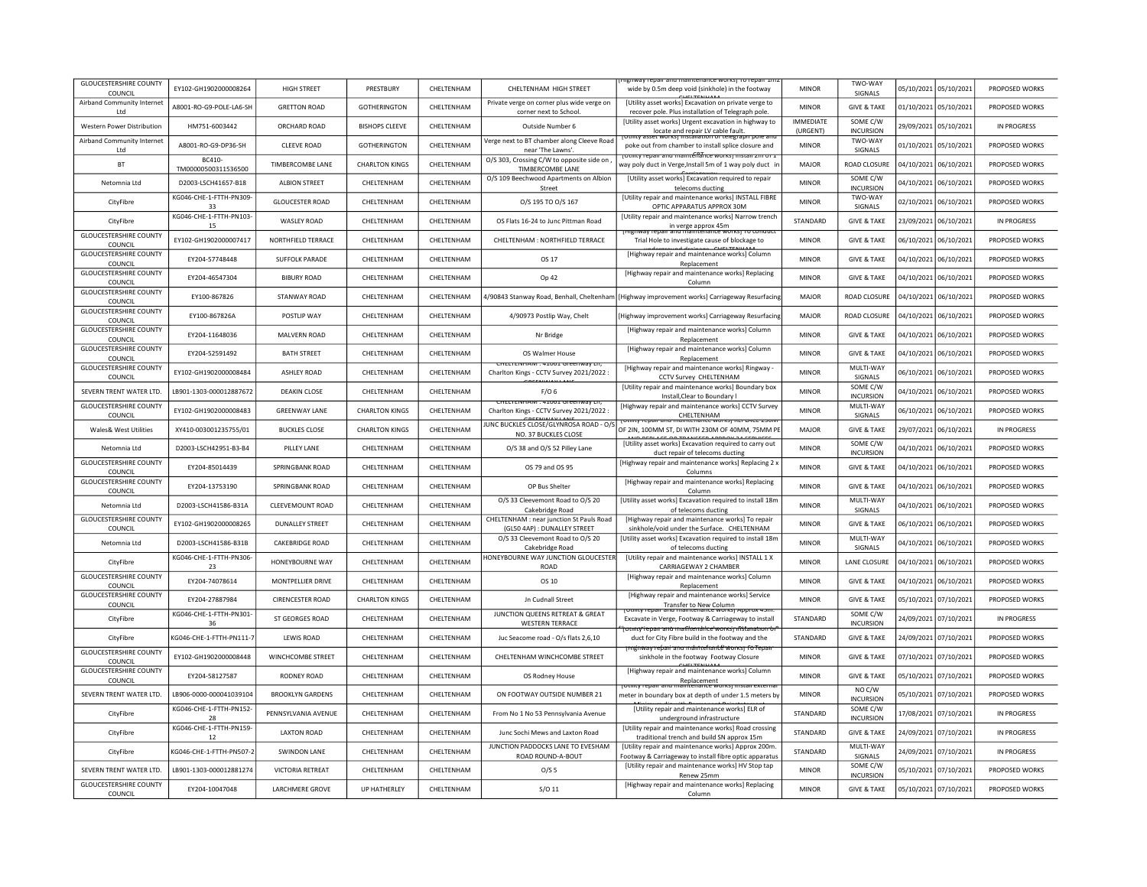|                                            |                               |                          |                       |                   |                                                                                       | way repair and maintenance works) To repair In                                                                                                     |                              |                                    |            |                       |                    |
|--------------------------------------------|-------------------------------|--------------------------|-----------------------|-------------------|---------------------------------------------------------------------------------------|----------------------------------------------------------------------------------------------------------------------------------------------------|------------------------------|------------------------------------|------------|-----------------------|--------------------|
| <b>GLOUCESTERSHIRE COUNTY</b><br>COUNCIL   | FY102-GH1902000008264         | <b>HIGH STREET</b>       | PRESTBURY             | CHELTENHAM        | CHELTENHAM HIGH STREET                                                                | wide by 0.5m deep void (sinkhole) in the footway                                                                                                   | <b>MINOR</b>                 | TWO-WAY<br>SIGNALS                 | 05/10/2021 | 05/10/2021            | PROPOSED WORKS     |
| Airband Community Internet<br>Ltd          | A8001-RO-G9-POLE-LA6-SH       | <b>GRETTON ROAD</b>      | <b>GOTHERINGTON</b>   | CHELTENHAM        | Private verge on corner plus wide verge on<br>corner next to School.                  | [Utility asset works] Excavation on private verge to<br>recover pole. Plus installation of Telegraph pole.                                         | <b>MINOR</b>                 | <b>GIVE &amp; TAKE</b>             | 01/10/2021 | 05/10/2021            | PROPOSED WORKS     |
| Western Power Distribution                 | HM751-6003442                 | ORCHARD ROAD             | <b>BISHOPS CLEEVE</b> | CHELTENHAM        | Outside Number 6                                                                      | [Utility asset works] Urgent excavation in highway to<br>locate and repair LV cable fault.                                                         | <b>IMMEDIATE</b><br>(URGENT) | SOME C/W<br><b>INCURSION</b>       | 29/09/2021 | 05/10/2021            | IN PROGRESS        |
| <b>Airband Community Internet</b><br>Ltd   | A8001-RO-G9-DP36-SH           | <b>CLEEVE ROAD</b>       | <b>GOTHERINGTON</b>   | CHELTENHAM        | Verge next to BT chamber along Cleeve Road<br>near 'The Lawns'.                       | asset wurksi installation ur telekraun<br>poke out from chamber to install splice closure and                                                      | <b>MINOR</b>                 | TWO-WAY<br>SIGNALS                 | 01/10/2021 | 05/10/2021            | PROPOSED WORKS     |
| <b>BT</b>                                  | BC410-<br>TM00000500311536500 | TIMBERCOMBE LANE         | <b>CHARLTON KINGS</b> | CHELTENHAM        | O/S 303, Crossing C/W to opposite side on<br>TIMBERCOMBE LANE                         | ב וס חודש ומות המודע המודע המודע המקור ומקור ומודע. ה<br>way poly duct in Verge, Install 5m of 1 way poly duct in                                  | <b>MAJOR</b>                 | ROAD CLOSURE                       | 04/10/2021 | 06/10/2021            | PROPOSED WORKS     |
| Netomnia Itd                               | D2003-LSCH41657-B18           | ALBION STREET            | <b>CHEITENHAM</b>     | <b>CHFITENHAM</b> | O/S 109 Beechwood Apartments on Albion                                                | [Utility asset works] Excavation required to repair                                                                                                | <b>MINOR</b>                 | SOME C/W<br><b>INCURSION</b>       | 04/10/2021 | 06/10/2021            | PROPOSED WORKS     |
| CityFibre                                  | KG046-CHE-1-FTTH-PN309-       | <b>GLOUCESTER ROAD</b>   | CHELTENHAM            | CHELTENHAM        | Street<br>O/S 195 TO O/S 167                                                          | telecoms ducting<br>[Utility repair and maintenance works] INSTALL FIBRE                                                                           | <b>MINOR</b>                 | TWO-WAY                            | 02/10/2021 | 06/10/2021            | PROPOSED WORKS     |
| CityFibre                                  | 33<br>KG046-CHE-1-FTTH-PN103- | WASLEY ROAD              | CHELTENHAM            | CHELTENHAM        | OS Flats 16-24 to Junc Pittman Road                                                   | OPTIC APPARATUS APPROX 30M<br>[Utility repair and maintenance works] Narrow trench                                                                 | STANDARD                     | SIGNALS<br><b>GIVE &amp; TAKE</b>  | 23/09/2021 | 06/10/2021            | <b>IN PROGRESS</b> |
| <b>GLOUCESTERSHIRE COUNTY</b>              | 15<br>EY102-GH1902000007417   | NORTHFIELD TERRACE       | CHELTENHAM            | CHELTENHAM        | CHELTENHAM : NORTHFIELD TERRACE                                                       | in verge approx 45m<br>नाशास्त्रज्ञ स्वतंत तारा गाँ<br>ni énance worksi 10 commo<br>Trial Hole to investigate cause of blockage to                 | <b>MINOR</b>                 | <b>GIVE &amp; TAKE</b>             | 06/10/2021 | 06/10/2021            | PROPOSED WORKS     |
| COUNCIL<br><b>GLOUCESTERSHIRE COUNTY</b>   |                               |                          |                       |                   |                                                                                       | [Highway repair and maintenance works] Column                                                                                                      |                              |                                    |            |                       |                    |
| COUNCIL<br><b>GLOUCESTERSHIRE COUNTY</b>   | EY204-57748448                | <b>SUFFOLK PARADE</b>    | CHELTENHAM            | CHELTENHAM        | OS 17                                                                                 | Replacement<br>[Highway repair and maintenance works] Replacing                                                                                    | <b>MINOR</b>                 | <b>GIVE &amp; TAKE</b>             | 04/10/2021 | 06/10/2021            | PROPOSED WORKS     |
| COUNCIL<br><b>GLOUCESTERSHIRE COUNTY</b>   | EY204-46547304                | <b>BIBURY ROAD</b>       | CHELTENHAM            | CHELTENHAM        | Op 42                                                                                 | Column                                                                                                                                             | <b>MINOR</b>                 | <b>GIVE &amp; TAKE</b>             | 04/10/2021 | 06/10/2021            | PROPOSED WORKS     |
| COUNCIL<br><b>GLOUCESTERSHIRE COUNTY</b>   | EY100-867826                  | STANWAY ROAD             | CHELTENHAM            | CHELTENHAM        | 4/90843 Stanway Road, Benhall, Cheltenham                                             | [Highway improvement works] Carriageway Resurfacing                                                                                                | <b>MAJOR</b>                 | <b>ROAD CLOSURE</b>                | 04/10/2021 | 06/10/2021            | PROPOSED WORKS     |
| COUNCIL                                    | EY100-867826A                 | POSTLIP WAY              | CHELTENHAM            | CHELTENHAM        | 4/90973 Postlip Way, Chelt                                                            | [Highway improvement works] Carriageway Resurfacing                                                                                                | MAJOR                        | <b>ROAD CLOSURE</b>                | 04/10/2021 | 06/10/2021            | PROPOSED WORKS     |
| <b>GLOUCESTERSHIRE COUNTY</b><br>COUNCIL   | EY204-11648036                | MALVERN ROAD             | CHELTENHAM            | CHELTENHAM        | Nr Bridge                                                                             | [Highway repair and maintenance works] Column<br>Replacement                                                                                       | <b>MINOR</b>                 | <b>GIVE &amp; TAKE</b>             | 04/10/2021 | 06/10/2021            | PROPOSED WORKS     |
| <b>GLOUCESTERSHIRE COUNTY</b><br>COUNCIL   | EY204-52591492                | <b>BATH STREET</b>       | CHELTENHAM            | CHELTENHAM        | OS Walmer House<br>CHELTENHAW : 41061 Greenway Lif                                    | [Highway repair and maintenance works] Column<br>Replacement                                                                                       | <b>MINOR</b>                 | <b>GIVE &amp; TAKE</b>             | 04/10/2021 | 06/10/2021            | PROPOSED WORKS     |
| <b>GLOUCESTERSHIRE COUNTY</b><br>COUNCIL   | EY102-GH1902000008484         | ASHLEY ROAD              | CHELTENHAM            | CHELTENHAM        | Charlton Kings - CCTV Survey 2021/2022 :                                              | [Highway repair and maintenance works] Ringway<br>CCTV Survey CHELTENHAM                                                                           | <b>MINOR</b>                 | MULTI-WAY<br>SIGNALS               | 06/10/2021 | 06/10/2021            | PROPOSED WORKS     |
| SEVERN TRENT WATER LTD.                    | LB901-1303-000012887672       | <b>DEAKIN CLOSE</b>      | CHELTENHAM            | CHELTENHAM        | F/O6                                                                                  | [Utility repair and maintenance works] Boundary box<br>Install, Clear to Boundary I                                                                | <b>MINOR</b>                 | SOME C/W<br><b>INCURSION</b>       | 04/10/2021 | 06/10/2021            | PROPOSED WORKS     |
| <b>GLOUCESTERSHIRE COUNTY</b><br>COUNCIL   | EY102-GH1902000008483         | <b>GRFFNWAY LANF</b>     | <b>CHARLTON KINGS</b> | CHELTENHAM        | <b>THELTEN HAIVIT: 41001 Greenway Lit</b><br>Charlton Kings - CCTV Survey 2021/2022 : | [Highway repair and maintenance works] CCTV Survey<br>CHELTENHAM                                                                                   | <b>MINOR</b>                 | MULTI-WAY<br>SIGNALS               | 06/10/2021 | 06/10/2021            | PROPOSED WORKS     |
| Wales& West Utilities                      | XY410-003001235755/01         | <b>BUCKLES CLOSE</b>     | <b>CHARLTON KINGS</b> | CHELTENHAM        | <b>IUNC BUCKLES CLOSE/GLYNROSA ROAD - O/</b><br>NO. 37 BUCKLES CLOSE                  | <u>rotility repair and ma</u><br>CE WORST REPLACE 2301<br>OF 2IN, 100MM ST, DI WITH 230M OF 40MM, 75MM PE                                          | MAIOR                        | <b>GIVE &amp; TAKE</b>             | 29/07/2021 | 06/10/2021            | IN PROGRESS        |
| Netomnia Ltd                               | D2003-LSCH42951-B3-B4         | PILLEY LANE              | CHELTENHAM            | CHELTENHAM        | O/S 38 and O/S 52 Pilley Lane                                                         | <b>IUtility asset works] Excavation required to carry out</b><br>duct repair of telecoms ducting                                                   | <b>MINOR</b>                 | SOME C/W<br><b>INCURSION</b>       | 04/10/2021 | 06/10/2021            | PROPOSED WORKS     |
| <b>GLOUCESTERSHIRE COUNTY</b><br>COUNCIL   | EY204-85014439                | SPRINGBANK ROAD          | CHELTENHAM            | CHELTENHAM        | OS 79 and OS 95                                                                       | [Highway repair and maintenance works] Replacing 2 ><br>Columns                                                                                    | <b>MINOR</b>                 | <b>GIVE &amp; TAKE</b>             | 04/10/2021 | 06/10/2021            | PROPOSED WORKS     |
| <b>GLOUCESTERSHIRE COUNTY</b><br>COUNCIL   | EY204-13753190                | SPRINGBANK ROAD          | CHELTENHAM            | CHELTENHAM        | OP Bus Shelter                                                                        | [Highway repair and maintenance works] Replacing<br>Column                                                                                         | <b>MINOR</b>                 | <b>GIVE &amp; TAKE</b>             | 04/10/2021 | 06/10/2021            | PROPOSED WORKS     |
| Netomnia Ltd                               | D2003-LSCH41586-B31A          | CLEEVEMOUNT ROAD         | CHELTENHAM            | CHELTENHAM        | O/S 33 Cleevemont Road to O/S 20<br>Cakebridge Road                                   | [Utility asset works] Excavation required to install 18m<br>of telecoms ducting                                                                    | <b>MINOR</b>                 | MULTI-WAY<br>SIGNALS               | 04/10/2021 | 06/10/2021            | PROPOSED WORKS     |
| <b>GLOUCESTERSHIRE COUNTY</b><br>COUNCIL   | EY102-GH1902000008265         | <b>DUNALLEY STREET</b>   | CHFI TFNHAM           | <b>CHFITENHAM</b> | CHELTENHAM : near junction St Pauls Road<br>(GL50 4AP) : DUNALLEY STREET              | [Highway repair and maintenance works] To repair<br>sinkhole/void under the Surface. CHELTENHAM                                                    | <b>MINOR</b>                 | <b>GIVE &amp; TAKE</b>             | 06/10/2021 | 06/10/2021            | PROPOSED WORKS     |
| Netomnia Ltd                               | D2003-LSCH41586-B31B          | <b>CAKEBRIDGE ROAD</b>   | CHELTENHAM            | CHELTENHAM        | O/S 33 Cleevemont Road to O/S 20<br>Cakebridge Road                                   | [Utility asset works] Excavation required to install 18m<br>of telecoms ducting                                                                    | <b>MINOR</b>                 | MULTI-WAY<br>SIGNALS               | 04/10/2021 | 06/10/2021            | PROPOSED WORKS     |
| CityFibre                                  | KG046-CHE-1-FTTH-PN306-       | HONEYBOURNE WAY          | CHELTENHAM            | CHELTENHAM        | ONEYBOURNE WAY JUNCTION GLOUCESTER                                                    | [Utility repair and maintenance works] INSTALL 1 X                                                                                                 | <b>MINOR</b>                 | LANE CLOSURE                       | 04/10/2021 | 06/10/2021            | PROPOSED WORKS     |
| <b>GLOUCESTERSHIRE COUNTY</b>              | 23<br>EY204-74078614          | MONTPELLIER DRIVE        | CHELTENHAM            | CHELTENHAM        | <b>ROAD</b><br>OS 10                                                                  | CARRIAGEWAY 2 CHAMBER<br>[Highway repair and maintenance works] Column                                                                             | <b>MINOR</b>                 | <b>GIVE &amp; TAKE</b>             |            |                       | PROPOSED WORKS     |
| COUNCIL<br><b>GLOUCESTERSHIRE COUNTY</b>   | EY204-27887984                | <b>CIRENCESTER ROAD</b>  | <b>CHARLTON KINGS</b> | CHELTENHAM        |                                                                                       | Replacement<br>[Highway repair and maintenance works] Service                                                                                      | <b>MINOR</b>                 |                                    | 04/10/2021 | 06/10/2021            | PROPOSED WORKS     |
| COUNCIL                                    | KG046-CHE-1-FTTH-PN301-       |                          |                       |                   | Jn Cudnall Street<br>JUNCTION QUEENS RETREAT & GREAT                                  | Transfer to New Column<br>Tanu maintenance works J Ap                                                                                              |                              | <b>GIVE &amp; TAKE</b><br>SOME C/W | 05/10/2021 | 07/10/2021            |                    |
| CityFibre                                  | 36                            | <b>ST GEORGES ROAD</b>   | CHELTENHAM            | CHELTENHAM        | <b>WESTERN TERRACE</b>                                                                | Excavate in Verge, Footway & Carriageway to install<br><del>  otmty' i epan 'antrinafiltenalite' worksji ifist</del> i                             | STANDARD                     | <b>INCURSION</b>                   | 24/09/2021 | 07/10/2021            | <b>IN PROGRESS</b> |
| CityFibre<br><b>GLOUCESTERSHIRE COUNTY</b> | KG046-CHE-1-FTTH-PN111-7      | <b>I FWIS ROAD</b>       | <b>CHEITENHAM</b>     | <b>CHEITENHAM</b> | Juc Seacome road - O/s flats 2,6,10                                                   | duct for City Fibre build in the footway and the<br>i <del>m</del> enwav rebaii ano mantefrante worksi. Fo Teo                                     | <b>STANDARD</b>              | <b>GIVE &amp; TAKE</b>             | 24/09/2021 | 07/10/2021            | PROPOSED WORKS     |
| COUNCIL                                    | EY102-GH1902000008448         | <b>WINCHCOMBE STREET</b> | CHELTENHAM            | CHELTENHAM        | CHELTENHAM WINCHCOMBE STREET                                                          | sinkhole in the footway Footway Closure                                                                                                            | <b>MINOR</b>                 | <b>GIVE &amp; TAKE</b>             | 07/10/2021 | 07/10/2021            | PROPOSED WORKS     |
| <b>GLOUCESTERSHIRE COUNTY</b><br>COUNCIL   | EY204-58127587                | RODNEY ROAD              | CHELTENHAM            | CHELTENHAM        | OS Rodney House                                                                       | [Highway repair and maintenance works] Column<br>Replacement<br>מיטוחונץ דפס וחשובות וחמוזוניות וחשובות המשפר אותו וחשובות וחשובות וחשובות המשפט ו | <b>MINOR</b>                 | <b>GIVE &amp; TAKE</b>             | 05/10/2021 | 07/10/2021            | PROPOSED WORKS     |
| SEVERN TRENT WATER LTD.                    | LB906-0000-000041039104       | <b>BROOKLYN GARDENS</b>  | CHELTENHAM            | CHELTENHAM        | ON FOOTWAY OUTSIDE NUMBER 21                                                          | neter in boundary box at depth of under 1.5 meters by                                                                                              | <b>MINOR</b>                 | NO C/W<br><b>INCURSION</b>         | 05/10/2021 | 07/10/2021            | PROPOSED WORKS     |
| CityFibre                                  | KG046-CHE-1-FTTH-PN152-<br>28 | PENNSYLVANIA AVENUE      | CHELTENHAM            | CHELTENHAM        | From No 1 No 53 Pennsylvania Avenue                                                   | [Utility repair and maintenance works] ELR of<br>underground infrastructure                                                                        | STANDARD                     | SOME C/W<br><b>INCURSION</b>       | 17/08/2021 | 07/10/2021            | <b>IN PROGRESS</b> |
| CityFibre                                  | KG046-CHE-1-FTTH-PN159-<br>12 | <b>LAXTON ROAD</b>       | CHELTENHAM            | CHELTENHAM        | Junc Sochi Mews and Laxton Road                                                       | [Utility repair and maintenance works] Road crossing<br>traditional trench and build SN approx 15m                                                 | STANDARD                     | <b>GIVE &amp; TAKE</b>             | 24/09/2021 | 07/10/2021            | <b>IN PROGRESS</b> |
| CityFibre                                  | KG046-CHE-1-FTTH-PN507-2      | <b>SWINDON LANE</b>      | CHELTENHAM            | CHELTENHAM        | JUNCTION PADDOCKS LANE TO EVESHAM<br>ROAD ROUND-A-BOUT                                | [Utility repair and maintenance works] Approx 200m<br>Footway & Carriageway to install fibre optic apparatus                                       | STANDARD                     | MULTI-WAY<br><b>SIGNALS</b>        | 24/09/2021 | 07/10/2021            | IN PROGRESS        |
| SEVERN TRENT WATER LTD.                    | LB901-1303-000012881274       | VICTORIA RETREAT         | CHELTENHAM            | CHELTENHAM        | O/S <sub>5</sub>                                                                      | [Utility repair and maintenance works] HV Stop tap<br>Renew 25mm                                                                                   | <b>MINOR</b>                 | SOME C/W<br><b>INCURSION</b>       |            | 05/10/2021 07/10/2021 | PROPOSED WORKS     |
| <b>GLOUCESTERSHIRE COUNTY</b><br>COUNCIL   | EY204-10047048                | LARCHMERE GROVE          | UP HATHERLEY          | CHELTENHAM        | $S/O$ 11                                                                              | [Highway repair and maintenance works] Replacing<br>Column                                                                                         | <b>MINOR</b>                 | <b>GIVE &amp; TAKE</b>             |            | 05/10/2021 07/10/2021 | PROPOSED WORKS     |
|                                            |                               |                          |                       |                   |                                                                                       |                                                                                                                                                    |                              |                                    |            |                       |                    |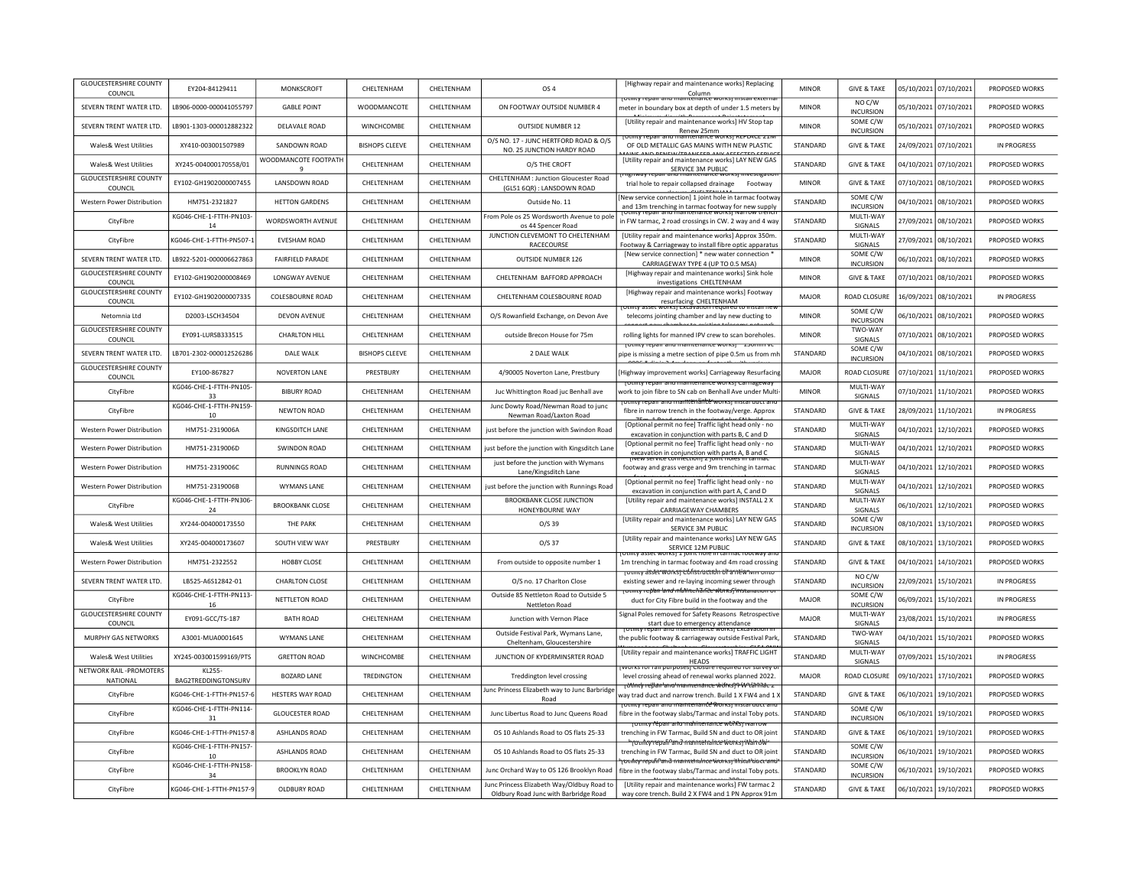| <b>GLOUCESTERSHIRE COUNTY</b><br>COUNCIL        | FY204-84129411                             | <b>MONKSCROFT</b>       | CHFI TFNHAM           | <b>CHEITENHAM</b> | OS <sub>4</sub>                                                                     | [Highway repair and maintenance works] Replacing<br>Column                                                                                                                           | <b>MINOR</b>    | <b>GIVE &amp; TAKE</b>       | 05/10/2021 | 07/10/2021            | PROPOSED WORKS        |
|-------------------------------------------------|--------------------------------------------|-------------------------|-----------------------|-------------------|-------------------------------------------------------------------------------------|--------------------------------------------------------------------------------------------------------------------------------------------------------------------------------------|-----------------|------------------------------|------------|-----------------------|-----------------------|
| SEVERN TRENT WATER LTD.                         | LB906-0000-000041055797                    | <b>GABLE POINT</b>      | WOODMANCOTE           | CHELTENHAM        | ON FOOTWAY OUTSIDE NUMBER 4                                                         | <b>TETTATICE WOL</b><br>meter in boundary box at depth of under 1.5 meters by                                                                                                        | <b>MINOR</b>    | NO C/W<br><b>INCURSION</b>   | 05/10/2021 | 07/10/2021            | PROPOSED WORKS        |
| SEVERN TRENT WATER LTD.                         | LB901-1303-000012882322                    | DELAVALE ROAD           | WINCHCOMBE            | CHELTENHAM        | OUTSIDE NUMBER 12                                                                   | [Utility repair and maintenance works] HV Stop tap<br>Renew 25mm                                                                                                                     | <b>MINOR</b>    | SOME C/W<br><b>INCURSION</b> | 05/10/2021 | 07/10/2021            | PROPOSED WORKS        |
| Wales& West Utilities                           | XY410-003001507989                         | SANDOWN ROAD            | <b>BISHOPS CLEEVE</b> | CHELTENHAM        | O/S NO. 17 - JUNC HERTFORD ROAD & O/S<br>NO. 25 JUNCTION HARDY ROAD                 | ity repair and maintenance works<br>OF OLD METALLIC GAS MAINS WITH NEW PLASTIC                                                                                                       | STANDARD        | <b>GIVE &amp; TAKE</b>       | 24/09/2021 | 07/10/2021            | <b>IN PROGRESS</b>    |
| Wales& West Utilities                           | XY245-004000170558/01                      | WOODMANCOTE FOOTPATH    | CHELTENHAM            | CHELTENHAM        | O/S THE CROFT                                                                       | [Utility repair and maintenance works] LAY NEW GAS<br>SERVICE 3M PUBLIC                                                                                                              | STANDARD        | <b>GIVE &amp; TAKE</b>       | 04/10/2021 | 07/10/2021            | PROPOSED WORKS        |
| <b>GLOUCESTERSHIRE COUNTY</b><br><b>COUNCIL</b> | FY102-GH1902000007455                      | <b>I ANSDOWN ROAD</b>   | CHELTENHAM            | <b>CHEITENHAM</b> | <b>CHELTENHAM : Junction Gloucester Road</b><br>(GL51 6QR) : LANSDOWN ROAD          | trial hole to repair collapsed drainage<br>Footway                                                                                                                                   | <b>MINOR</b>    | <b>GIVE &amp; TAKE</b>       | 07/10/2021 | 08/10/2021            | PROPOSED WORKS        |
| Western Power Distribution                      | HM751-2321827                              | <b>HETTON GARDENS</b>   | CHELTENHAM            | CHELTENHAM        | Outside No. 11                                                                      | New service connection] 1 joint hole in tarmac footwa                                                                                                                                | STANDARD        | SOME C/W<br><b>INCURSION</b> | 04/10/2021 | 08/10/2021            | PROPOSED WORKS        |
| CityFibre                                       | KG046-CHE-1-FTTH-PN103-<br>14              | WORDSWORTH AVENUE       | CHELTENHAM            | CHELTENHAM        | rom Pole os 25 Wordsworth Avenue to pole<br>os 44 Spencer Road                      | and 13m trenching in tarmac footway for new supply<br>Tounty repair and maintenance works rivariow trench<br>in FW tarmac, 2 road crossings in CW. 2 way and 4 way                   | STANDARD        | MULTI-WAY<br>SIGNALS         | 27/09/2021 | 08/10/2021            | PROPOSED WORKS        |
| CityFibre                                       | KG046-CHE-1-FTTH-PN507-1                   | <b>EVESHAM ROAD</b>     | CHELTENHAM            | CHELTENHAM        | JUNCTION CLEVEMONT TO CHELTENHAM<br>RACECOURSE                                      | [Utility repair and maintenance works] Approx 350m.<br>Footway & Carriageway to install fibre optic apparatus                                                                        | STANDARD        | MULTI-WAY<br>SIGNALS         | 27/09/2021 | 08/10/2021            | PROPOSED WORKS        |
| SEVERN TRENT WATER LTD.                         | LB922-5201-000006627863                    | <b>FAIRFIELD PARADE</b> | CHELTENHAM            | CHELTENHAM        | OUTSIDE NUMBER 126                                                                  | [New service connection] * new water connection *<br>CARRIAGEWAY TYPE 4 (UP TO 0.5 MSA)                                                                                              | <b>MINOR</b>    | SOME C/W<br><b>INCURSION</b> | 06/10/2021 | 08/10/2021            | PROPOSED WORKS        |
| <b>GLOUCESTERSHIRE COUNTY</b><br>COUNCIL        | EY102-GH1902000008469                      | LONGWAY AVENUE          | CHELTENHAM            | CHELTENHAM        | CHELTENHAM BAFFORD APPROACH                                                         | [Highway repair and maintenance works] Sink hole<br>investigations CHELTENHAM                                                                                                        | <b>MINOR</b>    | <b>GIVE &amp; TAKE</b>       | 07/10/2021 | 08/10/2021            | <b>PROPOSED WORKS</b> |
| <b>GLOUCESTERSHIRE COUNTY</b><br>COUNCIL        | EY102-GH1902000007335                      | COLESBOURNE ROAD        | CHELTENHAM            | <b>CHEITENHAM</b> | CHELTENHAM COLESBOURNE ROAD                                                         | [Highway repair and maintenance works] Footway<br>resurfacing CHELTENHAM                                                                                                             | <b>MAJOR</b>    | <b>ROAD CLOSURE</b>          | 16/09/2021 | 08/10/2021            | IN PROGRESS           |
| Netomnia Ltd                                    | D2003-LSCH34504                            | DEVON AVENUE            | CHELTENHAM            | CHELTENHAM        | O/S Rowanfield Exchange, on Devon Ave                                               | telecoms jointing chamber and lay new ducting to                                                                                                                                     | <b>MINOR</b>    | SOME C/W<br><b>INCURSION</b> | 06/10/2021 | 08/10/2021            | PROPOSED WORKS        |
| <b>GLOUCESTERSHIRE COUNTY</b><br>COUNCIL        | EY091-LURSB333515                          | <b>CHARLTON HILL</b>    | CHELTENHAM            | CHELTENHAM        | outside Brecon House for 75m                                                        | rolling lights for manned IPV crew to scan boreholes                                                                                                                                 | <b>MINOR</b>    | TWO-WAY<br>SIGNALS           | 07/10/2021 | 08/10/2021            | PROPOSED WORKS        |
| SEVERN TRENT WATER LTD.                         | LB701-2302-000012526286                    | <b>DALE WALK</b>        | <b>BISHOPS CLEEVE</b> | CHELTENHAM        | 2 DALE WALK                                                                         | TULINU TEDAH AND MAINLENANCE WORKSL : 150MM V<br>pipe is missing a metre section of pipe 0.5m us from mh                                                                             | STANDARD        | SOME C/W<br><b>INCURSION</b> | 04/10/2021 | 08/10/2021            | PROPOSED WORKS        |
| <b>GLOUCESTERSHIRE COUNTY</b><br>COUNCIL        | EY100-867827                               | <b>NOVERTON LANE</b>    | PRESTBURY             | CHELTENHAM        | 4/90005 Noverton Lane, Prestbury                                                    | [Highway improvement works] Carriageway Resurfacing                                                                                                                                  | <b>MAJOR</b>    | ROAD CLOSURE                 | 07/10/2021 | 11/10/2021            | PROPOSED WORKS        |
| CityFibre                                       | KG046-CHE-1-FTTH-PN105-<br>33              | <b>BIBURY ROAD</b>      | CHELTENHAM            | CHELTENHAM        | Juc Whittington Road juc Benhall ave                                                | TULIIILY TEDAII and maintenance works   Carriageway<br>work to join fibre to SN cab on Benhall Ave under Multi-                                                                      | <b>MINOR</b>    | MULTI-WAY<br>SIGNALS         | 07/10/2021 | 11/10/2021            | PROPOSED WORKS        |
| CityFibre                                       | KG046-CHE-1-FTTH-PN159-<br>10              | <b>NEWTON ROAD</b>      | CHELTENHAM            | CHELTENHAM        | Junc Dowty Road/Newman Road to junc<br>Newman Road/Laxton Road                      | <u>ाण्यााए repair and mamtenärite worksj instarduct and</u><br>fibre in narrow trench in the footway/verge. Approx                                                                   | STANDARD        | <b>GIVE &amp; TAKE</b>       | 28/09/2021 | 11/10/2021            | <b>IN PROGRESS</b>    |
| Western Power Distribution                      | HM751-2319006A                             | KINGSDITCH LANF         | CHELTENHAM            | CHELTENHAM        | just before the junction with Swindon Road                                          | [Optional permit no fee] Traffic light head only - no<br>excavation in conjunction with parts B. C and D                                                                             | <b>STANDARD</b> | MULTI-WAY<br>SIGNALS         | 04/10/2021 | 12/10/2021            | PROPOSED WORKS        |
| Western Power Distribution                      | HM751-2319006D                             | <b>SWINDON ROAD</b>     | CHELTENHAM            | CHELTENHAM        | just before the junction with Kingsditch Lan                                        | [Optional permit no fee] Traffic light head only - no<br>excavation in conjunction with parts A, B and C                                                                             | STANDARD        | MULTI-WAY<br>SIGNALS         | 04/10/2021 | 12/10/2021            | PROPOSED WORKS        |
| Western Power Distribution                      | HM751-2319006C                             | RUNNINGS ROAD           | CHELTENHAM            | CHELTENHAM        | just before the junction with Wymans<br>Lane/Kingsditch Lane                        | footway and grass verge and 9m trenching in tarmac                                                                                                                                   | STANDARD        | MULTI-WAY<br>SIGNALS         | 04/10/2021 | 12/10/2021            | PROPOSED WORKS        |
| Western Power Distribution                      | HM751-2319006B                             | WYMANS LANE             | CHELTENHAM            | CHELTENHAM        | just before the junction with Runnings Road                                         | [Optional permit no fee] Traffic light head only - no<br>excavation in conjunction with part A, C and D                                                                              | STANDARD        | MULTI-WAY<br>SIGNALS         | 04/10/2021 | 12/10/2021            | PROPOSED WORKS        |
| CityFibre                                       | KG046-CHE-1-FTTH-PN306-<br>24              | <b>BROOKBANK CLOSE</b>  | <b>CHFITENHAM</b>     | CHFI TFNHAM       | <b>BROOKBANK CLOSE JUNCTION</b><br>HONEYBOURNE WAY                                  | [Utility repair and maintenance works] INSTALL 2 X<br>CARRIAGEWAY CHAMBERS                                                                                                           | <b>STANDARD</b> | MULTI-WAY<br>SIGNALS         | 06/10/2021 | 12/10/2021            | PROPOSED WORKS        |
| Wales& West Utilities                           | XY244-004000173550                         | <b>THF PARK</b>         | CHFI TFNHAM           | <b>CHEITENHAM</b> | $O/S$ 39                                                                            | [Utility repair and maintenance works] LAY NEW GAS<br>SERVICE 3M PUBLIC                                                                                                              | <b>STANDARD</b> | SOME C/W<br><b>INCURSION</b> | 08/10/2021 | 13/10/2021            | PROPOSED WORKS        |
| Wales& West Utilities                           | XY245-004000173607                         | SOUTH VIEW WAY          | PRESTBURY             | CHELTENHAM        | $O/S$ 37                                                                            | [Utility repair and maintenance works] LAY NEW GAS<br>SERVICE 12M PUBLIC                                                                                                             | STANDARD        | <b>GIVE &amp; TAKE</b>       | 08/10/2021 | 13/10/2021            | PROPOSED WORKS        |
| Western Power Distribution                      | HM751-2322552                              | HOBBY CLOSE             | CHELTENHAM            | CHELTENHAM        | From outside to opposite number 1                                                   | itility asset worksj i joint noie in tanna<br>1m trenching in tarmac footway and 4m road crossing                                                                                    | STANDARD        | <b>GIVE &amp; TAKE</b>       | 04/10/2021 | 14/10/2021            | PROPOSED WORKS        |
| SEVERN TRENT WATER LTD.                         | LB525-A6S12842-01                          | <b>CHARLTON CLOSE</b>   | CHELTENHAM            | CHELTENHAM        | O/S no. 17 Charlton Close                                                           | TOtility asset works) construction of a new win onto<br>existing sewer and re-laying incoming sewer through                                                                          | STANDARD        | NO C/W<br><b>INCURSION</b>   | 22/09/2021 | 15/10/2021            | <b>IN PROGRESS</b>    |
| CityFibre                                       | KG046-CHE-1-FTTH-PN113-<br>16              | NETTLETON ROAD          | CHELTENHAM            | CHELTENHAM        | Outside 85 Nettleton Road to Outside 5<br>Nettleton Road                            | <del>omny repair and maintenantle works inst</del><br>duct for City Fibre build in the footway and the                                                                               | MAJOR           | SOME C/W<br><b>INCURSION</b> | 06/09/2021 | 15/10/2021            | <b>IN PROGRESS</b>    |
| <b>GLOUCESTERSHIRE COUNTY</b><br>COUNCIL        | EY091-GCC/TS-187                           | <b>BATH ROAD</b>        | CHELTENHAM            | CHELTENHAM        | Junction with Vernon Place                                                          | Signal Poles removed for Safety Reasons Retrospective<br>start due to emergency attendance                                                                                           | <b>MAJOR</b>    | MULTI-WAY<br>SIGNALS         | 23/08/2021 | 15/10/2021            | <b>IN PROGRESS</b>    |
| MURPHY GAS NETWORKS                             | A3001-MUA0001645                           | <b>WYMANS LANF</b>      | <b>CHFITENHAM</b>     | <b>CHEITENHAM</b> | Outside Festival Park, Wymans Lane<br>Cheltenham, Gloucestershire                   | the public footway & carriageway outside Festival Park                                                                                                                               | <b>STANDARD</b> | TWO-WAY<br>SIGNALS           | 04/10/2021 | 15/10/2021            | PROPOSED WORKS        |
| Wales& West Utilities                           | XY245-003001599169/PTS                     | <b>GRETTON ROAD</b>     | WINCHCOMBE            | CHELTENHAM        | JUNCTION OF KYDERMINSRTER ROAD                                                      | [Utility repair and maintenance works] TRAFFIC LIGHT<br><b>HEADS</b>                                                                                                                 | STANDARD        | MULTI-WAY<br>SIGNALS         | 07/09/2021 | 15/10/2021            | <b>IN PROGRESS</b>    |
| NETWORK RAIL -PROMOTERS<br>NATIONAL             | KI 255<br>BAG2TREDDINGTONSURV              | <b>BOZARD LANE</b>      | TREDINGTON            | CHELTENHAM        | Treddington level crossing                                                          | works for rail purposest closure required for survey-<br>level crossing ahead of renewal works planned 2022.<br><del>ו ללוות של הללוות ומותרות ומותרות הגללות להללו</del> ת הללוות ה | MAIOR           | ROAD CLOSURE                 | 09/10/2021 | 17/10/2021            | PROPOSED WORKS        |
| CityFibre                                       | KG046-CHE-1-FTTH-PN157-6                   | <b>HESTERS WAY ROAD</b> | CHELTENHAM            | CHELTENHAM        | unc Princess Elizabeth way to Junc Barbridge<br>Road                                | way trad duct and narrow trench. Build 1 X FW4 and 1 1                                                                                                                               | STANDARD        | <b>GIVE &amp; TAKE</b>       | 06/10/2021 | 19/10/2021            | PROPOSED WORKS        |
| CityFibre                                       | KG046-CHE-1-FTTH-PN114-<br>31              | <b>GLOUCESTER ROAD</b>  | CHELTENHAM            | CHELTENHAM        | Junc Libertus Road to Junc Queens Road                                              | <del>rotmty repair and maintenance Worksj mstarduct an</del> t<br>fibre in the footway slabs/Tarmac and instal Toby pots                                                             | STANDARD        | SOME C/W<br><b>INCURSION</b> | 06/10/2021 | 19/10/2021            | PROPOSED WORKS        |
| CityFibre                                       | KG046-CHE-1-FTTH-PN157-8                   | <b>ASHLANDS ROAD</b>    | CHELTENHAM            | CHELTENHAM        | OS 10 Ashlands Road to OS flats 25-33                                               | <u>Touluv repair and manitenance workst ivarrow</u><br>trenching in FW Tarmac, Build SN and duct to OR joint                                                                         | STANDARD        | <b>GIVE &amp; TAKE</b>       | 06/10/2021 | 19/10/2021            | PROPOSED WORKS        |
| CityFibre                                       | KG046-CHE-1-FTTH-PN157-<br>10 <sup>1</sup> | ASHLANDS ROAD           | CHELTENHAM            | CHELTENHAM        | OS 10 Ashlands Road to OS flats 25-33                                               | <del>"rounty repair and mamtehalice Worksj Narro</del> w<br>trenching in FW Tarmac, Build SN and duct to OR joint                                                                    | STANDARD        | SOME C/W<br><b>INCURSION</b> | 06/10/2021 | 19/10/2021            | PROPOSED WORKS        |
| CityFibre                                       | KG046-CHE-1-FTTH-PN158-<br>34              | <b>BROOKLYN ROAD</b>    | CHELTENHAM            | CHELTENHAM        | Junc Orchard Way to OS 126 Brooklyn Road                                            | <del>oulicy repali<sup>n</sup>and mannehance worksrittstat uuccant</del><br>fibre in the footway slabs/Tarmac and instal Toby pots.                                                  | STANDARD        | SOME C/W<br><b>INCURSION</b> | 06/10/2021 | 19/10/2021            | PROPOSED WORKS        |
| CityFibre                                       | KG046-CHE-1-FTTH-PN157-9                   | OLDBURY ROAD            | CHELTENHAM            | CHELTENHAM        | Junc Princess Elizabeth Way/Oldbuy Road to<br>Oldbury Road Junc with Barbridge Road | [Utility repair and maintenance works] FW tarmac 2<br>way core trench. Build 2 X FW4 and 1 PN Approx 91m                                                                             | STANDARD        | <b>GIVE &amp; TAKE</b>       |            | 06/10/2021 19/10/2021 | PROPOSED WORKS        |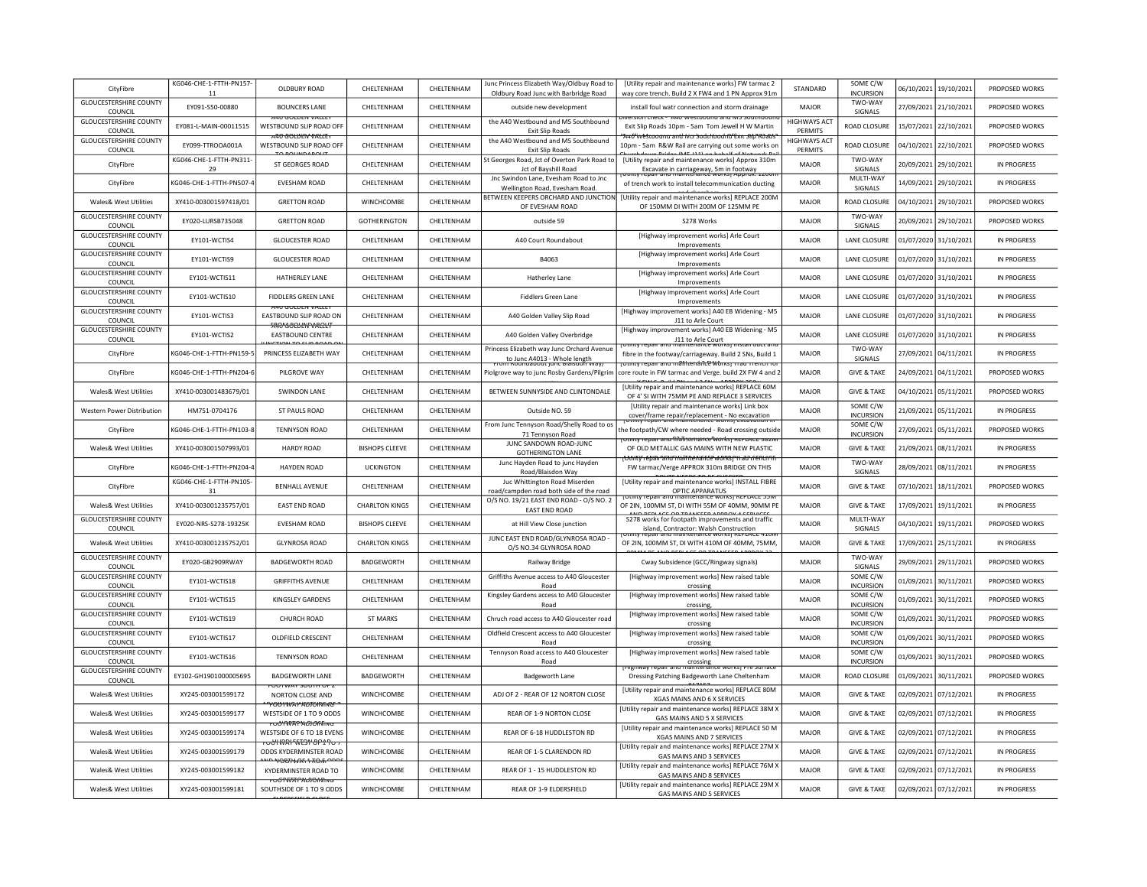| Oldbury Road Junc with Barbridge Road<br><b>GLOUCESTERSHIRE COUNTY</b><br>TWO-WAY<br>EY091-S50-00880<br>CHELTENHAM<br>CHELTENHAM<br>27/09/2021<br><b>BOUNCERS LANE</b><br>outside new development<br>install foul watr connection and storm drainage<br>MAJOR<br>COUNCIL<br>SIGNALS<br>טכ כושו מחום מומטמצאי י- אסוסור מאו<br><b>GLOUCESTERSHIRE COUNTY</b><br>the A40 Westbound and M5 Southbound<br><b>HIGHWAYS ACT</b><br>EY081-L-MAIN-00011515<br>CHELTENHAM<br>CHELTENHAM<br>ROAD CLOSURE<br>15/07/2021<br>WESTBOUND SLIP ROAD OFF<br>Exit Slip Roads 10pm - 5am Tom Jewell H W Martin<br>PERMITS<br>COUNCIL<br>Exit Slip Roads<br><del>A40 GOLDEN VALLET</del><br><del>k¤d"westaoana and Mis Sodthbodi@"Exit Silp"R0a0s"</del><br><b>GLOUCESTERSHIRE COUNTY</b><br>the A40 Westbound and M5 Southbound<br><b>HIGHWAYS ACT</b><br>EY099-TTROOA001A<br>CHELTENHAM<br>ROAD CLOSURE<br>04/10/2021<br>CHELTENHAM<br>WESTBOUND SLIP ROAD OFF<br>10pm - 5am R&W Rail are carrying out some works on<br>PERMITS<br>COUNCIL<br><b>Exit Slip Roads</b><br>KG046-CHE-1-FTTH-PN311-<br>St Georges Road, Jct of Overton Park Road to<br>TWO-WAY<br>[Utility repair and maintenance works] Approx 310m<br>CHELTENHAM<br>CityFibre<br>ST GEORGES ROAD<br>CHELTENHAM<br><b>MAJOR</b><br>20/09/2021<br>SIGNALS<br>Jct of Bayshill Road<br>.<br>Excavate in carriageway, 5m in footway.<br>Trepair and maintenance worksj Approx. 120<br>29<br>Jnc Swindon Lane, Evesham Road to Jnc<br>MULTI-WAY<br>CityFibre<br>KG046-CHE-1-FTTH-PN507-4<br><b>EVESHAM ROAD</b><br>CHELTENHAM<br>CHELTENHAM<br>of trench work to install telecommunication ducting<br>MAJOR<br>14/09/2021<br>Wellington Road, Evesham Road.<br>SIGNALS<br>BETWEEN KEEPERS ORCHARD AND JUNCTION [Utility repair and maintenance works] REPLACE 200M<br><b>Wales&amp; West Utilities</b><br>XY410-003001597418/01<br><b>GRETTON ROAD</b><br>WINCHCOMBE<br>CHELTENHAM<br><b>MAJOR</b><br>ROAD CLOSURE<br>04/10/2021<br>OF 150MM DI WITH 200M OF 125MM PE<br>OF EVESHAM ROAD<br><b>GLOUCESTERSHIRE COUNTY</b><br>TWO-WAY<br>EY020-LURSB735048<br><b>GRETTON ROAD</b><br><b>GOTHERINGTON</b><br>CHELTENHAM<br>outside 59<br>S278 Works<br>MAJOR<br>20/09/2021<br>SIGNALS<br>COUNCIL<br><b>GLOUCESTERSHIRE COUNTY</b><br>[Highway improvement works] Arle Court<br>EY101-WCTIS4<br><b>GLOUCESTER ROAD</b><br>CHELTENHAM<br>CHELTENHAM<br>A40 Court Roundabout<br>MAJOR<br>LANE CLOSURE<br>01/07/2020  <br>COUNCIL<br>Improvements | 21/10/2021<br>PROPOSED WORKS<br>PROPOSED WORKS<br>PROPOSED WORKS<br><b>IN PROGRESS</b><br><b>IN PROGRESS</b> |                       |                       |                        |              |                                                                                         |                              |            |            |                        |                    |                                  |
|-----------------------------------------------------------------------------------------------------------------------------------------------------------------------------------------------------------------------------------------------------------------------------------------------------------------------------------------------------------------------------------------------------------------------------------------------------------------------------------------------------------------------------------------------------------------------------------------------------------------------------------------------------------------------------------------------------------------------------------------------------------------------------------------------------------------------------------------------------------------------------------------------------------------------------------------------------------------------------------------------------------------------------------------------------------------------------------------------------------------------------------------------------------------------------------------------------------------------------------------------------------------------------------------------------------------------------------------------------------------------------------------------------------------------------------------------------------------------------------------------------------------------------------------------------------------------------------------------------------------------------------------------------------------------------------------------------------------------------------------------------------------------------------------------------------------------------------------------------------------------------------------------------------------------------------------------------------------------------------------------------------------------------------------------------------------------------------------------------------------------------------------------------------------------------------------------------------------------------------------------------------------------------------------------------------------------------------------------------------------------------------------------------------------------------------------------------------------------------------|--------------------------------------------------------------------------------------------------------------|-----------------------|-----------------------|------------------------|--------------|-----------------------------------------------------------------------------------------|------------------------------|------------|------------|------------------------|--------------------|----------------------------------|
|                                                                                                                                                                                                                                                                                                                                                                                                                                                                                                                                                                                                                                                                                                                                                                                                                                                                                                                                                                                                                                                                                                                                                                                                                                                                                                                                                                                                                                                                                                                                                                                                                                                                                                                                                                                                                                                                                                                                                                                                                                                                                                                                                                                                                                                                                                                                                                                                                                                                                   |                                                                                                              |                       |                       |                        |              |                                                                                         |                              |            |            |                        |                    |                                  |
|                                                                                                                                                                                                                                                                                                                                                                                                                                                                                                                                                                                                                                                                                                                                                                                                                                                                                                                                                                                                                                                                                                                                                                                                                                                                                                                                                                                                                                                                                                                                                                                                                                                                                                                                                                                                                                                                                                                                                                                                                                                                                                                                                                                                                                                                                                                                                                                                                                                                                   |                                                                                                              | 22/10/2021            |                       |                        |              |                                                                                         |                              |            |            |                        |                    |                                  |
|                                                                                                                                                                                                                                                                                                                                                                                                                                                                                                                                                                                                                                                                                                                                                                                                                                                                                                                                                                                                                                                                                                                                                                                                                                                                                                                                                                                                                                                                                                                                                                                                                                                                                                                                                                                                                                                                                                                                                                                                                                                                                                                                                                                                                                                                                                                                                                                                                                                                                   |                                                                                                              | 22/10/2021            |                       |                        |              |                                                                                         |                              |            |            |                        |                    |                                  |
|                                                                                                                                                                                                                                                                                                                                                                                                                                                                                                                                                                                                                                                                                                                                                                                                                                                                                                                                                                                                                                                                                                                                                                                                                                                                                                                                                                                                                                                                                                                                                                                                                                                                                                                                                                                                                                                                                                                                                                                                                                                                                                                                                                                                                                                                                                                                                                                                                                                                                   |                                                                                                              | 29/10/2021            |                       |                        |              |                                                                                         |                              |            |            |                        |                    |                                  |
|                                                                                                                                                                                                                                                                                                                                                                                                                                                                                                                                                                                                                                                                                                                                                                                                                                                                                                                                                                                                                                                                                                                                                                                                                                                                                                                                                                                                                                                                                                                                                                                                                                                                                                                                                                                                                                                                                                                                                                                                                                                                                                                                                                                                                                                                                                                                                                                                                                                                                   |                                                                                                              | 29/10/2021            |                       |                        |              |                                                                                         |                              |            |            |                        |                    |                                  |
|                                                                                                                                                                                                                                                                                                                                                                                                                                                                                                                                                                                                                                                                                                                                                                                                                                                                                                                                                                                                                                                                                                                                                                                                                                                                                                                                                                                                                                                                                                                                                                                                                                                                                                                                                                                                                                                                                                                                                                                                                                                                                                                                                                                                                                                                                                                                                                                                                                                                                   | PROPOSED WORKS                                                                                               | 29/10/2021            |                       |                        |              |                                                                                         |                              |            |            |                        |                    |                                  |
|                                                                                                                                                                                                                                                                                                                                                                                                                                                                                                                                                                                                                                                                                                                                                                                                                                                                                                                                                                                                                                                                                                                                                                                                                                                                                                                                                                                                                                                                                                                                                                                                                                                                                                                                                                                                                                                                                                                                                                                                                                                                                                                                                                                                                                                                                                                                                                                                                                                                                   | PROPOSED WORKS                                                                                               | 29/10/2021            |                       |                        |              |                                                                                         |                              |            |            |                        |                    |                                  |
|                                                                                                                                                                                                                                                                                                                                                                                                                                                                                                                                                                                                                                                                                                                                                                                                                                                                                                                                                                                                                                                                                                                                                                                                                                                                                                                                                                                                                                                                                                                                                                                                                                                                                                                                                                                                                                                                                                                                                                                                                                                                                                                                                                                                                                                                                                                                                                                                                                                                                   | IN PROGRESS                                                                                                  | 31/10/2021            |                       |                        |              |                                                                                         |                              |            |            |                        |                    |                                  |
| <b>GLOUCESTERSHIRE COUNTY</b><br>[Highway improvement works] Arle Court<br>01/07/2020 31/10/2021<br>EY101-WCTIS9<br><b>GLOUCESTER ROAD</b><br>CHELTENHAM<br>CHELTENHAM<br>B4063<br><b>MAJOR</b><br>LANE CLOSURE<br>COUNCIL<br>Improvements                                                                                                                                                                                                                                                                                                                                                                                                                                                                                                                                                                                                                                                                                                                                                                                                                                                                                                                                                                                                                                                                                                                                                                                                                                                                                                                                                                                                                                                                                                                                                                                                                                                                                                                                                                                                                                                                                                                                                                                                                                                                                                                                                                                                                                        | IN PROGRESS                                                                                                  |                       |                       |                        |              |                                                                                         |                              |            |            |                        |                    |                                  |
| <b>GLOUCESTERSHIRE COUNTY</b><br>[Highway improvement works] Arle Court<br>EY101-WCTIS11<br>HATHERLEY LANE<br>CHELTENHAM<br>CHELTENHAM<br>Hatherley Lane<br>MAJOR<br>LANE CLOSURE<br>01/07/2020 31/10/2021<br>COUNCIL<br>Improvements                                                                                                                                                                                                                                                                                                                                                                                                                                                                                                                                                                                                                                                                                                                                                                                                                                                                                                                                                                                                                                                                                                                                                                                                                                                                                                                                                                                                                                                                                                                                                                                                                                                                                                                                                                                                                                                                                                                                                                                                                                                                                                                                                                                                                                             | <b>IN PROGRESS</b>                                                                                           |                       |                       |                        |              |                                                                                         |                              |            |            |                        |                    |                                  |
| <b>GLOUCESTERSHIRE COUNTY</b><br>[Highway improvement works] Arle Court<br>EY101-WCTIS10<br><b>FIDDLERS GREEN LANE</b><br>CHELTENHAM<br>CHELTENHAM<br>MAJOR<br>LANE CLOSURE<br>01/07/2020 31/10/2021<br>Fiddlers Green Lane<br>COUNCIL<br>Improvements                                                                                                                                                                                                                                                                                                                                                                                                                                                                                                                                                                                                                                                                                                                                                                                                                                                                                                                                                                                                                                                                                                                                                                                                                                                                                                                                                                                                                                                                                                                                                                                                                                                                                                                                                                                                                                                                                                                                                                                                                                                                                                                                                                                                                            | <b>IN PROGRESS</b>                                                                                           |                       |                       |                        |              |                                                                                         |                              |            |            |                        |                    |                                  |
| <b>AHU QULULIY VALLL</b><br><b>GLOUCESTERSHIRE COUNTY</b><br>[Highway improvement works] A40 EB Widening - M5<br>EY101-WCTIS3<br>CHELTENHAM<br>CHELTENHAM<br>A40 Golden Valley Slip Road<br>MAJOR<br>LANE CLOSURE<br>01/07/2020 31/10/2021<br>EASTBOUND SLIP ROAD ON<br>COUNCIL<br>J11 to Arle Court                                                                                                                                                                                                                                                                                                                                                                                                                                                                                                                                                                                                                                                                                                                                                                                                                                                                                                                                                                                                                                                                                                                                                                                                                                                                                                                                                                                                                                                                                                                                                                                                                                                                                                                                                                                                                                                                                                                                                                                                                                                                                                                                                                              | <b>IN PROGRESS</b>                                                                                           |                       |                       |                        |              |                                                                                         |                              |            |            |                        |                    |                                  |
| <b>FRO GOODING ARCHIT</b><br><b>GLOUCESTERSHIRE COUNTY</b><br>[Highway improvement works] A40 EB Widening - M5<br>EY101-WCTIS2<br>CHELTENHAM<br>CHELTENHAM<br>01/07/2020 31/10/2021<br><b>EASTBOUND CENTRE</b><br>A40 Golden Valley Overbridge<br><b>MAJOR</b><br>LANE CLOSURE<br>COUNCIL                                                                                                                                                                                                                                                                                                                                                                                                                                                                                                                                                                                                                                                                                                                                                                                                                                                                                                                                                                                                                                                                                                                                                                                                                                                                                                                                                                                                                                                                                                                                                                                                                                                                                                                                                                                                                                                                                                                                                                                                                                                                                                                                                                                         | <b>IN PROGRESS</b>                                                                                           |                       |                       |                        |              |                                                                                         |                              |            |            |                        |                    |                                  |
| TWO-WAY<br>Princess Elizabeth way Junc Orchard Avenue<br>PRINCESS ELIZABETH WAY<br>CHELTENHAM<br>CityFibre<br>KG046-CHE-1-FTTH-PN159-5<br>CHELTENHAM<br>fibre in the footway/carriageway. Build 2 SNs, Build 1<br><b>MAJOR</b><br>27/09/2021<br>to Junc A4013 - Whole length<br>SIGNALS                                                                                                                                                                                                                                                                                                                                                                                                                                                                                                                                                                                                                                                                                                                                                                                                                                                                                                                                                                                                                                                                                                                                                                                                                                                                                                                                                                                                                                                                                                                                                                                                                                                                                                                                                                                                                                                                                                                                                                                                                                                                                                                                                                                           | <b>IN PROGRESS</b>                                                                                           | 04/11/2021            |                       |                        |              |                                                                                         |                              |            |            |                        |                    |                                  |
| <del>וטנווונץ repair and mâltitenance Works ו rad דופוזכורוס</del><br>CHELTENHAM<br>CHELTENHAM<br><b>GIVE &amp; TAKE</b><br>CityFibre<br>KG046-CHE-1-FTTH-PN204-6<br>PII GROVE WAY<br>Piolgrove way to junc Rosby Gardens/Pilgrim<br>MAIOR<br>24/09/2021<br>core route in FW tarmac and Verge, build 2X FW 4 and 2                                                                                                                                                                                                                                                                                                                                                                                                                                                                                                                                                                                                                                                                                                                                                                                                                                                                                                                                                                                                                                                                                                                                                                                                                                                                                                                                                                                                                                                                                                                                                                                                                                                                                                                                                                                                                                                                                                                                                                                                                                                                                                                                                                | PROPOSED WORKS                                                                                               | 04/11/2021            |                       |                        |              |                                                                                         |                              |            |            |                        |                    |                                  |
| <b>IUtility repair and maintenance worksl REPLACE 60M</b><br><b>Wales&amp; West Utilities</b><br>XY410-003001483679/01<br>SWINDON LANE<br>CHELTENHAM<br>CHELTENHAM<br>BETWEEN SUNNYSIDE AND CLINTONDALE<br>MAJOR<br><b>GIVE &amp; TAKE</b><br>04/10/2021<br>OF 4' SI WITH 75MM PE AND REPLACE 3 SERVICES                                                                                                                                                                                                                                                                                                                                                                                                                                                                                                                                                                                                                                                                                                                                                                                                                                                                                                                                                                                                                                                                                                                                                                                                                                                                                                                                                                                                                                                                                                                                                                                                                                                                                                                                                                                                                                                                                                                                                                                                                                                                                                                                                                          | PROPOSED WORKS                                                                                               | 05/11/2021            |                       |                        |              |                                                                                         |                              |            |            |                        |                    |                                  |
| [Utility repair and maintenance works] Link box<br>SOME C/W<br>CHELTENHAM<br>Western Power Distribution<br>HM751-0704176<br><b>ST PAULS ROAD</b><br>CHELTENHAM<br>Outside NO. 59<br>MAIOR<br>21/09/2021<br><b>INCURSION</b><br>cover/frame repair/replacement - No excavation                                                                                                                                                                                                                                                                                                                                                                                                                                                                                                                                                                                                                                                                                                                                                                                                                                                                                                                                                                                                                                                                                                                                                                                                                                                                                                                                                                                                                                                                                                                                                                                                                                                                                                                                                                                                                                                                                                                                                                                                                                                                                                                                                                                                     | <b>IN PROGRESS</b>                                                                                           | 05/11/2021            |                       |                        |              |                                                                                         |                              |            |            |                        |                    |                                  |
| <b>QUIRY TEDAIL AND MAINTENANCE WORKST EXCAVATION II</b><br>SOME C/W<br>From Junc Tennyson Road/Shelly Road to os<br>KG046-CHE-1-FTTH-PN103-8<br><b>TENNYSON ROAD</b><br>CHELTENHAM<br>CHELTENHAM<br>MAJOR<br>27/09/2021<br>CityFibre<br>the footpath/CW where needed - Road crossing outside<br>71 Tennyson Road<br><b>INCURSION</b>                                                                                                                                                                                                                                                                                                                                                                                                                                                                                                                                                                                                                                                                                                                                                                                                                                                                                                                                                                                                                                                                                                                                                                                                                                                                                                                                                                                                                                                                                                                                                                                                                                                                                                                                                                                                                                                                                                                                                                                                                                                                                                                                             | PROPOSED WORKS                                                                                               | 05/11/2021            |                       |                        |              |                                                                                         |                              |            |            |                        |                    |                                  |
| otinty repair and fifalintenance worksjinterence pozi<br>JUNC SANDOWN ROAD-JUNC<br>XY410-003001507993/01<br><b>BISHOPS CLEEVE</b><br>CHELTENHAM<br>MAJOR<br><b>GIVE &amp; TAKE</b><br>21/09/2021<br>Wales& West Utilities<br><b>HARDY ROAD</b><br>OF OLD METALLIC GAS MAINS WITH NEW PLASTIC<br><b>GOTHERINGTON LANE</b>                                                                                                                                                                                                                                                                                                                                                                                                                                                                                                                                                                                                                                                                                                                                                                                                                                                                                                                                                                                                                                                                                                                                                                                                                                                                                                                                                                                                                                                                                                                                                                                                                                                                                                                                                                                                                                                                                                                                                                                                                                                                                                                                                          | <b>IN PROGRESS</b>                                                                                           | 08/11/2021            |                       |                        |              |                                                                                         |                              |            |            |                        |                    |                                  |
| <del>VMNY i Epai anu mamenarce workspyl av Genular</del><br>TWO-WAY<br>Junc Hayden Road to junc Hayden<br>CityFibre<br>KG046-CHE-1-FTTH-PN204-4<br><b>HAYDEN ROAD</b><br><b>UCKINGTON</b><br><b>CHEITENHAM</b><br>MAIOR<br>28/09/2021<br>FW tarmac/Verge APPROX 310m BRIDGE ON THIS<br>SIGNALS<br>Road/Blaisdon Way                                                                                                                                                                                                                                                                                                                                                                                                                                                                                                                                                                                                                                                                                                                                                                                                                                                                                                                                                                                                                                                                                                                                                                                                                                                                                                                                                                                                                                                                                                                                                                                                                                                                                                                                                                                                                                                                                                                                                                                                                                                                                                                                                               | <b>IN PROGRESS</b>                                                                                           | 08/11/2021            |                       |                        |              |                                                                                         |                              |            |            |                        |                    |                                  |
| KG046-CHE-1-FTTH-PN105-<br>Juc Whittington Road Miserden<br>[Utility repair and maintenance works] INSTALL FIBRE<br><b>BENHALL AVENUE</b><br>CHELTENHAM<br>CHELTENHAM<br>MAJOR<br><b>GIVE &amp; TAKE</b><br>07/10/2021<br>CityFibre<br>road/campden road both side of the road<br>OPTIC APPARATUS<br>31                                                                                                                                                                                                                                                                                                                                                                                                                                                                                                                                                                                                                                                                                                                                                                                                                                                                                                                                                                                                                                                                                                                                                                                                                                                                                                                                                                                                                                                                                                                                                                                                                                                                                                                                                                                                                                                                                                                                                                                                                                                                                                                                                                           | PROPOSED WORKS                                                                                               | 18/11/2021            |                       |                        |              |                                                                                         |                              |            |            |                        |                    |                                  |
| viimv revair ano n<br>O/S NO. 19/21 EAST END ROAD - O/S NO. 2<br>Wales& West Utilities<br>XY410-003001235757/01<br><b>EAST END ROAD</b><br><b>CHARLTON KINGS</b><br>CHELTENHAM<br>OF 2IN, 100MM ST, DI WITH 55M OF 40MM, 90MM PE<br>MAIOR<br><b>GIVE &amp; TAKE</b><br>17/09/2021<br>EAST END ROAD                                                                                                                                                                                                                                                                                                                                                                                                                                                                                                                                                                                                                                                                                                                                                                                                                                                                                                                                                                                                                                                                                                                                                                                                                                                                                                                                                                                                                                                                                                                                                                                                                                                                                                                                                                                                                                                                                                                                                                                                                                                                                                                                                                                | <b>IN PROGRESS</b>                                                                                           | 19/11/2021            |                       |                        |              |                                                                                         |                              |            |            |                        |                    |                                  |
| <b>GLOUCESTERSHIRE COUNTY</b><br>MULTI-WAY<br>S278 works for footpath improvements and traffic<br>EY020-NRS-S278-19325K<br><b>EVESHAM ROAD</b><br><b>BISHOPS CLEEVE</b><br>CHELTENHAM<br>MAJOR<br>04/10/2021<br>at Hill View Close junction<br>COUNCIL<br>island, Contractor: Walsh Construction<br>SIGNALS                                                                                                                                                                                                                                                                                                                                                                                                                                                                                                                                                                                                                                                                                                                                                                                                                                                                                                                                                                                                                                                                                                                                                                                                                                                                                                                                                                                                                                                                                                                                                                                                                                                                                                                                                                                                                                                                                                                                                                                                                                                                                                                                                                       | PROPOSED WORKS                                                                                               | 19/11/2021            |                       |                        |              |                                                                                         |                              |            |            |                        |                    |                                  |
| Othity repair and maintenance works) KEPLACE 4101<br>JUNC EAST END ROAD/GLYNROSA ROAD -<br><b>Wales&amp; West Utilities</b><br>XY410-003001235752/01<br><b>GLYNROSA ROAD</b><br><b>CHARLTON KINGS</b><br>CHELTENHAM<br>OF 2IN, 100MM ST, DI WITH 410M OF 40MM, 75MM,<br><b>MAJOR</b><br><b>GIVE &amp; TAKE</b><br>17/09/2021<br>O/S NO.34 GLYNROSA ROAD                                                                                                                                                                                                                                                                                                                                                                                                                                                                                                                                                                                                                                                                                                                                                                                                                                                                                                                                                                                                                                                                                                                                                                                                                                                                                                                                                                                                                                                                                                                                                                                                                                                                                                                                                                                                                                                                                                                                                                                                                                                                                                                           | IN PROGRESS                                                                                                  | 25/11/2021            |                       |                        |              |                                                                                         |                              |            |            |                        |                    |                                  |
| <b>GLOUCESTERSHIRE COUNTY</b><br>TWO-WAY<br>FY020-GB2909RWAY<br><b>BADGEWORTH ROAD</b><br>BADGEWORTH<br>CHELTENHAM<br>Railway Bridge<br>Cway Subsidence (GCC/Ringway signals)<br>MAJOR<br>29/09/2021<br>COUNCIL<br><b>SIGNALS</b>                                                                                                                                                                                                                                                                                                                                                                                                                                                                                                                                                                                                                                                                                                                                                                                                                                                                                                                                                                                                                                                                                                                                                                                                                                                                                                                                                                                                                                                                                                                                                                                                                                                                                                                                                                                                                                                                                                                                                                                                                                                                                                                                                                                                                                                 | PROPOSED WORKS                                                                                               | 29/11/2021            |                       |                        |              |                                                                                         |                              |            |            |                        |                    |                                  |
| <b>GLOUCESTERSHIRE COUNTY</b><br>Griffiths Avenue access to A40 Gloucester<br>SOME C/W<br>[Highway improvement works] New raised table<br>FY101-WCTIS18<br><b>GRIFFITHS AVENUE</b><br>CHELTENHAM<br>MAIOR<br>CHELTENHAM<br>01/09/2021<br><b>INCURSION</b><br>COUNCIL<br>Road<br>crossing                                                                                                                                                                                                                                                                                                                                                                                                                                                                                                                                                                                                                                                                                                                                                                                                                                                                                                                                                                                                                                                                                                                                                                                                                                                                                                                                                                                                                                                                                                                                                                                                                                                                                                                                                                                                                                                                                                                                                                                                                                                                                                                                                                                          | PROPOSED WORKS                                                                                               | 30/11/2021            |                       |                        |              |                                                                                         |                              |            |            |                        |                    |                                  |
| <b>GLOUCESTERSHIRE COUNTY</b><br>Kingsley Gardens access to A40 Gloucester<br>[Highway improvement works] New raised table<br>SOME C/W<br>EY101-WCTIS15<br><b>KINGSLEY GARDENS</b><br>CHELTENHAM<br>CHELTENHAM<br>MAJOR<br>01/09/2021<br>COUNCIL<br>Road<br><b>INCURSION</b><br>crossing                                                                                                                                                                                                                                                                                                                                                                                                                                                                                                                                                                                                                                                                                                                                                                                                                                                                                                                                                                                                                                                                                                                                                                                                                                                                                                                                                                                                                                                                                                                                                                                                                                                                                                                                                                                                                                                                                                                                                                                                                                                                                                                                                                                          | PROPOSED WORKS                                                                                               | 30/11/2021            |                       |                        |              |                                                                                         |                              |            |            |                        |                    |                                  |
| <b>GLOUCESTERSHIRE COUNTY</b><br>[Highway improvement works] New raised table<br>SOME C/W<br>MAJOR<br>EY101-WCTIS19<br>CHURCH ROAD<br><b>ST MARKS</b><br>CHELTENHAM<br>Chruch road access to A40 Gloucester road<br>01/09/2021<br>COUNCIL<br><b>INCURSION</b><br>crossing                                                                                                                                                                                                                                                                                                                                                                                                                                                                                                                                                                                                                                                                                                                                                                                                                                                                                                                                                                                                                                                                                                                                                                                                                                                                                                                                                                                                                                                                                                                                                                                                                                                                                                                                                                                                                                                                                                                                                                                                                                                                                                                                                                                                         | 30/11/2021<br>PROPOSED WORKS                                                                                 |                       |                       |                        |              |                                                                                         |                              |            |            |                        |                    |                                  |
| <b>GLOUCESTERSHIRE COUNTY</b><br>Oldfield Crescent access to A40 Gloucester<br>[Highway improvement works] New raised table<br>SOME C/W<br>EY101-WCTIS17<br>OLDFIELD CRESCENT<br>CHELTENHAM<br>CHELTENHAM<br>MAJOR<br>01/09/2021<br>COUNCIL<br><b>INCURSION</b><br>Road<br>crossing                                                                                                                                                                                                                                                                                                                                                                                                                                                                                                                                                                                                                                                                                                                                                                                                                                                                                                                                                                                                                                                                                                                                                                                                                                                                                                                                                                                                                                                                                                                                                                                                                                                                                                                                                                                                                                                                                                                                                                                                                                                                                                                                                                                               | PROPOSED WORKS                                                                                               | 30/11/2021            |                       |                        |              |                                                                                         |                              |            |            |                        |                    |                                  |
| <b>GLOUCESTERSHIRE COUNTY</b><br>Tennyson Road access to A40 Gloucester<br>[Highway improvement works] New raised table<br>SOME C/W<br>EY101-WCTIS16<br><b>TENNYSON ROAD</b><br>CHELTENHAM<br>CHELTENHAM<br><b>MAJOR</b><br>01/09/2021<br><b>INCURSION</b><br>COUNCIL<br>Road<br>crossing<br><del>רווצו ואז המונצח המונצח המונצח המונצח המונצח ל</del>                                                                                                                                                                                                                                                                                                                                                                                                                                                                                                                                                                                                                                                                                                                                                                                                                                                                                                                                                                                                                                                                                                                                                                                                                                                                                                                                                                                                                                                                                                                                                                                                                                                                                                                                                                                                                                                                                                                                                                                                                                                                                                                            | PROPOSED WORKS                                                                                               | 30/11/2021            |                       |                        |              |                                                                                         |                              |            |            |                        |                    |                                  |
| <b>GLOUCESTERSHIRE COUNTY</b><br>ROAD CLOSURE<br>EY102-GH1901000005695<br>BADGEWORTH<br>CHELTENHAM<br><b>MAJOR</b><br>01/09/2021<br><b>BADGEWORTH LANE</b><br>Badgeworth Lane<br>Dressing Patching Badgeworth Lane Cheltenham<br>COUNCIL<br>, יוט חוטטפ זאשוטטי                                                                                                                                                                                                                                                                                                                                                                                                                                                                                                                                                                                                                                                                                                                                                                                                                                                                                                                                                                                                                                                                                                                                                                                                                                                                                                                                                                                                                                                                                                                                                                                                                                                                                                                                                                                                                                                                                                                                                                                                                                                                                                                                                                                                                   | PROPOSED WORKS                                                                                               | 30/11/2021            |                       |                        |              |                                                                                         |                              |            |            |                        |                    |                                  |
| [Utility repair and maintenance works] REPLACE 80M<br>02/09/2021<br>Wales& West Utilities<br>XY245-003001599172<br><b>WINCHCOMBE</b><br>CHFITFNHAM<br>ADJ OF 2 - REAR OF 12 NORTON CLOSE<br>MAIOR<br><b>GIVE &amp; TAKE</b><br>NORTON CLOSE AND<br>XGAS MAINS AND 6 X SERVICES<br><del>YOUWAY KSTSINGRY</del>                                                                                                                                                                                                                                                                                                                                                                                                                                                                                                                                                                                                                                                                                                                                                                                                                                                                                                                                                                                                                                                                                                                                                                                                                                                                                                                                                                                                                                                                                                                                                                                                                                                                                                                                                                                                                                                                                                                                                                                                                                                                                                                                                                     | IN PROGRESS                                                                                                  | 07/12/2021            |                       |                        |              |                                                                                         |                              |            |            |                        |                    |                                  |
| [Utility repair and maintenance works] REPLACE 38M X<br><b>Wales&amp; West Utilities</b><br>XY245-003001599177<br>WESTSIDE OF 1 TO 9 ODDS<br>WINCHCOMBE<br>CHELTENHAM<br>REAR OF 1-9 NORTON CLOSE<br>MAJOR<br><b>GIVE &amp; TAKE</b><br>GAS MAINS AND 5 X SERVICES<br>᠇ᡃ <del>ᠦ᠔ᡃᢉ᠋᠙ᠯᡘᢪᢂ<i>ᡦ</i>ᡝᢒᠱᠮᠬᢦᡆ</del> ᠊                                                                                                                                                                                                                                                                                                                                                                                                                                                                                                                                                                                                                                                                                                                                                                                                                                                                                                                                                                                                                                                                                                                                                                                                                                                                                                                                                                                                                                                                                                                                                                                                                                                                                                                                                                                                                                                                                                                                                                                                                                                                                                                                                                   | IN PROGRESS                                                                                                  | 02/09/2021 07/12/2021 |                       |                        |              |                                                                                         |                              |            |            |                        |                    |                                  |
| [Utility repair and maintenance works] REPLACE 50 M<br><b>Wales&amp; West Utilities</b><br>XY245-003001599174<br>WESTSIDE OF 6 TO 18 EVENS<br>WINCHCOMBE<br>CHELTENHAM<br>REAR OF 6-18 HUDDLESTON RD<br>MAJOR<br><b>GIVE &amp; TAKE</b><br>XGAS MAINS AND 7 SERVICES                                                                                                                                                                                                                                                                                                                                                                                                                                                                                                                                                                                                                                                                                                                                                                                                                                                                                                                                                                                                                                                                                                                                                                                                                                                                                                                                                                                                                                                                                                                                                                                                                                                                                                                                                                                                                                                                                                                                                                                                                                                                                                                                                                                                              | IN PROGRESS                                                                                                  | 02/09/2021 07/12/2021 |                       |                        |              |                                                                                         |                              |            |            |                        |                    |                                  |
|                                                                                                                                                                                                                                                                                                                                                                                                                                                                                                                                                                                                                                                                                                                                                                                                                                                                                                                                                                                                                                                                                                                                                                                                                                                                                                                                                                                                                                                                                                                                                                                                                                                                                                                                                                                                                                                                                                                                                                                                                                                                                                                                                                                                                                                                                                                                                                                                                                                                                   | IN PROGRESS                                                                                                  | 07/12/2021            |                       | <b>GIVE &amp; TAKE</b> | <b>MAJOR</b> | <b>IUtility repair and maintenance works] REPLACE 27M X</b><br>GAS MAINS AND 3 SERVICES | REAR OF 1-5 CLARENDON RD     | CHELTENHAM | WINCHCOMBE | ODDS KYDERMINSTER ROAD | XY245-003001599179 | <b>Wales&amp; West Utilities</b> |
| <del>rodiWAYWESI'OP17o7</del><br>02/09/2021                                                                                                                                                                                                                                                                                                                                                                                                                                                                                                                                                                                                                                                                                                                                                                                                                                                                                                                                                                                                                                                                                                                                                                                                                                                                                                                                                                                                                                                                                                                                                                                                                                                                                                                                                                                                                                                                                                                                                                                                                                                                                                                                                                                                                                                                                                                                                                                                                                       |                                                                                                              | 07/12/2021            |                       | <b>GIVE &amp; TAKE</b> | <b>MAJOR</b> | [Utility repair and maintenance works] REPLACE 76M X<br><b>GAS MAINS AND 8 SERVICES</b> | REAR OF 1 - 15 HUDDLESTON RD | CHELTENHAM | WINCHCOMBE | KYDERMINSTER ROAD TO   | XY245-003001599182 | Wales& West Utilities            |
| <del>™℃೫₩೫17</del> ©™<br>02/09/2021<br><del>᠇ᠣᢒᠰᠮ᠋ᠯᡘᢪᠰᡃᠣ᠐ᠰᠻᠬᢦᡆ</del>                                                                                                                                                                                                                                                                                                                                                                                                                                                                                                                                                                                                                                                                                                                                                                                                                                                                                                                                                                                                                                                                                                                                                                                                                                                                                                                                                                                                                                                                                                                                                                                                                                                                                                                                                                                                                                                                                                                                                                                                                                                                                                                                                                                                                                                                                                                                                                                                              | <b>IN PROGRESS</b>                                                                                           |                       | 02/09/2021 07/12/2021 | <b>GIVE &amp; TAKE</b> | <b>MAJOR</b> | [Utility repair and maintenance works] REPLACE 29M X                                    |                              | CHELTENHAM | WINCHCOMBE |                        | XY245-003001599181 | Wales& West Utilities            |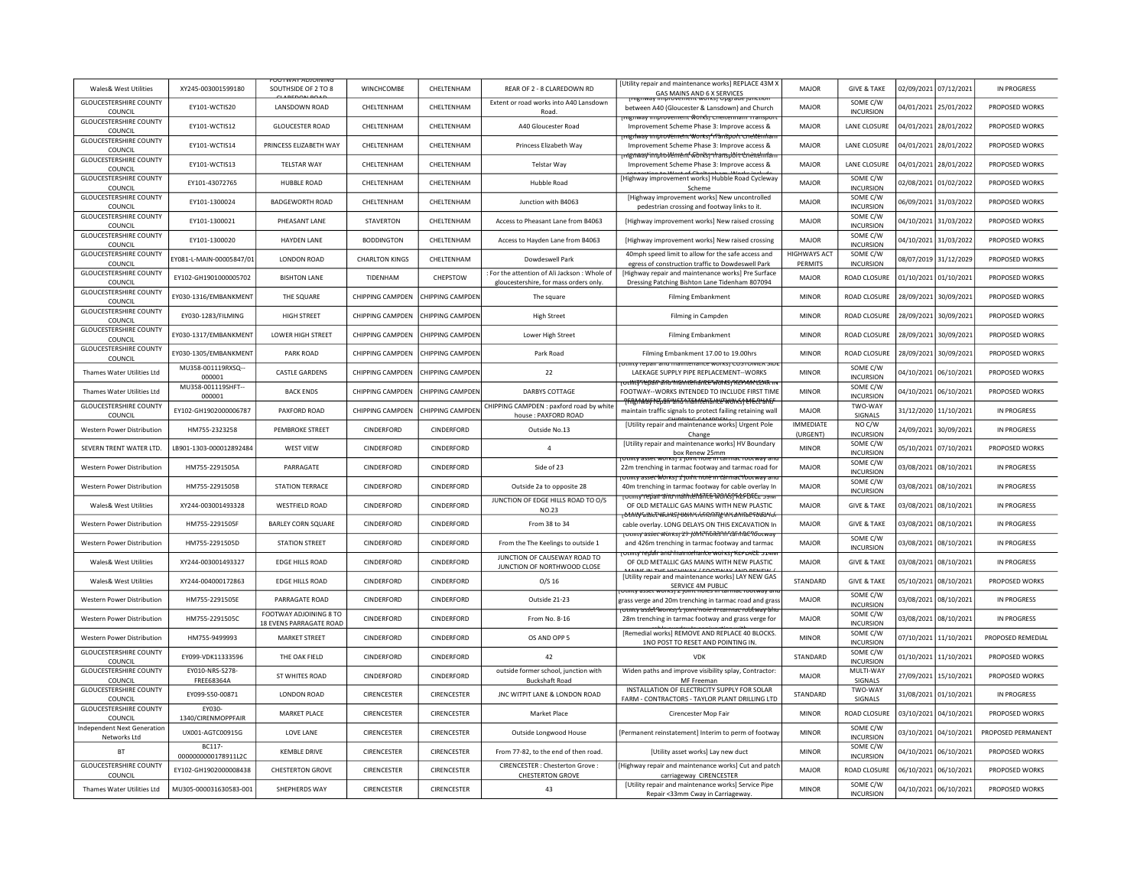| Wales& West Utilities                       | XY245-003001599180                  | SOUTHSIDE OF 2 TO 8                                      | <b>WINCHCOMBE</b>       | CHELTENHAM              | REAR OF 2 - 8 CLAREDOWN RD                                                          | [Utility repair and maintenance works] REPLACE 43M X<br>GAS MAINS AND 6 X SERVICES                                         | MAIOR                          | <b>GIVE &amp; TAKE</b>       | 02/09/2021 07/12/2021 |                       | IN PROGRESS           |
|---------------------------------------------|-------------------------------------|----------------------------------------------------------|-------------------------|-------------------------|-------------------------------------------------------------------------------------|----------------------------------------------------------------------------------------------------------------------------|--------------------------------|------------------------------|-----------------------|-----------------------|-----------------------|
| <b>GLOUCESTERSHIRE COUNTY</b><br>COUNCIL    | EY101-WCTIS20                       | <b>LANSDOWN ROAD</b>                                     | CHELTENHAM              | CHELTENHAM              | Extent or road works into A40 Lansdown<br>Road                                      | between A40 (Gloucester & Lansdown) and Church<br>ngnway improvement <del>Work's junetennam manspu</del>                   | MAJOR                          | SOME C/W<br><b>INCURSION</b> | 04/01/2021            | 25/01/2022            | PROPOSED WORKS        |
| <b>GLOUCESTERSHIRE COUNTY</b><br>COUNCIL    | EY101-WCTIS12                       | <b>GLOUCESTER ROAD</b>                                   | CHELTENHAM              | CHELTENHAM              | A40 Gloucester Road                                                                 | Improvement Scheme Phase 3: Improve access &<br>nerlway mnorovement Worksif fan Soort uneitenri                            | MAJOR                          | LANE CLOSURE                 | 04/01/2021            | 28/01/2022            | PROPOSED WORKS        |
| <b>GLOUCESTERSHIRE COUNTY</b><br>COUNCIL    | EY101-WCTIS14                       | PRINCESS ELIZABETH WAY                                   | CHELTENHAM              | CHELTENHAM              | Princess Elizabeth Way                                                              | Improvement Scheme Phase 3: Improve access &                                                                               | MAJOR                          | LANE CLOSURE                 | 04/01/2021            | 28/01/2022            | PROPOSED WORKS        |
| <b>GLOUCESTERSHIRE COUNTY</b><br>COUNCIL    | EY101-WCTIS13                       | <b>TELSTAR WAY</b>                                       | CHELTENHAM              | CHELTENHAM              | Telstar Way                                                                         | <del>nignway'imphoVement Worksj rhanspolit Cneiu</del><br>Improvement Scheme Phase 3: Improve access &                     | <b>MAJOR</b>                   | LANE CLOSURE                 | 04/01/2021            | 28/01/2022            | <b>PROPOSED WORKS</b> |
| <b>GLOUCESTERSHIRE COUNTY</b><br>COUNCIL    | FY101-43072765                      | <b>HUBBLE ROAD</b>                                       | <b>CHFITENHAM</b>       | <b>CHEITENHAM</b>       | Hubble Road                                                                         | [Highway improvement works] Hubble Road Cycleway<br>Scheme                                                                 | MAIOR                          | SOME C/W<br><b>INCURSION</b> | 02/08/2021            | 01/02/2022            | PROPOSED WORKS        |
| <b>GLOUCESTERSHIRE COUNTY</b><br>COUNCIL    | EY101-1300024                       | <b>BADGEWORTH ROAD</b>                                   | CHELTENHAM              | CHELTENHAM              | Junction with B4063                                                                 | [Highway improvement works] New uncontrolled<br>pedestrian crossing and footway links to it                                | <b>MAJOR</b>                   | SOME C/W<br><b>INCURSION</b> | 06/09/2021            | 31/03/2022            | PROPOSED WORKS        |
| <b>GLOUCESTERSHIRE COUNTY</b><br>COUNCIL    | EY101-1300021                       | PHEASANT LANE                                            | STAVERTON               | CHELTENHAM              | Access to Pheasant Lane from B4063                                                  | [Highway improvement works] New raised crossing                                                                            | MAJOR                          | SOME C/W<br><b>INCURSION</b> | 04/10/2021            | 31/03/2022            | PROPOSED WORKS        |
| <b>GLOUCESTERSHIRE COUNTY</b><br>COUNCIL    | EY101-1300020                       | <b>HAYDEN LANE</b>                                       | <b>BODDINGTON</b>       | CHELTENHAM              | Access to Hayden Lane from B4063                                                    | [Highway improvement works] New raised crossing                                                                            | MAJOR                          | SOME C/W<br><b>INCURSION</b> | 04/10/2021            | 31/03/2022            | PROPOSED WORKS        |
| <b>GLOUCESTERSHIRE COUNTY</b><br>COUNCIL    | EY081-L-MAIN-00005847/01            | <b>LONDON ROAD</b>                                       | <b>CHARLTON KINGS</b>   | CHELTENHAM              | Dowdeswell Park                                                                     | 40mph speed limit to allow for the safe access and<br>egress of construction traffic to Dowdeswell Park                    | <b>HIGHWAYS ACT</b><br>PERMITS | SOME C/W<br><b>INCURSION</b> | 08/07/2019            | 31/12/2029            | PROPOSED WORKS        |
| <b>GLOUCESTERSHIRE COUNTY</b><br>COUNCIL    | EY102-GH1901000005702               | <b>BISHTON LANE</b>                                      | TIDENHAM                | CHFPSTOW                | For the attention of Ali Jackson: Whole of<br>gloucestershire, for mass orders only | [Highway repair and maintenance works] Pre Surface<br>Dressing Patching Bishton Lane Tidenham 807094                       | MAIOR                          | <b>ROAD CLOSURE</b>          | 01/10/2021            | 01/10/2021            | PROPOSED WORKS        |
| <b>GLOUCESTERSHIRE COUNTY</b><br>COUNCIL    | EY030-1316/EMBANKMENT               | THE SQUARE                                               | CHIPPING CAMPDEN        | CHIPPING CAMPDEN        | The square                                                                          | <b>Filming Embankment</b>                                                                                                  | <b>MINOR</b>                   | ROAD CLOSURE                 | 28/09/2021            | 30/09/2021            | PROPOSED WORKS        |
| <b>GLOUCESTERSHIRE COUNTY</b><br>COUNCIL    | EY030-1283/FILMING                  | <b>HIGH STREET</b>                                       | CHIPPING CAMPDEN        | CHIPPING CAMPDEN        | <b>High Street</b>                                                                  | Filming in Campden                                                                                                         | <b>MINOR</b>                   | <b>ROAD CLOSURE</b>          |                       | 28/09/2021 30/09/2021 | PROPOSED WORKS        |
| <b>GLOUCESTERSHIRE COUNTY</b><br>COUNCIL    | EY030-1317/EMBANKMENT               | LOWER HIGH STREET                                        | CHIPPING CAMPDEN        | <b>CHIPPING CAMPDEI</b> | Lower High Street                                                                   | <b>Filming Embankment</b>                                                                                                  | <b>MINOR</b>                   | ROAD CLOSURE                 | 28/09/2021            | 30/09/2021            | PROPOSED WORKS        |
| <b>GLOUCESTERSHIRE COUNTY</b><br>COUNCIL    | EY030-1305/EMBANKMENT               | PARK ROAD                                                | CHIPPING CAMPDEN        | CHIPPING CAMPDEN        | Park Road                                                                           | Filming Embankment 17.00 to 19.00hrs                                                                                       | <b>MINOR</b>                   | ROAD CLOSURE                 | 28/09/2021            | 30/09/2021            | PROPOSED WORKS        |
| Thames Water Utilities Ltd                  | MU358-001119RXSQ-<br>000001         | <b>CASTLE GARDENS</b>                                    | CHIPPING CAMPDEN        | CHIPPING CAMPDEN        | 22                                                                                  | <u>Julius repair and maintenance worksi costolvick s</u><br>LAEKAGE SUPPLY PIPE REPLACEMENT--WORKS                         | <b>MINOR</b>                   | SOME C/W<br><b>INCURSION</b> | 04/10/2021            | 06/10/2021            | PROPOSED WORKS        |
| Thames Water Utilities Ltd                  | MU358-001119SHFT--<br>000001        | <b>BACK ENDS</b>                                         | <b>CHIPPING CAMPDEN</b> | CHIPPING CAMPDEN        | DARBYS COTTAGE                                                                      | <del>լUtINIV1NDan JNU MGHINEFIJNCETWONKSJNEPANN LEATK 11</del><br>FOOTWAY--WORKS INTENDED TO INCLUDE FIRST TIME            | <b>MINOR</b>                   | SOME C/W<br><b>INCURSION</b> | 04/10/2021            | 06/10/2021            | PROPOSED WORKS        |
| <b>GLOUCESTERSHIRE COUNTY</b><br>COUNCIL    | EY102-GH1902000006787               | PAXFORD ROAD                                             | CHIPPING CAMPDEN        | CHIPPING CAMPDEI        | CHIPPING CAMPDEN: paxford road by white<br>house: PAXFORD ROAD                      | <del>rngitway repair and mantenance worksj efect and</del><br>maintain traffic signals to protect failing retaining wall   | MAIOR                          | TWO-WAY<br>SIGNALS           | 31/12/2020            | 11/10/2021            | IN PROGRESS           |
| Western Power Distribution                  | HM755-2323258                       | PEMBROKE STREET                                          | CINDERFORD              | CINDERFORD              | Outside No.13                                                                       | <b>IUtility repair and maintenance works] Urgent Pole</b><br>Change                                                        | <b>IMMEDIATE</b><br>(URGENT)   | NO C/W<br><b>INCURSION</b>   | 24/09/2021            | 30/09/2021            | <b>IN PROGRESS</b>    |
| SEVERN TRENT WATER LTD.                     | LB901-1303-000012892484             | WEST VIEW                                                | CINDERFORD              | CINDERFORD              | $\overline{4}$                                                                      | [Utility repair and maintenance works] HV Boundary<br>box Renew 25mm                                                       | <b>MINOR</b>                   | SOME C/W<br><b>INCURSION</b> | 05/10/2021            | 07/10/2021            | PROPOSED WORKS        |
| Western Power Distribution                  | HM755-2291505A                      | PARRAGATE                                                | CINDERFORD              | CINDERFORD              | Side of 23                                                                          | 22m trenching in tarmac footway and tarmac road for                                                                        | MAJOR                          | SOME C/W<br><b>INCURSION</b> | 03/08/2021            | 08/10/2021            | <b>IN PROGRESS</b>    |
| Western Power Distribution                  | HM755-2291505B                      | <b>STATION TERRACE</b>                                   | <b>CINDERFORD</b>       | CINDERFORD              | Outside 2a to opposite 28                                                           | otmty asset Works) z joint noié in tannac'houtway ar<br>40m trenching in tarmac footway for cable overlay In               | MAIOR                          | SOME C/W<br><b>INCURSION</b> | 03/08/2021            | 08/10/2021            | <b>IN PROGRESS</b>    |
| Wales& West Utilities                       | XY244-003001493328                  | <b>WESTFIELD ROAD</b>                                    | <b>CINDERFORD</b>       | CINDERFORD              | JUNCTION OF EDGE HILLS ROAD TO O/S<br><b>NO.23</b>                                  | roan and mathematice works? Repeace as<br>OF OLD METALLIC GAS MAINS WITH NEW PLASTIC                                       | MAIOR                          | <b>GIVE &amp; TAKE</b>       | 03/08/2021            | 08/10/2021            | <b>IN PROGRESS</b>    |
| <b>Western Power Distribution</b>           | HM755-2291505F                      | <b>BARLEY CORN SQUARE</b>                                | CINDERFORD              | CINDERFORD              | From 38 to 34                                                                       | <del>Otmty asset worksj bonn treneming in tannae foatn</del><br>cable overlay. LONG DELAYS ON THIS EXCAVATION In           | <b>MAJOR</b>                   | <b>GIVE &amp; TAKE</b>       | 03/08/2021            | 08/10/2021            | <b>IN PROGRESS</b>    |
| Western Power Distribution                  | HM755-2291505D                      | <b>STATION STREET</b>                                    | CINDERFORD              | CINDERFORD              | From the The Keelings to outside 1                                                  | omity asset worksi 27 idhit fi 612311 tafih achotwa<br>and 426m trenching in tarmac footway and tarmac                     | MAJOR                          | SOME C/W<br><b>INCURSION</b> | 03/08/2021            | 08/10/2021            | <b>IN PROGRESS</b>    |
| Wales& West Utilities                       | XY244-003001493327                  | <b>EDGE HILLS ROAD</b>                                   | CINDERFORD              | CINDERFORD              | JUNCTION OF CAUSEWAY ROAD TO<br>JUNCTION OF NORTHWOOD CLOSE                         | rotmtv redair and mantehance works rikert ACE 514n<br>OF OLD METALLIC GAS MAINS WITH NEW PLASTIC                           | MAJOR                          | <b>GIVE &amp; TAKE</b>       | 03/08/2021            | 08/10/2021            | <b>IN PROGRESS</b>    |
| Wales& West Utilities                       | XY244-004000172863                  | EDGE HILLS ROAD                                          | CINDERFORD              | CINDERFORD              | $O/S$ 16                                                                            | <u></u><br>[Utility repair and maintenance works] LAY NEW GAS<br>SERVICE 4M PUBLIC                                         | STANDARD                       | <b>GIVE &amp; TAKE</b>       | 05/10/2021            | 08/10/2021            | PROPOSED WORKS        |
| <b>Western Power Distribution</b>           | HM755-2291505E                      | PARRAGATE ROAD                                           | CINDERFORD              | <b>CINDERFORD</b>       | Outside 21-23                                                                       | <del>otmty asset worksj z jo</del><br>grass verge and 20m trenching in tarmac road and grass                               | <b>MAJOR</b>                   | SOME C/W<br><b>INCURSION</b> | 03/08/2021            | 08/10/2021            | <b>IN PROGRESS</b>    |
| Western Power Distribution                  | HM755-2291505C                      | FOOTWAY ADJOINING 8 TO<br><b>18 EVENS PARRAGATE ROAD</b> | CINDERFORD              | <b>CINDERFORD</b>       | From No. 8-16                                                                       | <del>otinty asslet worksj 'z joint noie in tannac robtway aht</del><br>28m trenching in tarmac footway and grass verge for | MAIOR                          | SOME C/W<br><b>INCURSION</b> | 03/08/2021            | 08/10/2021            | IN PROGRESS           |
| Western Power Distribution                  | HM755-9499993                       | <b>MARKET STREET</b>                                     | CINDERFORD              | CINDERFORD              | OS AND OPP 5                                                                        | [Remedial works] REMOVE AND REPLACE 40 BLOCKS.<br>1NO POST TO RESET AND POINTING IN.                                       | <b>MINOR</b>                   | SOME C/W<br><b>INCURSION</b> | 07/10/2021            | 11/10/2021            | PROPOSED REMEDIAL     |
| <b>GLOUCESTERSHIRE COUNTY</b><br>COUNCIL    | EY099-VDK11333596                   | THE OAK FIELD                                            | CINDERFORD              | CINDERFORD              | 42                                                                                  | <b>VDK</b>                                                                                                                 | STANDARD                       | SOME C/W<br><b>INCURSION</b> | 01/10/2021            | 11/10/2021            | PROPOSED WORKS        |
| <b>GLOUCESTERSHIRE COUNTY</b><br>COUNCIL    | EY010-NRS-S278-<br>FREE68364A       | ST WHITES ROAD                                           | CINDERFORD              | CINDERFORD              | outside former school, junction with<br><b>Buckshaft Road</b>                       | Widen paths and improve visibility splay, Contractor<br>MF Freeman                                                         | MAJOR                          | MULTI-WAY<br>SIGNALS         | 27/09/2021            | 15/10/2021            | PROPOSED WORKS        |
| <b>GLOUCESTERSHIRE COUNTY</b><br>COUNCIL    | EY099-S50-00871                     | LONDON ROAD                                              | CIRENCESTER             | CIRENCESTER             | JNC WITPIT LANE & LONDON ROAD                                                       | INSTALLATION OF ELECTRICITY SUPPLY FOR SOLAR<br>FARM - CONTRACTORS - TAYLOR PLANT DRILLING LTD                             | STANDARD                       | TWO-WAY<br>SIGNALS           | 31/08/2021            | 01/10/2021            | IN PROGRESS           |
| <b>GLOUCESTERSHIRE COUNTY</b><br>COUNCIL    | <b>FY030</b><br>1340/CIRENMOPPFAIR  | MARKET PLACE                                             | <b>CIRENCESTER</b>      | CIRENCESTER             | Market Place                                                                        | Cirencester Mop Fair                                                                                                       | <b>MINOR</b>                   | ROAD CLOSURE                 | 03/10/2021            | 04/10/2021            | PROPOSED WORKS        |
| Independent Next Generation<br>Networks Ltd | UX001-AGTC00915G                    | <b>I OVE LANE</b>                                        | <b>CIRENCESTER</b>      | <b>CIRENCESTER</b>      | Outside Longwood House                                                              | [Permanent reinstatement] Interim to perm of footway                                                                       | <b>MINOR</b>                   | SOME C/W<br><b>INCURSION</b> | 03/10/2021            | 04/10/2021            | PROPOSED PERMANENT    |
| <b>BT</b>                                   | <b>BC117</b><br>0000000000178911L2C | <b>KEMBLE DRIVE</b>                                      | CIRENCESTER             | CIRENCESTER             | From 77-82, to the end of then road.                                                | [Utility asset works] Lay new duct                                                                                         | <b>MINOR</b>                   | SOME C/W<br><b>INCURSION</b> | 04/10/2021            | 06/10/2021            | PROPOSED WORKS        |
| <b>GLOUCESTERSHIRE COUNTY</b><br>COUNCIL    | EY102-GH1902000008438               | <b>CHESTERTON GROVE</b>                                  | CIRENCESTER             | CIRENCESTER             | CIRENCESTER : Chesterton Grove :<br><b>CHESTERTON GROVE</b>                         | Highway repair and maintenance works] Cut and patch<br>carriageway CIRENCESTER                                             | MAJOR                          | <b>ROAD CLOSURE</b>          | 06/10/2021            | 06/10/2021            | PROPOSED WORKS        |
| Thames Water Utilities Ltd                  | MU305-000031630583-001              | SHEPHERDS WAY                                            | CIRENCESTER             | CIRENCESTER             | 43                                                                                  | [Utility repair and maintenance works] Service Pipe<br>Repair <33mm Cway in Carriageway.                                   | <b>MINOR</b>                   | SOME C/W<br><b>INCURSION</b> |                       | 04/10/2021 06/10/2021 | PROPOSED WORKS        |
|                                             |                                     |                                                          |                         |                         |                                                                                     |                                                                                                                            |                                |                              |                       |                       |                       |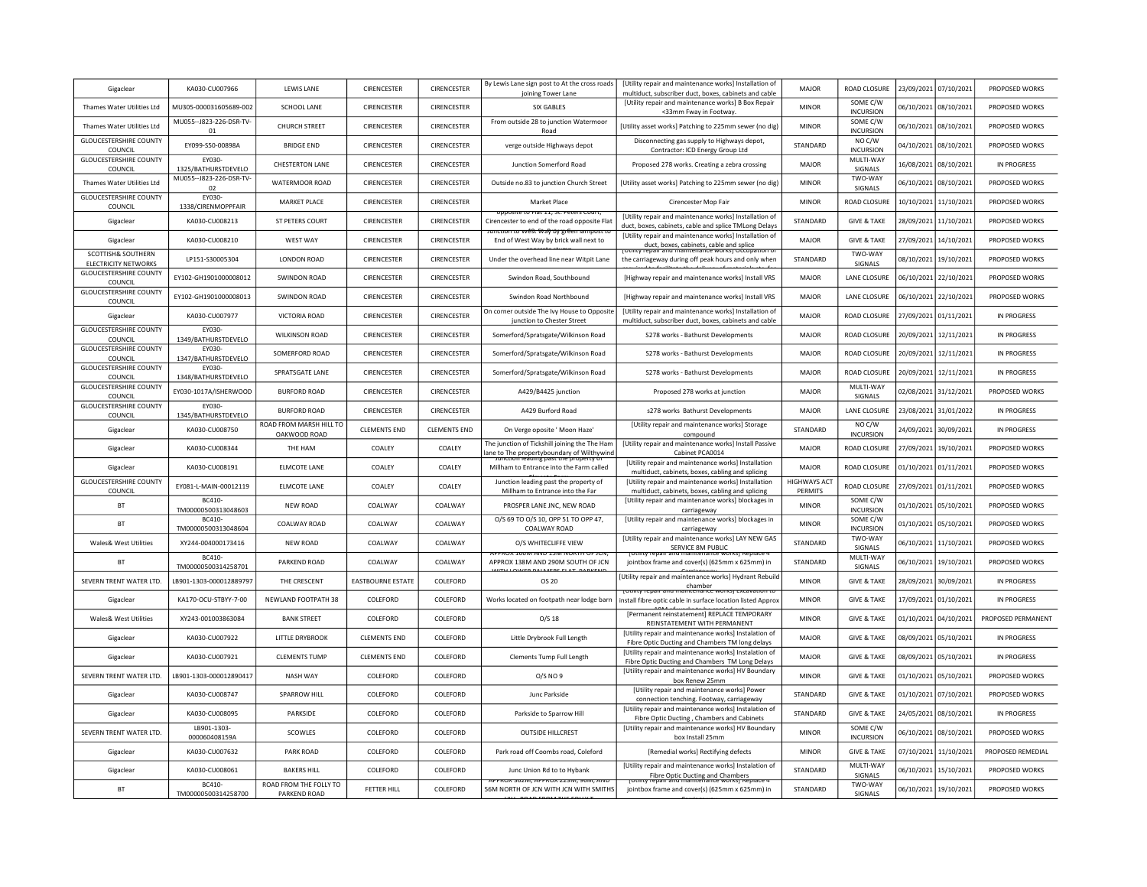| Gigaclear                                         | KA030-CU007966                | LEWIS LANE                              | CIRENCESTER              | CIRENCESTER         | By Lewis Lane sign post to At the cross roads<br>joining Tower Lane                         | [Utility repair and maintenance works] Installation of<br>multiduct, subscriber duct, boxes, cabinets and cable       | MAJOR                          | <b>ROAD CLOSURE</b>          |            | 23/09/2021 07/10/2021 | PROPOSED WORKS     |
|---------------------------------------------------|-------------------------------|-----------------------------------------|--------------------------|---------------------|---------------------------------------------------------------------------------------------|-----------------------------------------------------------------------------------------------------------------------|--------------------------------|------------------------------|------------|-----------------------|--------------------|
| Thames Water Utilities Ltd                        | MU305-000031605689-002        | SCHOOL LANE                             | CIRENCESTER              | CIRENCESTER         | SIX GABLES                                                                                  | [Utility repair and maintenance works] B Box Repair<br><33mm Fway in Footway.                                         | <b>MINOR</b>                   | SOME C/W<br>INCURSION        |            | 06/10/2021 08/10/2021 | PROPOSED WORKS     |
| Thames Water Utilities Itd                        | MU055--J823-226-DSR-TV-<br>01 | CHURCH STREET                           | CIRENCESTER              | <b>CIRENCESTER</b>  | From outside 28 to junction Watermoor<br>Road                                               | [Utility asset works] Patching to 225mm sewer (no dig)                                                                | <b>MINOR</b>                   | SOME C/W<br><b>INCURSION</b> | 06/10/2021 | 08/10/2021            | PROPOSED WORKS     |
| <b>GLOUCESTERSHIRE COUNTY</b><br>COUNCIL          | EY099-S50-00898A              | <b>BRIDGE END</b>                       | CIRENCESTER              | CIRENCESTER         | verge outside Highways depot                                                                | Disconnecting gas supply to Highways depot,<br>Contractor: ICD Energy Group Ltd                                       | STANDARD                       | NO C/W<br><b>INCURSION</b>   | 04/10/2021 | 08/10/2021            | PROPOSED WORKS     |
| <b>GLOUCESTERSHIRE COUNTY</b><br>COUNCIL          | EY030-<br>1325/BATHURSTDEVELO | <b>CHESTERTON LANE</b>                  | CIRENCESTER              | CIRENCESTER         | Junction Somerford Road                                                                     | Proposed 278 works. Creating a zebra crossing                                                                         | MAIOR                          | MULTI-WAY<br>SIGNALS         | 16/08/2021 | 08/10/2021            | IN PROGRESS        |
| Thames Water Utilities Ltd                        | MU055--J823-226-DSR-TV-<br>02 | WATERMOOR ROAD                          | CIRENCESTER              | CIRENCESTER         | Outside no.83 to junction Church Street                                                     | [Utility asset works] Patching to 225mm sewer (no dig)                                                                | <b>MINOR</b>                   | TWO-WAY<br>SIGNALS           | 06/10/2021 | 08/10/2021            | PROPOSED WORKS     |
| <b>GLOUCESTERSHIRE COUNTY</b><br>COUNCIL          | EY030-<br>1338/CIRENMOPPFAIR  | MARKET PLACE                            | CIRENCESTER              | CIRENCESTER         | Market Place                                                                                | Cirencester Mop Fair                                                                                                  | <b>MINOR</b>                   | ROAD CLOSURE                 | 10/10/2021 | 11/10/2021            | PROPOSED WORKS     |
| Gigaclear                                         | KA030-CU008213                | <b>ST PETERS COURT</b>                  | CIRENCESTER              | CIRENCESTER         | opposite to mat 11, St. Peters court<br>Cirencester to end of the road opposite Flat        | [Utility repair and maintenance works] Installation of<br>duct, boxes, cabinets, cable and splice TMLong Delays       | STANDARD                       | <b>GIVE &amp; TAKE</b>       | 28/09/2021 | 11/10/2021            | PROPOSED WORKS     |
| Gigaclear                                         | KA030-CU008210                | WFST WAY                                | CIRENCESTER              | CIRENCESTER         | iction to wêSt Vray dy grêen iampost to<br>End of West Way by brick wall next to            | [Utility repair and maintenance works] Installation of<br>duct, boxes, cabinets, cable and splice                     | MAIOR                          | <b>GIVE &amp; TAKE</b>       |            | 27/09/2021 14/10/2021 | PROPOSED WORKS     |
| SCOTTISH& SOUTHERN<br><b>ELECTRICITY NETWORKS</b> | LP151-S30005304               | <b>LONDON ROAD</b>                      | CIRENCESTER              | CIRENCESTER         | Under the overhead line near Witpit Lane                                                    | the carriageway during off peak hours and only when                                                                   | STANDARD                       | TWO-WAY<br>SIGNALS           |            | 08/10/2021 19/10/2021 | PROPOSED WORKS     |
| <b>GLOUCESTERSHIRE COUNTY</b><br>COUNCIL          | EY102-GH1901000008012         | SWINDON ROAD                            | CIRENCESTER              | CIRENCESTER         | Swindon Road, Southbound                                                                    | [Highway repair and maintenance works] Install VRS                                                                    | MAJOR                          | <b>LANE CLOSURE</b>          | 06/10/2021 | 22/10/2021            | PROPOSED WORKS     |
| <b>GLOUCESTERSHIRE COUNTY</b><br>COUNCIL          | EY102-GH1901000008013         | SWINDON ROAD                            | CIRENCESTER              | CIRENCESTER         | Swindon Road Northbound                                                                     | [Highway repair and maintenance works] Install VRS                                                                    | MAJOR                          | LANE CLOSURE                 | 06/10/2021 | 22/10/2021            | PROPOSED WORKS     |
| Gigaclear                                         | KA030-CU007977                | <b>VICTORIA ROAD</b>                    | <b>CIRENCESTER</b>       | CIRENCESTER         | On corner outside The Ivy House to Opposite<br>junction to Chester Street                   | [Utility repair and maintenance works] Installation of<br>multiduct, subscriber duct, boxes, cabinets and cable       | MAJOR                          | ROAD CLOSURE                 |            | 27/09/2021 01/11/2021 | <b>IN PROGRESS</b> |
| <b>GLOUCESTERSHIRE COUNTY</b><br>COUNCIL          | EY030-<br>1349/BATHURSTDEVELO | <b>WILKINSON ROAD</b>                   | CIRENCESTER              | CIRENCESTER         | Somerford/Spratsgate/Wilkinson Road                                                         | S278 works - Bathurst Developments                                                                                    | MAJOR                          | ROAD CLOSURE                 | 20/09/2021 | 12/11/2021            | <b>IN PROGRESS</b> |
| <b>GLOUCESTERSHIRE COUNTY</b><br>COUNCIL          | FY030-<br>1347/BATHURSTDEVELO | SOMERFORD ROAD                          | CIRENCESTER              | CIRENCESTER         | Somerford/Spratsgate/Wilkinson Road                                                         | S278 works - Bathurst Developments                                                                                    | MAIOR                          | <b>ROAD CLOSURE</b>          | 20/09/2021 | 12/11/2021            | <b>IN PROGRESS</b> |
| <b>GLOUCESTERSHIRE COUNTY</b><br>COUNCIL          | EY030-<br>1348/BATHURSTDEVELO | SPRATSGATE LANE                         | CIRENCESTER              | CIRENCESTER         | Somerford/Spratsgate/Wilkinson Road                                                         | S278 works - Bathurst Developments                                                                                    | MAJOR                          | <b>ROAD CLOSURE</b>          | 20/09/2021 | 12/11/2021            | <b>IN PROGRESS</b> |
| <b>GLOUCESTERSHIRE COUNTY</b><br>COUNCIL          | EY030-1017A/ISHERWOOD         | <b>BURFORD ROAD</b>                     | CIRENCESTER              | CIRENCESTER         | A429/B4425 junction                                                                         | Proposed 278 works at junction                                                                                        | MAJOR                          | MULTI-WAY<br>SIGNALS         | 02/08/2021 | 31/12/2021            | PROPOSED WORKS     |
| <b>GLOUCESTERSHIRE COUNTY</b><br>COUNCIL          | EY030-<br>1345/BATHURSTDEVELO | <b>BURFORD ROAD</b>                     | CIRENCESTER              | CIRENCESTER         | A429 Burford Road                                                                           | s278 works Bathurst Developments                                                                                      | MAJOR                          | <b>LANE CLOSURE</b>          | 23/08/2021 | 31/01/2022            | IN PROGRESS        |
| Gigaclear                                         | KA030-CU008750                | ROAD FROM MARSH HILL TO<br>OAKWOOD ROAD | <b>CLEMENTS END</b>      | <b>CLEMENTS END</b> | On Verge oposite ' Moon Haze'                                                               | [Utility repair and maintenance works] Storage<br>compound                                                            | STANDARD                       | NO C/W<br><b>INCURSION</b>   | 24/09/2021 | 30/09/2021            | IN PROGRESS        |
| Gigaclear                                         | KA030-CU008344                | THE HAM                                 | COALEY                   | COALEY              | The junction of Tickshill joining the The Ham<br>lane to The propertyboundary of Wilthywind | [Utility repair and maintenance works] Install Passive<br>Cabinet PCA0014                                             | MAJOR                          | <b>ROAD CLOSURE</b>          | 27/09/2021 | 19/10/2021            | PROPOSED WORKS     |
| Gigaclear                                         | KA030-CU008191                | ELMCOTE LANE                            | COALEY                   | COALEY              | Millham to Entrance into the Farm called                                                    | [Utility repair and maintenance works] Installation<br>multiduct, cabinets, boxes, cabling and splicing               | MAJOR                          | ROAD CLOSURE                 |            | 01/10/2021 01/11/2021 | PROPOSED WORKS     |
| <b>GLOUCESTERSHIRE COUNTY</b><br>COUNCIL          | EY081-L-MAIN-00012119         | <b>ELMCOTE LANE</b>                     | COALEY                   | COALEY              | Junction leading past the property of<br>Millham to Entrance into the Far                   | <b>IUtility repair and maintenance works] Installation</b><br>multiduct, cabinets, boxes, cabling and splicing        | <b>HIGHWAYS ACT</b><br>PERMITS | ROAD CLOSURE                 |            | 27/09/2021 01/11/2021 | PROPOSED WORKS     |
| BT                                                | BC410-<br>TM00000500313048603 | <b>NEW ROAD</b>                         | COALWAY                  | COALWAY             | PROSPER LANE JNC, NEW ROAD                                                                  | [Utility repair and maintenance works] blockages in<br>carriageway                                                    | <b>MINOR</b>                   | SOME C/W<br><b>INCURSION</b> | 01/10/2021 | 05/10/2021            | PROPOSED WORKS     |
| $\mathsf{BT}$                                     | BC410-<br>TM00000500313048604 | COALWAY ROAD                            | COALWAY                  | COALWAY             | O/S 69 TO O/S 10, OPP 51 TO OPP 47,<br>COALWAY ROAD                                         | [Utility repair and maintenance works] blockages in<br>carriageway                                                    | <b>MINOR</b>                   | SOME C/W<br><b>INCURSION</b> | 01/10/2021 | 05/10/2021            | PROPOSED WORKS     |
| Wales& West Utilities                             | XY244-004000173416            | <b>NEW ROAD</b>                         | COALWAY                  | COALWAY             | O/S WHITECLIFFE VIEW<br>, אוטניזיטי חזיאטאי ואוכבי שאוא ואוסטביגטאי                         | [Utility repair and maintenance works] LAY NEW GAS<br>SERVICE 8M PUBLIC<br><u>totility repair and maintenance wor</u> | STANDARD                       | TWO-WAY<br>SIGNALS           | 06/10/2021 | 11/10/2021            | PROPOSED WORKS     |
| <b>BT</b>                                         | BC410-<br>TM00000500314258701 | PARKEND ROAD                            | COALWAY                  | COALWAY             | APPROX 138M AND 290M SOUTH OF JCN                                                           | jointbox frame and cover(s) (625mm x 625mm) in                                                                        | STANDARD                       | MULTI-WAY<br>SIGNALS         | 06/10/2021 | 19/10/2021            | PROPOSED WORKS     |
| SEVERN TRENT WATER LTD.                           | LB901-1303-000012889797       | THE CRESCENT                            | <b>EASTBOURNE ESTATE</b> | COLEFORD            | OS <sub>20</sub>                                                                            | [Utility repair and maintenance works] Hydrant Rebuild<br>chamber<br><b>TRUE WURNT ALOVALD</b>                        | <b>MINOR</b>                   | <b>GIVE &amp; TAKE</b>       | 28/09/2021 | 30/09/2021            | IN PROGRESS        |
| Gigaclear                                         | KA170-OCU-STBYY-7-00          | NEWLAND FOOTPATH 38                     | COLEFORD                 | COLEFORD            | Works located on footpath near lodge barn                                                   | install fibre optic cable in surface location listed Approx                                                           | <b>MINOR</b>                   | <b>GIVE &amp; TAKE</b>       | 17/09/2021 | 01/10/2021            | <b>IN PROGRESS</b> |
| Wales& West Utilities                             | XY243-001003863084            | <b>BANK STREET</b>                      | COLEFORD                 | COLEFORD            | $O/S$ 18                                                                                    | [Permanent reinstatement] REPLACE TEMPORARY<br>REINSTATEMENT WITH PERMANENT                                           | <b>MINOR</b>                   | <b>GIVE &amp; TAKE</b>       | 01/10/2021 | 04/10/2021            | PROPOSED PERMANENT |
| Gigaclear                                         | KA030-CU007922                | LITTLE DRYBROOK                         | <b>CLEMENTS END</b>      | COLEFORD            | Little Drybrook Full Length                                                                 | [Utility repair and maintenance works] Instalation of<br>Fibre Optic Ducting and Chambers TM long delays              | MAJOR                          | <b>GIVE &amp; TAKE</b>       | 08/09/2021 | 05/10/2021            | <b>IN PROGRESS</b> |
| Gigaclear                                         | KA030-CU007921                | <b>CLEMENTS TUMP</b>                    | <b>CLEMENTS END</b>      | COLEFORD            | Clements Tump Full Length                                                                   | [Utility repair and maintenance works] Instalation of<br>Fibre Optic Ducting and Chambers TM Long Delays              | MAJOR                          | <b>GIVE &amp; TAKE</b>       |            | 08/09/2021 05/10/2021 | <b>IN PROGRESS</b> |
| SEVERN TRENT WATER LTD.                           | LB901-1303-000012890417       | <b>NASH WAY</b>                         | COLEFORD                 | COLEFORD            | 0/S NO 9                                                                                    | [Utility repair and maintenance works] HV Boundary<br>box Renew 25mm                                                  | <b>MINOR</b>                   | <b>GIVE &amp; TAKE</b>       |            | 01/10/2021 05/10/2021 | PROPOSED WORKS     |
| Gigaclear                                         | KA030-CU008747                | SPARROW HILL                            | COLEFORD                 | COLEFORD            | Junc Parkside                                                                               | <b>IUtility repair and maintenance works] Power</b><br>connection tenching. Footway, carriageway                      | STANDARD                       | <b>GIVE &amp; TAKE</b>       |            | 01/10/2021 07/10/2021 | PROPOSED WORKS     |
| Gigaclear                                         | KA030-CU008095                | PARKSIDE                                | COLEFORD                 | COLEFORD            | Parkside to Sparrow Hill                                                                    | [Utility repair and maintenance works] Instalation of<br>Fibre Optic Ducting, Chambers and Cabinets                   | STANDARD                       | <b>GIVE &amp; TAKE</b>       |            | 24/05/2021 08/10/2021 | <b>IN PROGRESS</b> |
| SEVERN TRENT WATER LTD.                           | LB901-1303-<br>000060408159A  | SCOWLES                                 | COLEFORD                 | COLEFORD            | <b>OUTSIDE HILLCREST</b>                                                                    | [Utility repair and maintenance works] HV Boundary<br>box Install 25mm                                                | <b>MINOR</b>                   | SOME C/W<br>INCURSION        | 06/10/2021 | 08/10/2021            | PROPOSED WORKS     |
| Gigaclear                                         | KA030-CU007632                | PARK ROAD                               | COLEFORD                 | COLEFORD            | Park road off Coombs road, Coleford                                                         | [Remedial works] Rectifying defects                                                                                   | <b>MINOR</b>                   | <b>GIVE &amp; TAKE</b>       |            | 07/10/2021 11/10/2021 | PROPOSED REMEDIAL  |
| Gigaclear                                         | KA030-CU008061                | <b>BAKERS HILL</b>                      | COLEFORD                 | COLEFORD            | Junc Union Rd to to Hybank<br>.<br>דושב זואוכג בגעה אטח זאט אטח                             | [Utility repair and maintenance works] Instalation of<br>Fibre Optic Ducting and Chambers                             | STANDARD                       | MULTI-WAY<br><b>SIGNALS</b>  | 06/10/2021 | 15/10/2021            | PROPOSED WORKS     |
| <b>BT</b>                                         | BC410-<br>TM00000500314258700 | ROAD FROM THE FOLLY TO<br>PARKEND ROAD  | FETTER HILL              | COLEFORD            | 56M NORTH OF JCN WITH JCN WITH SMITHS                                                       | jointbox frame and cover(s) (625mm x 625mm) in                                                                        | STANDARD                       | TWO-WAY<br><b>SIGNALS</b>    |            | 06/10/2021 19/10/2021 | PROPOSED WORKS     |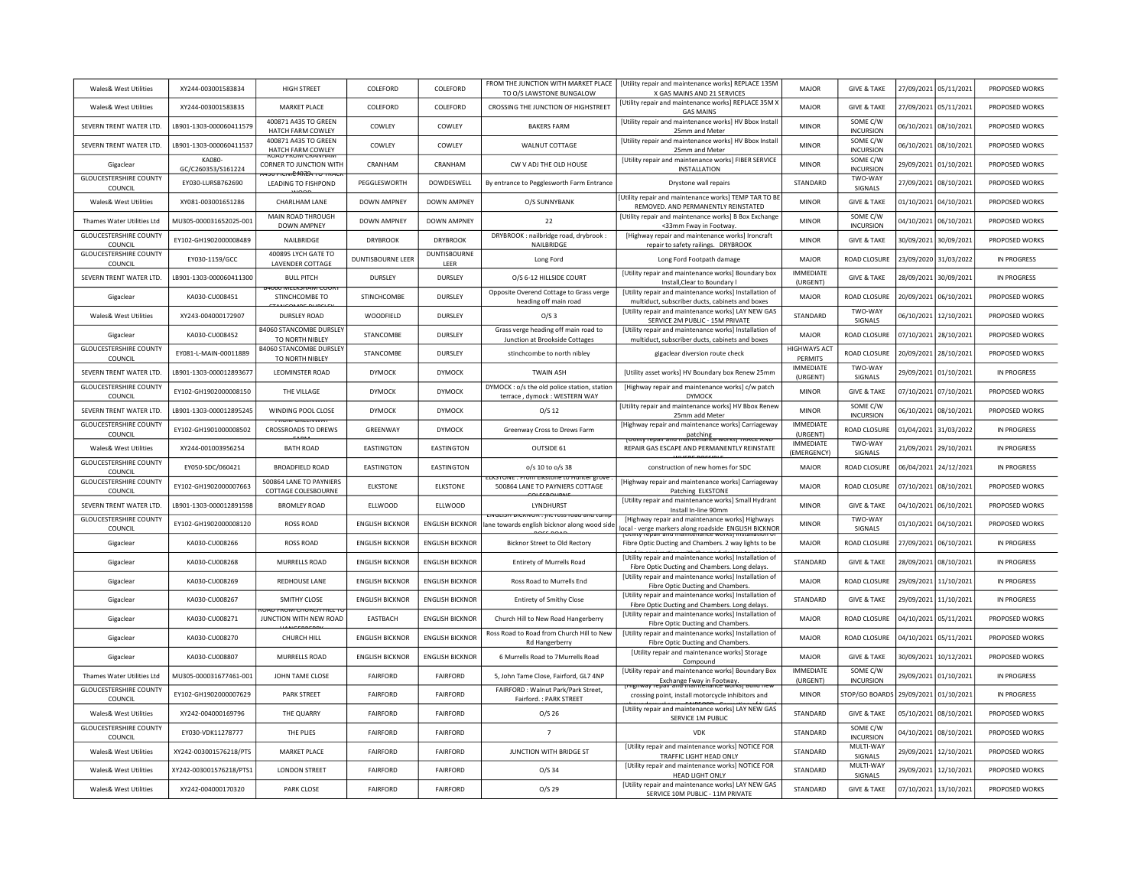| Wales& West Utilities                           | XY244-003001583834           | <b>HIGH STREET</b>                                                | COLEFORD               | COLEFORD               | FROM THE JUNCTION WITH MARKET PLACE<br>TO O/S LAWSTONE BUNGALOW             | [Utility repair and maintenance works] REPLACE 135M<br>X GAS MAINS AND 21 SERVICES                                                            | MAIOR                        | <b>GIVE &amp; TAKE</b>            | 27/09/2021            | 05/11/2021 | PROPOSED WORKS     |
|-------------------------------------------------|------------------------------|-------------------------------------------------------------------|------------------------|------------------------|-----------------------------------------------------------------------------|-----------------------------------------------------------------------------------------------------------------------------------------------|------------------------------|-----------------------------------|-----------------------|------------|--------------------|
| Wales& West Utilities                           | XY244-003001583835           | MARKET PLACE                                                      | COLEFORD               | COLEFORD               | CROSSING THE JUNCTION OF HIGHSTREET                                         | [Utility repair and maintenance works] REPLACE 35M X<br><b>GAS MAINS</b>                                                                      | MAJOR                        | <b>GIVE &amp; TAKE</b>            | 27/09/2021            | 05/11/2021 | PROPOSED WORKS     |
| SEVERN TRENT WATER LTD.                         | LB901-1303-000060411579      | 400871 A435 TO GREEN<br>HATCH FARM COWLEY                         | COWLEY                 | COWLEY                 | <b>BAKERS FARM</b>                                                          | [Utility repair and maintenance works] HV Bbox Install<br>25mm and Meter                                                                      | <b>MINOR</b>                 | SOME C/W<br><b>INCURSION</b>      | 06/10/2021            | 08/10/2021 | PROPOSED WORKS     |
| SEVERN TRENT WATER LTD.                         | LB901-1303-000060411537      | 400871 A435 TO GREEN<br>HATCH FARM COWLEY                         | COWLEY                 | COWLEY                 | WALNUT COTTAGE                                                              | [Utility repair and maintenance works] HV Bbox Install<br>25mm and Meter                                                                      | <b>MINOR</b>                 | SOME C/W<br><b>INCURSION</b>      | 06/10/2021            | 08/10/2021 | PROPOSED WORKS     |
| Gigaclear                                       | KA080-<br>GC/C260353/S161224 | CORNER TO JUNCTION WITH                                           | CRANHAM                | CRANHAM                | CW V ADJ THE OLD HOUSE                                                      | [Utility repair and maintenance works] FIBER SERVICE<br>INSTALLATION                                                                          | <b>MINOR</b>                 | SOME C/W<br><b>INCURSION</b>      | 29/09/2021            | 01/10/2021 | PROPOSED WORKS     |
| <b>GLOUCESTERSHIRE COUNTY</b><br>COUNCIL        | EY030-LURSB762690            | <del>450 PILIVIC ARTA IU IRAL</del><br><b>LEADING TO FISHPOND</b> | PEGGLESWORTH           | DOWDESWELL             | By entrance to Pegglesworth Farm Entrance                                   | Drystone wall repairs                                                                                                                         | STANDARD                     | TWO-WAY<br>SIGNALS                | 27/09/2021            | 08/10/2021 | PROPOSED WORKS     |
| Wales& West Utilities                           | XY081-003001651286           | CHARLHAM LANE                                                     | DOWN AMPNEY            | <b>DOWN AMPNEY</b>     | O/S SUNNYBANK                                                               | Utility repair and maintenance works] TEMP TAR TO BE<br>REMOVED. AND PERMANENTLY REINSTATED                                                   | <b>MINOR</b>                 | <b>GIVE &amp; TAKE</b>            | 01/10/2021            | 04/10/2021 | PROPOSED WORKS     |
| Thames Water Utilities Ltd                      | MU305-000031652025-001       | MAIN ROAD THROUGH<br>DOWN AMPNEY                                  | <b>DOWN AMPNEY</b>     | DOWN AMPNEY            | 22                                                                          | [Utility repair and maintenance works] B Box Exchange<br><33mm Fway in Footway                                                                | <b>MINOR</b>                 | SOME C/W<br><b>INCURSION</b>      | 04/10/2021            | 06/10/202  | PROPOSED WORKS     |
| <b>GLOUCESTERSHIRE COUNTY</b><br>COUNCIL        | EY102-GH1902000008489        | NAILBRIDGE                                                        | <b>DRYBROOK</b>        | <b>DRYBROOK</b>        | DRYBROOK : nailbridge road, drybrook :<br>NAILBRIDGE                        | [Highway repair and maintenance works] Ironcraft<br>repair to safety railings. DRYBROOK                                                       | <b>MINOR</b>                 | <b>GIVE &amp; TAKE</b>            | 30/09/2021            | 30/09/2021 | PROPOSED WORKS     |
| <b>GLOUCESTERSHIRE COUNTY</b><br><b>COUNCIL</b> | EY030-1159/GCC               | 400895 LYCH GATE TO<br>LAVENDER COTTAGE                           | DUNTISBOURNE LEEF      | DUNTISBOURNE<br>LEER   | Long Ford                                                                   | Long Ford Footpath damage                                                                                                                     | MAJOR                        | ROAD CLOSURE                      | 23/09/2020 31/03/2022 |            | <b>IN PROGRESS</b> |
| SEVERN TRENT WATER LTD.                         | LB901-1303-000060411300      | <b>BULL PITCH</b>                                                 | DURSLEY                | DURSLEY                | O/S 6-12 HILLSIDE COURT                                                     | [Utility repair and maintenance works] Boundary box<br>Install Clear to Boundary                                                              | <b>IMMEDIATE</b><br>(URGENT) | <b>GIVE &amp; TAKE</b>            | 28/09/2021 30/09/2021 |            | IN PROGRESS        |
| Gigaclear                                       | KA030-CU008451               | STINCHCOMBE TO                                                    | STINCHCOMBE            | DURSLEY                | Opposite Overend Cottage to Grass verge<br>heading off main road            | [Utility repair and maintenance works] Installation of<br>multiduct, subscriber ducts, cabinets and boxes                                     | MAJOR                        | ROAD CLOSURE                      | 20/09/2021 06/10/2021 |            | PROPOSED WORKS     |
| Wales& West Utilities                           | XY243-004000172907           | <b>DURSLEY ROAD</b>                                               | WOODFIELD              | <b>DURSLEY</b>         | O/S <sub>3</sub>                                                            | [Utility repair and maintenance works] LAY NEW GAS<br>SERVICE 2M PUBLIC - 15M PRIVATE                                                         | STANDARD                     | TWO-WAY<br>SIGNALS                | 06/10/2021            | 12/10/2021 | PROPOSED WORKS     |
| Gigaclear                                       | KA030-CU008452               | <b>B4060 STANCOMBE DURSLEY</b><br>TO NORTH NIBLEY                 | STANCOMBE              | <b>DURSLEY</b>         | Grass verge heading off main road to<br>Junction at Brookside Cottages      | [Utility repair and maintenance works] Installation of<br>multiduct, subscriber ducts, cabinets and boxes                                     | MAJOR                        | ROAD CLOSURE                      | 07/10/2021            | 28/10/202  | PROPOSED WORKS     |
| <b>GLOUCESTERSHIRE COUNTY</b><br>COUNCIL        | EY081-L-MAIN-00011889        | <b>B4060 STANCOMBE DURSLEY</b><br>TO NORTH NIBLEY                 | STANCOMBE              | DURSLEY                | stinchcombe to north nibley                                                 | gigaclear diversion route check                                                                                                               | HIGHWAYS ACT<br>PERMITS      | ROAD CLOSURE                      | 20/09/2021            | 28/10/2021 | PROPOSED WORKS     |
| SEVERN TRENT WATER LTD.                         | LB901-1303-000012893677      | LEOMINSTER ROAD                                                   | DYMOCK                 | <b>DYMOCK</b>          | <b>TWAIN ASH</b>                                                            | [Utility asset works] HV Boundary box Renew 25mm                                                                                              | IMMEDIATE<br>(URGENT)        | TWO-WAY<br>SIGNALS                | 29/09/2021            | 01/10/2021 | <b>IN PROGRESS</b> |
| <b>GLOUCESTERSHIRE COUNTY</b><br>COUNCIL        | EY102-GH1902000008150        | THE VILLAGE                                                       | DYMOCK                 | <b>DYMOCK</b>          | DYMOCK: o/s the old police station, station<br>terrace, dymock: WESTERN WAY | [Highway repair and maintenance works] c/w patch<br><b>DYMOCK</b>                                                                             | <b>MINOR</b>                 | <b>GIVE &amp; TAKE</b>            | 07/10/2021            | 07/10/2021 | PROPOSED WORKS     |
| SEVERN TRENT WATER LTD.                         | LB901-1303-000012895245      | WINDING POOL CLOSE                                                | <b>DYMOCK</b>          | <b>DYMOCK</b>          | $O/S$ 12                                                                    | [Utility repair and maintenance works] HV Bbox Renew<br>25mm add Meter                                                                        | <b>MINOR</b>                 | SOME C/W<br><b>INCURSION</b>      | 06/10/2021            | 08/10/2021 | PROPOSED WORKS     |
| <b>GLOUCESTERSHIRE COUNTY</b><br>COUNCIL        | EY102-GH1901000008502        | <b>ERUNTGREENWA</b><br><b>CROSSROADS TO DREWS</b>                 | GREENWAY               | <b>DYMOCK</b>          | Greenway Cross to Drews Farm                                                | [Highway repair and maintenance works] Carriageway<br>patching<br>nannenance worksp                                                           | <b>IMMEDIATE</b><br>(URGENT) | ROAD CLOSURE                      | 01/04/2021            | 31/03/2022 | <b>IN PROGRESS</b> |
|                                                 |                              |                                                                   |                        |                        |                                                                             |                                                                                                                                               |                              |                                   |                       |            |                    |
| Wales& West Utilities                           | XY244-001003956254           | <b>BATH ROAD</b>                                                  | EASTINGTON             | <b>EASTINGTON</b>      | OUTSIDE 61                                                                  | REPAIR GAS ESCAPE AND PERMANENTLY REINSTATE                                                                                                   | IMMEDIATE                    | TWO-WAY                           | 21/09/2021            | 29/10/202  | <b>IN PROGRESS</b> |
| <b>GLOUCESTERSHIRE COUNTY</b>                   | EY050-SDC/060421             | <b>BROADFIELD ROAD</b>                                            | EASTINGTON             | EASTINGTON             | o/s 10 to o/s 38                                                            | construction of new homes for SDC                                                                                                             | (EMERGENCY)<br>MAJOR         | SIGNALS<br>ROAD CLOSURE           | 06/04/2021            | 24/12/2021 | <b>IN PROGRESS</b> |
| COUNCIL<br><b>GLOUCESTERSHIRE COUNTY</b>        | EY102-GH1902000007663        | 500864 LANE TO PAYNIERS                                           | <b>ELKSTONE</b>        | <b>ELKSTONE</b>        | 500864 LANE TO PAYNIERS COTTAGE                                             | [Highway repair and maintenance works] Carriageway                                                                                            | <b>MAJOR</b>                 | ROAD CLOSURE                      | 07/10/2021            | 08/10/2021 | PROPOSED WORKS     |
| COUNCIL<br>SEVERN TRENT WATER LTD.              | LB901-1303-000012891598      | COTTAGE COLESBOURNE<br><b>BROMLEY ROAD</b>                        | ELLWOOD                | <b>ELLWOOD</b>         | LYNDHURST                                                                   | Patching ELKSTONE<br>[Utility repair and maintenance works] Small Hydrant                                                                     | <b>MINOR</b>                 | <b>GIVE &amp; TAKE</b>            | 04/10/2021            | 06/10/2021 | PROPOSED WORKS     |
| <b>GLOUCESTERSHIRE COUNTY</b>                   | EY102-GH1902000008120        | <b>ROSS ROAD</b>                                                  | <b>FNGLISH BICKNOR</b> | <b>FNGLISH BICKNOR</b> | lane towards english bicknor along wood side                                | Install In-line 90mm<br>[Highway repair and maintenance works] Highways                                                                       | <b>MINOR</b>                 | TWO-WAY<br><b>SIGNALS</b>         | 01/10/2021            | 04/10/2021 | PROPOSED WORKS     |
| COUNCIL<br>Gigaclear                            | KA030-CU008266               | <b>ROSS ROAD</b>                                                  | <b>ENGLISH BICKNOR</b> | <b>ENGLISH BICKNOR</b> | Bicknor Street to Old Rectory                                               | ocal - verge markers along roadside ENGLISH BICKNOR<br>Fibre Optic Ducting and Chambers. 2 way lights to be                                   | MAJOR                        | ROAD CLOSURE                      | 27/09/2021            | 06/10/2021 | <b>IN PROGRESS</b> |
| Gigaclear                                       | KA030-CU008268               | MURRELLS ROAD                                                     | <b>ENGLISH BICKNOR</b> | <b>ENGLISH BICKNOR</b> | <b>Entirety of Murrells Road</b>                                            | [Utility repair and maintenance works] Installation of                                                                                        | STANDARD                     | <b>GIVE &amp; TAKE</b>            | 28/09/2021            | 08/10/2021 | <b>IN PROGRESS</b> |
| Gigaclear                                       | KA030-CU008269               | <b>REDHOUSE LANE</b>                                              | <b>ENGLISH BICKNOR</b> | <b>ENGLISH BICKNOR</b> | Ross Road to Murrells End                                                   | Fibre Optic Ducting and Chambers. Long delays.<br>[Utility repair and maintenance works] Installation of                                      | MAJOR                        | <b>ROAD CLOSURE</b>               | 29/09/2021            | 11/10/2021 | <b>IN PROGRESS</b> |
| Gigaclear                                       | KA030-CU008267               | SMITHY CLOSE                                                      | <b>ENGLISH BICKNOR</b> | <b>ENGLISH BICKNOR</b> | <b>Entirety of Smithy Close</b>                                             | Fibre Optic Ducting and Chambers.<br>[Utility repair and maintenance works] Installation of                                                   | STANDARD                     | <b>GIVE &amp; TAKE</b>            | 29/09/2021            | 11/10/2021 | <b>IN PROGRESS</b> |
| Gigaclear                                       | KA030-CU008271               | JUNCTION WITH NEW ROAD                                            | EASTBACH               | <b>ENGLISH BICKNOR</b> | Church Hill to New Road Hangerberry                                         | Fibre Optic Ducting and Chambers. Long delays.<br>[Utility repair and maintenance works] Installation of                                      | MAJOR                        | ROAD CLOSURE                      | 04/10/2021            | 05/11/2021 | PROPOSED WORKS     |
| Gigaclear                                       | KA030-CU008270               | CHURCH HILL                                                       | <b>FNGLISH BICKNOR</b> | <b>FNGLISH BICKNOR</b> | Ross Road to Road from Church Hill to New                                   | Fibre Optic Ducting and Chambers.<br>[Utility repair and maintenance works] Installation of                                                   | MAIOR                        | ROAD CLOSURE                      | 04/10/2021            | 05/11/2021 | PROPOSED WORKS     |
| Gigaclear                                       | KA030-CU008807               | MURRELLS ROAD                                                     | <b>ENGLISH BICKNOR</b> | <b>ENGLISH BICKNOR</b> | Rd Hangerberry<br>6 Murrells Road to 7 Murrells Road                        | Fibre Optic Ducting and Chambers.<br>[Utility repair and maintenance works] Storage                                                           | MAJOR                        | <b>GIVE &amp; TAKE</b>            | 30/09/2021            | 10/12/2021 | PROPOSED WORKS     |
| Thames Water Utilities Ltd                      | VIU305-000031677461-001      | JOHN TAME CLOSE                                                   | <b>FAIRFORD</b>        | <b>FAIRFORD</b>        | 5, John Tame Close, Fairford, GL7 4NP                                       | Compound<br>[Utility repair and maintenance works] Boundary Box                                                                               | <b>IMMEDIATE</b>             | SOME C/W                          | 29/09/2021            | 01/10/202  | IN PROGRESS        |
| <b>GLOUCESTERSHIRE COUNTY</b><br>COUNCIL        | EY102-GH1902000007629        | <b>PARK STREET</b>                                                | FAIRFORD               | <b>FAIRFORD</b>        | FAIRFORD: Walnut Park/Park Street,<br>Fairford.: PARK STREET                | .<br>The Footway Hepan and Thannee Tworks<br>אוד המותם דבאומטים המות המות המות המות המות<br>crossing point, install motorcycle inhibitors and | (URGENT)<br><b>MINOR</b>     | <b>INCURSION</b><br>TOP/GO BOARDS | 29/09/2021            | 01/10/202  | <b>IN PROGRESS</b> |
| Wales& West Utilities                           | XY242-004000169796           | THE QUARRY                                                        | FAIRFORD               | <b>FAIRFORD</b>        | $O/S$ 26                                                                    | [Utility repair and maintenance works] LAY NEW GAS<br>SERVICE 1M PUBLIC                                                                       | STANDARD                     | <b>GIVE &amp; TAKE</b>            | 05/10/2021            | 08/10/202  | PROPOSED WORKS     |
| <b>GLOUCESTERSHIRE COUNTY</b><br>COUNCIL        | EY030-VDK11278777            | THE PLIES                                                         | <b>FAIRFORD</b>        | <b>FAIRFORD</b>        | $\overline{7}$                                                              | <b>VDK</b>                                                                                                                                    | STANDARD                     | SOME C/W<br><b>INCURSION</b>      | 04/10/2021            | 08/10/2021 | PROPOSED WORKS     |
| Wales& West Utilities                           | XY242-003001576218/PTS       | MARKET PLACE                                                      | FAIRFORD               | <b>FAIRFORD</b>        | JUNCTION WITH BRIDGE ST                                                     | [Utility repair and maintenance works] NOTICE FOR<br>TRAFFIC LIGHT HEAD ONLY                                                                  | STANDARD                     | MULTI-WAY<br>SIGNALS              | 29/09/2021 12/10/2021 |            | PROPOSED WORKS     |
| Wales& West Utilities                           | XY242-003001576218/PTS1      | <b>LONDON STREET</b>                                              | FAIRFORD               | <b>FAIRFORD</b>        | $O/S$ 34                                                                    | [Utility repair and maintenance works] NOTICE FOR<br>HEAD LIGHT ONLY                                                                          | STANDARD                     | MULTI-WAY<br>SIGNALS              | 29/09/2021            | 12/10/2021 | PROPOSED WORKS     |
| Wales& West Utilities                           | XY242-004000170320           | PARK CLOSE                                                        | <b>FAIRFORD</b>        | <b>FAIRFORD</b>        | $O/S$ 29                                                                    | [Utility repair and maintenance works] LAY NEW GAS<br>SERVICE 10M PUBLIC - 11M PRIVATE                                                        | STANDARD                     | <b>GIVE &amp; TAKE</b>            | 07/10/2021 13/10/2021 |            | PROPOSED WORKS     |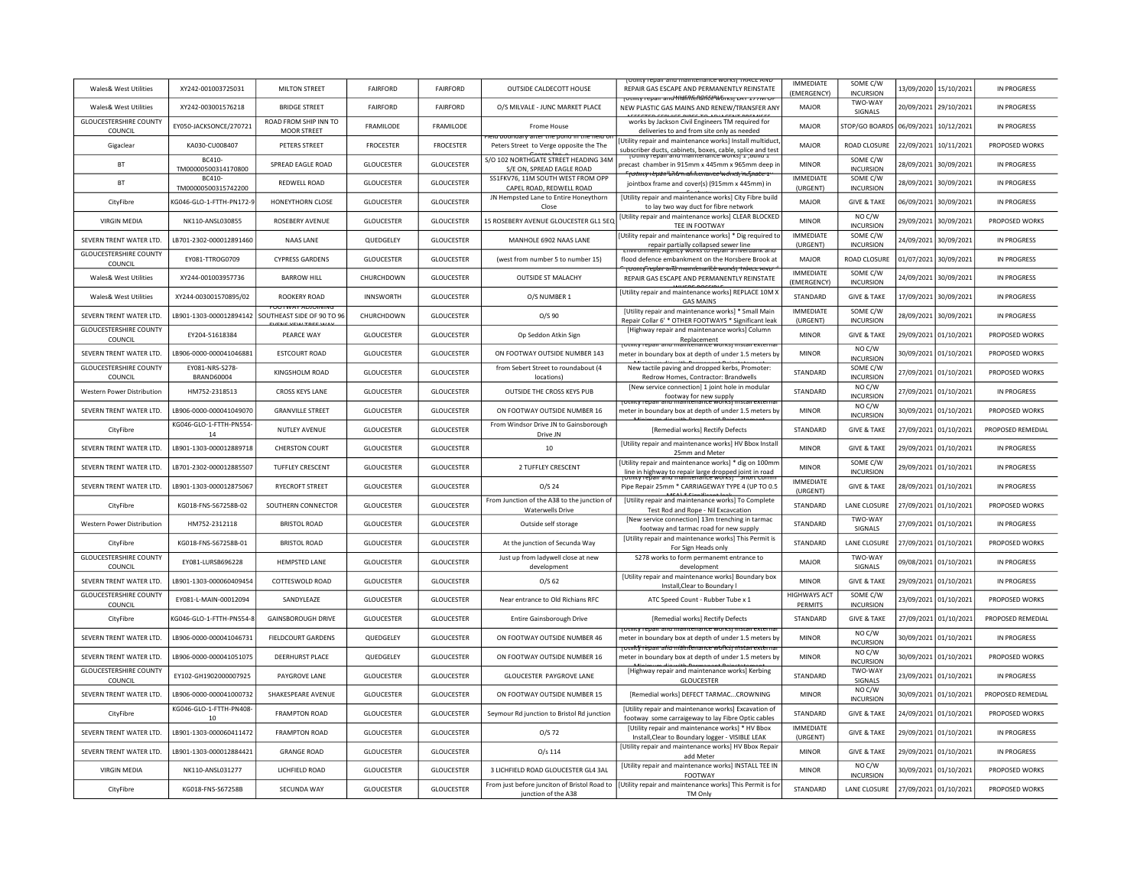| Wales& West Utilities                    | XY242-001003725031                   | MILTON STREET                                      | <b>FAIRFORD</b>   | <b>FAIRFORD</b>   | OUTSIDE CALDECOTT HOUSE                                             | REPAIR GAS ESCAPE AND PERMANENTLY REINSTATE                                                                                                                              | <b>IMMFDIATE</b><br>(EMERGENCY) | SOME C/W<br><b>INCURSION</b> | 13/09/2020 | 15/10/2021 | IN PROGRESS        |
|------------------------------------------|--------------------------------------|----------------------------------------------------|-------------------|-------------------|---------------------------------------------------------------------|--------------------------------------------------------------------------------------------------------------------------------------------------------------------------|---------------------------------|------------------------------|------------|------------|--------------------|
| Wales& West Utilities                    | XY242-003001576218                   | <b>BRIDGE STREET</b>                               | <b>FAIRFORD</b>   | <b>FAIRFORD</b>   | O/S MILVALE - JUNC MARKET PLACE                                     | <del>บแแง repair and Manntenance Worksi LAT 177พ บ</del><br>NEW PLASTIC GAS MAINS AND RENEW/TRANSFER ANY                                                                 | MAJOR                           | TWO-WAY<br>SIGNALS           | 20/09/2021 | 29/10/2021 | <b>IN PROGRESS</b> |
| <b>GLOUCESTERSHIRE COUNTY</b><br>COUNCIL | EY050-JACKSONCE/270721               | ROAD FROM SHIP INN TO<br>MOOR STREET               | FRAMILODE         | FRAMILODE         | Frome House                                                         | works by Jackson Civil Engineers TM required for<br>deliveries to and from site only as needed                                                                           | MAJOR                           | STOP/GO BOARDS               | 06/09/2021 | 10/12/2021 | <b>IN PROGRESS</b> |
| Gigaclear                                | KA030-CU008407                       | PETERS STREET                                      | <b>FROCESTER</b>  | <b>FROCESTER</b>  | ciu pounuary artch<br>Peters Street to Verge opposite the The       | [Utility repair and maintenance works] Install multiduct                                                                                                                 | MAJOR                           | ROAD CLOSURE                 | 22/09/2021 | 10/11/2021 | PROPOSED WORKS     |
| <b>BT</b>                                | BC410-<br>TM00000500314170800        | SPREAD EAGLE ROAD                                  | GLOUCESTER        | <b>GLOUCESTER</b> | S/O 102 NORTHGATE STREET HEADING 34M<br>S/E ON, SPREAD EAGLE ROAD   | subscriber ducts, cabinets, boxes, cable, splice and test<br>to the product and manufacturing the works of a young a<br>precast chamber in 915mm x 445mm x 965mm deep in | <b>MINOR</b>                    | SOME C/W<br><b>INCURSION</b> | 28/09/2021 | 30/09/2021 | <b>IN PROGRESS</b> |
| <b>BT</b>                                | BC410-<br>TM00000500315742200        | <b>REDWELL ROAD</b>                                | <b>GLOUCESTER</b> | <b>GLOUCESTER</b> | SS1FKV76, 11M SOUTH WEST FROM OPP<br>CAPEL ROAD, REDWELL ROAD       | <del>טלוווגץ repan'ano mafiftenance works) kepiace 1</del><br>jointbox frame and cover(s) (915mm x 445mm) in                                                             | <b>IMMEDIATE</b><br>(URGENT)    | SOME C/W<br><b>INCURSION</b> | 28/09/2021 | 30/09/2021 | IN PROGRESS        |
| CityFibre                                | KG046-GLO-1-FTTH-PN172-9             | <b>HONEYTHORN CLOSE</b>                            | <b>GLOUCESTER</b> | <b>GLOUCESTER</b> | JN Hempsted Lane to Entire Honeythorn<br>Close                      | [Utility repair and maintenance works] City Fibre build<br>to lay two way duct for fibre network                                                                         | MAJOR                           | <b>GIVE &amp; TAKE</b>       | 06/09/2021 | 30/09/2021 | <b>IN PROGRESS</b> |
| <b>VIRGIN MEDIA</b>                      | NK110-ANSL030855                     | ROSEBERY AVENUE                                    | <b>GLOUCESTER</b> | <b>GLOUCESTER</b> | 15 ROSEBERY AVENUE GLOUCESTER GL1 5EQ                               | [Utility repair and maintenance works] CLEAR BLOCKED<br>TEE IN FOOTWAY                                                                                                   | <b>MINOR</b>                    | NO C/W<br><b>INCURSION</b>   | 29/09/2021 | 30/09/2021 | PROPOSED WORKS     |
| SEVERN TRENT WATER LTD.                  | LB701-2302-000012891460              | <b>NAAS LANE</b>                                   | QUEDGELEY         | <b>GLOUCESTER</b> | MANHOLE 6902 NAAS LANE                                              | [Utility repair and maintenance works] * Dig required to                                                                                                                 | IMMEDIATE<br>(URGENT)           | SOME C/W<br><b>INCURSION</b> | 24/09/2021 | 30/09/2021 | <b>IN PROGRESS</b> |
| <b>GLOUCESTERSHIRE COUNTY</b><br>COUNCIL | EY081-TTROG0709                      | <b>CYPRESS GARDENS</b>                             | <b>GLOUCESTER</b> | <b>GLOUCESTER</b> | (west from number 5 to number 15)                                   | repair partially collapsed sewer line<br>ment Agency works to repair a nverbank and<br>flood defence embankment on the Horsbere Brook at                                 | MAJOR                           | ROAD CLOSURE                 | 01/07/2021 | 30/09/2021 | <b>IN PROGRESS</b> |
| Wales& West Utilities                    | XY244-001003957736                   | <b>BARROW HILL</b>                                 | CHURCHDOWN        | GLOUCESTER        | <b>OUTSIDE ST MALACHY</b>                                           | ⊤छतातर∕ redan and mamdenarice works। †ार्ट्सट सार¤<br>REPAIR GAS ESCAPE AND PERMANENTLY REINSTATE                                                                        | <b>IMMFDIATE</b><br>(EMERGENCY) | SOME C/W<br><b>INCURSION</b> | 24/09/2021 | 30/09/2021 | <b>IN PROGRESS</b> |
| Wales& West Utilities                    | XY244-003001570895/02                | ROOKERY ROAD                                       | <b>INNSWORTH</b>  | GLOUCESTER        | O/S NUMBER 1                                                        | [Utility repair and maintenance works] REPLACE 10M ><br><b>GAS MAINS</b>                                                                                                 | STANDARD                        | <b>GIVE &amp; TAKE</b>       | 17/09/2021 | 30/09/2021 | <b>IN PROGRESS</b> |
| SEVERN TRENT WATER LTD.                  |                                      | LB901-1303-000012894142 SOUTHEAST SIDE OF 90 TO 96 | CHURCHDOWN        | <b>GLOUCESTER</b> | $O/S$ 90                                                            | [Utility repair and maintenance works] * Small Main<br>Repair Collar 6' * OTHER FOOTWAYS * Significant leak                                                              | <b>IMMFDIATE</b><br>(URGENT)    | SOME C/W<br><b>INCURSION</b> | 28/09/2021 | 30/09/2021 | <b>IN PROGRESS</b> |
| <b>GLOUCESTERSHIRE COUNTY</b><br>COUNCIL | EY204-51618384                       | <b>PEARCE WAY</b>                                  | GLOUCESTER        | <b>GLOUCESTER</b> | Op Seddon Atkin Sign                                                | [Highway repair and maintenance works] Column<br>Replacement                                                                                                             | <b>MINOR</b>                    | <b>GIVE &amp; TAKE</b>       | 29/09/2021 | 01/10/2021 | PROPOSED WORKS     |
| SEVERN TRENT WATER LTD.                  | LB906-0000-000041046881              | <b>ESTCOURT ROAD</b>                               | <b>GLOUCESTER</b> | <b>GLOUCESTER</b> | ON FOOTWAY OUTSIDE NUMBER 143                                       | nance worksi<br>meter in boundary box at depth of under 1.5 meters by                                                                                                    | <b>MINOR</b>                    | NO C/W<br><b>INCURSION</b>   | 30/09/2021 | 01/10/2021 | PROPOSED WORKS     |
| <b>GLOUCESTERSHIRE COUNTY</b><br>COUNCIL | EY081-NRS-S278-<br><b>BRAND60004</b> | KINGSHOLM ROAD                                     | <b>GLOUCESTER</b> | GLOUCESTER        | from Sebert Street to roundabout (4<br>locations)                   | New tactile paving and dropped kerbs, Promoter:<br>Redrow Homes, Contractor: Brandwells                                                                                  | STANDARD                        | SOME C/W<br><b>INCURSION</b> | 27/09/2021 | 01/10/2021 | PROPOSED WORKS     |
| Western Power Distribution               | HM752-2318513                        | CROSS KEYS LANE                                    | <b>GLOUCESTER</b> | GLOUCESTER        | OUTSIDE THE CROSS KEYS PUB                                          | [New service connection] 1 joint hole in modular                                                                                                                         | STANDARD                        | NO C/W<br><b>INCURSION</b>   | 27/09/2021 | 01/10/2021 | <b>IN PROGRESS</b> |
| SEVERN TRENT WATER LTD.                  | LB906-0000-000041049070              | <b>GRANVILLE STREET</b>                            | <b>GLOUCESTER</b> | <b>GLOUCESTER</b> | ON FOOTWAY OUTSIDE NUMBER 16                                        | footway for new supply<br><del>and maintenance worksj insta</del> i<br>rmitv repar<br>meter in boundary box at depth of under 1.5 meters by                              | <b>MINOR</b>                    | NO C/W<br><b>INCURSION</b>   | 30/09/2021 | 01/10/2021 | PROPOSED WORKS     |
| CityFibre                                | KG046-GLO-1-FTTH-PN554-<br>14        | NUTLEY AVENUE                                      | <b>GLOUCESTER</b> | <b>GLOUCESTER</b> | From Windsor Drive JN to Gainsborough<br>Drive JN                   | [Remedial works] Rectify Defects                                                                                                                                         | STANDARD                        | <b>GIVE &amp; TAKE</b>       | 27/09/2021 | 01/10/2021 | PROPOSED REMEDIAL  |
| SEVERN TRENT WATER LTD.                  | LB901-1303-000012889718              | <b>CHERSTON COURT</b>                              | <b>GLOUCESTER</b> | <b>GLOUCESTER</b> | 10                                                                  | [Utility repair and maintenance works] HV Bbox Install<br>25mm and Mete                                                                                                  | <b>MINOR</b>                    | <b>GIVE &amp; TAKE</b>       | 29/09/2021 | 01/10/202  | <b>IN PROGRESS</b> |
| SEVERN TRENT WATER LTD.                  | LB701-2302-000012885507              | <b>TUFFLEY CRESCENT</b>                            | <b>GLOUCESTER</b> | <b>GLOUCESTER</b> | 2 TUFFLEY CRESCENT                                                  | [Utility repair and maintenance works] * dig on 100mm<br>line in highway to repair large dropped joint in road                                                           | <b>MINOR</b>                    | SOME C/W<br><b>INCURSION</b> | 29/09/2021 | 01/10/202  | <b>IN PROGRESS</b> |
| SEVERN TRENT WATER LTD.                  | LB901-1303-000012875067              | <b>RYECROFT STREET</b>                             | <b>GLOUCESTER</b> | GLOUCESTER        | O/S <sub>24</sub>                                                   | Pipe Repair 25mm * CARRIAGEWAY TYPE 4 (UP TO 0.5                                                                                                                         | IMMEDIATE<br>(URGENT)           | <b>GIVE &amp; TAKE</b>       | 28/09/2021 | 01/10/2021 | <b>IN PROGRESS</b> |
| CityFibre                                | KG018-FNS-S67258B-02                 | SOUTHERN CONNECTOR                                 | <b>GLOUCESTER</b> | GLOUCESTER        | From Junction of the A38 to the junction of<br>Waterwells Drive     | [Utility repair and maintenance works] To Complete<br>Test Rod and Rope - Nil Excavcation                                                                                | STANDARD                        | LANE CLOSURE                 | 27/09/2021 | 01/10/2021 | PROPOSED WORKS     |
| Western Power Distribution               | HM752-2312118                        | <b>BRISTOL ROAD</b>                                | <b>GLOUCESTER</b> | GLOUCESTER        | Outside self storage                                                | [New service connection] 13m trenching in tarmac<br>footway and tarmac road for new supply                                                                               | STANDARD                        | TWO-WAY<br>SIGNALS           | 27/09/2021 | 01/10/2021 | IN PROGRESS        |
| CityFibre                                | KG018-FNS-S67258B-01                 | <b>BRISTOL ROAD</b>                                | <b>GLOUCESTER</b> | <b>GLOUCESTER</b> | At the junction of Secunda Way                                      | [Utility repair and maintenance works] This Permit is<br>For Sign Heads only                                                                                             | STANDARD                        | LANE CLOSURE                 | 27/09/2021 | 01/10/2021 | PROPOSED WORKS     |
| <b>GLOUCESTERSHIRE COUNTY</b><br>COUNCIL | EY081-LURSB696228                    | HEMPSTED LANE                                      | <b>GLOUCESTER</b> | <b>GLOUCESTER</b> | Just up from ladywell close at new<br>development                   | S278 works to form permanemt entrance to<br>development                                                                                                                  | MAJOR                           | TWO-WAY<br>SIGNALS           | 09/08/2021 | 01/10/2021 | <b>IN PROGRESS</b> |
| SEVERN TRENT WATER LTD.                  | LB901-1303-000060409454              | COTTESWOLD ROAD                                    | <b>GLOUCESTER</b> | <b>GLOUCESTER</b> | $O/S$ 62                                                            | [Utility repair and maintenance works] Boundary box<br>Install, Clear to Boundary I                                                                                      | <b>MINOR</b>                    | <b>GIVE &amp; TAKE</b>       | 29/09/2021 | 01/10/2021 | <b>IN PROGRESS</b> |
| <b>GLOUCESTERSHIRE COUNTY</b><br>COUNCIL | EY081-L-MAIN-00012094                | SANDYLEAZE                                         | <b>GLOUCESTER</b> | <b>GLOUCESTER</b> | Near entrance to Old Richians RFC                                   | ATC Speed Count - Rubber Tube x 1                                                                                                                                        | <b>HIGHWAYS ACT</b><br>PERMITS  | SOME C/W<br><b>INCURSION</b> | 23/09/2021 | 01/10/2021 | PROPOSED WORKS     |
| CityFibre                                | (G046-GLO-1-FTTH-PN554-8             | <b>GAINSBOROUGH DRIVE</b>                          | <b>GLOUCESTER</b> | GLOUCESTER        | Entire Gainsborough Drive                                           | [Remedial works] Rectify Defects                                                                                                                                         | <b>STANDARD</b>                 | <b>GIVE &amp; TAKE</b>       | 27/09/2021 | 01/10/2021 | PROPOSED REMEDIAL  |
| SEVERN TRENT WATER LTD.                  | LB906-0000-000041046731              | FIELDCOURT GARDENS                                 | QUEDGELEY         | <b>GLOUCESTER</b> | ON FOOTWAY OUTSIDE NUMBER 46                                        | Utility repair and maintenance worksj install externa<br>meter in boundary box at depth of under 1.5 meters by                                                           | <b>MINOR</b>                    | NO C/W<br><b>INCURSION</b>   | 30/09/2021 | 01/10/2021 | <b>IN PROGRESS</b> |
| SEVERN TRENT WATER LTD.                  | LB906-0000-000041051075              | <b>DEERHURST PLACE</b>                             | QUEDGELEY         | <b>GLOUCESTER</b> | ON FOOTWAY OUTSIDE NUMBER 16                                        | <del>ouiltV repair alio mähiteriance worksi mstairexterna</del><br>meter in boundary box at depth of under 1.5 meters by                                                 | <b>MINOR</b>                    | NO C/W<br><b>INCURSION</b>   | 30/09/2021 | 01/10/2021 | PROPOSED WORKS     |
| <b>GLOUCESTERSHIRE COUNTY</b><br>COUNCIL | EY102-GH1902000007925                | PAYGROVE LANE                                      | <b>GLOUCESTER</b> | <b>GLOUCESTER</b> | GLOUCESTER PAYGROVE LANE                                            | [Highway repair and maintenance works] Kerbing<br><b>GLOUCESTER</b>                                                                                                      | STANDARD                        | TWO-WAY<br>SIGNALS           | 23/09/2021 | 01/10/2021 | <b>IN PROGRESS</b> |
| SEVERN TRENT WATER LTD.                  | LB906-0000-000041000732              | SHAKESPEARE AVENUE                                 | GLOUCESTER        | <b>GLOUCESTER</b> | ON FOOTWAY OUTSIDE NUMBER 15                                        | [Remedial works] DEFECT TARMACCROWNING                                                                                                                                   | <b>MINOR</b>                    | NO C/W<br><b>INCURSION</b>   | 30/09/2021 | 01/10/2021 | PROPOSED REMEDIAL  |
| CityFibre                                | KG046-GLO-1-FTTH-PN408-<br>10        | <b>FRAMPTON ROAD</b>                               | <b>GLOUCESTER</b> | GLOUCESTER        | Seymour Rd junction to Bristol Rd junction                          | [Utility repair and maintenance works] Excavation of<br>footway some carraigeway to lay Fibre Optic cables                                                               | STANDARD                        | <b>GIVE &amp; TAKE</b>       | 24/09/2021 | 01/10/2021 | PROPOSED WORKS     |
| SEVERN TRENT WATER LTD.                  | LB901-1303-000060411472              | <b>FRAMPTON ROAD</b>                               | <b>GLOUCESTER</b> | <b>GLOUCESTER</b> | $O/S$ 72                                                            | [Utility repair and maintenance works] * HV Bbox<br>Install, Clear to Boundary logger - VISIBLE LEAK                                                                     | <b>IMMFDIATE</b><br>(URGENT)    | <b>GIVE &amp; TAKE</b>       | 29/09/2021 | 01/10/2021 | <b>IN PROGRESS</b> |
| SEVERN TRENT WATER LTD.                  | LB901-1303-000012884421              | <b>GRANGE ROAD</b>                                 | <b>GLOUCESTER</b> | <b>GLOUCESTER</b> | $O/s$ 114                                                           | [Utility repair and maintenance works] HV Bbox Repair<br>add Meter                                                                                                       | <b>MINOR</b>                    | <b>GIVE &amp; TAKE</b>       | 29/09/2021 | 01/10/2021 | <b>IN PROGRESS</b> |
| <b>VIRGIN MEDIA</b>                      | NK110-ANSL031277                     | LICHFIELD ROAD                                     | <b>GLOUCESTER</b> | <b>GLOUCESTER</b> | 3 LICHFIELD ROAD GLOUCESTER GL4 3AL                                 | [Utility repair and maintenance works] INSTALL TEE IN<br>FOOTWAY                                                                                                         | <b>MINOR</b>                    | NO C/W<br><b>INCURSION</b>   | 30/09/2021 | 01/10/2021 | PROPOSED WORKS     |
| CityFibre                                | KG018-FNS-S67258B                    | SECUNDA WAY                                        | <b>GLOUCESTER</b> | <b>GLOUCESTER</b> | From just before junciton of Bristol Road to<br>junction of the A38 | [Utility repair and maintenance works] This Permit is for<br>TM Only                                                                                                     | STANDARD                        | LANE CLOSURE                 | 27/09/2021 | 01/10/2021 | PROPOSED WORKS     |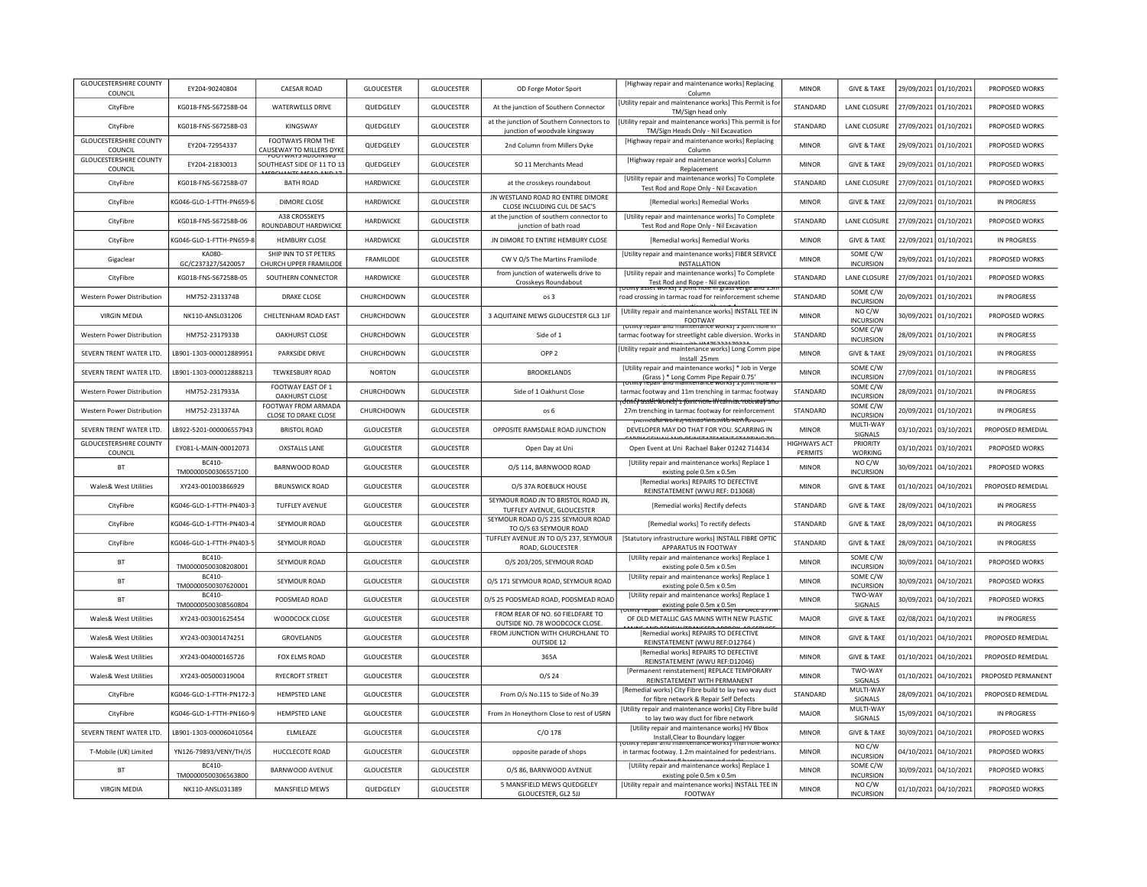| <b>GLOUCESTERSHIRE COUNTY</b><br>COUNCIL | FY204-90240804                            | CAESAR ROAD                                     | <b>GLOUCESTER</b> | <b>GLOUCESTER</b> | OD Forge Motor Sport                                                       | [Highway repair and maintenance works] Replacing<br>Column                                                                                    | <b>MINOR</b>            | <b>GIVE &amp; TAKE</b>                         | 29/09/2021 | 01/10/2021            | PROPOSED WORKS     |
|------------------------------------------|-------------------------------------------|-------------------------------------------------|-------------------|-------------------|----------------------------------------------------------------------------|-----------------------------------------------------------------------------------------------------------------------------------------------|-------------------------|------------------------------------------------|------------|-----------------------|--------------------|
| CityFibre                                | KG018-FNS-S67258B-04                      | WATERWELLS DRIVE                                | QUEDGELEY         | <b>GLOUCESTER</b> | At the junction of Southern Connector                                      | [Utility repair and maintenance works] This Permit is for<br>TM/Sign head only                                                                | STANDARD                | LANE CLOSURE                                   | 27/09/2021 | 01/10/2021            | PROPOSED WORKS     |
| CityFibre                                | KG018-FNS-S67258B-03                      | KINGSWAY                                        | QUEDGELEY         | <b>GLOUCESTER</b> | at the junction of Southern Connectors to<br>junction of woodvale kingsway | [Utility repair and maintenance works] This permit is for<br>TM/Sign Heads Only - Nil Excavation                                              | STANDARD                | LANE CLOSURE                                   | 27/09/2021 | 01/10/2021            | PROPOSED WORKS     |
| <b>GLOUCESTERSHIRE COUNTY</b><br>COUNCIL | EY204-72954337                            | FOOTWAYS FROM THE<br>CAUSEWAY TO MILLERS DYKE   | QUEDGELEY         | <b>GLOUCESTER</b> | 2nd Column from Millers Dyke                                               | [Highway repair and maintenance works] Replacing<br>Column                                                                                    | <b>MINOR</b>            | <b>GIVE &amp; TAKE</b>                         | 29/09/2021 | 01/10/2021            | PROPOSED WORKS     |
| <b>GLOUCESTERSHIRE COUNTY</b><br>COUNCIL | EY204-21830013                            | SOUTHEAST SIDE OF 11 TO 13                      | QUEDGELEY         | <b>GLOUCESTER</b> | SO 11 Merchants Mead                                                       | [Highway repair and maintenance works] Column<br>Replacement                                                                                  | <b>MINOR</b>            | <b>GIVE &amp; TAKE</b>                         | 29/09/2021 | 01/10/2021            | PROPOSED WORKS     |
| CityFibre                                | KG018-FNS-S67258B-07                      | BATH ROAD                                       | <b>HARDWICKF</b>  | <b>GLOUCESTER</b> | at the crosskeys roundabout                                                | [Utility repair and maintenance works] To Complete<br>Test Rod and Rope Only - Nil Excavation                                                 | STANDARD                | LANE CLOSURE                                   | 27/09/2021 | 01/10/2021            | PROPOSED WORKS     |
| CityFibre                                | KG046-GLO-1-FTTH-PN659-6                  | <b>DIMORE CLOSE</b>                             | HARDWICKE         | <b>GLOUCESTER</b> | JN WESTLAND ROAD RO ENTIRE DIMORE<br>CLOSE INCLUDING CUL DE SAC'S          | [Remedial works] Remedial Works                                                                                                               | <b>MINOR</b>            | <b>GIVE &amp; TAKE</b>                         | 22/09/2021 | 01/10/2021            | <b>IN PROGRESS</b> |
| CityFibre                                | KG018-FNS-S67258B-06                      | A38 CROSSKEYS<br>ROUNDABOUT HARDWICKE           | HARDWICKE         | <b>GLOUCESTER</b> | at the junction of southern connector to<br>junction of bath road          | [Utility repair and maintenance works] To Complete<br>Test Rod and Rope Only - Nil Excavation                                                 | STANDARD                | LANE CLOSURE                                   | 27/09/2021 | 01/10/2021            | PROPOSED WORKS     |
| CityFibre                                | KG046-GLO-1-FTTH-PN659-8                  | <b>HEMBURY CLOSE</b>                            | HARDWICKE         | <b>GLOUCESTER</b> | JN DIMORE TO ENTIRE HEMBURY CLOSE                                          | [Remedial works] Remedial Works                                                                                                               | <b>MINOR</b>            | <b>GIVE &amp; TAKE</b>                         | 22/09/2021 | 01/10/2021            | <b>IN PROGRESS</b> |
| Gigaclear                                | <b>KA080</b><br>GC/C237327/S420057        | SHIP INN TO ST PETERS<br>CHURCH UPPER FRAMILODE | FRAMILODE         | GLOUCESTER        | CW V O/S The Martins Framilode                                             | [Utility repair and maintenance works] FIBER SERVICE<br><b>INSTALLATION</b>                                                                   | <b>MINOR</b>            | SOME C/W<br><b>INCURSION</b>                   | 29/09/2021 | 01/10/2021            | PROPOSED WORKS     |
| CityFibre                                | KG018-FNS-S67258B-05                      | SOUTHERN CONNECTOR                              | HARDWICKE         | <b>GLOUCESTER</b> | from junction of waterwells drive to<br>Crosskeys Roundabout               | [Utility repair and maintenance works] To Complete<br>Test Rod and Rope - Nil excavation                                                      | STANDARD                | LANE CLOSURE                                   | 27/09/2021 | 01/10/2021            | PROPOSED WORKS     |
| Western Power Distribution               | HM752-2313374B                            | DRAKE CLOSE                                     | CHURCHDOWN        | GLOUCESTER        | os <sub>3</sub>                                                            | ks) I juint nuie in grass verge and<br>road crossing in tarmac road for reinforcement scheme                                                  | STANDARD                | SOME C/W<br><b>INCURSION</b>                   | 20/09/2021 | 01/10/2021            | IN PROGRESS        |
| <b>VIRGIN MEDIA</b>                      | NK110-ANSL031206                          | CHELTENHAM ROAD EAST                            | CHURCHDOWN        | <b>GLOUCESTER</b> | 3 AQUITAINE MEWS GLOUCESTER GL3 1JF                                        | [Utility repair and maintenance works] INSTALL TEE IN<br><b>FOOTWAY</b>                                                                       | <b>MINOR</b>            | NO C/W<br><b>INCURSION</b>                     | 30/09/2021 | 01/10/2021            | PROPOSED WORKS     |
| Western Power Distribution               | HM752-2317933B                            | OAKHURST CLOSE                                  | CHURCHDOWN        | GLOUCESTER        | Side of 1                                                                  | tarmac footway for streetlight cable diversion. Works in                                                                                      | STANDARD                | SOME C/W<br><b>INCURSION</b>                   |            | 28/09/2021 01/10/2021 | <b>IN PROGRESS</b> |
| SEVERN TRENT WATER LTD.                  | LB901-1303-000012889951                   | PARKSIDE DRIVE                                  | CHURCHDOWN        | <b>GLOUCESTER</b> | OPP <sub>2</sub>                                                           | [Utility repair and maintenance works] Long Comm pipe<br>Install 25mm                                                                         | <b>MINOR</b>            | <b>GIVE &amp; TAKE</b>                         |            | 29/09/2021 01/10/2021 | <b>IN PROGRESS</b> |
| SEVERN TRENT WATER LTD.                  | LB901-1303-000012888213                   | TEWKESBURY ROAD                                 | <b>NORTON</b>     | <b>GLOUCESTER</b> | <b>BROOKELANDS</b>                                                         | [Utility repair and maintenance works] * Job in Verge                                                                                         | <b>MINOR</b>            | SOME C/W<br><b>INCURSION</b>                   | 27/09/2021 | 01/10/2021            | IN PROGRESS        |
| Western Power Distribution               | HM752-2317933A                            | FOOTWAY EAST OF 1<br><b>OAKHURST CLOSE</b>      | CHURCHDOWN        | <b>GLOUCESTER</b> | Side of 1 Oakhurst Close                                                   | (Grass ) * Long Comm Pipe Repair 0.75'<br>Frepair and maintenance worksj 1 joint noie i<br>tarmac footway and 11m trenching in tarmac footway | STANDARD                | SOME C/W<br><b>INCURSION</b>                   | 28/09/2021 | 01/10/2021            | <b>IN PROGRESS</b> |
| Western Power Distribution               | HM752-2313374A                            | FOOTWAY FROM ARMADA<br>CLOSE TO DRAKE CLOSE     | CHURCHDOWN        | <b>GLOUCESTER</b> | os 6                                                                       | <del>լ oʻtmi(y asselt works) 1 jonnt riore in tahniac rootway and</del><br>27m trenching in tarmac footway for reinforcement                  | STANDARD                | SOME C/W<br><b>INCURSION</b>                   | 20/09/2021 | 01/10/2021            | <b>IN PROGRESS</b> |
| SEVERN TRENT WATER LTD.                  | 18922-5201-000006557943                   | <b>BRISTOL ROAD</b>                             | <b>GLOUCESTER</b> | <b>GLOUCESTER</b> | OPPOSITE RAMSDALE ROAD JUNCTION                                            | kemediai worksj kekussiviissiivis ALTHoogr<br>DEVELOPER MAY DO THAT FOR YOU, SCARRING IN                                                      | <b>MINOR</b>            | MULTI-WAY<br>SIGNALS                           | 03/10/2021 | 03/10/2021            | PROPOSED REMEDIAL  |
|                                          |                                           |                                                 |                   |                   |                                                                            |                                                                                                                                               |                         |                                                |            |                       |                    |
| <b>GLOUCESTERSHIRE COUNTY</b>            | EY081-L-MAIN-00012073                     | <b>OXSTALLS LANE</b>                            | <b>GLOUCESTER</b> | <b>GLOUCESTER</b> | Open Day at Uni                                                            | Open Event at Uni Rachael Baker 01242 714434                                                                                                  | <b>HIGHWAYS ACT</b>     | PRIORITY                                       | 03/10/2021 | 03/10/2021            | PROPOSED WORKS     |
| COUNCIL<br>BT                            | BC410                                     | BARNWOOD ROAD                                   | <b>GLOUCESTER</b> | <b>GLOUCESTER</b> | O/S 114, BARNWOOD ROAD                                                     | [Utility repair and maintenance works] Replace 1                                                                                              | PERMITS<br><b>MINOR</b> | <b>WORKING</b><br>NO C/W                       | 30/09/2021 | 04/10/2021            | PROPOSED WORKS     |
| Wales& West Utilities                    | TM00000500306557100<br>XY243-001003866929 | <b>BRUNSWICK ROAD</b>                           | <b>GLOUCESTER</b> | <b>GLOUCESTER</b> | O/S 37A ROEBUCK HOUSE                                                      | existing pole 0.5m x 0.5m<br>[Remedial works] REPAIRS TO DEFECTIVE                                                                            | <b>MINOR</b>            | <b>INCURSION</b><br><b>GIVE &amp; TAKE</b>     | 01/10/2021 | 04/10/2021            | PROPOSED REMEDIAL  |
| CityFibre                                | KG046-GLO-1-FTTH-PN403-3                  | TUFFLEY AVENUE                                  | <b>GLOUCESTER</b> | GLOUCESTER        | SEYMOUR ROAD JN TO BRISTOL ROAD JN.                                        | REINSTATEMENT (WWU REF: D13068)<br>[Remedial works] Rectify defects                                                                           | STANDARD                | <b>GIVE &amp; TAKE</b>                         | 28/09/2021 | 04/10/2021            | IN PROGRESS        |
| CityFibre                                | KG046-GLO-1-FTTH-PN403-4                  | SEYMOUR ROAD                                    | <b>GLOUCESTER</b> | <b>GLOUCESTER</b> | TUFFLEY AVENUE, GLOUCESTER<br>SEYMOUR ROAD O/S 235 SEYMOUR ROAD            | [Remedial works] To rectify defects                                                                                                           | <b>STANDARD</b>         | <b>GIVE &amp; TAKE</b>                         | 28/09/2021 | 04/10/2021            | IN PROGRESS        |
| CityFibre                                | KG046-GLO-1-FTTH-PN403-5                  | SEYMOUR ROAD                                    | <b>GLOUCESTER</b> | <b>GLOUCESTER</b> | TO O/S 63 SEYMOUR ROAD<br>TUFFLEY AVENUE JN TO O/S 237, SEYMOUR            | [Statutory infrastructure works] INSTALL FIBRE OPTIC                                                                                          | STANDARD                | <b>GIVE &amp; TAKE</b>                         | 28/09/2021 | 04/10/2021            | <b>IN PROGRESS</b> |
| <b>BT</b>                                | BC410-                                    | SEYMOUR ROAD                                    | <b>GLOUCESTER</b> | <b>GLOUCESTER</b> | ROAD, GLOUCESTER<br>0/S 203/205, SEYMOUR ROAD                              | APPARATUS IN FOOTWAY<br><b>IUtility repair and maintenance works] Replace 1</b>                                                               | <b>MINOR</b>            | SOME C/W                                       | 30/09/2021 | 04/10/2021            | PROPOSED WORKS     |
| <b>BT</b>                                | TM00000500308208001<br>BC410              | SEYMOUR ROAD                                    | <b>GLOUCESTER</b> | <b>GLOUCESTER</b> | O/S 171 SEYMOUR ROAD, SEYMOUR ROAD                                         | existing pole 0.5m x 0.5m<br>[Utility repair and maintenance works] Replace 1                                                                 | <b>MINOR</b>            | <b>INCURSION</b><br>SOME C/W                   | 30/09/2021 | 04/10/2021            | PROPOSED WORKS     |
| <b>BT</b>                                | TM00000500307620001<br>BC410-             | PODSMEAD ROAD                                   | <b>GLOUCESTER</b> | <b>GLOUCESTER</b> | O/S 25 PODSMEAD ROAD, PODSMEAD ROAD                                        | existing pole 0.5m x 0.5m<br>[Utility repair and maintenance works] Replace 1                                                                 | <b>MINOR</b>            | <b>INCURSION</b><br>TWO-WAY                    | 30/09/2021 | 04/10/2021            | PROPOSED WORKS     |
| Wales& West Utilities                    | TM00000500308560804<br>XY243-003001625454 | WOODCOCK CLOSE                                  | <b>GLOUCESTER</b> | <b>GLOUCESTER</b> | FROM REAR OF NO. 60 FIELDFARE TO                                           | existing pole 0.5m x 0.5m<br>OF OLD METALLIC GAS MAINS WITH NEW PLASTIC                                                                       | <b>MAJOR</b>            | SIGNALS<br><b>GIVE &amp; TAKE</b>              | 02/08/2021 | 04/10/2021            | <b>IN PROGRESS</b> |
| Wales& West Utilities                    | XY243-003001474251                        | <b>GROVELANDS</b>                               | <b>GLOUCESTER</b> | <b>GLOUCESTER</b> | OUTSIDE NO. 78 WOODCOCK CLOSE<br>FROM JUNCTION WITH CHURCHLANE TO          | [Remedial works] REPAIRS TO DEFECTIVE                                                                                                         | <b>MINOR</b>            | <b>GIVE &amp; TAKE</b>                         | 01/10/2021 | 04/10/2021            | PROPOSED REMEDIAL  |
| Wales& West Utilities                    | XY243-004000165726                        | FOX ELMS ROAD                                   | <b>GLOUCESTER</b> | <b>GLOUCESTER</b> | OUTSIDE 12<br>365A                                                         | REINSTATEMENT (WWU REF:D12764)<br>[Remedial works] REPAIRS TO DEFECTIVE                                                                       | <b>MINOR</b>            | <b>GIVE &amp; TAKE</b>                         | 01/10/2021 | 04/10/2021            | PROPOSED REMEDIAL  |
| Wales& West Utilities                    | XY243-005000319004                        | <b>RYECROFT STREET</b>                          | <b>GLOUCESTER</b> | GLOUCESTER        | $O/S$ 24                                                                   | REINSTATEMENT (WWU REF:D12046)<br>[Permanent reinstatement] REPLACE TEMPORARY                                                                 | <b>MINOR</b>            | TWO-WAY                                        | 01/10/2021 | 04/10/2021            | PROPOSED PERMANENT |
| CityFibre                                | KG046-GLO-1-FTTH-PN172-3                  | <b>HEMPSTED LANE</b>                            | <b>GLOUCESTER</b> | <b>GLOUCESTER</b> | From O/s No.115 to Side of No.39                                           | REINSTATEMENT WITH PERMANENT<br>[Remedial works] City Fibre build to lay two way duct                                                         | STANDARD                | SIGNALS<br>MULTI-WAY                           | 28/09/2021 | 04/10/2021            | PROPOSED REMEDIAL  |
| CityFibre                                | KG046-GLO-1-FTTH-PN160-                   | HEMPSTED LANE                                   | <b>GLOUCESTER</b> | <b>GLOUCESTER</b> | From Jn Honeythorn Close to rest of USRN                                   | for fibre network & Repair Self Defects<br>[Utility repair and maintenance works] City Fibre build                                            | MAJOR                   | SIGNALS<br>MULTI-WAY                           | 15/09/2021 | 04/10/2021            | IN PROGRESS        |
| SEVERN TRENT WATER LTD.                  | LB901-1303-000060410564                   | ELMLEAZE                                        | GLOUCESTER        | <b>GLOUCESTER</b> | $C/O$ 178                                                                  | to lay two way duct for fibre network<br>[Utility repair and maintenance works] HV Bbox                                                       | <b>MINOR</b>            | SIGNALS<br><b>GIVE &amp; TAKE</b>              | 30/09/2021 | 04/10/2021            | PROPOSED WORKS     |
| T-Mobile (UK) Limited                    | YN126-79893/VENY/TH/JS                    | HUCCLECOTE ROAD                                 | <b>GLOUCESTER</b> | <b>GLOUCESTER</b> | opposite parade of shops                                                   | Install,Clear to Boundary logger<br>Pain and maintenance works Tharnoie won<br>in tarmac footway. 1.2m maintained for pedestrians.            | <b>MINOR</b>            | NO C/W                                         | 04/10/2021 | 04/10/2021            | PROPOSED WORKS     |
| <b>BT</b>                                | BC410                                     | BARNWOOD AVENUE                                 | <b>GLOUCESTER</b> | <b>GLOUCESTER</b> | O/S 86, BARNWOOD AVENUE                                                    | [Utility repair and maintenance works] Replace 1                                                                                              | <b>MINOR</b>            | <b>INCURSION</b><br>SOME C/W                   | 30/09/2021 | 04/10/2021            | PROPOSED WORKS     |
| <b>VIRGIN MEDIA</b>                      | TM00000500306563800<br>NK110-ANSL031389   | MANSFIELD MEWS                                  | QUEDGELEY         | <b>GLOUCESTER</b> | 5 MANSFIELD MEWS QUEDGELEY<br>GLOUCESTER, GL2 5JJ                          | existing pole 0.5m x 0.5m<br>[Utility repair and maintenance works] INSTALL TEE IN<br>FOOTWAY                                                 | <b>MINOR</b>            | <b>INCURSION</b><br>NO C/W<br><b>INCURSION</b> |            | 01/10/2021 04/10/2021 | PROPOSED WORKS     |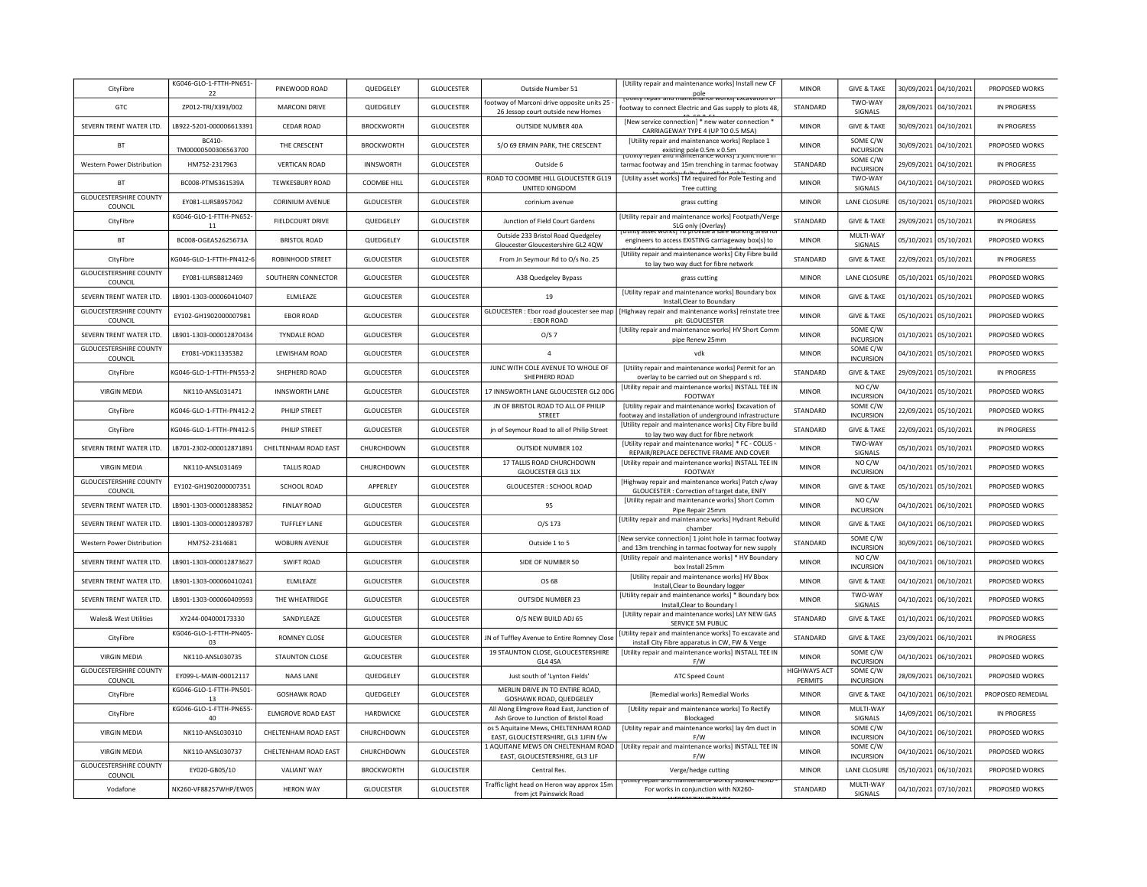| CityFibre                                | KG046-GLO-1-FTTH-PN651<br>22     | PINEWOOD ROAD          | QUEDGELEY         | <b>GLOUCESTER</b> | Outside Number 51                                                                  | [Utility repair and maintenance works] Install new CF<br>pole<br>Totility repair and maintenance worksj excavation of                   | <b>MINOR</b>                   | <b>GIVE &amp; TAKE</b>       | 30/09/2021 | 04/10/2021 | PROPOSED WORKS     |
|------------------------------------------|----------------------------------|------------------------|-------------------|-------------------|------------------------------------------------------------------------------------|-----------------------------------------------------------------------------------------------------------------------------------------|--------------------------------|------------------------------|------------|------------|--------------------|
| GTC                                      | ZP012-TRI/X393/002               | MARCONI DRIVE          | QUEDGELEY         | <b>GLOUCESTER</b> | Footway of Marconi drive opposite units 25<br>26 Jessop court outside new Homes    | footway to connect Electric and Gas supply to plots 48,                                                                                 | STANDARD                       | TWO-WAY<br>SIGNALS           | 28/09/2021 | 04/10/2021 | <b>IN PROGRESS</b> |
| SEVERN TRENT WATER LTD.                  | LB922-5201-000006613391          | <b>CEDAR ROAD</b>      | <b>BROCKWORTH</b> | GLOUCESTER        | OUTSIDE NUMBER 40A                                                                 | [New service connection] * new water connection<br>CARRIAGEWAY TYPE 4 (UP TO 0.5 MSA)                                                   | <b>MINOR</b>                   | <b>GIVE &amp; TAKE</b>       | 30/09/2021 | 04/10/2021 | <b>IN PROGRESS</b> |
| <b>BT</b>                                | BC410-<br>TM00000500306563700    | THE CRESCENT           | <b>BROCKWORTH</b> | <b>GLOUCESTER</b> | S/O 69 ERMIN PARK, THE CRESCENT                                                    | [Utility repair and maintenance works] Replace 1<br>existing pole 0.5m x 0.5m<br>Totmty repair and maintenance works J 1                | <b>MINOR</b>                   | SOME C/W<br><b>INCURSION</b> | 30/09/2021 | 04/10/2021 | PROPOSED WORKS     |
| Western Power Distribution               | HM752-2317963                    | <b>VERTICAN ROAD</b>   | <b>INNSWORTH</b>  | <b>GLOUCESTER</b> | Outside 6                                                                          | tarmac footway and 15m trenching in tarmac footway                                                                                      | STANDARD                       | SOME C/W<br><b>INCURSION</b> | 29/09/2021 | 04/10/2021 | <b>IN PROGRESS</b> |
| <b>BT</b>                                | BC008-PTMS361539A                | <b>TEWKESBURY ROAD</b> | COOMBE HILL       | <b>GLOUCESTER</b> | ROAD TO COOMBE HILL GLOUCESTER GL19<br>UNITED KINGDOM                              | [Utility asset works] TM required for Pole Testing and<br>Tree cutting                                                                  | <b>MINOR</b>                   | TWO-WAY<br>SIGNALS           | 04/10/2021 | 04/10/2021 | PROPOSED WORKS     |
| <b>GLOUCESTERSHIRE COUNTY</b><br>COUNCIL | EY081-LURSB957042                | CORINIUM AVENUE        | <b>GLOUCESTER</b> | <b>GLOUCESTER</b> | corinium avenue                                                                    | grass cutting                                                                                                                           | <b>MINOR</b>                   | LANE CLOSURE                 | 05/10/2021 | 05/10/2021 | PROPOSED WORKS     |
| CityFibre                                | KG046-GLO-1-FTTH-PN652<br>$11\,$ | FIELDCOURT DRIVE       | QUEDGELEY         | <b>GLOUCESTER</b> | Junction of Field Court Gardens                                                    | [Utility repair and maintenance works] Footpath/Verge<br>SLG only (Overlay)<br><del>טנווונץ asset works דוס טון סידן סידוקא סו</del> פל | STANDARD                       | <b>GIVE &amp; TAKE</b>       | 29/09/2021 | 05/10/2021 | IN PROGRESS        |
| <b>BT</b>                                | BC008-OGEA52625673A              | <b>BRISTOL ROAD</b>    | QUEDGELEY         | <b>GLOUCESTER</b> | Outside 233 Bristol Road Quedgeley<br>Gloucester Gloucestershire GL2 4QW           | engineers to access EXISTING carriageway box(s) to                                                                                      | <b>MINOR</b>                   | MULTI-WAY<br>SIGNALS         | 05/10/2021 | 05/10/2021 | PROPOSED WORKS     |
| CityFibre                                | KG046-GLO-1-FTTH-PN412-6         | ROBINHOOD STREET       | <b>GLOUCESTER</b> | <b>GLOUCESTER</b> | From Jn Seymour Rd to O/s No. 25                                                   | [Utility repair and maintenance works] City Fibre build<br>to lay two way duct for fibre network                                        | STANDARD                       | <b>GIVE &amp; TAKE</b>       | 22/09/2021 | 05/10/2021 | <b>IN PROGRESS</b> |
| <b>GLOUCESTERSHIRE COUNTY</b><br>COUNCIL | EY081-LURSB812469                | SOUTHERN CONNECTOR     | <b>GLOUCESTER</b> | <b>GLOUCESTER</b> | A38 Quedgeley Bypass                                                               | grass cutting                                                                                                                           | <b>MINOR</b>                   | <b>LANE CLOSURE</b>          | 05/10/2021 | 05/10/2021 | PROPOSED WORKS     |
| SEVERN TRENT WATER LTD.                  | LB901-1303-000060410407          | ELMLEAZE               | GLOUCESTER        | <b>GLOUCESTER</b> | 19                                                                                 | [Utility repair and maintenance works] Boundary box<br>Install, Clear to Boundary                                                       | <b>MINOR</b>                   | <b>GIVE &amp; TAKE</b>       | 01/10/2021 | 05/10/2021 | PROPOSED WORKS     |
| <b>GLOUCESTERSHIRE COUNTY</b><br>COUNCIL | EY102-GH1902000007981            | <b>EBOR ROAD</b>       | <b>GLOUCESTER</b> | GLOUCESTER        | : EBOR ROAD                                                                        | GLOUCESTER : Ebor road gloucester see map   [Highway repair and maintenance works] reinstate tree<br>pit GLOUCESTER                     | <b>MINOR</b>                   | <b>GIVE &amp; TAKE</b>       | 05/10/2021 | 05/10/2021 | PROPOSED WORKS     |
| SEVERN TRENT WATER LTD.                  | LB901-1303-000012870434          | TYNDALE ROAD           | <b>GLOUCESTER</b> | <b>GLOUCESTER</b> | O/S 7                                                                              | [Utility repair and maintenance works] HV Short Comm<br>pipe Renew 25mm                                                                 | <b>MINOR</b>                   | SOME C/W<br><b>INCURSION</b> | 01/10/2021 | 05/10/2021 | PROPOSED WORKS     |
| <b>GLOUCESTERSHIRE COUNTY</b><br>COUNCIL | EY081-VDK11335382                | LEWISHAM ROAD          | <b>GLOUCESTER</b> | <b>GLOUCESTER</b> | $\overline{4}$                                                                     | vdk                                                                                                                                     | <b>MINOR</b>                   | SOME C/W<br><b>INCURSION</b> | 04/10/2021 | 05/10/2021 | PROPOSED WORKS     |
| CityFibre                                | KG046-GLO-1-FTTH-PN553-2         | SHEPHERD ROAD          | <b>GLOUCESTER</b> | <b>GLOUCESTER</b> | JUNC WITH COLE AVENUE TO WHOLE OF<br>SHEPHERD ROAD                                 | [Utility repair and maintenance works] Permit for an<br>overlay to be carried out on Sheppard s rd.                                     | STANDARD                       | <b>GIVE &amp; TAKE</b>       | 29/09/2021 | 05/10/2021 | <b>IN PROGRESS</b> |
| <b>VIRGIN MEDIA</b>                      | NK110-ANSL031471                 | <b>INNSWORTH LANE</b>  | <b>GLOUCESTER</b> | <b>GLOUCESTER</b> | 17 INNSWORTH LANE GLOUCESTER GL2 ODG                                               | [Utility repair and maintenance works] INSTALL TEE IN<br>FOOTWAY                                                                        | <b>MINOR</b>                   | NO C/W<br><b>INCURSION</b>   | 04/10/2021 | 05/10/2021 | PROPOSED WORKS     |
| CityFibre                                | (G046-GLO-1-FTTH-PN412-2         | PHILIP STREET          | <b>GLOUCESTER</b> | <b>GLOUCESTER</b> | JN OF BRISTOL ROAD TO ALL OF PHILIP<br>STREET                                      | [Utility repair and maintenance works] Excavation of<br>footway and installation of underground infrastructure                          | STANDARD                       | SOME C/W<br><b>INCURSION</b> | 22/09/2021 | 05/10/2021 | PROPOSED WORKS     |
| CityFibre                                | KG046-GLO-1-FTTH-PN412-5         | PHILIP STREET          | <b>GLOUCESTER</b> | <b>GLOUCESTER</b> | jn of Seymour Road to all of Philip Street                                         | [Utility repair and maintenance works] City Fibre build<br>to lay two way duct for fibre network                                        | STANDARD                       | <b>GIVE &amp; TAKE</b>       | 22/09/2021 | 05/10/202  | <b>IN PROGRESS</b> |
| SEVERN TRENT WATER LTD.                  | LB701-2302-000012871891          | CHELTENHAM ROAD EAST   | CHURCHDOWN        | GLOUCESTER        | OUTSIDE NUMBER 102                                                                 | [Utility repair and maintenance works] * FC - COLUS<br>REPAIR/REPLACE DEFECTIVE FRAME AND COVER                                         | <b>MINOR</b>                   | TWO-WAY<br>SIGNALS           | 05/10/2021 | 05/10/2021 | PROPOSED WORKS     |
| <b>VIRGIN MEDIA</b>                      | NK110-ANSL031469                 | <b>TALLIS ROAD</b>     | CHURCHDOWN        | <b>GLOUCESTER</b> | 17 TALLIS ROAD CHURCHDOWN<br><b>GLOUCESTER GL3 1LX</b>                             | [Utility repair and maintenance works] INSTALL TEE IN<br>FOOTWAY                                                                        | <b>MINOR</b>                   | NO C/W<br><b>INCURSION</b>   | 04/10/2021 | 05/10/2021 | PROPOSED WORKS     |
| <b>GLOUCESTERSHIRE COUNTY</b><br>COUNCIL | EY102-GH1902000007351            | <b>SCHOOL ROAD</b>     | APPERLEY          | <b>GLOUCESTER</b> | GLOUCESTER : SCHOOL ROAD                                                           | [Highway repair and maintenance works] Patch c/way<br>GLOUCESTER : Correction of target date, ENFY                                      | <b>MINOR</b>                   | <b>GIVE &amp; TAKE</b>       | 05/10/2021 | 05/10/2021 | PROPOSED WORKS     |
| SEVERN TRENT WATER LTD.                  | LB901-1303-000012883852          | <b>FINLAY ROAD</b>     | <b>GLOUCESTER</b> | <b>GLOUCESTER</b> | 95                                                                                 | [Utility repair and maintenance works] Short Comm<br>Pipe Repair 25mm                                                                   | <b>MINOR</b>                   | NO C/W<br><b>INCURSION</b>   | 04/10/2021 | 06/10/2021 | PROPOSED WORKS     |
| SEVERN TRENT WATER LTD.                  | LB901-1303-000012893787          | TUFFLEY LANE           | <b>GLOUCESTER</b> | <b>GLOUCESTER</b> | $O/S$ 173                                                                          | [Utility repair and maintenance works] Hydrant Rebuild<br>chamber                                                                       | <b>MINOR</b>                   | <b>GIVE &amp; TAKE</b>       | 04/10/2021 | 06/10/2021 | PROPOSED WORKS     |
| Western Power Distribution               | HM752-2314681                    | WOBURN AVENUE          | <b>GLOUCESTER</b> | <b>GLOUCESTER</b> | Outside 1 to 5                                                                     | [New service connection] 1 joint hole in tarmac footwa<br>and 13m trenching in tarmac footway for new supply                            | STANDARD                       | SOME C/W<br><b>INCURSION</b> | 30/09/2021 | 06/10/2021 | PROPOSED WORKS     |
| SEVERN TRENT WATER LTD.                  | LB901-1303-000012873621          | <b>SWIFT ROAD</b>      | <b>GLOUCESTER</b> | <b>GLOUCESTER</b> | SIDE OF NUMBER 50                                                                  | [Utility repair and maintenance works] * HV Boundary<br>box Install 25mm                                                                | <b>MINOR</b>                   | NO C/W<br><b>INCURSION</b>   | 04/10/2021 | 06/10/2021 | PROPOSED WORKS     |
| SEVERN TRENT WATER LTD.                  | LB901-1303-000060410241          | ELMLEAZE               | <b>GLOUCESTER</b> | GLOUCESTER        | OS 68                                                                              | [Utility repair and maintenance works] HV Bbox<br>Install, Clear to Boundary logger                                                     | <b>MINOR</b>                   | <b>GIVE &amp; TAKE</b>       | 04/10/2021 | 06/10/2021 | PROPOSED WORKS     |
| SEVERN TRENT WATER LTD.                  | LB901-1303-000060409593          | THE WHEATRIDGE         | <b>GLOUCESTER</b> | GLOUCESTER        | <b>OUTSIDE NUMBER 23</b>                                                           | [Utility repair and maintenance works] * Boundary box<br>Install, Clear to Boundary I                                                   | <b>MINOR</b>                   | TWO-WAY<br>SIGNALS           | 04/10/2021 | 06/10/2021 | PROPOSED WORKS     |
| <b>Wales&amp; West Utilities</b>         | XY244-004000173330               | SANDYLEAZE             | <b>GLOUCESTER</b> | <b>GLOUCESTER</b> | O/S NEW BUILD ADJ 65                                                               | [Utility repair and maintenance works] LAY NEW GAS<br>SERVICE 5M PUBLIC                                                                 | STANDARD                       | <b>GIVE &amp; TAKE</b>       | 01/10/2021 | 06/10/2021 | PROPOSED WORKS     |
| CityFibre                                | KG046-GLO-1-FTTH-PN405<br>03     | ROMNEY CLOSE           | <b>GLOUCESTER</b> | <b>GLOUCESTER</b> | JN of Tuffley Avenue to Entire Romney Clos                                         | Utility repair and maintenance works] To excavate and<br>install City Fibre apparatus in CW, FW & Verge                                 | STANDARD                       | <b>GIVE &amp; TAKE</b>       | 23/09/2021 | 06/10/2021 | <b>IN PROGRESS</b> |
| <b>VIRGIN MEDIA</b>                      | NK110-ANSL030735                 | <b>STAUNTON CLOSE</b>  | <b>GLOUCESTER</b> | <b>GLOUCESTER</b> | 19 STAUNTON CLOSE, GLOUCESTERSHIRE<br>GL4 4SA                                      | [Utility repair and maintenance works] INSTALL TEE IN<br>F/W                                                                            | <b>MINOR</b>                   | SOME C/W<br><b>INCURSION</b> | 04/10/2021 | 06/10/2021 | PROPOSED WORKS     |
| <b>GLOUCESTERSHIRE COUNTY</b><br>COUNCIL | EY099-L-MAIN-00012117            | NAAS LANE              | QUEDGELEY         | <b>GLOUCESTER</b> | Just south of 'Lynton Fields'                                                      | ATC Speed Count                                                                                                                         | <b>HIGHWAYS ACT</b><br>PERMITS | SOME C/W<br><b>INCURSION</b> | 28/09/2021 | 06/10/2021 | PROPOSED WORKS     |
| CityFibre                                | KG046-GLO-1-FTTH-PN501<br>13     | <b>GOSHAWK ROAD</b>    | QUEDGELEY         | <b>GLOUCESTER</b> | MERLIN DRIVE IN TO ENTIRE ROAD.<br>GOSHAWK ROAD, QUEDGELEY                         | [Remedial works] Remedial Works                                                                                                         | <b>MINOR</b>                   | <b>GIVE &amp; TAKE</b>       | 04/10/2021 | 06/10/2021 | PROPOSED REMEDIAL  |
| CityFibre                                | KG046-GLO-1-FTTH-PN655-<br>40    | ELMGROVE ROAD EAST     | HARDWICKE         | <b>GLOUCESTER</b> | All Along Elmgrove Road East, Junction of<br>Ash Grove to Junction of Bristol Road | [Utility repair and maintenance works] To Rectify<br>Blockaged                                                                          | <b>MINOR</b>                   | MULTI-WAY<br>SIGNALS         | 14/09/2021 | 06/10/2021 | <b>IN PROGRESS</b> |
| <b>VIRGIN MEDIA</b>                      | NK110-ANSL030310                 | CHELTENHAM ROAD EAST   | CHURCHDOWN        | <b>GLOUCESTER</b> | os 5 Aquitaine Mews, CHELTENHAM ROAD<br>EAST, GLOUCESTERSHIRE, GL3 1JFIN f/w       | [Utility repair and maintenance works] lay 4m duct in<br>F/W                                                                            | <b>MINOR</b>                   | SOME C/W<br><b>INCURSION</b> | 04/10/2021 | 06/10/2021 | PROPOSED WORKS     |
| <b>VIRGIN MEDIA</b>                      | NK110-ANSL030737                 | CHELTENHAM ROAD EAST   | CHURCHDOWN        | <b>GLOUCESTER</b> | 1 AQUITANE MEWS ON CHELTENHAM ROAD<br>EAST, GLOUCESTERSHIRE, GL3 1JF               | [Utility repair and maintenance works] INSTALL TEE IN<br>F/W                                                                            | <b>MINOR</b>                   | SOME C/W<br><b>INCURSION</b> | 04/10/2021 | 06/10/2021 | PROPOSED WORKS     |
| <b>GLOUCESTERSHIRE COUNTY</b><br>COUNCIL | EY020-GB05/10                    | <b>VALIANT WAY</b>     | <b>BROCKWORTH</b> | <b>GLOUCESTER</b> | <b>Central Res</b>                                                                 | Verge/hedge cutting                                                                                                                     | <b>MINOR</b>                   | LANE CLOSURE                 | 05/10/2021 | 06/10/2021 | PROPOSED WORKS     |
| Vodafone                                 | NX260-VF88257WHP/EW05            | <b>HERON WAY</b>       | <b>GLOUCESTER</b> | <b>GLOUCESTER</b> | Traffic light head on Heron way approx 15m<br>from jct Painswick Road              | <b>Othicy repair and maintenance worksj Signweit new</b><br>For works in conjunction with NX260-                                        | STANDARD                       | MULTI-WAY<br><b>SIGNALS</b>  | 04/10/2021 | 07/10/2021 | PROPOSED WORKS     |
|                                          |                                  |                        |                   |                   |                                                                                    |                                                                                                                                         |                                |                              |            |            |                    |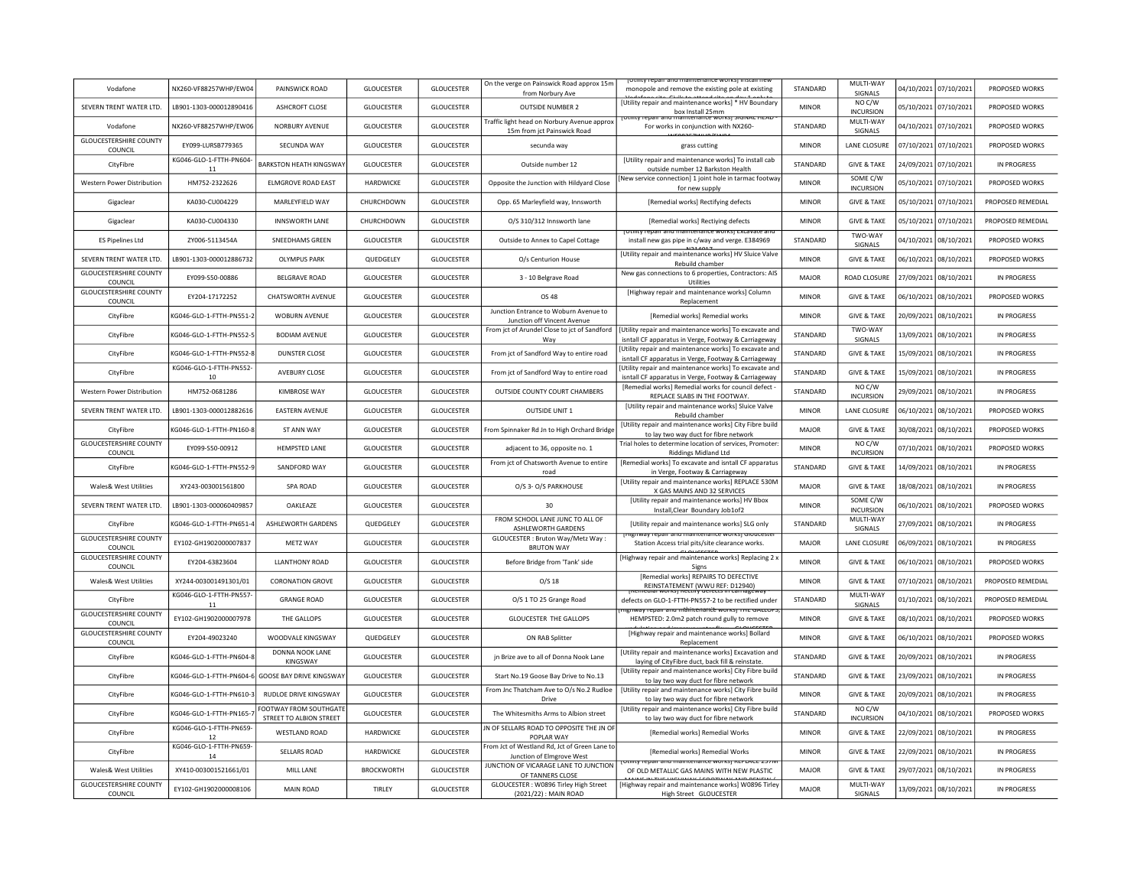| Vodafone                                 | NX260-VF88257WHP/EW04         | PAINSWICK ROAD                                    | <b>GLOUCESTER</b> | <b>GLOUCESTER</b> | On the verge on Painswick Road approx 15m<br>from Norbury Ave              | monopole and remove the existing pole at existing                                                                                               | <b>STANDARD</b> | MULTI-WAY<br>SIGNALS         | 04/10/2021 | 07/10/2021 | PROPOSED WORKS     |
|------------------------------------------|-------------------------------|---------------------------------------------------|-------------------|-------------------|----------------------------------------------------------------------------|-------------------------------------------------------------------------------------------------------------------------------------------------|-----------------|------------------------------|------------|------------|--------------------|
| SEVERN TRENT WATER LTD.                  | LB901-1303-000012890416       | ASHCROFT CLOSE                                    | <b>GLOUCESTER</b> | <b>GLOUCESTER</b> | <b>OUTSIDE NUMBER 2</b>                                                    | [Utility repair and maintenance works] * HV Boundary<br>box Install 25mm                                                                        | <b>MINOR</b>    | NO C/W<br><b>INCURSION</b>   | 05/10/2021 | 07/10/2021 | PROPOSED WORKS     |
| Vodafone                                 | NX260-VF88257WHP/EW06         | NORBURY AVENUE                                    | GLOUCESTER        | <b>GLOUCESTER</b> | Traffic light head on Norbury Avenue approx<br>15m from jct Painswick Road | a maintenance works<br>For works in conjunction with NX260-                                                                                     | STANDARD        | MULTI-WAY<br>SIGNALS         | 04/10/2021 | 07/10/2021 | PROPOSED WORKS     |
| <b>GLOUCESTERSHIRE COUNTY</b><br>COUNCIL | EY099-LURSB779365             | SECUNDA WAY                                       | <b>GLOUCESTER</b> | GLOUCESTER        | secunda way                                                                | grass cutting                                                                                                                                   | <b>MINOR</b>    | LANE CLOSURE                 | 07/10/2021 | 07/10/2021 | PROPOSED WORKS     |
| CityFibre                                | KG046-GLO-1-FTTH-PN604-<br>11 | BARKSTON HEATH KINGSWAY                           | GLOUCESTER        | <b>GLOUCESTER</b> | Outside number 12                                                          | [Utility repair and maintenance works] To install cab<br>outside number 12 Barkston Health                                                      | STANDARD        | <b>GIVE &amp; TAKE</b>       | 24/09/2021 | 07/10/2021 | <b>IN PROGRESS</b> |
| Western Power Distribution               | HM752-2322626                 | <b>FI MGROVE ROAD FAST</b>                        | <b>HARDWICKE</b>  | <b>GLOUCESTER</b> | Opposite the Junction with Hildyard Close                                  | New service connection] 1 joint hole in tarmac footway<br>for new supply                                                                        | <b>MINOR</b>    | SOME C/W<br><b>INCURSION</b> | 05/10/2021 | 07/10/2021 | PROPOSED WORKS     |
| Gigaclear                                | KA030-CU004229                | MARLEYFIELD WAY                                   | CHURCHDOWN        | GLOUCESTER        | Opp. 65 Marleyfield way, Innsworth                                         | [Remedial works] Rectifying defects                                                                                                             | <b>MINOR</b>    | <b>GIVE &amp; TAKE</b>       | 05/10/2021 | 07/10/2021 | PROPOSED REMEDIAL  |
| Gigaclear                                | KA030-CU004330                | INNSWORTH LANE                                    | CHURCHDOWN        | <b>GLOUCESTER</b> | O/S 310/312 Innsworth lane                                                 | [Remedial works] Rectiving defects                                                                                                              | <b>MINOR</b>    | <b>GIVE &amp; TAKE</b>       | 05/10/2021 | 07/10/2021 | PROPOSED REMEDIAL  |
| <b>ES Pipelines Ltd</b>                  | ZY006-5113454A                | <b>SNEEDHAMS GREEN</b>                            | <b>GLOUCESTER</b> | <b>GLOUCESTER</b> | Outside to Annex to Capel Cottage                                          | rotility repair and maintenance works) excavate ant<br>install new gas pipe in c/way and verge. E384969                                         | STANDARD        | TWO-WAY<br>SIGNALS           | 04/10/2021 | 08/10/2021 | PROPOSED WORKS     |
| SEVERN TRENT WATER LTD.                  | LB901-1303-000012886732       | <b>OLYMPUS PARK</b>                               | QUEDGELEY         | <b>GLOUCESTER</b> | O/s Centurion House                                                        | [Utility repair and maintenance works] HV Sluice Valve<br>Rebuild chamber                                                                       | <b>MINOR</b>    | <b>GIVE &amp; TAKE</b>       | 06/10/2021 | 08/10/2021 | PROPOSED WORKS     |
| <b>GLOUCESTERSHIRE COUNTY</b><br>COUNCIL | EY099-S50-00886               | <b>BELGRAVE ROAD</b>                              | <b>GLOUCESTER</b> | GLOUCESTER        | 3 - 10 Belgrave Road                                                       | New gas connections to 6 properties, Contractors: AIS<br>Utilities                                                                              | MAIOR           | ROAD CLOSURE                 | 27/09/2021 | 08/10/2021 | <b>IN PROGRESS</b> |
| <b>GLOUCESTERSHIRE COUNTY</b><br>COUNCIL | EY204-17172252                | CHATSWORTH AVENUE                                 | <b>GLOUCESTER</b> | GLOUCESTER        | OS 48                                                                      | [Highway repair and maintenance works] Column<br>Replacement                                                                                    | <b>MINOR</b>    | <b>GIVE &amp; TAKE</b>       | 06/10/2021 | 08/10/2021 | PROPOSED WORKS     |
| CityFibre                                | KG046-GLO-1-FTTH-PN551-2      | WOBURN AVENUE                                     | <b>GLOUCESTER</b> | <b>GLOUCESTER</b> | Junction Entrance to Woburn Avenue to<br>Junction off Vincent Avenue       | [Remedial works] Remedial works                                                                                                                 | <b>MINOR</b>    | <b>GIVE &amp; TAKE</b>       | 20/09/2021 | 08/10/2021 | <b>IN PROGRESS</b> |
| CityFibre                                | KG046-GLO-1-FTTH-PN552-5      | <b>BODIAM AVENUE</b>                              | <b>GLOUCESTER</b> | <b>GLOUCESTER</b> | From jct of Arundel Close to jct of Sandford<br>Way                        | [Utility repair and maintenance works] To excavate and<br>isntall CF apparatus in Verge, Footway & Carriageway                                  | STANDARD        | TWO-WAY<br>SIGNALS           | 13/09/2021 | 08/10/2021 | <b>IN PROGRESS</b> |
| CityFibre                                | KG046-GLO-1-FTTH-PN552-8      | <b>DUNSTER CLOSE</b>                              | <b>GLOUCESTER</b> | GLOUCESTER        | From jct of Sandford Way to entire road                                    | [Utility repair and maintenance works] To excavate and<br>isntall CF apparatus in Verge, Footway & Carriageway                                  | STANDARD        | <b>GIVE &amp; TAKE</b>       | 15/09/2021 | 08/10/2021 | <b>IN PROGRESS</b> |
| CityFibre                                | KG046-GLO-1-FTTH-PN552-<br>10 | AVEBURY CLOSE                                     | <b>GLOUCESTER</b> | GLOUCESTER        | From jct of Sandford Way to entire road                                    | [Utility repair and maintenance works] To excavate and<br>isntall CF apparatus in Verge, Footway & Carriageway                                  | STANDARD        | <b>GIVE &amp; TAKE</b>       | 15/09/2021 | 08/10/2021 | <b>IN PROGRESS</b> |
| Western Power Distribution               | HM752-0681286                 | KIMBROSE WAY                                      | <b>GLOUCESTER</b> | GLOUCESTER        | OUTSIDE COUNTY COURT CHAMBERS                                              | [Remedial works] Remedial works for council defect<br>REPLACE SLABS IN THE FOOTWAY.                                                             | STANDARD        | NO C/W<br><b>INCURSION</b>   | 29/09/2021 | 08/10/2021 | <b>IN PROGRESS</b> |
| SEVERN TRENT WATER LTD.                  | LB901-1303-000012882616       | <b>EASTERN AVENUE</b>                             | <b>GLOUCESTER</b> | <b>GLOUCESTER</b> | OUTSIDE UNIT 1                                                             | [Utility repair and maintenance works] Sluice Valve<br>Rebuild chamber                                                                          | <b>MINOR</b>    | LANE CLOSURE                 | 06/10/2021 | 08/10/2021 | PROPOSED WORKS     |
| CityFibre                                | KG046-GLO-1-FTTH-PN160-8      | ST ANN WAY                                        | <b>GLOUCESTER</b> | <b>GLOUCESTER</b> | From Spinnaker Rd Jn to High Orchard Bridge                                | [Utility repair and maintenance works] City Fibre build<br>to lay two way duct for fibre network                                                | MAJOR           | <b>GIVE &amp; TAKE</b>       | 30/08/2021 | 08/10/2021 | PROPOSED WORKS     |
| <b>GLOUCESTERSHIRE COUNTY</b><br>COUNCIL | EY099-S50-00912               | HEMPSTED LANE                                     | <b>GLOUCESTER</b> | <b>GLOUCESTER</b> | adjacent to 36, opposite no. 1                                             | Trial holes to determine location of services, Promoter<br><b>Riddings Midland Ltd</b>                                                          | <b>MINOR</b>    | NO C/W<br><b>INCURSION</b>   | 07/10/2021 | 08/10/2021 | PROPOSED WORKS     |
| CityFibre                                | KG046-GLO-1-FTTH-PN552-9      | SANDFORD WAY                                      | <b>GLOUCESTER</b> | GLOUCESTER        | From jct of Chatsworth Avenue to entire<br>road                            | [Remedial works] To excavate and isntall CF apparatus<br>in Verge, Footway & Carriageway                                                        | STANDARD        | <b>GIVE &amp; TAKE</b>       | 14/09/2021 | 08/10/2021 | <b>IN PROGRESS</b> |
| Wales& West Utilities                    | XY243-003001561800            | <b>SPA ROAD</b>                                   | <b>GLOUCESTER</b> | GLOUCESTER        | O/S 3- O/S PARKHOUSE                                                       | [Utility repair and maintenance works] REPLACE 530M<br>X GAS MAINS AND 32 SERVICES                                                              | MAJOR           | <b>GIVE &amp; TAKE</b>       | 18/08/2021 | 08/10/2021 | <b>IN PROGRESS</b> |
| SEVERN TRENT WATER LTD.                  | LB901-1303-000060409857       | OAKLEAZE                                          | <b>GLOUCESTER</b> | GLOUCESTER        | 30                                                                         | [Utility repair and maintenance works] HV Bbox<br>Install, Clear Boundary Job1of2                                                               | <b>MINOR</b>    | SOME C/W<br><b>INCURSION</b> | 06/10/2021 | 08/10/2021 | PROPOSED WORKS     |
| CityFibre                                | KG046-GLO-1-FTTH-PN651-4      | <b>ASHLEWORTH GARDENS</b>                         | QUEDGELEY         | GLOUCESTER        | FROM SCHOOL LANE JUNC TO ALL OF<br>ASHLEWORTH GARDENS                      | [Utility repair and maintenance works] SLG only                                                                                                 | STANDARD        | MULTI-WAY<br>SIGNALS         | 27/09/2021 | 08/10/2021 | <b>IN PROGRESS</b> |
| <b>GLOUCESTERSHIRE COUNTY</b><br>COUNCIL | EY102-GH1902000007837         | METZ WAY                                          | <b>GLOUCESTER</b> | <b>GLOUCESTER</b> | GLOUCESTER: Bruton Way/Metz Way:<br><b>BRUTON WAY</b>                      | mo mamienance w<br>Station Access trial pits/site clearance works.                                                                              | MAJOR           | LANE CLOSURE                 | 06/09/2021 | 08/10/2021 | <b>IN PROGRESS</b> |
| <b>GLOUCESTERSHIRE COUNTY</b><br>COUNCIL | EY204-63823604                | LLANTHONY ROAD                                    | <b>GLOUCESTER</b> | <b>GLOUCESTER</b> | Before Bridge from 'Tank' side                                             | [Highway repair and maintenance works] Replacing 2 ><br>Signs                                                                                   | <b>MINOR</b>    | <b>GIVE &amp; TAKE</b>       | 06/10/2021 | 08/10/2021 | PROPOSED WORKS     |
| Wales& West Utilities                    | XY244-003001491301/01         | <b>CORONATION GROVE</b>                           | <b>GLOUCESTER</b> | GLOUCESTER        | $O/S$ 18                                                                   | [Remedial works] REPAIRS TO DEFECTIVE<br>REINSTATEMENT (WWU REF: D12940)                                                                        | <b>MINOR</b>    | <b>GIVE &amp; TAKE</b>       | 07/10/2021 | 08/10/2021 | PROPOSED REMEDIAL  |
| CityFibre                                | KG046-GLO-1-FTTH-PN557-<br>11 | <b>GRANGE ROAD</b>                                | GLOUCESTER        | GLOUCESTER        | O/S 1 TO 25 Grange Road                                                    | defects on GLO-1-FTTH-PN557-2 to be rectified under                                                                                             | STANDARD        | MULTI-WAY<br>SIGNALS         | 01/10/2021 | 08/10/2021 | PROPOSED REMEDIAL  |
| <b>GLOUCESTERSHIRE COUNTY</b><br>COUNCIL | EY102-GH1902000007978         | THE GALLOPS                                       | <b>GLOUCESTER</b> | <b>GLOUCESTER</b> | <b>GLOUCESTER THE GALLOPS</b>                                              | <u>mway repair and manitenance works) in Elonecor</u><br>HEMPSTED: 2.0m2 patch round gully to remove                                            | <b>MINOR</b>    | <b>GIVE &amp; TAKE</b>       | 08/10/2021 | 08/10/2021 | PROPOSED WORKS     |
| <b>GLOUCESTERSHIRE COUNTY</b><br>COUNCIL | EY204-49023240                | WOODVALE KINGSWAY                                 | QUEDGELEY         | <b>GLOUCESTER</b> | ON RAB Splitter                                                            | [Highway repair and maintenance works] Bollard<br>Replacement                                                                                   | <b>MINOR</b>    | <b>GIVE &amp; TAKE</b>       | 06/10/2021 | 08/10/2021 | PROPOSED WORKS     |
| CityFibre                                | (G046-GLO-1-FTTH-PN604-8      | DONNA NOOK LANE<br>KINGSWAY                       | <b>GLOUCESTER</b> | <b>GLOUCESTER</b> | jn Brize ave to all of Donna Nook Lane                                     | [Utility repair and maintenance works] Excavation and<br>laying of CityFibre duct, back fill & reinstate.                                       | STANDARD        | <b>GIVE &amp; TAKE</b>       | 20/09/2021 | 08/10/2021 | <b>IN PROGRESS</b> |
| CityFibre                                |                               | KG046-GLO-1-FTTH-PN604-6 GOOSE BAY DRIVE KINGSWAY | <b>GLOUCESTER</b> | <b>GLOUCESTER</b> | Start No.19 Goose Bay Drive to No.13                                       | [Utility repair and maintenance works] City Fibre build<br>to lay two way duct for fibre network                                                | STANDARD        | <b>GIVE &amp; TAKE</b>       | 23/09/2021 | 08/10/2021 | <b>IN PROGRESS</b> |
| CityFibre                                | KG046-GLO-1-FTTH-PN610-3      | <b>RUDLOE DRIVE KINGSWAY</b>                      | <b>GLOUCESTER</b> | GLOUCESTER        | From Jnc Thatcham Ave to O/s No.2 Rudloe<br>Drive                          | [Utility repair and maintenance works] City Fibre build<br>to lay two way duct for fibre network                                                | <b>MINOR</b>    | <b>GIVE &amp; TAKE</b>       | 20/09/2021 | 08/10/2021 | <b>IN PROGRESS</b> |
| CityFibre                                | KG046-GLO-1-FTTH-PN165-7      | OOTWAY FROM SOUTHGATE<br>STREET TO ALBION STREET  | <b>GLOUCESTER</b> | GLOUCESTER        | The Whitesmiths Arms to Albion street                                      | [Utility repair and maintenance works] City Fibre build<br>to lay two way duct for fibre network                                                | <b>STANDARD</b> | NO C/W<br><b>INCURSION</b>   | 04/10/2021 | 08/10/2021 | PROPOSED WORKS     |
| CityFibre                                | KG046-GLO-1-FTTH-PN659-<br>12 | <b>WESTLAND ROAD</b>                              | <b>HARDWICKE</b>  | <b>GLOUCESTER</b> | IN OF SELLARS ROAD TO OPPOSITE THE JN OF<br>POPLAR WAY                     | [Remedial works] Remedial Works                                                                                                                 | <b>MINOR</b>    | <b>GIVE &amp; TAKE</b>       | 22/09/2021 | 08/10/2021 | <b>IN PROGRESS</b> |
| CityFibre                                | KG046-GLO-1-FTTH-PN659-<br>14 | SELLARS ROAD                                      | <b>HARDWICKE</b>  | <b>GLOUCESTER</b> | From Jct of Westland Rd, Jct of Green Lane to<br>Junction of Elmgrove West | [Remedial works] Remedial Works                                                                                                                 | <b>MINOR</b>    | <b>GIVE &amp; TAKE</b>       | 22/09/2021 | 08/10/2021 | <b>IN PROGRESS</b> |
| Wales& West Utilities                    | XY410-003001521661/01         | MILL LANE                                         | <b>BROCKWORTH</b> | <b>GLOUCESTER</b> | JUNCTION OF VICARAGE LANE TO JUNCTION<br>OF TANNERS CLOSE                  | <b>OUTLY TODAY AND MATHEMATIC WORKS INCLUMED 2011</b><br>OF OLD METALLIC GAS MAINS WITH NEW PLASTIC<br><b><i>CALTURADO BALLA LEGATILIAN</i></b> | MAJOR           | <b>GIVE &amp; TAKE</b>       | 29/07/2021 | 08/10/2021 | <b>IN PROGRESS</b> |
| <b>GLOUCESTERSHIRE COUNTY</b><br>COUNCIL | EY102-GH1902000008106         | MAIN ROAD                                         | TIRLEY            | GLOUCESTER        | GLOUCESTER: W0896 Tirley High Street<br>(2021/22) : MAIN ROAD              | [Highway repair and maintenance works] W0896 Tirley<br>High Street GLOUCESTER                                                                   | MAJOR           | MULTI-WAY<br>SIGNALS         | 13/09/2021 | 08/10/2021 | <b>IN PROGRESS</b> |
|                                          |                               |                                                   |                   |                   |                                                                            |                                                                                                                                                 |                 |                              |            |            |                    |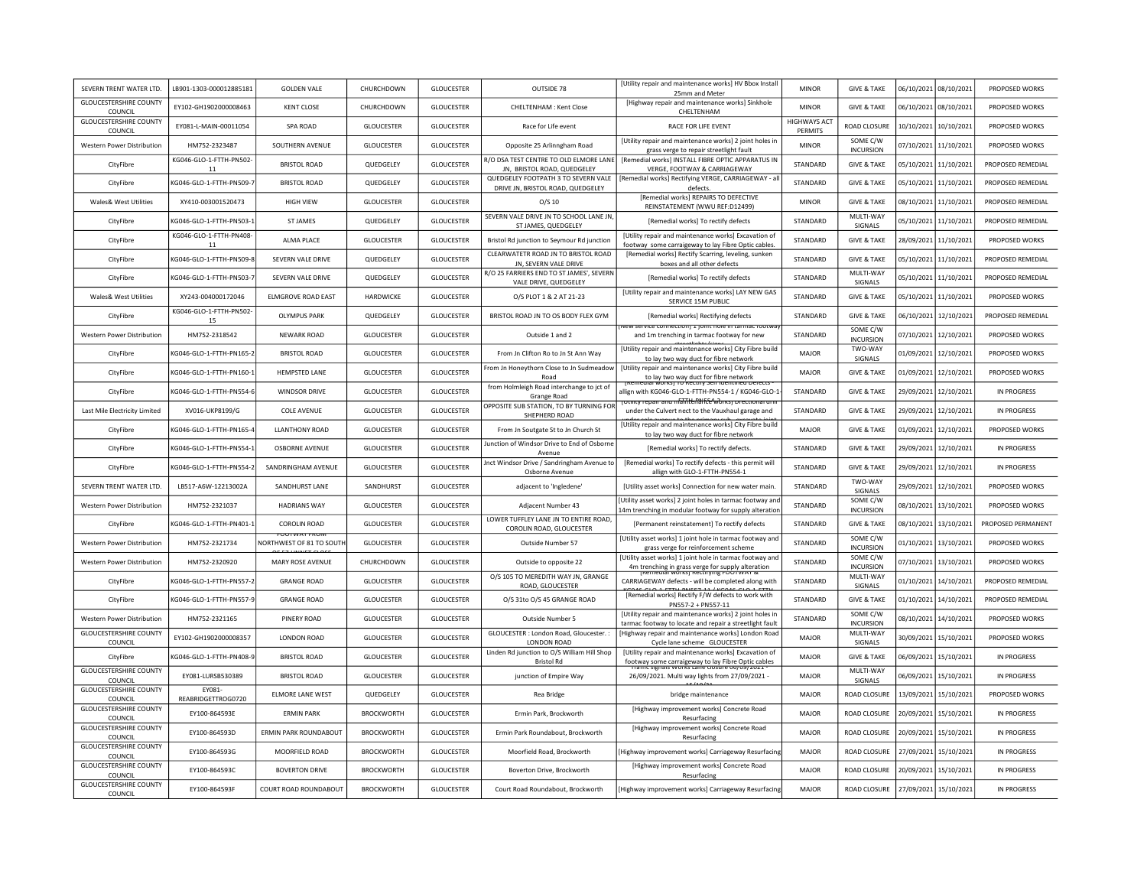| SEVERN TRENT WATER LTD.                         | LB901-1303-000012885181        | <b>GOLDEN VALE</b>                         | CHURCHDOWN        | <b>GLOUCESTER</b> | OUTSIDE 78                                                               | [Utility repair and maintenance works] HV Bbox Install<br>25mm and Meter                                                                                   | <b>MINOR</b>                   | <b>GIVE &amp; TAKE</b>       | 06/10/2021            | 08/10/2021            | PROPOSED WORKS     |
|-------------------------------------------------|--------------------------------|--------------------------------------------|-------------------|-------------------|--------------------------------------------------------------------------|------------------------------------------------------------------------------------------------------------------------------------------------------------|--------------------------------|------------------------------|-----------------------|-----------------------|--------------------|
| <b>GLOUCESTERSHIRE COUNTY</b><br>COUNCIL        | EY102-GH1902000008463          | <b>KENT CLOSE</b>                          | CHURCHDOWN        | <b>GLOUCESTER</b> | <b>CHELTENHAM: Kent Close</b>                                            | [Highway repair and maintenance works] Sinkhole<br>CHELTENHAM                                                                                              | <b>MINOR</b>                   | <b>GIVE &amp; TAKE</b>       | 06/10/2021            | 08/10/2021            | PROPOSED WORKS     |
| <b>GLOUCESTERSHIRE COUNTY</b><br>COUNCIL        | EY081-L-MAIN-00011054          | <b>SPA ROAD</b>                            | <b>GLOUCESTER</b> | <b>GLOUCESTER</b> | Race for Life event                                                      | RACE FOR LIFE EVENT                                                                                                                                        | <b>HIGHWAYS ACT</b><br>PERMITS | <b>ROAD CLOSURE</b>          | 10/10/2021            | 10/10/2021            | PROPOSED WORKS     |
| Western Power Distribution                      | HM752-2323487                  | SOUTHERN AVENUE                            | <b>GLOUCESTER</b> | <b>GLOUCESTER</b> | Opposite 25 Arlinngham Road                                              | [Utility repair and maintenance works] 2 joint holes in<br>grass verge to repair streetlight fault                                                         | <b>MINOR</b>                   | SOME C/W<br><b>INCURSION</b> | 07/10/2021            | 11/10/2021            | PROPOSED WORKS     |
| CityFibre                                       | KG046-GLO-1-FTTH-PN502-<br>-11 | <b>BRISTOL ROAD</b>                        | <b>OUFDGELEY</b>  | <b>GLOUCESTER</b> | R/O DSA TEST CENTRE TO OLD ELMORE LANE<br>JN. BRISTOL ROAD, QUEDGELEY    | [Remedial works] INSTALL FIBRE OPTIC APPARATUS IN<br>VERGE, FOOTWAY & CARRIAGEWAY                                                                          | <b>STANDARD</b>                | <b>GIVE &amp; TAKE</b>       | 05/10/2021            | 11/10/2021            | PROPOSED REMEDIAL  |
| CityFibre                                       | (G046-GLO-1-FTTH-PN509-7       | <b>BRISTOL ROAD</b>                        | QUEDGELEY         | <b>GLOUCESTER</b> | QUEDGELEY FOOTPATH 3 TO SEVERN VALE<br>DRIVE JN, BRISTOL ROAD, QUEDGELEY | [Remedial works] Rectifying VERGE, CARRIAGEWAY - all<br>defects.                                                                                           | STANDARD                       | <b>GIVE &amp; TAKE</b>       | 05/10/2021            | 11/10/2021            | PROPOSED REMEDIAL  |
| Wales& West Utilities                           | XY410-003001520473             | <b>HIGH VIEW</b>                           | <b>GLOUCESTER</b> | <b>GLOUCESTER</b> | O/S 10                                                                   | [Remedial works] REPAIRS TO DEFECTIVE<br>REINSTATEMENT (WWU REF:D12499)                                                                                    | <b>MINOR</b>                   | <b>GIVE &amp; TAKE</b>       | 08/10/2021            | 11/10/2021            | PROPOSED REMEDIAL  |
| CityFibre                                       | KG046-GLO-1-FTTH-PN503-1       | <b>ST JAMES</b>                            | QUEDGELEY         | <b>GLOUCESTER</b> | SEVERN VALE DRIVE JN TO SCHOOL LANE JN,<br>ST JAMES, QUEDGELEY           | [Remedial works] To rectify defects                                                                                                                        | STANDARD                       | MULTI-WAY<br><b>SIGNALS</b>  | 05/10/2021            | 11/10/2021            | PROPOSED REMEDIAL  |
| CityFibre                                       | KG046-GLO-1-FTTH-PN408-<br>11  | ALMA PLACE                                 | <b>GLOUCESTER</b> | <b>GLOUCESTER</b> | Bristol Rd junction to Seymour Rd junction                               | [Utility repair and maintenance works] Excavation of<br>footway some carraigeway to lay Fibre Optic cables.                                                | STANDARD                       | <b>GIVE &amp; TAKE</b>       | 28/09/2021            | 11/10/2021            | PROPOSED WORKS     |
| CityFibre                                       | KG046-GLO-1-FTTH-PN509-8       | SEVERN VALE DRIVE                          | QUEDGELEY         | <b>GLOUCESTER</b> | CLEARWATETR ROAD JN TO BRISTOL ROAD<br>JN, SEVERN VALE DRIVE             | [Remedial works] Rectify Scarring, leveling, sunken<br>boxes and all other defects                                                                         | STANDARD                       | <b>GIVE &amp; TAKE</b>       | 05/10/2021            | 11/10/2021            | PROPOSED REMEDIAL  |
| CityFibre                                       | KG046-GLO-1-FTTH-PN503-7       | SEVERN VALE DRIVE                          | QUEDGELEY         | <b>GLOUCESTER</b> | R/O 25 FARRIERS END TO ST JAMES', SEVERN<br>VALE DRIVE, QUEDGELEY        | [Remedial works] To rectify defects                                                                                                                        | STANDARD                       | MULTI-WAY<br>SIGNALS         |                       | 05/10/2021 11/10/2021 | PROPOSED REMEDIAL  |
| Wales& West Utilities                           | XY243-004000172046             | <b>ELMGROVE ROAD EAST</b>                  | HARDWICKE         | <b>GLOUCESTER</b> | O/S PLOT 1 & 2 AT 21-23                                                  | [Utility repair and maintenance works] LAY NEW GAS<br>SERVICE 15M PUBLIC                                                                                   | STANDARD                       | <b>GIVE &amp; TAKE</b>       |                       | 05/10/2021 11/10/2021 | PROPOSED WORKS     |
| CityFibre                                       | KG046-GLO-1-FTTH-PN502-<br>15  | <b>OLYMPUS PARK</b>                        | QUEDGELEY         | <b>GLOUCESTER</b> | BRISTOL ROAD JN TO OS BODY FLEX GYM                                      | [Remedial works] Rectifying defects                                                                                                                        | STANDARD                       | <b>GIVE &amp; TAKE</b>       |                       | 06/10/2021 12/10/2021 | PROPOSED REMEDIAL  |
| Western Power Distribution                      | HM752-2318542                  | NEWARK ROAD                                | <b>GLOUCESTER</b> | GLOUCESTER        | Outside 1 and 2                                                          | יכש אכו זוכ נטווווכנגוטוון ב ןטוווג ווטוכ ווו גמו ווומג וטטו<br>and 1m trenching in tarmac footway for new                                                 | STANDARD                       | SOME C/W<br><b>INCURSION</b> |                       | 07/10/2021 12/10/2021 | PROPOSED WORKS     |
| CityFibre                                       | KG046-GLO-1-FTTH-PN165-2       | <b>BRISTOL ROAD</b>                        | <b>GLOUCESTER</b> | <b>GLOUCESTER</b> | From Jn Clifton Ro to Jn St Ann Way                                      | [Utility repair and maintenance works] City Fibre build<br>to lay two way duct for fibre network                                                           | MAJOR                          | TWO-WAY<br>SIGNALS           | 01/09/2021            | 12/10/2021            | PROPOSED WORKS     |
| CityFibre                                       | KG046-GLO-1-FTTH-PN160-1       | HEMPSTED LANE                              | <b>GLOUCESTER</b> | GLOUCESTER        | From Jn Honeythorn Close to Jn Sudmeadow<br>Road                         | [Utility repair and maintenance works] City Fibre build                                                                                                    | MAIOR                          | <b>GIVE &amp; TAKE</b>       | 01/09/2021            | 12/10/2021            | PROPOSED WORKS     |
| CityFibre                                       | KG046-GLO-1-FTTH-PN554-6       | <b>WINDSOR DRIVE</b>                       | <b>GLOUCESTER</b> | <b>GLOUCESTER</b> | from Holmleigh Road interchange to jct of<br>Grange Road                 | to lay two way duct for fibre network<br>corar works <sub>J</sub> To Rectify sen roentined Defect<br>allign with KG046-GLO-1-FTTH-PN554-1 / KG046-GLO-1-   | STANDARD                       | <b>GIVE &amp; TAKE</b>       | 29/09/2021            | 12/10/2021            | <b>IN PROGRESS</b> |
| Last Mile Electricity Limited                   | XV016-UKP8199/G                | <b>COLE AVENUE</b>                         | <b>GLOUCESTER</b> | GLOUCESTER        | OPPOSITE SUB STATION, TO BY TURNING FOR<br>SHEPHERD ROAD                 | otility repair and mantienalite works; prectional dir<br>under the Culvert nect to the Vauxhaul garage and                                                 | STANDARD                       | <b>GIVE &amp; TAKE</b>       | 29/09/2021            | 12/10/2021            | <b>IN PROGRESS</b> |
| CityFibre                                       | (G046-GLO-1-FTTH-PN165-4       | <b>LLANTHONY ROAD</b>                      | <b>GLOUCESTER</b> | <b>GLOUCESTER</b> | From Jn Soutgate St to Jn Church St                                      | <b>IUtility repair and maintenance works] City Fibre build</b><br>to lay two way duct for fibre network                                                    | MAJOR                          | <b>GIVE &amp; TAKE</b>       | 01/09/2021            | 12/10/2021            | PROPOSED WORKS     |
| CityFibre                                       | KG046-GLO-1-FTTH-PN554-1       | <b>OSBORNE AVENUE</b>                      | <b>GLOUCESTER</b> | <b>GLOUCESTER</b> | Junction of Windsor Drive to End of Osborne<br>Avenue                    | [Remedial works] To rectify defects.                                                                                                                       | STANDARD                       | <b>GIVE &amp; TAKE</b>       | 29/09/2021            | 12/10/2021            | <b>IN PROGRESS</b> |
| CityFibre                                       | KG046-GLO-1-FTTH-PN554-2       | SANDRINGHAM AVENUE                         | <b>GLOUCESTER</b> | <b>GLOUCESTER</b> | Jnct Windsor Drive / Sandringham Avenue to<br>Osborne Avenue             | [Remedial works] To rectify defects - this permit will<br>allign with GLO-1-FTTH-PN554-1                                                                   | STANDARD                       | <b>GIVE &amp; TAKE</b>       | 29/09/2021            | 12/10/2021            | <b>IN PROGRESS</b> |
| SEVERN TRENT WATER LTD.                         | LB517-A6W-12213002A            | SANDHURST LANE                             | SANDHURST         | <b>GLOUCESTER</b> | adjacent to 'Ingledene'                                                  | [Utility asset works] Connection for new water main.                                                                                                       | STANDARD                       | TWO-WAY<br>SIGNALS           | 29/09/2021            | 12/10/2021            | PROPOSED WORKS     |
| Western Power Distribution                      | HM752-2321037                  | <b>HADRIANS WAY</b>                        | <b>GLOUCESTER</b> | <b>GLOUCESTER</b> | Adjacent Number 43                                                       | [Utility asset works] 2 joint holes in tarmac footway and<br>14m trenching in modular footway for supply alteration                                        | <b>STANDARD</b>                | SOME C/W<br><b>INCURSION</b> | 08/10/2021            | 13/10/2021            | PROPOSED WORKS     |
| CityFibre                                       | KG046-GLO-1-FTTH-PN401-1       | <b>COROLIN ROAD</b>                        | <b>GLOUCESTER</b> | <b>GLOUCESTER</b> | LOWER TUFFLEY LANE JN TO ENTIRE ROAD,<br>COROLIN ROAD, GLOUCESTER        | [Permanent reinstatement] To rectify defects                                                                                                               | STANDARD                       | <b>GIVE &amp; TAKE</b>       |                       | 08/10/2021 13/10/2021 | PROPOSED PERMANENT |
| Western Power Distribution                      | HM752-2321734                  | <b>TUUTWAT</b><br>NORTHWEST OF 81 TO SOUTH | <b>GLOUCESTER</b> | <b>GLOUCESTER</b> | Outside Number 57                                                        | [Utility asset works] 1 joint hole in tarmac footway and<br>grass verge for reinforcement scheme                                                           | <b>STANDARD</b>                | SOME C/W<br><b>INCURSION</b> | 01/10/2021            | 13/10/2021            | PROPOSED WORKS     |
| Western Power Distribution                      | HM752-2320920                  | MARY ROSE AVENUE                           | CHURCHDOWN        | <b>GLOUCESTER</b> | Outside to opposite 22                                                   | [Utility asset works] 1 joint hole in tarmac footway and<br>4m trenching in grass verge for supply alteration                                              | STANDARD                       | SOME C/W<br><b>INCURSION</b> | 07/10/2021            | 13/10/2021            | PROPOSED WORKS     |
| CityFibre                                       | KG046-GLO-1-FTTH-PN557-2       | <b>GRANGE ROAD</b>                         | <b>GLOUCESTER</b> | <b>GLOUCESTER</b> | O/S 105 TO MEREDITH WAY JN, GRANGE<br>ROAD, GLOUCESTER                   | <u>TREMEDIAI WORKST RECUTYING POOTWAT &amp;</u><br>CARRIAGEWAY defects - will be completed along with                                                      | STANDARD                       | MULTI-WAY<br>SIGNALS         | 01/10/2021            | 14/10/2021            | PROPOSED REMEDIAL  |
| CityFibre                                       | KG046-GLO-1-FTTH-PN557-9       | <b>GRANGE ROAD</b>                         | <b>GLOUCESTER</b> | <b>GLOUCESTER</b> | O/S 31to O/S 45 GRANGE ROAD                                              | [Remedial works] Rectify F/W defects to work with<br>PN557-2 + PN557-11                                                                                    | <b>STANDARD</b>                | <b>GIVE &amp; TAKE</b>       | 01/10/2021            | 14/10/2021            | PROPOSED REMEDIAL  |
| Western Power Distribution                      | HM752-2321165                  | PINERY ROAD                                | <b>GLOUCESTER</b> | <b>GLOUCESTER</b> | Outside Number 5                                                         | [Utility repair and maintenance works] 2 joint holes in<br>tarmac footway to locate and repair a streetlight fault                                         | STANDARD                       | SOME C/W<br><b>INCURSION</b> | 08/10/2021            | 14/10/2021            | PROPOSED WORKS     |
| <b>GLOUCESTERSHIRE COUNTY</b><br>COUNCIL        | EY102-GH1902000008357          | <b>LONDON ROAD</b>                         | <b>GLOUCESTER</b> | <b>GLOUCESTER</b> | GLOUCESTER : London Road, Gloucester. :<br>LONDON ROAD                   | [Highway repair and maintenance works] London Road<br>Cycle lane scheme GLOUCESTER                                                                         | MAJOR                          | MULTI-WAY<br>SIGNALS         | 30/09/2021            | 15/10/2021            | PROPOSED WORKS     |
| CityFibre                                       | (G046-GLO-1-FTTH-PN408-9       | <b>BRISTOL ROAD</b>                        | <b>GLOUCESTER</b> | <b>GLOUCESTER</b> | Linden Rd junction to O/S William Hill Shop<br><b>Bristol Rd</b>         | [Utility repair and maintenance works] Excavation of<br>footway some carraigeway to lay Fibre Optic cables<br>Traint signals works cane closure 00/09/2021 | MAJOR                          | <b>GIVE &amp; TAKE</b>       | 06/09/2021            | 15/10/2021            | <b>IN PROGRESS</b> |
| <b>GLOUCESTERSHIRE COUNTY</b><br>COUNCIL        | EY081-LURSB530389              | <b>BRISTOL ROAD</b>                        | <b>GLOUCESTER</b> | <b>GLOUCESTER</b> | junction of Empire Way                                                   | 26/09/2021. Multi way lights from 27/09/2021 ·                                                                                                             | MAJOR                          | MULTI-WAY<br>SIGNALS         | 06/09/2021            | 15/10/2021            | <b>IN PROGRESS</b> |
| <b>GLOUCESTERSHIRE COUNTY</b><br>COUNCIL        | EY081<br>REABRIDGETTROG0720    | <b>ELMORE LANE WEST</b>                    | QUEDGELEY         | <b>GLOUCESTER</b> | Rea Bridge                                                               | bridge maintenance                                                                                                                                         | <b>MAJOR</b>                   | ROAD CLOSURE                 |                       | 13/09/2021 15/10/2021 | PROPOSED WORKS     |
| <b>GLOUCESTERSHIRE COUNTY</b><br><b>COUNCIL</b> | FY100-864593F                  | <b>FRMIN PARK</b>                          | <b>BROCKWORTH</b> | <b>GLOUCESTER</b> | Ermin Park, Brockworth                                                   | [Highway improvement works] Concrete Road<br>Resurfacing                                                                                                   | MAIOR                          | ROAD CLOSURE                 | 20/09/2021            | 15/10/2021            | IN PROGRESS        |
| <b>GLOUCESTERSHIRE COUNTY</b><br>COUNCIL        | FY100-864593D                  | ERMIN PARK ROUNDABOUT                      | <b>BROCKWORTH</b> | <b>GLOUCESTER</b> | Ermin Park Roundabout, Brockworth                                        | [Highway improvement works] Concrete Road<br>Resurfacing                                                                                                   | MAIOR                          | ROAD CLOSURE                 | 20/09/2021 15/10/2021 |                       | IN PROGRESS        |
| <b>GLOUCESTERSHIRE COUNTY</b><br>COUNCIL        | EY100-864593G                  | MOORFIELD ROAD                             | <b>BROCKWORTH</b> | <b>GLOUCESTER</b> | Moorfield Road, Brockworth                                               | [Highway improvement works] Carriageway Resurfacing                                                                                                        | <b>MAJOR</b>                   | ROAD CLOSURE                 |                       | 27/09/2021 15/10/2021 | IN PROGRESS        |
| <b>GLOUCESTERSHIRE COUNTY</b><br>COUNCIL        | EY100-864593C                  | <b>BOVERTON DRIVE</b>                      | <b>BROCKWORTH</b> | <b>GLOUCESTER</b> | Boverton Drive, Brockworth                                               | [Highway improvement works] Concrete Road<br>Resurfacing                                                                                                   | MAJOR                          | <b>ROAD CLOSURE</b>          |                       | 20/09/2021 15/10/2021 | <b>IN PROGRESS</b> |
| <b>GLOUCESTERSHIRE COUNTY</b><br>COUNCIL        | EY100-864593F                  | COURT ROAD ROUNDABOUT                      | <b>BROCKWORTH</b> | <b>GLOUCESTER</b> | Court Road Roundabout, Brockworth                                        | [Highway improvement works] Carriageway Resurfacing                                                                                                        | MAJOR                          | ROAD CLOSURE                 |                       | 27/09/2021 15/10/2021 | <b>IN PROGRESS</b> |
|                                                 |                                |                                            |                   |                   |                                                                          |                                                                                                                                                            |                                |                              |                       |                       |                    |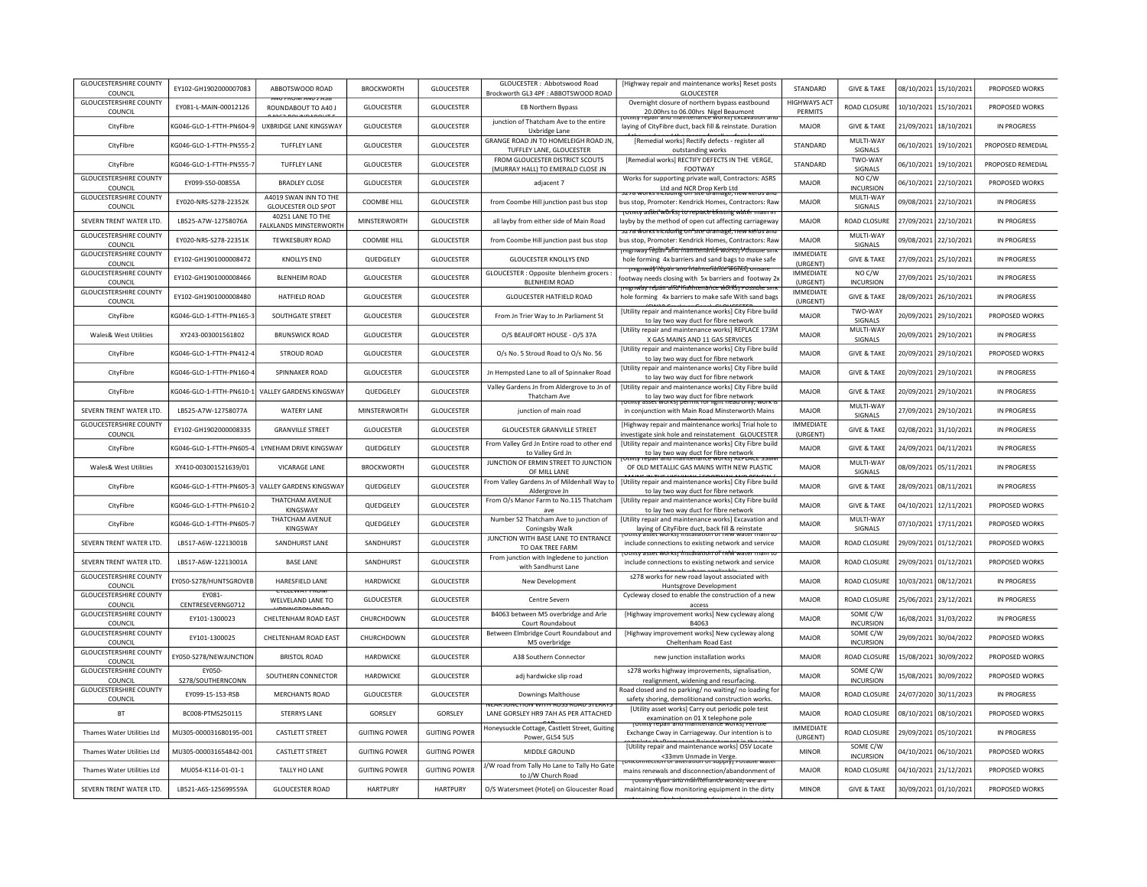| <b>GLOUCESTERSHIRE COUNTY</b><br>COUNCIL | EY102-GH1902000007083       | ABBOTSWOOD ROAD                                     | <b>BROCKWORTH</b>    | <b>GLOUCESTER</b>    | GLOUCESTER: Abbotswood Road<br>Brockworth GL3 4PF : ABBOTSWOOD ROAD  | [Highway repair and maintenance works] Reset posts<br><b>GLOUCESTER</b>                                                                                                               | STANDARD                       | <b>GIVE &amp; TAKE</b>       | 08/10/2021 | 15/10/2021 | PROPOSED WORKS     |
|------------------------------------------|-----------------------------|-----------------------------------------------------|----------------------|----------------------|----------------------------------------------------------------------|---------------------------------------------------------------------------------------------------------------------------------------------------------------------------------------|--------------------------------|------------------------------|------------|------------|--------------------|
| <b>GLOUCESTERSHIRE COUNTY</b><br>COUNCIL | EY081-L-MAIN-00012126       | A4U FRUM A4U LA 30<br>ROUNDABOUT TO A40 J           | <b>GLOUCESTER</b>    | <b>GLOUCESTER</b>    | EB Northern Bypass                                                   | Overnight closure of northern bypass eastbound<br>20.00hrs to 06.00hrs Nigel Beaumont                                                                                                 | <b>HIGHWAYS ACT</b><br>PERMITS | ROAD CLOSURE                 | 10/10/2021 | 15/10/2021 | PROPOSED WORKS     |
| CityFibre                                | KG046-GLO-1-FTTH-PN604-9    | UXBRIDGE LANE KINGSWAY                              | GLOUCESTER           | GLOUCESTER           | junction of Thatcham Ave to the entire<br>Uxbridge Lane              | laying of CityFibre duct, back fill & reinstate. Duration                                                                                                                             | MAJOR                          | <b>GIVE &amp; TAKE</b>       | 21/09/2021 | 18/10/2021 | <b>IN PROGRESS</b> |
| CityFibre                                | KG046-GLO-1-FTTH-PN555-2    | <b>TUFFLEY LANE</b>                                 | <b>GLOUCESTER</b>    | <b>GLOUCESTER</b>    | GRANGE ROAD JN TO HOMELEIGH ROAD JN<br>TUFFLEY LANE, GLOUCESTER      | [Remedial works] Rectify defects - register all<br>outstanding works                                                                                                                  | STANDARD                       | MULTI-WAY<br><b>SIGNALS</b>  | 06/10/2021 | 19/10/2021 | PROPOSED REMEDIAL  |
| CityFibre                                | KG046-GLO-1-FTTH-PN555-1    | <b>TUFFLEY LANE</b>                                 | <b>GLOUCESTER</b>    | <b>GLOUCESTER</b>    | FROM GLOUCESTER DISTRICT SCOUTS<br>(MURRAY HALL) TO EMERALD CLOSE JN | [Remedial works] RECTIFY DEFECTS IN THE VERGE,<br><b>FOOTWAY</b>                                                                                                                      | STANDARD                       | TWO-WAY<br>SIGNALS           | 06/10/2021 | 19/10/2021 | PROPOSED REMEDIAL  |
| <b>GLOUCESTERSHIRE COUNTY</b><br>COUNCIL | EY099-S50-00855A            | <b>BRADLEY CLOSE</b>                                | <b>GLOUCESTER</b>    | <b>GLOUCESTER</b>    | adiacent 7                                                           | Works for supporting private wall, Contractors: ASRS<br>ltd and NCR Drop Kerb Ltd ב <mark>x</mark><br>אבי <del>ס שטו ג</del> s וויטשטוואַ טוז אנ <del>פ טו מוווענט, וופש גפוט</del> א | MAJOR                          | NO C/W<br><b>INCURSION</b>   | 06/10/2021 | 22/10/2021 | PROPOSED WORKS     |
| <b>GLOUCESTERSHIRE COUNTY</b><br>COUNCIL | EY020-NRS-S278-22352K       | A4019 SWAN INN TO THE<br><b>GLOUCESTER OLD SPOT</b> | <b>COOMBE HILL</b>   | <b>GLOUCESTER</b>    | from Coombe Hill junction past bus stop                              | bus stop, Promoter: Kendrick Homes, Contractors: Raw                                                                                                                                  | <b>MAJOR</b>                   | MULTI-WAY<br>SIGNALS         | 09/08/2021 | 22/10/2021 | <b>IN PROGRESS</b> |
| SEVERN TRENT WATER LTD.                  | LB525-A7W-12758076A         | 40251 LANE TO THE<br>FALKLANDS MINSTERWORTH         | MINSTERWORTH         | <b>GLOUCESTER</b>    | all layby from either side of Main Road                              | <del>otmty asSet'w0rksj to replace existing water mam i</del><br>layby by the method of open cut affecting carriageway                                                                | MAJOR                          | ROAD CLOSURE                 | 27/09/2021 | 22/10/2021 | <b>IN PROGRESS</b> |
| <b>GLOUCESTERSHIRE COUNTY</b><br>COUNCIL | EY020-NRS-S278-22351K       | TEWKESBURY ROAD                                     | COOMBE HILL          | <b>GLOUCESTER</b>    | from Coombe Hill junction past bus stop                              | <del>sz / 8 wurks niciduilig on''site dramage', new kelios and</del><br>bus stop, Promoter: Kendrick Homes, Contractors: Rav                                                          | MAJOR                          | MULTI-WAY<br>SIGNALS         | 09/08/2021 | 22/10/2021 | <b>IN PROGRESS</b> |
| <b>GLOUCESTERSHIRE COUNTY</b><br>COUNCIL | EY102-GH1901000008472       | <b>KNOLLYS END</b>                                  | QUEDGELEY            | <b>GLOUCESTER</b>    | <b>GLOUCESTER KNOLLYS END</b>                                        | ngnway fépan <sup>o</sup> afi <del>o manntenancé worksj Possibie sin</del><br>hole forming 4x barriers and sand bags to make safe                                                     | <b>IMMEDIATE</b><br>(URGENT)   | <b>GIVE &amp; TAKE</b>       | 27/09/2021 | 25/10/2021 | <b>IN PROGRESS</b> |
| <b>GLOUCESTERSHIRE COUNTY</b><br>COUNCIL | EY102-GH1901000008466       | <b>BLENHEIM ROAD</b>                                | <b>GLOUCESTER</b>    | <b>GLOUCESTER</b>    | GLOUCESTER : Opposite blenheim grocers :<br><b>BLENHEIM ROAD</b>     | ngnway'repair ano hialmenance works) onsan<br>footway needs closing with 5x barriers and footway 2x                                                                                   | <b>IMMFDIATE</b><br>(URGENT)   | NO C/W<br><b>INCURSION</b>   | 27/09/2021 | 25/10/2021 | <b>IN PROGRESS</b> |
| <b>GLOUCESTERSHIRE COUNTY</b><br>COUNCIL | EY102-GH1901000008480       | <b>HATFIELD ROAD</b>                                | <b>GLOUCESTER</b>    | <b>GLOUCESTER</b>    | GLOUCESTER HATFIELD ROAD                                             | ienway rebair affü tfiahrtenance works rrossiole sin<br>hole forming 4x barriers to make safe With sand bags                                                                          | IMMEDIATE<br>(URGENT)          | <b>GIVE &amp; TAKE</b>       | 28/09/2021 | 26/10/2021 | <b>IN PROGRESS</b> |
| CityFibre                                | KG046-GLO-1-FTTH-PN165-     | SOUTHGATE STREET                                    | <b>GLOUCESTER</b>    | <b>GLOUCESTER</b>    | From Jn Trier Way to Jn Parliament St                                | [Utility repair and maintenance works] City Fibre build<br>to lay two way duct for fibre network                                                                                      | MAJOR                          | TWO-WAY<br>SIGNALS           | 20/09/2021 | 29/10/2021 | PROPOSED WORKS     |
| <b>Wales&amp; West Utilities</b>         | XY243-003001561802          | <b>BRUNSWICK ROAD</b>                               | <b>GLOUCESTER</b>    | <b>GLOUCESTER</b>    | O/S BEAUFORT HOUSE - O/S 37A                                         | [Utility repair and maintenance works] REPLACE 173M<br>X GAS MAINS AND 11 GAS SERVICES                                                                                                | MAJOR                          | MULTI-WAY<br>SIGNALS         | 20/09/2021 | 29/10/2021 | <b>IN PROGRESS</b> |
| CityFibre                                | KG046-GLO-1-FTTH-PN412-4    | <b>STROUD ROAD</b>                                  | <b>GLOUCESTER</b>    | <b>GLOUCESTER</b>    | O/s No. 5 Stroud Road to O/s No. 56                                  | [Utility repair and maintenance works] City Fibre build<br>to lay two way duct for fibre network                                                                                      | <b>MAJOR</b>                   | <b>GIVE &amp; TAKE</b>       | 20/09/2021 | 29/10/2021 | PROPOSED WORKS     |
| CityFibre                                | KG046-GLO-1-FTTH-PN160-4    | SPINNAKER ROAD                                      | <b>GLOUCESTER</b>    | <b>GLOUCESTER</b>    | Jn Hempsted Lane to all of Spinnaker Road                            | [Utility repair and maintenance works] City Fibre build<br>to lay two way duct for fibre network                                                                                      | MAIOR                          | <b>GIVE &amp; TAKE</b>       | 20/09/2021 | 29/10/2021 | IN PROGRESS        |
| CityFibre                                | KG046-GLO-1-FTTH-PN610-1    | VALLEY GARDENS KINGSWAY                             | QUEDGELEY            | <b>GLOUCESTER</b>    | Valley Gardens Jn from Aldergrove to Jn of<br>Thatcham Ave           | [Utility repair and maintenance works] City Fibre build<br>to lay two way duct for fibre network                                                                                      | <b>MAJOR</b>                   | <b>GIVE &amp; TAKE</b>       | 20/09/2021 | 29/10/2021 | <b>IN PROGRESS</b> |
| SEVERN TRENT WATER LTD.                  | LB525-A7W-12758077A         | <b>WATERY LANE</b>                                  | MINSTERWORTH         | <b>GLOUCESTER</b>    | junction of main road                                                | asset worksj pêrmit for light nead omy, work<br>in conjunction with Main Road Minsterworth Mains                                                                                      | MAIOR                          | MULTI-WAY<br>SIGNALS         | 27/09/2021 | 29/10/2021 | <b>IN PROGRESS</b> |
| <b>GLOUCESTERSHIRE COUNTY</b><br>COUNCIL | EY102-GH1902000008335       | <b>GRANVILLE STREET</b>                             | <b>GLOUCESTER</b>    | <b>GLOUCESTER</b>    | GLOUCESTER GRANVILLE STREET                                          | [Highway repair and maintenance works] Trial hole to<br>investigate sink hole and reinstatement GLOUCESTER                                                                            | <b>IMMEDIATE</b><br>(URGENT)   | <b>GIVE &amp; TAKE</b>       | 02/08/2021 | 31/10/2021 | <b>IN PROGRESS</b> |
| CityFibre                                | KG046-GLO-1-FTTH-PN605-4    | LYNEHAM DRIVE KINGSWAY                              | QUEDGELEY            | GLOUCESTER           | From Valley Grd Jn Entire road to other end<br>to Valley Grd Jn      | [Utility repair and maintenance works] City Fibre build<br>to lay two way duct for fibre network<br>repair and maintenance works) KEFEA                                               | <b>MAJOR</b>                   | <b>GIVE &amp; TAKE</b>       | 24/09/2021 | 04/11/2021 | <b>IN PROGRESS</b> |
| Wales& West Utilities                    | XY410-003001521639/01       | VICARAGE LANE                                       | <b>BROCKWORTH</b>    | <b>GLOUCESTER</b>    | JUNCTION OF ERMIN STREET TO JUNCTION<br>OF MILL LANE                 | OF OLD METALLIC GAS MAINS WITH NEW PLASTIC                                                                                                                                            | MAIOR                          | MULTI-WAY<br>SIGNALS         | 08/09/2021 | 05/11/2021 | <b>IN PROGRESS</b> |
| CityFibre                                | KG046-GLO-1-FTTH-PN605-3    | VALLEY GARDENS KINGSWAY                             | QUEDGELEY            | <b>GLOUCESTER</b>    | From Valley Gardens Jn of Mildenhall Way to<br>Aldergrove Jn         | [Utility repair and maintenance works] City Fibre build<br>to lay two way duct for fibre network                                                                                      | MAJOR                          | <b>GIVE &amp; TAKE</b>       | 28/09/2021 | 08/11/2021 | <b>IN PROGRESS</b> |
| CityFibre                                | KG046-GLO-1-FTTH-PN610-2    | THATCHAM AVENUE<br>KINGSWAY                         | QUEDGELEY            | <b>GLOUCESTER</b>    | From O/s Manor Farm to No.115 Thatcham<br>ave                        | [Utility repair and maintenance works] City Fibre build<br>to lay two way duct for fibre network                                                                                      | MAIOR                          | <b>GIVE &amp; TAKE</b>       | 04/10/2021 | 12/11/2021 | PROPOSED WORKS     |
| CityFibre                                | KG046-GLO-1-FTTH-PN605-1    | THATCHAM AVENUE<br>KINGSWAY                         | QUEDGELEY            | <b>GLOUCESTER</b>    | Number 52 Thatcham Ave to junction of<br>Coningsby Walk              | [Utility repair and maintenance works] Excavation and<br>laying of CityFibre duct, back fill & reinstate<br>set works) installation of new water ma                                   | <b>MAJOR</b>                   | MULTI-WAY<br>SIGNALS         | 07/10/2021 | 17/11/2021 | PROPOSED WORKS     |
| SEVERN TRENT WATER LTD.                  | LB517-A6W-12213001B         | SANDHURST LANE                                      | SANDHURST            | <b>GLOUCESTER</b>    | JUNCTION WITH BASE LANE TO ENTRANCE<br>TO OAK TREE FARM              | include connections to existing network and service<br><del>otmty asset worksphistanation of new water main to</del>                                                                  | MAJOR                          | ROAD CLOSURE                 | 29/09/2021 | 01/12/2021 | PROPOSED WORKS     |
| SEVERN TRENT WATER LTD.                  | LB517-A6W-12213001A         | <b>BASE LANE</b>                                    | SANDHURST            | <b>GLOUCESTER</b>    | From junction with Ingledene to junction<br>with Sandhurst Lane      | include connections to existing network and service                                                                                                                                   | <b>MAJOR</b>                   | ROAD CLOSURE                 | 29/09/2021 | 01/12/2021 | PROPOSED WORKS     |
| <b>GLOUCESTERSHIRE COUNTY</b><br>COUNCIL | EY050-S278/HUNTSGROVEB      | <b>HARESFIELD LANE</b><br>.                         | <b>HARDWICKE</b>     | <b>GLOUCESTER</b>    | New Development                                                      | s278 works for new road layout associated with<br>Huntsgrove Development                                                                                                              | MAIOR                          | ROAD CLOSURE                 | 10/03/2021 | 08/12/2021 | <b>IN PROGRESS</b> |
| <b>GLOUCESTERSHIRE COUNTY</b><br>COUNCIL | EY081-<br>CENTRESEVERNG0712 | WFIVELAND LANE TO                                   | <b>GLOUCESTER</b>    | <b>GLOUCESTER</b>    | Centre Severn                                                        | Cycleway closed to enable the construction of a new<br>access                                                                                                                         | MAJOR                          | ROAD CLOSURE                 | 25/06/2021 | 23/12/2021 | <b>IN PROGRESS</b> |
| <b>GLOUCESTERSHIRE COUNTY</b><br>COUNCIL | EY101-1300023               | CHELTENHAM ROAD EAST                                | CHURCHDOWN           | <b>GLOUCESTER</b>    | B4063 between M5 overbridge and Arle<br>Court Roundabout             | [Highway improvement works] New cycleway along<br>B4063                                                                                                                               | <b>MAJOR</b>                   | SOME C/W<br><b>INCURSION</b> | 16/08/2021 | 31/03/2022 | <b>IN PROGRESS</b> |
| <b>GLOUCESTERSHIRE COUNTY</b><br>COUNCIL | EY101-1300025               | CHELTENHAM ROAD EAST                                | CHURCHDOWN           | <b>GLOUCESTER</b>    | Between Elmbridge Court Roundabout and<br>M5 overbridge              | [Highway improvement works] New cycleway along<br>Cheltenham Road East                                                                                                                | MAJOR                          | SOME C/W<br><b>INCURSION</b> | 29/09/2021 | 30/04/2022 | PROPOSED WORKS     |
| <b>GLOUCESTERSHIRE COUNTY</b><br>COUNCIL | EY050-S278/NEWJUNCTION      | <b>BRISTOL ROAD</b>                                 | HARDWICKE            | <b>GLOUCESTER</b>    | A38 Southern Connector                                               | new junction installation works                                                                                                                                                       | MAJOR                          | ROAD CLOSURE                 | 15/08/2021 | 30/09/2022 | PROPOSED WORKS     |
| <b>GLOUCESTERSHIRE COUNTY</b><br>COUNCIL | EY050<br>S278/SOUTHERNCONN  | SOUTHERN CONNECTOR                                  | HARDWICKE            | <b>GLOUCESTER</b>    | adj hardwicke slip road                                              | s278 works highway improvements, signalisation,<br>realignment, widening and resurfacing.                                                                                             | <b>MAJOR</b>                   | SOME C/W<br><b>INCURSION</b> | 15/08/2021 | 30/09/2022 | PROPOSED WORKS     |
| <b>GLOUCESTERSHIRE COUNTY</b><br>COUNCIL | EY099-15-153-RSB            | <b>MERCHANTS ROAD</b>                               | <b>GLOUCESTER</b>    | <b>GLOUCESTER</b>    | Downings Malthouse<br><b>EAR IUNU IIUN WITH BUSS BUAD STERE</b>      | Road closed and no parking/ no waiting/ no loading for<br>safety shoring, demolitionand construction works.                                                                           | MAJOR                          | ROAD CLOSURE                 | 24/07/2020 | 30/11/2023 | <b>IN PROGRESS</b> |
| <b>BT</b>                                | BC008-PTMS250115            | <b>STERRYS LANE</b>                                 | GORSLEY              | GORSLEY              | LANE GORSLEY HR9 7AH AS PER ATTACHED                                 | [Utility asset works] Carry out periodic pole test<br>examination on 01 X telephone pole<br><u>otility repair and maintenance works rerroll</u>                                       | MAJOR                          | ROAD CLOSURE                 | 08/10/2021 | 08/10/2021 | PROPOSED WORKS     |
| Thames Water Utilities Ltd               | MU305-000031680195-001      | <b>CASTLETT STREET</b>                              | <b>GUITING POWER</b> | <b>GUITING POWER</b> | Honeysuckle Cottage, Castlett Street, Guiting<br>Power, GL54 5US     | Exchange Cway in Carriageway. Our intention is to                                                                                                                                     | <b>IMMEDIATI</b><br>(URGENT)   | ROAD CLOSURE                 | 29/09/2021 | 05/10/2021 | <b>IN PROGRESS</b> |
| Thames Water Utilities Ltd               | MU305-000031654842-001      | CASTLETT STREET                                     | <b>GUITING POWER</b> | <b>GUITING POWER</b> | MIDDLE GROUND                                                        | [Utility repair and maintenance works] OSV Locate<br><33mm Unmade in Verge.<br>on or aneration or supply) Fotal                                                                       | <b>MINOR</b>                   | SOME C/W<br><b>INCURSION</b> | 04/10/2021 | 06/10/2021 | PROPOSED WORKS     |
| Thames Water Utilities Ltd               | MU054-K114-01-01-1          | <b>TALLY HO LANE</b>                                | <b>GUITING POWER</b> | <b>GUITING POWER</b> | I/W road from Tally Ho Lane to Tally Ho Gate<br>to J/W Church Road   | mains renewals and disconnection/abandonment of<br><del>וסמות לפונים ולהם המה המולימות במשל המקו</del> ר למודד למודד להתוכנה להתוכנה ביותר להתוכנה של המודד להתוכנה של היות ה         | <b>MAJOR</b>                   | ROAD CLOSURE                 | 04/10/2021 | 21/12/2021 | PROPOSED WORKS     |
| SEVERN TRENT WATER LTD.                  | IB521-A6S-125699559A        | <b>GLOUCESTER ROAD</b>                              | <b>HARTPURY</b>      | <b>HARTPURY</b>      | O/S Watersmeet (Hotel) on Gloucester Road                            | maintaining flow monitoring equipment in the dirty                                                                                                                                    | <b>MINOR</b>                   | <b>GIVE &amp; TAKE</b>       | 30/09/2021 | 01/10/2021 | PROPOSED WORKS     |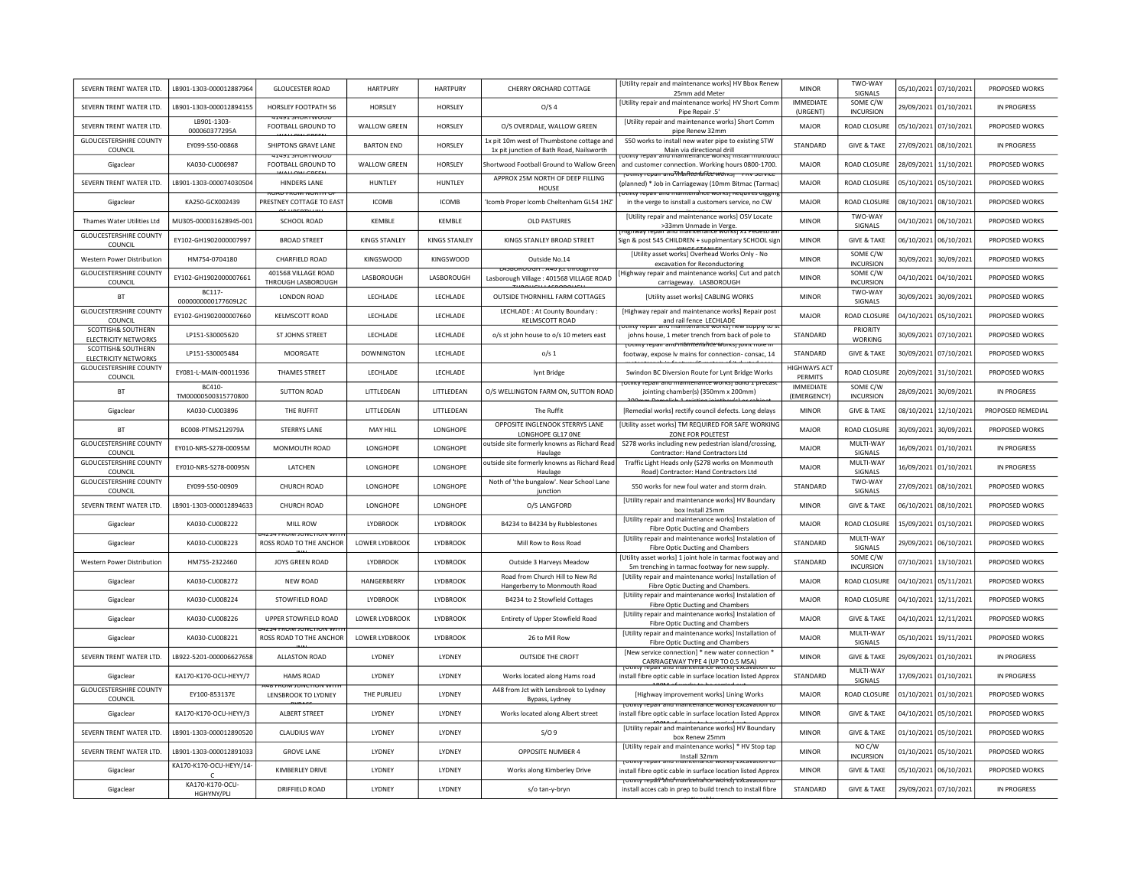| SEVERN TRENT WATER LTD.                                      | LB901-1303-000012887964             | <b>GLOUCESTER ROAD</b>                                                         | <b>HARTPURY</b>       | <b>HARTPURY</b>      | CHERRY ORCHARD COTTAGE                                                                | [Utility repair and maintenance works] HV Bbox Renew<br>25mm add Meter                                                                   | <b>MINOR</b>                    | TWO-WAY<br>SIGNALS           | 05/10/2021 | 07/10/2021            | PROPOSED WORKS        |
|--------------------------------------------------------------|-------------------------------------|--------------------------------------------------------------------------------|-----------------------|----------------------|---------------------------------------------------------------------------------------|------------------------------------------------------------------------------------------------------------------------------------------|---------------------------------|------------------------------|------------|-----------------------|-----------------------|
| SEVERN TRENT WATER LTD.                                      | LB901-1303-000012894155             | HORSLEY FOOTPATH 56                                                            | HORSLEY               | HORSLEY              | O/S <sub>4</sub>                                                                      | [Utility repair and maintenance works] HV Short Comm<br>Pipe Repair .5'                                                                  | <b>IMMEDIATE</b><br>(URGENT)    | SOME C/W<br><b>INCURSION</b> |            | 29/09/2021 01/10/2021 | IN PROGRESS           |
| SEVERN TRENT WATER LTD.                                      | LB901-1303-<br>000060377295A        | FOOTBALL GROUND TO                                                             | <b>WALLOW GREEN</b>   | HORSLEY              | O/S OVERDALE, WALLOW GREEN                                                            | [Utility repair and maintenance works] Short Comm<br>pipe Renew 32mm                                                                     | MAJOR                           | ROAD CLOSURE                 | 05/10/2021 | 07/10/2021            | PROPOSED WORKS        |
| <b>GLOUCESTERSHIRE COUNTY</b><br>COUNCIL                     | EY099-S50-00868                     | SHIPTONS GRAVE LANE                                                            | <b>BARTON END</b>     | HORSLEY              | 1x pit 10m west of Thumbstone cottage and<br>1x pit junction of Bath Road, Nailsworth | S50 works to install new water pipe to existing STW<br>Main via directional drill                                                        | <b>STANDARD</b>                 | <b>GIVE &amp; TAKE</b>       | 27/09/2021 | 08/10/2021            | <b>IN PROGRESS</b>    |
| Gigaclear                                                    | KA030-CU006987                      | <b>TAST SUQUI ARADI</b><br>FOOTBALL GROUND TO                                  | <b>WALLOW GREEN</b>   | HORSLEY              | Shortwood Football Ground to Wallow Green                                             | and customer connection. Working hours 0800-1700.                                                                                        | <b>MAJOR</b>                    | ROAD CLOSURE                 | 28/09/2021 | 11/10/2021            | PROPOSED WORKS        |
| SEVERN TRENT WATER LTD.                                      | LB901-1303-000074030504             | HINDERS LANE                                                                   | HUNTLEY               | HUNTLEY              | APPROX 25M NORTH OF DEEP FILLING<br>HOUSE                                             | <u>ਸਾਗਿ ਦਾ ਵਿਸ਼ੇਸ਼ਾ ਰਾਹ ਹੈ ਕਿ ਹੋਇਆ ਕਿ ਇੱਕ ਅਸ਼ਾਲਤਾ '' ਵਲ viser vici</u><br>(planned) * Job in Carriageway (10mm Bitmac (Tarmac)           | MAJOR                           | ROAD CLOSURE                 | 05/10/2021 | 05/10/2021            | PROPOSED WORKS        |
| Gigaclear                                                    | KA250-GCX002439                     | <b>RUAD FRUM NURTH U</b><br>PRESTNEY COTTAGE TO EAST                           | <b>ICOMB</b>          | <b>ICOMB</b>         | Icomb Proper Icomb Cheltenham GL54 1HZ                                                | otility repair and maintenance works) keddires diggir<br>in the verge to isnstall a customers service, no CW                             | <b>MAJOR</b>                    | ROAD CLOSURE                 | 08/10/2021 | 08/10/2021            | PROPOSED WORKS        |
| Thames Water Utilities Ltd                                   | MU305-000031628945-001              | SCHOOL ROAD                                                                    | KEMBLE                | KEMBLE               | OLD PASTURES                                                                          | [Utility repair and maintenance works] OSV Locate<br>>33mm Unmade in Verge.<br><b>Exam and maintenance works</b> TXI                     | <b>MINOR</b>                    | TWO-WAY<br>SIGNALS           | 04/10/2021 | 06/10/2021            | PROPOSED WORKS        |
| <b>GLOUCESTERSHIRE COUNTY</b><br>COUNCIL                     | EY102-GH1902000007997               | <b>BROAD STREET</b>                                                            | <b>KINGS STANLEY</b>  | <b>KINGS STANLEY</b> | KINGS STANLEY BROAD STREET                                                            | Sign & post 545 CHILDREN + supplmentary SCHOOL sign                                                                                      | <b>MINOR</b>                    | <b>GIVE &amp; TAKE</b>       | 06/10/2021 | 06/10/2021            | PROPOSED WORKS        |
| Western Power Distribution                                   | HM754-0704180                       | CHARFIELD ROAD                                                                 | <b>KINGSWOOD</b>      | KINGSWOOD            | Outside No.14                                                                         | [Utility asset works] Overhead Works Only - No<br>excavation for Reconductoring                                                          | <b>MINOR</b>                    | SOME C/W<br><b>INCURSION</b> | 30/09/2021 | 30/09/2021            | <b>PROPOSED WORKS</b> |
| <b>GLOUCESTERSHIRE COUNTY</b><br>COUNCIL                     | EY102-GH1902000007661               | 401568 VILLAGE ROAD<br>THROUGH LASBOROUGH                                      | LASBOROUGH            | LASBOROUGH           | <b>LASBURUUGH : A40 JUL UI</b><br>Lasborough Village : 401568 VILLAGE ROAD            | [Highway repair and maintenance works] Cut and patch<br>carriageway. LASBOROUGH                                                          | <b>MINOR</b>                    | SOME C/W<br><b>INCURSION</b> | 04/10/2021 | 04/10/2021            | PROPOSED WORKS        |
| <b>BT</b>                                                    | <b>BC117</b><br>0000000000177609L2C | LONDON ROAD                                                                    | LECHLADE              | LECHLADE             | OUTSIDE THORNHILL FARM COTTAGES                                                       | [Utility asset works] CABLING WORKS                                                                                                      | <b>MINOR</b>                    | TWO-WAY<br>SIGNALS           | 30/09/2021 | 30/09/2021            | PROPOSED WORKS        |
| <b>GLOUCESTERSHIRE COUNTY</b><br>COUNCIL                     | EY102-GH1902000007660               | KELMSCOTT ROAD                                                                 | LECHLADE              | LECHLADE             | LECHLADE: At County Boundary:<br>KELMSCOTT ROAD                                       | [Highway repair and maintenance works] Repair post<br>and rail fence LECHLADE                                                            | MAJOR                           | <b>ROAD CLOSURE</b>          | 04/10/2021 | 05/10/2021            | PROPOSED WORKS        |
| <b>SCOTTISH&amp; SOUTHERN</b><br><b>ELECTRICITY NETWORKS</b> | LP151-S30005620                     | ST JOHNS STREET                                                                | LECHLADE              | LECHLADE             | o/s st john house to o/s 10 meters east                                               | johns house, 1 meter trench from back of pole to                                                                                         | STANDARD                        | PRIORITY<br><b>WORKING</b>   | 30/09/2021 | 07/10/2021            | PROPOSED WORKS        |
| SCOTTISH& SOUTHERN<br><b>ELECTRICITY NETWORKS</b>            | LP151-S30005484                     | <b>MOORGATE</b>                                                                | <b>DOWNINGTON</b>     | LECHLADE             | o/s <sub>1</sub>                                                                      | <u>rounty repair and mannenahce works; joint noie i</u><br>footway, expose lv mains for connection-consac, 14                            | STANDARD                        | <b>GIVE &amp; TAKE</b>       | 30/09/2021 | 07/10/2021            | PROPOSED WORKS        |
| <b>GLOUCESTERSHIRE COUNTY</b><br>COUNCIL                     | EY081-L-MAIN-00011936               | <b>THAMES STREET</b>                                                           | <b>I FCHI ADE</b>     | LECHLADE             | lynt Bridge                                                                           | Swindon BC Diversion Route for Lynt Bridge Works<br>v repair and maintenance worksi bullu 1 precas                                       | <b>HIGHWAYS ACT</b><br>PERMITS  | ROAD CLOSURE                 | 20/09/2021 | 31/10/2021            | PROPOSED WORKS        |
| <b>BT</b>                                                    | BC410-<br>TM00000500315770800       | <b>SUTTON ROAD</b>                                                             | LITTLEDEAN            | LITTLEDEAN           | O/S WELLINGTON FARM ON, SUTTON ROAD                                                   | jointing chamber(s) (350mm x 200mm)                                                                                                      | <b>IMMEDIATE</b><br>(EMERGENCY) | SOME C/W<br><b>INCURSION</b> | 28/09/2021 | 30/09/2021            | <b>IN PROGRESS</b>    |
| Gigaclear                                                    | KA030-CU003896                      | THE RUFFIT                                                                     | LITTLEDEAN            | LITTLEDEAN           | The Ruffit                                                                            | [Remedial works] rectify council defects. Long delays                                                                                    | <b>MINOR</b>                    | <b>GIVE &amp; TAKE</b>       | 08/10/2021 | 12/10/2021            | PROPOSED REMEDIAL     |
| <b>BT</b>                                                    | BC008-PTMS212979A                   | <b>STERRYS LANE</b>                                                            | MAY HILL              | LONGHOPE             | OPPOSITE INGLENOOK STERRYS LANE<br>LONGHOPE GL17 ONE                                  | [Utility asset works] TM REQUIRED FOR SAFE WORKING<br>ZONE FOR POLETEST                                                                  | MAJOR                           | ROAD CLOSURE                 | 30/09/2021 | 30/09/2021            | PROPOSED WORKS        |
| <b>GLOUCESTERSHIRE COUNTY</b><br>COUNCIL                     | EY010-NRS-S278-00095M               | MONMOUTH ROAD                                                                  | LONGHOPE              | LONGHOPE             | outside site formerly knowns as Richard Read<br>Haulage                               | S278 works including new pedestrian island/crossing,<br>Contractor: Hand Contractors Ltd                                                 | <b>MAJOR</b>                    | MULTI-WAY<br>SIGNALS         | 16/09/2021 | 01/10/2021            | <b>IN PROGRESS</b>    |
| <b>GLOUCESTERSHIRE COUNTY</b><br>COUNCIL                     | EY010-NRS-S278-00095N               | LATCHEN                                                                        | <b>LONGHOPE</b>       | LONGHOPE             | outside site formerly knowns as Richard Read<br>Haulage                               | Traffic Light Heads only (S278 works on Monmouth<br>Road) Contractor: Hand Contractors Ltd                                               | MAIOR                           | MULTI-WAY<br>SIGNALS         | 16/09/2021 | 01/10/2021            | <b>IN PROGRESS</b>    |
| <b>GLOUCESTERSHIRE COUNTY</b><br>COUNCIL                     | EY099-S50-00909                     | CHURCH ROAD                                                                    | LONGHOPE              | LONGHOPE             | Noth of 'the bungalow'. Near School Lane<br>iunction                                  | S50 works for new foul water and storm drain.                                                                                            | STANDARD                        | <b>TWO-WAY</b><br>SIGNALS    | 27/09/2021 | 08/10/2021            | PROPOSED WORKS        |
| SEVERN TRENT WATER LTD.                                      | LB901-1303-000012894633             | CHURCH ROAD                                                                    | LONGHOPE              | LONGHOPE             | O/S LANGFORD                                                                          | [Utility repair and maintenance works] HV Boundary<br>box Install 25mm                                                                   | <b>MINOR</b>                    | <b>GIVE &amp; TAKE</b>       | 06/10/2021 | 08/10/2021            | PROPOSED WORKS        |
| Gigaclear                                                    | KA030-CU008222                      | MILL ROW<br><b>14234 FROM JONCHON WITH</b>                                     | <b>LYDBROOK</b>       | <b>LYDBROOK</b>      | B4234 to B4234 by Rubblestones                                                        | <b>IUtility repair and maintenance works] Instalation of</b><br><b>Fibre Optic Ducting and Chambers</b>                                  | MAJOR                           | <b>ROAD CLOSURE</b>          | 15/09/2021 | 01/10/2021            | PROPOSED WORKS        |
| Gigaclear                                                    | KA030-CU008223                      | ROSS ROAD TO THE ANCHOR                                                        | LOWER LYDBROOK        | <b>LYDBROOK</b>      | Mill Row to Ross Road                                                                 | [Utility repair and maintenance works] Instalation of<br>Fibre Optic Ducting and Chambers                                                | STANDARD                        | MULTI-WAY<br>SIGNALS         | 29/09/2021 | 06/10/2021            | PROPOSED WORKS        |
| Western Power Distribution                                   | HM755-2322460                       | JOYS GREEN ROAD                                                                | <b>LYDBROOK</b>       | LYDBROOK             | Outside 3 Harveys Meadow                                                              | [Utility asset works] 1 joint hole in tarmac footway and<br>5m trenching in tarmac footway for new supply.                               | STANDARD                        | SOME C/W<br><b>INCURSION</b> | 07/10/2021 | 13/10/2021            | PROPOSED WORKS        |
| Gigaclear                                                    | KA030-CU008272                      | <b>NFW ROAD</b>                                                                | HANGFRBFRRY           | <b>IYDBROOK</b>      | Road from Church Hill to New Rd<br>Hangerberry to Monmouth Road                       | [Utility repair and maintenance works] Installation of<br>Fibre Optic Ducting and Chambers.                                              | MAIOR                           | <b>ROAD CLOSURE</b>          | 04/10/2021 | 05/11/2021            | PROPOSED WORKS        |
| Gigaclear                                                    | KA030-CU008224                      | STOWFIELD ROAD                                                                 | LYDBROOK              | LYDBROOK             | B4234 to 2 Stowfield Cottages                                                         | [Utility repair and maintenance works] Instalation of<br>Fibre Optic Ducting and Chambers                                                | MAJOR                           | ROAD CLOSURE                 | 04/10/2021 | 12/11/2021            | PROPOSED WORKS        |
| Gigaclear                                                    | KA030-CU008226                      | UPPER STOWFIELD ROAD<br>דו אי צוטון טאוטג ואוטח <del>וי</del> כב <del>אי</del> | <b>LOWER LYDBROOK</b> | LYDBROOK             | Entirety of Upper Stowfield Road                                                      | [Utility repair and maintenance works] Instalation of<br><b>Fibre Optic Ducting and Chambers</b>                                         | <b>MAJOR</b>                    | <b>GIVE &amp; TAKE</b>       | 04/10/2021 | 12/11/2021            | PROPOSED WORKS        |
| Gigaclear                                                    | KA030-CU008221                      | ROSS ROAD TO THE ANCHOR                                                        | LOWER LYDBROOK        | <b>LYDBROOK</b>      | 26 to Mill Row                                                                        | [Utility repair and maintenance works] Installation of<br>Fibre Optic Ducting and Chambers                                               | MAJOR                           | MULTI-WAY<br>SIGNALS         | 05/10/2021 | 19/11/2021            | PROPOSED WORKS        |
| SEVERN TRENT WATER LTD.                                      | LB922-5201-000006627658             | ALLASTON ROAD                                                                  | LYDNEY                | LYDNEY               | <b>OUTSIDE THE CROFT</b>                                                              | [New service connection] * new water connection '<br>CARRIAGEWAY TYPE 4 (UP TO 0.5 MSA)                                                  | <b>MINOR</b>                    | <b>GIVE &amp; TAKE</b>       | 29/09/2021 | 01/10/2021            | <b>IN PROGRESS</b>    |
| Gigaclear                                                    | KA170-K170-OCU-HEYY/7               | <b>HAMS ROAD</b>                                                               | LYDNEY                | LYDNEY               | Works located along Hams road                                                         | install fibre optic cable in surface location listed Approx                                                                              | STANDARD                        | MULTI-WAY<br>SIGNALS         | 17/09/2021 | 01/10/2021            | <b>IN PROGRESS</b>    |
| <b>GLOUCESTERSHIRE COUNTY</b><br>COUNCIL                     | EY100-853137E                       | LENSBROOK TO LYDNEY                                                            | THE PURLIFU           | <b>I YDNEY</b>       | A48 from Jct with Lensbrook to Lydney<br>Bypass, Lydney                               | [Highway improvement works] Lining Works<br><u>miy renan ang mamienance worksi excavanomi</u>                                            | MAIOR                           | ROAD CLOSURE                 | 01/10/2021 | 01/10/2021            | PROPOSED WORKS        |
| Gigaclear                                                    | KA170-K170-OCU-HEYY/3               | <b>ALBERT STREET</b>                                                           | LYDNEY                | LYDNEY               | Works located along Albert street                                                     | install fibre optic cable in surface location listed Approx<br>10011.1                                                                   | <b>MINOR</b>                    | <b>GIVE &amp; TAKE</b>       | 04/10/2021 | 05/10/2021            | PROPOSED WORKS        |
| SEVERN TRENT WATER LTD.                                      | LB901-1303-000012890520             | <b>CLAUDIUS WAY</b>                                                            | LYDNEY                | LYDNEY               | S/O9                                                                                  | [Utility repair and maintenance works] HV Boundary<br>box Renew 25mm                                                                     | <b>MINOR</b>                    | <b>GIVE &amp; TAKE</b>       | 01/10/2021 | 05/10/2021            | PROPOSED WORKS        |
| SEVERN TRENT WATER LTD.                                      | LB901-1303-000012891033             | <b>GROVE LANE</b>                                                              | LYDNEY                | LYDNEY               | OPPOSITE NUMBER 4                                                                     | [Utility repair and maintenance works] * HV Stop tap<br>Install 32mm                                                                     | <b>MINOR</b>                    | NO C/W<br><b>INCURSION</b>   | 01/10/2021 | 05/10/2021            | PROPOSED WORKS        |
| Gigaclear                                                    | KA170-K170-OCU-HEYY/14-             | KIMBERLEY DRIVE                                                                | LYDNEY                | LYDNEY               | Works along Kimberley Drive                                                           | install fibre optic cable in surface location listed Approx<br><mark>ירטנווגץ ד<del>כ</del>ן לה<sup>א</sup>ח המהלה המהלה המהלה לה</mark> | <b>MINOR</b>                    | <b>GIVE &amp; TAKE</b>       | 05/10/2021 | 06/10/2021            | PROPOSED WORKS        |
| Gigaclear                                                    | KA170-K170-OCU-<br>HGHYNY/PLI       | DRIFFIELD ROAD                                                                 | LYDNEY                | LYDNEY               | s/o tan-v-brvn                                                                        | install acces cab in prep to build trench to install fibre                                                                               | STANDARD                        | <b>GIVE &amp; TAKE</b>       | 29/09/2021 | 07/10/2021            | <b>IN PROGRESS</b>    |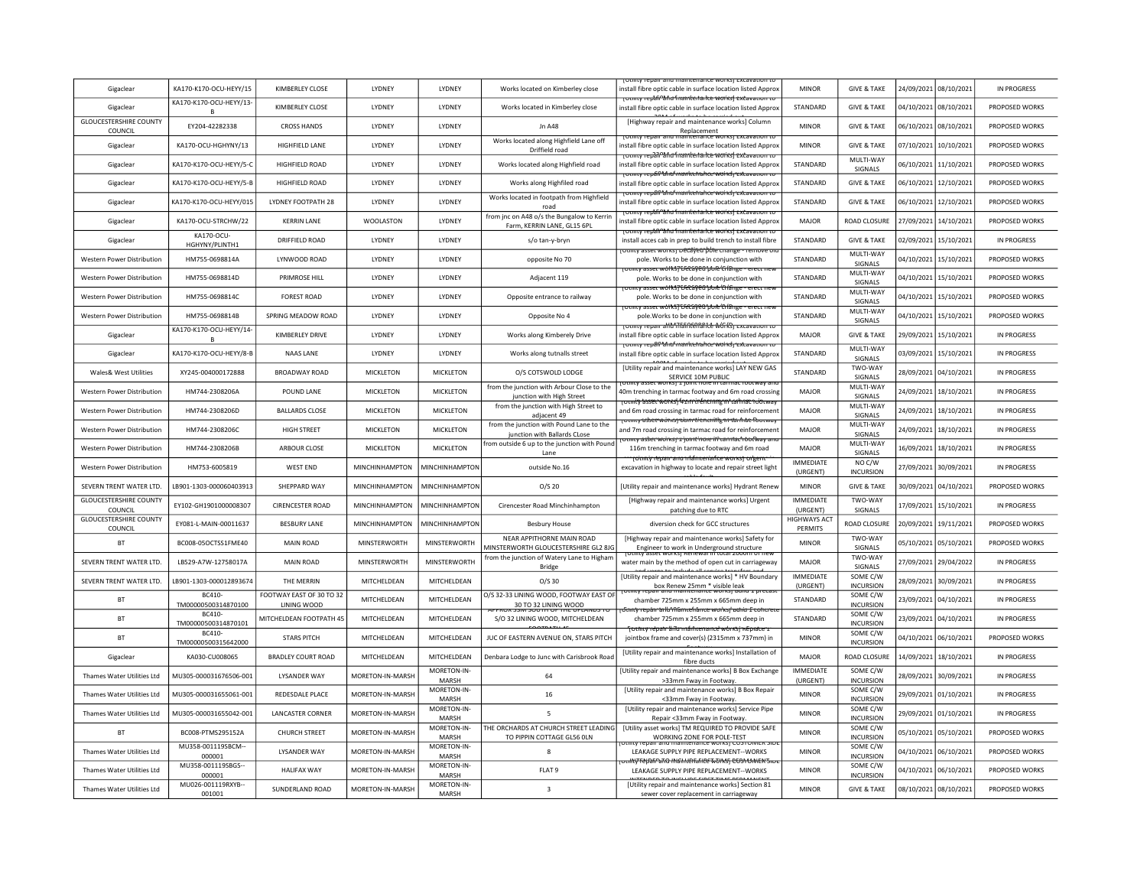| Gigaclear                                | KA170-K170-OCU-HEYY/15        | KIMBERI FY CLOSE                        | <b>I YDNFY</b>      | LYDNEY                | Works located on Kimberley close                                          | install fibre optic cable in surface location listed Approx                                                                                        | <b>MINOR</b>                   | <b>GIVE &amp; TAKE</b>       | 24/09/2021 08/10/2021 |                       | IN PROGRESS        |
|------------------------------------------|-------------------------------|-----------------------------------------|---------------------|-----------------------|---------------------------------------------------------------------------|----------------------------------------------------------------------------------------------------------------------------------------------------|--------------------------------|------------------------------|-----------------------|-----------------------|--------------------|
| Gigaclear                                | KA170-K170-OCU-HEYY/13-       | KIMBERLEY CLOSE                         | LYDNEY              | LYDNEY                | Works located in Kimberley close                                          | omny repair and mainteriarice works) excavation to<br>install fibre optic cable in surface location listed Approx                                  | STANDARD                       | <b>GIVE &amp; TAKE</b>       | 04/10/2021 08/10/2021 |                       | PROPOSED WORKS     |
| <b>GLOUCESTERSHIRE COUNTY</b><br>COUNCIL | EY204-42282338                | <b>CROSS HANDS</b>                      | LYDNEY              | LYDNEY                | <b>Jn A48</b>                                                             | [Highway repair and maintenance works] Column<br>Replacement                                                                                       | <b>MINOR</b>                   | <b>GIVE &amp; TAKE</b>       | 06/10/2021            | 08/10/2021            | PROPOSED WORKS     |
| Gigaclear                                | KA170-OCU-HGHYNY/13           | <b>HIGHFIELD LANE</b>                   | LYDNEY              | LYDNEY                | Works located along Highfield Lane off<br>Driffield road                  | <u>Utility repair and maintenance works; Excavation to</u><br>install fibre optic cable in surface location listed Approx                          | <b>MINOR</b>                   | <b>GIVE &amp; TAKE</b>       | 07/10/2021            | 10/10/2021            | PROPOSED WORKS     |
| Gigaclear                                | KA170-K170-OCU-HEYY/5-C       | <b>HIGHFIELD ROAD</b>                   | <b>I YDNFY</b>      | LYDNEY                | Works located along Highfield road                                        | <u>וסמוונץ וכולה להתחולה (Tourity repair and finantierialite works) באלמעמטורנג</u><br>install fibre optic cable in surface location listed Approx | STANDARD                       | MULTI-WAY<br>SIGNALS         | 06/10/2021            | 11/10/2021            | PROPOSED WORKS     |
| Gigaclear                                | KA170-K170-OCU-HEYY/5-B       | HIGHFIELD ROAD                          | <b>I YDNFY</b>      | <b>IYDNEY</b>         | Works along Highfiled road                                                | totmty repáñ and manhemance works rextavation to<br>install fibre optic cable in surface location listed Approx                                    | STANDARD                       | <b>GIVE &amp; TAKE</b>       | 06/10/2021 12/10/2021 |                       | PROPOSED WORKS     |
| Gigaclear                                | KA170-K170-OCU-HEYY/015       | <b>I YDNEY FOOTPATH 28</b>              | <b>I YDNEY</b>      | <b>I YDNEY</b>        | Works located in footpath from Highfield<br>road                          | <del>Juliuy repâlî "afitofmairlitetrafice woi kshext avation to</del><br>install fibre optic cable in surface location listed Approx               | STANDARD                       | <b>GIVE &amp; TAKE</b>       | 06/10/2021            | 12/10/2021            | PROPOSED WORKS     |
| Gigaclear                                | KA170-OCU-STRCHW/22           | <b>KERRIN LANE</b>                      | <b>WOOLASTON</b>    | LYDNEY                | from jnc on A48 o/s the Bungalow to Kerrin<br>Farm, KERRIN LANE, GL15 6PL | <del>umuv redali lahu firamlertarite worksi excavation to</del><br>install fibre optic cable in surface location listed Approx                     | MAJOR                          | ROAD CLOSURE                 | 27/09/2021            | 14/10/2021            | PROPOSED WORKS     |
| Gigaclear                                | KA170-OCU-<br>HGHYNY/PLINTH1  | DRIFFIELD ROAD                          | <b>I YDNFY</b>      | <b>I YDNFY</b>        | s/o tan-v-brvn                                                            | rommy redaîr and firanteriarite worksl extavation to<br>install acces cab in prep to build trench to install fibre                                 | <b>STANDARD</b>                | <b>GIVE &amp; TAKE</b>       | 02/09/2021            | 15/10/2021            | IN PROGRESS        |
| <b>Western Power Distribution</b>        | HM755-0698814A                | LYNWOOD ROAD                            | LYDNEY              | LYDNEY                | opposite No 70                                                            | <del>TOtility asset worksi גופֿט bote change - remove ol</del> d<br>pole. Works to be done in conjunction with                                     | STANDARD                       | MULTI-WAY<br>SIGNALS         | 04/10/2021            | 15/10/202             | PROPOSED WORKS     |
| <b>Western Power Distribution</b>        | HM755-0698814D                | PRIMROSE HILL                           | LYDNEY              | LYDNEY                | Adjacent 119                                                              | mt <del>y asset wól k\$] DeCaye0 pole 'Crlange - erect ne</del><br>pole. Works to be done in conjunction with                                      | STANDARD                       | MULTI-WAY<br>SIGNALS         | 04/10/2021            | 15/10/2021            | PROPOSED WORKS     |
| Western Power Distribution               | HM755-0698814C                | <b>FOREST ROAD</b>                      | LYDNEY              | LYDNEY                | Opposite entrance to railway                                              | <del>icy assec wólk\$] DeCaye01 Jole 'Cilange - erecci</del><br>pole. Works to be done in conjunction with                                         | STANDARD                       | MULTI-WAY<br>SIGNALS         | 04/10/2021            | 15/10/2021            | PROPOSED WORKS     |
| <b>Western Power Distribution</b>        | HM755-0698814B                | SPRING MEADOW ROAD                      | LYDNEY              | LYDNEY                | Opposite No 4                                                             | <del>ry asser wol1\\$]"DEC&amp;9E0*pole"Crl≱ - erecri</del><br>pole. Works to be done in conjunction with                                          | <b>STANDARD</b>                | MULTI-WAY<br><b>SIGNALS</b>  | 04/10/2021 15/10/2021 |                       | PROPOSED WORKS     |
| Gigaclear                                | KA170-K170-OCU-HEYY/14-       | KIMBERLEY DRIVE                         | LYDNEY              | LYDNEY                | Works along Kimberely Drive                                               | <u>iity repair allu i Tfafincenante worksi excavation tt</u><br>install fibre optic cable in surface location listed Approx                        | MAJOR                          | <b>GIVE &amp; TAKE</b>       | 29/09/2021 15/10/2021 |                       | <b>IN PROGRESS</b> |
| Gigaclear                                | KA170-K170-OCU-HEYY/8-B       | NAAS LANE                               | LYDNEY              | LYDNEY                | Works along tutnalls street                                               | <del>zuntv reuâlî anu manhemahce woi kshexcavation to</del><br>install fibre optic cable in surface location listed Approx                         | STANDARD                       | MULTI-WAY<br>SIGNALS         | 03/09/2021 15/10/2021 |                       | IN PROGRESS        |
| Wales& West Utilities                    | XY245-004000172888            | <b>BROADWAY ROAD</b>                    | <b>MICKLETON</b>    | <b>MICKLETON</b>      | O/S COTSWOLD LODGE                                                        | [Utility repair and maintenance works] LAY NEW GAS<br>SERVICE 10M PUBLIC                                                                           | STANDARD                       | TWO-WAY<br>SIGNALS           | 28/09/2021 04/10/2021 |                       | <b>IN PROGRESS</b> |
| Western Power Distribution               | HM744-2308206A                | POUND LANE                              | <b>MICKLETON</b>    | <b>MICKLETON</b>      | from the junction with Arbour Close to the<br>junction with High Street   | 40m trenching in tarmac footway and 6m road crossing                                                                                               | <b>MAJOR</b>                   | MULTI-WAY<br>SIGNALS         | 24/09/2021 18/10/2021 |                       | IN PROGRESS        |
| Western Power Distribution               | HM744-2308206D                | <b>BALLARDS CLOSE</b>                   | <b>MICKLETON</b>    | MICKLETON             | from the junction with High Street to<br>adjacent 49                      | rouniv asser worksl from irenomme in carinac rootway<br>and 6m road crossing in tarmac road for reinforcement                                      | <b>MAJOR</b>                   | MULTI-WAY<br>SIGNALS         | 24/09/2021            | 18/10/2021            | <b>IN PROGRESS</b> |
| <b>Western Power Distribution</b>        | HM744-2308206C                | HIGH STREET                             | <b>MICKI FTON</b>   | <b>MICKLETON</b>      | from the junction with Pound Lane to the<br>junction with Ballards CLose  | Totility asset works) oan trentnillig in tarmat footway<br>and 7m road crossing in tarmac road for reinforcement                                   | MAIOR                          | MULTI-WAY<br><b>SIGNALS</b>  | 24/09/2021            | 18/10/2021            | IN PROGRESS        |
| <b>Western Power Distribution</b>        | HM744-2308206B                | ARBOUR CLOSE                            | <b>MICKLETON</b>    | <b>MICKLETON</b>      | from outside 6 up to the junction with Pound<br>Lane                      | <del>otmty asset works prijonit noie in tan ilachoofway an</del><br>116m trenching in tarmac footway and 6m road                                   | <b>MAJOR</b>                   | MULTI-WAY<br>SIGNALS         | 16/09/2021            | 18/10/2021            | <b>IN PROGRESS</b> |
| Western Power Distribution               | HM753-6005819                 | WEST END                                | MINCHINHAMPTON      | MINCHINHAMPTON        | outside No.16                                                             | rodinty repair and infanceriance works) orgeni<br>excavation in highway to locate and repair street light                                          | <b>IMMEDIATE</b><br>(URGENT)   | NO C/W<br><b>INCURSION</b>   | 27/09/2021            | 30/09/2021            | IN PROGRESS        |
| SEVERN TRENT WATER LTD.                  | LB901-1303-000060403913       | SHEPPARD WAY                            | MINCHINHAMPTON      | MINCHINHAMPTOI        | O/S <sub>20</sub>                                                         | [Utility repair and maintenance works] Hydrant Renew                                                                                               | <b>MINOR</b>                   | <b>GIVE &amp; TAKE</b>       | 30/09/2021            | 04/10/2021            | PROPOSED WORKS     |
| <b>GLOUCESTERSHIRE COUNTY</b><br>COUNCIL | EY102-GH1901000008307         | CIRENCESTER ROAD                        | MINCHINHAMPTON      | MINCHINHAMPTON        | Cirencester Road Minchinhampton                                           | [Highway repair and maintenance works] Urgent<br>patching due to RTC                                                                               | IMMEDIATE<br>(URGENT)          | TWO-WAY<br>SIGNALS           | 17/09/2021            | 15/10/202             | IN PROGRESS        |
| <b>GLOUCESTERSHIRE COUNTY</b><br>COUNCIL | EY081-L-MAIN-00011637         | <b>BESBURY LANE</b>                     | MINCHINHAMPTON      | <b>MINCHINHAMPTON</b> | <b>Besbury House</b>                                                      | diversion check for GCC structures                                                                                                                 | <b>HIGHWAYS ACT</b><br>PERMITS | ROAD CLOSURE                 | 20/09/2021            | 19/11/2021            | PROPOSED WORKS     |
| <b>BT</b>                                | BC008-05OCTSS1FME40           | <b>MAIN ROAD</b>                        | MINSTERWORTH        | MINSTERWORTH          | NEAR APPITHORNE MAIN ROAD<br>MINSTERWORTH GLOUCESTERSHIRE GL2 8JG         | [Highway repair and maintenance works] Safety for<br>Engineer to work in Underground structure                                                     | <b>MINOR</b>                   | TWO-WAY<br><b>SIGNALS</b>    | 05/10/2021            | 05/10/2021            | PROPOSED WORKS     |
| SEVERN TRENT WATER LTD.                  | LB529-A7W-12758017A           | MAIN ROAD                               | <b>MINSTERWORTH</b> | MINSTERWORTH          | from the junction of Watery Lane to Higham<br><b>Bridge</b>               | water main by the method of open cut in carriageway                                                                                                | MAIOR                          | TWO-WAY<br>SIGNALS           | 27/09/2021 29/04/2022 |                       | <b>IN PROGRESS</b> |
| SEVERN TRENT WATER LTD.                  | LB901-1303-000012893674       | THE MERRIN                              | MITCHFLDFAN         | MITCHFLDFAN           | 0/5.30                                                                    | [Utility repair and maintenance works] * HV Boundary<br>box Renew 25mm * visible leak                                                              | <b>IMMEDIATE</b><br>(URGENT)   | SOME C/W<br><b>INCURSION</b> | 28/09/2021 30/09/2021 |                       | IN PROGRESS        |
| <b>BT</b>                                | BC410<br>TM00000500314870100  | FOOTWAY EAST OF 30 TO 32<br>LINING WOOD | MITCHELDEAN         | MITCHELDEAN           | O/S 32-33 LINING WOOD, FOOTWAY EAST OF<br>30 TO 32 LINING WOOD            | merance were as a sum<br>chamber 725mm x 255mm x 665mm deep in                                                                                     | STANDARD                       | SOME C/W<br><b>INCURSION</b> | 23/09/2021            | 04/10/2021            | <b>IN PROGRESS</b> |
| BT                                       | BC410-<br>TM00000500314870101 | MITCHELDEAN FOOTPATH 45                 | MITCHELDEAN         | MITCHELDEAN           | יט ווו טר ווונג טרנז<br>S/O 32 LINING WOOD, MITCHELDEAN                   | <del>inty repair arlu Mamtehance worksj ochio I cohen</del><br>chamber 725mm x 255mm x 665mm deep in                                               | STANDARD                       | SOME C/W<br><b>INCURSION</b> | 23/09/2021            | 04/10/2021            | IN PROGRESS        |
| <b>BT</b>                                | BC410-<br>TM00000500315642000 | <b>STARS PITCH</b>                      | MITCHELDEAN         | MITCHELDEAN           | JUC OF EASTERN AVENUE ON. STARS PITCH                                     | <del>Tothicy repair and maintenance works in Epidce s</del><br>jointbox frame and cover(s) (2315mm x 737mm) in                                     | <b>MINOR</b>                   | SOME C/W<br><b>INCURSION</b> | 04/10/2021            | 06/10/2021            | PROPOSED WORKS     |
| Gigaclear                                | KA030-CU008065                | <b>BRADLEY COURT ROAD</b>               | MITCHELDEAN         | MITCHELDEAN           | Denbara Lodge to Junc with Carisbrook Road                                | [Utility repair and maintenance works] Installation of<br>fibre ducts                                                                              | MAIOR                          | ROAD CLOSURE                 | 14/09/2021 18/10/2021 |                       | <b>IN PROGRESS</b> |
| Thames Water Utilities Itd               | MU305-000031676506-001        | <b>LYSANDER WAY</b>                     | MORFTON-IN-MARSH    | MORFTON-IN-<br>MARSH  | 64                                                                        | [Utility repair and maintenance works] B Box Exchange<br>>33mm Fway in Footway                                                                     | <b>IMMEDIATE</b><br>(URGENT)   | SOME C/W<br><b>INCURSION</b> |                       | 28/09/2021 30/09/2021 | IN PROGRESS        |
| Thames Water Utilities Ltd               | MU305-000031655061-001        | REDESDALE PLACE                         | MORFTON-IN-MARSH    | MORETON-IN-<br>MARSH  | 16                                                                        | [Utility repair and maintenance works] B Box Repair<br><33mm Fway in Footway                                                                       | <b>MINOR</b>                   | SOME C/W<br><b>INCURSION</b> |                       | 29/09/2021 01/10/2021 | IN PROGRESS        |
| Thames Water Utilities Ltd               | MU305-000031655042-001        | <b>LANCASTER CORNER</b>                 | MORETON-IN-MARSH    | MORETON-IN-<br>MARSH  | $\overline{5}$                                                            | [Utility repair and maintenance works] Service Pipe<br>Repair <33mm Fway in Footway.                                                               | <b>MINOR</b>                   | SOME C/W<br><b>INCURSION</b> | 29/09/2021 01/10/2021 |                       | <b>IN PROGRESS</b> |
| <b>BT</b>                                | BC008-PTMS295152A             | <b>CHURCH STREET</b>                    | MORFTON-IN-MARSH    | MORETON-IN-<br>MARSH  | THE ORCHARDS AT CHURCH STREET LEADING<br>TO PIPPIN COTTAGE GL56 OLN       | [Utility asset works] TM REQUIRED TO PROVIDE SAFE<br>WORKING ZONE FOR POLE-TEST                                                                    | <b>MINOR</b>                   | SOME C/W<br><b>INCURSION</b> | 05/10/2021            | 05/10/2021            | PROPOSED WORKS     |
| Thames Water Utilities Ltd               | MU358-001119SBCM --<br>000001 | LYSANDER WAY                            | MORETON-IN-MARSH    | MORETON-IN-<br>MARSH  | 8                                                                         | LEAKAGE SUPPLY PIPE REPLACEMENT--WORKS                                                                                                             | <b>MINOR</b>                   | SOME C/W<br><b>INCURSION</b> | 04/10/2021            | 06/10/2021            | PROPOSED WORKS     |
| Thames Water Utilities Ltd               | MU358-001119SBGS-<br>000001   | <b>HALIFAX WAY</b>                      | MORETON-IN-MARSH    | MORETON-IN-<br>MARSH  | FLAT 9                                                                    | <del>NY FEBARATO INAHIERANEE WOINSE EGGNOMENT</del><br>LEAKAGE SUPPLY PIPE REPLACEMENT -- WORKS                                                    | <b>MINOR</b>                   | SOME C/W<br><b>INCURSION</b> | 04/10/2021            | 06/10/2021            | PROPOSED WORKS     |
|                                          |                               |                                         |                     |                       |                                                                           |                                                                                                                                                    |                                |                              |                       |                       |                    |
| Thames Water Utilities Ltd               | MU026-001119RXYB--<br>001001  | SUNDERLAND ROAD                         | MORFTON-IN-MARSH    | MORETON-IN-<br>MARSH  | $\overline{\mathbf{3}}$                                                   | [Utility repair and maintenance works] Section 81<br>sewer cover replacement in carriageway                                                        | <b>MINOR</b>                   | <b>GIVE &amp; TAKE</b>       | 08/10/2021 08/10/2021 |                       | PROPOSED WORKS     |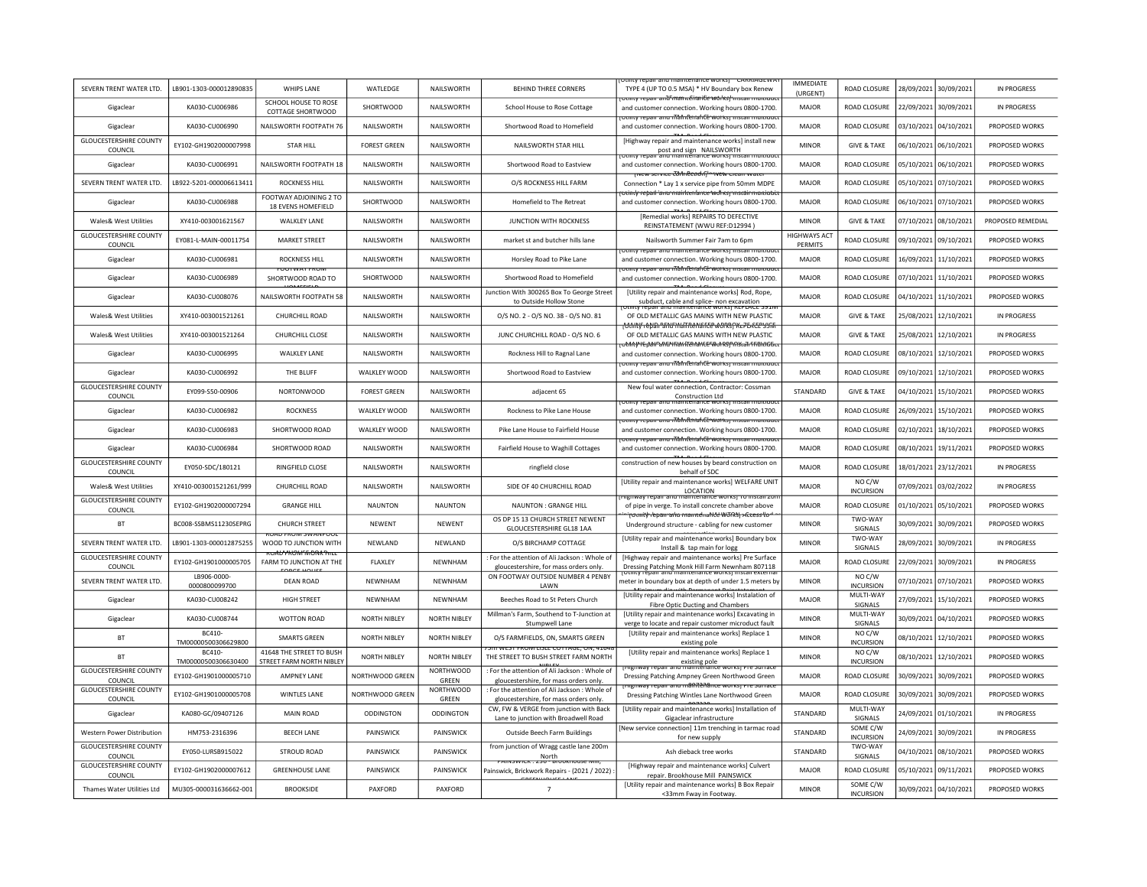| SEVERN TRENT WATER LTD.                         | LB901-1303-000012890835      | <b>WHIPS LANF</b>                                          | <b>WATI FDGF</b>    | NAILSWORTH                | <b>BEHIND THREE CORNERS</b>                                                          | TYPE 4 (UP TO 0.5 MSA) * HV Boundary box Renew                                                                                                                    | <b>IMMFDIATE</b>               | ROAD CLOSURE                  | 28/09/2021 | 30/09/2021 | IN PROGRESS        |
|-------------------------------------------------|------------------------------|------------------------------------------------------------|---------------------|---------------------------|--------------------------------------------------------------------------------------|-------------------------------------------------------------------------------------------------------------------------------------------------------------------|--------------------------------|-------------------------------|------------|------------|--------------------|
|                                                 |                              | SCHOOL HOUSE TO ROSE                                       |                     |                           |                                                                                      | miny renan-and mainréiraife workst insrair municipi                                                                                                               | (URGENT)                       |                               |            |            |                    |
| Gigaclear                                       | KA030-CU006986               | COTTAGE SHORTWOOD                                          | <b>SHORTWOOD</b>    | NAILSWORTH                | School House to Rose Cottage                                                         | and customer connection. Working hours 0800-1700.<br>otmtv repair and rīfāfritērialitē worksi mstairmuitiduc                                                      | MAJOR                          | <b>ROAD CLOSURE</b>           | 22/09/2021 | 30/09/2021 | <b>IN PROGRESS</b> |
| Gigaclear                                       | KA030-CU006990               | NAILSWORTH FOOTPATH 76                                     | NAILSWORTH          | NAILSWORTH                | Shortwood Road to Homefield                                                          | and customer connection. Working hours 0800-1700.                                                                                                                 | MAJOR                          | ROAD CLOSURE                  | 03/10/2021 | 04/10/2021 | PROPOSED WORKS     |
| <b>GLOUCESTERSHIRE COUNTY</b><br>COUNCIL        | EY102-GH1902000007998        | <b>STAR HILL</b>                                           | <b>FOREST GREEN</b> | NAILSWORTH                | NAILSWORTH STAR HILL                                                                 | [Highway repair and maintenance works] install new<br>post and sign_NAILSWORTH                                                                                    | <b>MINOR</b>                   | <b>GIVE &amp; TAKE</b>        | 06/10/2021 | 06/10/2021 | PROPOSED WORKS     |
| Gigaclear                                       | KA030-CU006991               | NAILSWORTH FOOTPATH 18                                     | NAILSWORTH          | NAILSWORTH                | Shortwood Road to Eastview                                                           | and customer connection. Working hours 0800-1700.                                                                                                                 | MAJOR                          | ROAD CLOSURE                  | 05/10/2021 | 06/10/2021 | PROPOSED WORKS     |
| SEVERN TRENT WATER LTD.                         | LB922-5201-000006613411      | ROCKNESS HILL                                              | <b>NAILSWORTH</b>   | <b>NAILSWORTH</b>         | O/S ROCKNESS HILL FARM                                                               | <mark>ा</mark> ਾਦw service cੌ0ੇn ਦਿੰcadif]' " 'wew clean wate<br>Connection * Lay 1 x service pipe from 50mm MDPE                                                 | MAIOR                          | ROAD CLOSURE                  | 05/10/2021 | 07/10/2021 | PROPOSED WORKS     |
| Gigaclear                                       | KA030-CU006988               | FOOTWAY ADJOINING 2 TO<br>18 EVENS HOMEFIELD               | SHORTWOOD           | NAILSWORTH                | Homefield to The Retreat                                                             | otintv rebail ano mairitenante worksrinstairmoniotit<br>and customer connection. Working hours 0800-1700.                                                         | MAJOR                          | <b>ROAD CLOSURE</b>           | 06/10/2021 | 07/10/2021 | PROPOSED WORKS     |
| Wales& West Utilities                           | XY410-003001621567           | WALKLEY LANE                                               | NAILSWORTH          | NAILSWORTH                | <b>IUNCTION WITH ROCKNESS</b>                                                        | [Remedial works] REPAIRS TO DEFECTIVE<br>REINSTATEMENT (WWU REF:D12994)                                                                                           | <b>MINOR</b>                   | <b>GIVE &amp; TAKE</b>        | 07/10/2021 | 08/10/2021 | PROPOSED REMEDIAL  |
| <b>GLOUCESTERSHIRE COUNTY</b><br>COUNCIL        | EY081-L-MAIN-00011754        | MARKET STREET                                              | NAILSWORTH          | NAILSWORTH                | market st and butcher hills lane                                                     | Nailsworth Summer Fair 7am to 6pm                                                                                                                                 | <b>HIGHWAYS ACT</b><br>PERMITS | <b>ROAD CLOSURE</b>           | 09/10/2021 | 09/10/2021 | PROPOSED WORKS     |
| Gigaclear                                       | KA030-CU006981               | ROCKNESS HILL                                              | NAILSWORTH          | NAILSWORTH                | Horsley Road to Pike Lane                                                            | otility repair and maintenance works) install multique<br>and customer connection. Working hours 0800-1700.                                                       | MAJOR                          | ROAD CLOSURE                  | 16/09/2021 | 11/10/2021 | PROPOSED WORKS     |
| Gigaclear                                       | KA030-CU006989               | SHORTWOOD ROAD TO                                          | <b>SHORTWOOD</b>    | NAILSWORTH                | Shortwood Road to Homefield                                                          | otmty repair and maintenahte worksj mstan muitiduc<br>and customer connection. Working hours 0800-1700.                                                           | MAIOR                          | <b>ROAD CLOSURE</b>           | 07/10/2021 | 11/10/2021 | PROPOSED WORKS     |
| Gigaclear                                       | KA030-CU008076               | NAILSWORTH FOOTPATH 58                                     | NAILSWORTH          | NAILSWORTH                | Junction With 300265 Box To George Street<br>to Outside Hollow Stone                 | [Utility repair and maintenance works] Rod, Rope,<br>subduct, cable and splice- non excavation                                                                    | MAJOR                          | ROAD CLOSURE                  | 04/10/2021 | 11/10/2021 | PROPOSED WORKS     |
| Wales& West Utilities                           | XY410-003001521261           | CHURCHILL ROAD                                             | NAILSWORTH          | NAILSWORTH                | 0/S NO. 2 - 0/S NO. 38 - 0/S NO. 81                                                  | OF OLD METALLIC GAS MAINS WITH NEW PLASTIC                                                                                                                        | MAJOR                          | <b>GIVE &amp; TAKE</b>        | 25/08/2021 | 12/10/2021 | <b>IN PROGRESS</b> |
| Wales& West Utilities                           | XY410-003001521264           | CHURCHILL CLOSE                                            | NAILSWORTH          | NAILSWORTH                | JUNC CHURCHILL ROAD - O/S NO. 6                                                      | MAINY LEDA PENTINATRENATEE WORSPKE PEACE SYRI<br>OF OLD METALLIC GAS MAINS WITH NEW PLASTIC                                                                       | MAJOR                          | <b>GIVE &amp; TAKE</b>        | 25/08/2021 | 12/10/2021 | <b>IN PROGRESS</b> |
| Gigaclear                                       | KA030-CU006995               | WALKLEY LANE                                               | NAILSWORTH          | NAILSWORTH                | Rockness Hill to Ragnal Lane                                                         | ut Mtv redamant man iterance works not can find that to<br>and customer connection. Working hours 0800-1700.                                                      | MAJOR                          | <b>ROAD CLOSURE</b>           | 08/10/2021 | 12/10/2021 | PROPOSED WORKS     |
| Gigaclear                                       | KA030-CU006992               | THE BLUFF                                                  | WALKLEY WOOD        | NAILSWORTH                | Shortwood Road to Eastview                                                           | <u>otility repair and itfäfnfenahfé worksi install multique</u><br>and customer connection. Working hours 0800-1700.                                              | MAJOR                          | ROAD CLOSURE                  | 09/10/2021 | 12/10/2021 | PROPOSED WORKS     |
| <b>GLOUCESTERSHIRE COUNTY</b><br><b>COUNCIL</b> | EY099-S50-00906              | NORTONWOOD                                                 | <b>FOREST GREEN</b> | NAILSWORTH                | adjacent 65                                                                          | New foul water connection, Contractor: Cossman<br>Construction Itd                                                                                                | STANDARD                       | <b>GIVE &amp; TAKE</b>        | 04/10/2021 | 15/10/2021 | PROPOSED WORKS     |
| Gigaclear                                       | KA030-CU006982               | <b>ROCKNESS</b>                                            | WALKLEY WOOD        | NAILSWORTH                | Rockness to Pike Lane House                                                          | <del>otility repair and maintenance won</del><br>and customer connection. Working hours 0800-1700.                                                                | MAIOR                          | ROAD CLOSURE                  | 26/09/2021 | 15/10/2021 | PROPOSED WORKS     |
| Gigaclear                                       | KA030-CU006983               | SHORTWOOD ROAD                                             | WALKLEY WOOD        | NAILSWORTH                | Pike Lane House to Fairfield House                                                   | otility repair and mamberiance works i install multique<br>and customer connection. Working hours 0800-1700.                                                      | MAJOR                          | <b>ROAD CLOSURE</b>           | 02/10/2021 | 18/10/2021 | PROPOSED WORKS     |
| Gigaclear                                       | KA030-CU006984               | SHORTWOOD ROAD                                             | NAILSWORTH          | NAILSWORTH                | Fairfield House to Waghill Cottages                                                  | otmty repair and niamtenahCe worksj mstan muitiduc<br>and customer connection. Working hours 0800-1700.                                                           | MAJOR                          | <b>ROAD CLOSURE</b>           | 08/10/2021 | 19/11/202  | PROPOSED WORKS     |
| <b>GLOUCESTERSHIRE COUNTY</b><br>COUNCIL        | EY050-SDC/180121             | RINGFIELD CLOSE                                            | NAILSWORTH          | NAILSWORTH                | ringfield close                                                                      | construction of new houses by beard construction on<br>behalf of SDC                                                                                              | MAJOR                          | ROAD CLOSURE                  | 18/01/2021 | 23/12/2021 | <b>IN PROGRESS</b> |
| Wales& West Utilities                           | XY410-003001521261/999       | CHURCHILL ROAD                                             | NAILSWORTH          | NAILSWORTH                | SIDE OF 40 CHURCHILL ROAD                                                            | [Utility repair and maintenance works] WELFARE UNIT<br>LOCATION                                                                                                   | MAIOR                          | NO C/W<br><b>INCURSION</b>    | 07/09/2021 | 03/02/2022 | <b>IN PROGRESS</b> |
| <b>GLOUCESTERSHIRE COUNTY</b><br>COUNCIL        | EY102-GH1902000007294        | <b>GRANGE HILL</b>                                         | <b>NAUNTON</b>      | NAUNTON                   | NAUNTON : GRANGE HILL                                                                | of pipe in verge. To install concrete chamber above                                                                                                               | MAIOR                          | <b>ROAD CLOSURE</b>           | 01/10/2021 | 05/10/2021 | PROPOSED WORKS     |
| <b>BT</b>                                       | BC008-SSBMS11230SEPRG        | <b>CHURCH STREET</b>                                       | <b>NEWENT</b>       | NEWENT                    | OS DP 15 13 CHURCH STREET NEWENT<br>GLOUCESTERSHIRE GL18 1AA                         | <del>unitV repair arlia maintenatice WORSI Access l'o</del><br>Underground structure - cabling for new customer                                                   | <b>MINOR</b>                   | TWO-WAY<br>SIGNALS            | 30/09/2021 | 30/09/2021 | PROPOSED WORKS     |
| SEVERN TRENT WATER LTD.                         | LB901-1303-000012875255      | WOOD TO JUNCTION WITH                                      | NEWLAND             | NEWLAND                   | O/S BIRCHAMP COTTAGE                                                                 | [Utility repair and maintenance works] Boundary box<br>Install & tap main for logg                                                                                | <b>MINOR</b>                   | TWO-WAY<br>SIGNALS            | 28/09/2021 | 30/09/2021 | <b>IN PROGRESS</b> |
| <b>GLOUCESTERSHIRE COUNTY</b>                   | EY102-GH1901000005705        | ĸIJ <del>ĂIJĦŔŨŴĨŴŨŴŔĨ'nĦ</del><br>FARM TO JUNCTION AT THE | <b>FLAXLEY</b>      | NEWNHAM                   | For the attention of Ali Jackson : Whole of                                          | [Highway repair and maintenance works] Pre Surface                                                                                                                | MAJOR                          | ROAD CLOSURE                  | 22/09/2021 | 30/09/2021 | <b>IN PROGRESS</b> |
| COUNCIL<br>SEVERN TRENT WATER LTD.              | LB906-0000-                  | <b>DEAN ROAD</b>                                           | NEWNHAM             | NEWNHAM                   | gloucestershire, for mass orders only.<br>ON FOOTWAY OUTSIDE NUMBER 4 PENBY          | Dressing Patching Monk Hill Farm Newnham 807118<br>Otility repair and maintenance works) install externa<br>neter in boundary box at depth of under 1.5 meters by | <b>MINOR</b>                   | NO C/W                        | 07/10/2021 | 07/10/2021 | PROPOSED WORKS     |
|                                                 | 0000800099700                |                                                            |                     |                           | LAWN                                                                                 | [Utility repair and maintenance works] Instalation of                                                                                                             |                                | <b>INCURSION</b><br>MULTI-WAY |            |            |                    |
| Gigaclear                                       | KA030-CU008242               | <b>HIGH STREET</b>                                         | <b>NEWNHAM</b>      | NEWNHAM                   | Beeches Road to St Peters Church<br>Millman's Farm, Southend to T-Junction at        | Fibre Optic Ducting and Chambers<br>[Utility repair and maintenance works] Excavating in                                                                          | MAIOR                          | SIGNALS<br>MULTI-WAY          | 27/09/2021 | 15/10/2021 | PROPOSED WORKS     |
| Gigaclear                                       | KA030-CU008744<br>BC410-     | WOTTON ROAD                                                | NORTH NIBI FY       | NORTH NIBI FY             | Stumpwell Lane                                                                       | verge to locate and repair customer microduct fault                                                                                                               | <b>MINOR</b>                   | <b>SIGNALS</b>                | 30/09/2021 | 04/10/2021 | PROPOSED WORKS     |
| <b>BT</b>                                       | TM00000500306629800          | <b>SMARTS GREEN</b>                                        | NORTH NIBLEY        | NORTH NIBLEY              | O/S FARMFIELDS, ON, SMARTS GREEN<br>III WEST FRUM LISLE CUTTAGE, UN. 4104            | [Utility repair and maintenance works] Replace 1<br>existing pole                                                                                                 | <b>MINOR</b>                   | NO C/W<br><b>INCURSION</b>    | 08/10/2021 | 12/10/2021 | PROPOSED WORKS     |
| <b>BT</b>                                       | BC410<br>TM00000500306630400 | 41648 THE STREET TO BUSH<br>STREET FARM NORTH NIBLEY       | NORTH NIBLEY        | <b>NORTH NIBLEY</b>       | THE STREET TO BUSH STREET FARM NORTH                                                 | [Utility repair and maintenance works] Replace 1<br>existing pole<br>אומודות engitway repair and maintenance works                                                | <b>MINOR</b>                   | NO C/W<br><b>INCURSION</b>    | 08/10/2021 | 12/10/2021 | PROPOSED WORKS     |
| <b>GLOUCESTERSHIRE COUNTY</b><br>COUNCIL        | EY102-GH1901000005710        | <b>AMPNEY LANE</b>                                         | NORTHWOOD GREEN     | <b>NORTHWOOD</b><br>GREEN | For the attention of Ali Jackson: Whole of<br>gloucestershire, for mass orders only. | Dressing Patching Ampney Green Northwood Green                                                                                                                    | MAJOR                          | <b>ROAD CLOSURE</b>           | 30/09/2021 | 30/09/2021 | PROPOSED WORKS     |
| <b>GLOUCESTERSHIRE COUNTY</b><br>COUNCIL        | EY102-GH1901000005708        | <b>WINTLES LANE</b>                                        | NORTHWOOD GREEN     | NORTHWOOD<br>GREEN        | For the attention of Ali Jackson: Whole of<br>gloucestershire, for mass orders only  | enterne שמחושות and manitenance works ו Pre<br>Dressing Patching Wintles Lane Northwood Green                                                                     | MAJOR                          | ROAD CLOSURE                  | 30/09/2021 | 30/09/2021 | PROPOSED WORKS     |
| Gigaclear                                       | KA080-GC/09407126            | MAIN ROAD                                                  | ODDINGTON           | ODDINGTON                 | CW. FW & VERGE from junction with Back<br>Lane to junction with Broadwell Road       | [Utility repair and maintenance works] Installation of<br>Gigaclear infrastructure                                                                                | <b>STANDARD</b>                | MULTI-WAY<br><b>SIGNALS</b>   | 24/09/2021 | 01/10/2021 | IN PROGRESS        |
| Western Power Distribution                      | HM753-2316396                | <b>BFFCH LANF</b>                                          | <b>PAINSWICK</b>    | <b>PAINSWICK</b>          | Outside Beech Farm Buildings                                                         | [New service connection] 11m trenching in tarmac road<br>for new supply                                                                                           | <b>STANDARD</b>                | SOME C/W<br><b>INCURSION</b>  | 24/09/2021 | 30/09/2021 | IN PROGRESS        |
| <b>GLOUCESTERSHIRE COUNTY</b><br>COUNCIL        | EY050-LURSB915022            | <b>STROUD ROAD</b>                                         | PAINSWICK           | PAINSWICK                 | from junction of Wragg castle lane 200m<br>North                                     | Ash dieback tree works                                                                                                                                            | <b>STANDARD</b>                | TWO-WAY<br>SIGNALS            | 04/10/2021 | 08/10/2021 | PROPOSED WORKS     |
| <b>GLOUCESTERSHIRE COUNTY</b><br>COUNCIL        | EY102-GH1902000007612        | <b>GREENHOUSE LANE</b>                                     | PAINSWICK           | PAINSWICK                 | $MIR$ and $MIR$ and $MIR$ and $MIR$<br>Painswick, Brickwork Repairs - (2021 / 2022)  | [Highway repair and maintenance works] Culvert<br>repair. Brookhouse Mill PAINSWICK                                                                               | MAJOR                          | <b>ROAD CLOSURE</b>           | 05/10/2021 | 09/11/2021 | PROPOSED WORKS     |
| Thames Water Utilities Ltd                      | MU305-000031636662-001       | <b>BROOKSIDE</b>                                           | PAXFORD             | <b>PAXFORD</b>            | $\overline{7}$                                                                       | [Utility repair and maintenance works] B Box Repair<br><33mm Fway in Footway.                                                                                     | <b>MINOR</b>                   | SOME C/W<br><b>INCURSION</b>  | 30/09/2021 | 04/10/2021 | PROPOSED WORKS     |
|                                                 |                              |                                                            |                     |                           |                                                                                      |                                                                                                                                                                   |                                |                               |            |            |                    |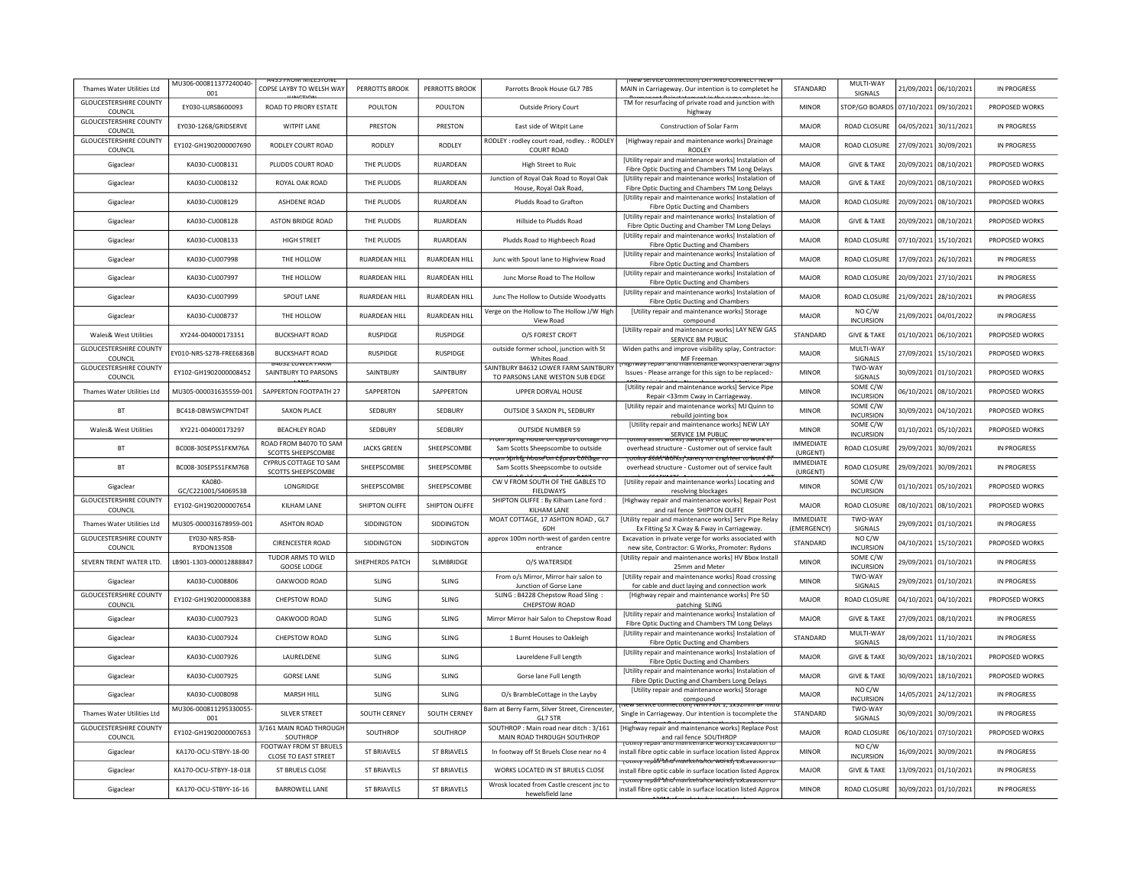|                                          |                               |                                                |                    |                      |                                                                                     | EW SERVICE CONNECTION LAT AND CONNECT NE                                                                                              |                                 |                              |            |            |                    |
|------------------------------------------|-------------------------------|------------------------------------------------|--------------------|----------------------|-------------------------------------------------------------------------------------|---------------------------------------------------------------------------------------------------------------------------------------|---------------------------------|------------------------------|------------|------------|--------------------|
| Thames Water Utilities Ltd               | MU306-000811377240040-<br>001 | COPSE LAYBY TO WELSH WAY                       | PERROTTS BROOK     | PERROTTS BROOK       | Parrotts Brook House GL7 7BS                                                        | MAIN in Carriageway. Our intention is to completet he                                                                                 | <b>STANDARD</b>                 | MULTI-WAY<br>SIGNALS         | 21/09/2021 | 06/10/2021 | IN PROGRESS        |
| <b>GLOUCESTERSHIRE COUNTY</b><br>COUNCIL | EY030-LURSB600093             | ROAD TO PRIORY ESTATE                          | POULTON            | POULTON              | Outside Priory Court                                                                | TM for resurfacing of private road and junction with<br>highway                                                                       | <b>MINOR</b>                    | STOP/GO BOARDS               | 07/10/2021 | 09/10/2021 | PROPOSED WORKS     |
| <b>GLOUCESTERSHIRE COUNTY</b><br>COUNCIL | EY030-1268/GRIDSERVE          | WITPIT LANE                                    | PRESTON            | PRESTON              | East side of Witpit Lane                                                            | Construction of Solar Farm                                                                                                            | <b>MAJOR</b>                    | ROAD CLOSURE                 | 04/05/2021 | 30/11/2021 | IN PROGRESS        |
| <b>GLOUCESTERSHIRE COUNTY</b><br>COUNCIL | EY102-GH1902000007690         | RODLEY COURT ROAD                              | <b>RODLEY</b>      | RODLEY               | RODLEY: rodley court road, rodley.: RODLEY<br><b>COURT ROAD</b>                     | [Highway repair and maintenance works] Drainage<br>RODLEY                                                                             | MAJOR                           | ROAD CLOSURE                 | 27/09/2021 | 30/09/2021 | <b>IN PROGRESS</b> |
| Gigaclear                                | KA030-CU008131                | PLUDDS COURT ROAD                              | THE PLUDDS         | RUARDFAN             | High Street to Ruic                                                                 | [Utility repair and maintenance works] Instalation of<br>Fibre Optic Ducting and Chambers TM Long Delays                              | MAIOR                           | <b>GIVE &amp; TAKE</b>       | 20/09/2021 | 08/10/2021 | PROPOSED WORKS     |
| Gigaclear                                | KA030-CU008132                | ROYAL OAK ROAD                                 | THE PLUDDS         | RUARDEAN             | Junction of Royal Oak Road to Royal Oak<br>House, Royal Oak Road,                   | [Utility repair and maintenance works] Instalation of<br>Fibre Optic Ducting and Chambers TM Long Delays                              | MAIOR                           | <b>GIVE &amp; TAKE</b>       | 20/09/2021 | 08/10/2021 | PROPOSED WORKS     |
| Gigaclear                                | KA030-CU008129                | ASHDENE ROAD                                   | THE PLUDDS         | RUARDEAN             | Pludds Road to Grafton                                                              | [Utility repair and maintenance works] Instalation of<br>Fibre Optic Ducting and Chambers                                             | MAJOR                           | ROAD CLOSURE                 | 20/09/2021 | 08/10/2021 | PROPOSED WORKS     |
| Gigaclear                                | KA030-CU008128                | ASTON BRIDGE ROAD                              | THE PLUDDS         | RUARDEAN             | Hillside to Pludds Road                                                             | [Utility repair and maintenance works] Instalation of<br>Fibre Optic Ducting and Chamber TM Long Delays                               | MAJOR                           | <b>GIVE &amp; TAKE</b>       | 20/09/2021 | 08/10/2021 | PROPOSED WORKS     |
| Gigaclear                                | KA030-CU008133                | <b>HIGH STREET</b>                             | THE PLUDDS         | RUARDEAN             | Pludds Road to Highbeech Road                                                       | [Utility repair and maintenance works] Instalation of<br>Fibre Optic Ducting and Chambers                                             | MAJOR                           | ROAD CLOSURE                 | 07/10/2021 | 15/10/2021 | PROPOSED WORKS     |
| Gigaclear                                | KA030-CU007998                | THE HOLLOW                                     | RUARDEAN HILL      | <b>RUARDEAN HILI</b> | Junc with Spout lane to Highview Road                                               | [Utility repair and maintenance works] Instalation of<br>Fibre Optic Ducting and Chambers                                             | MAJOR                           | ROAD CLOSURE                 | 17/09/2021 | 26/10/2021 | <b>IN PROGRESS</b> |
| Gigaclear                                | KA030-CU007997                | THE HOLLOW                                     | RUARDEAN HILL      | RUARDEAN HILL        | Junc Morse Road to The Hollow                                                       | [Utility repair and maintenance works] Instalation of<br><b>Fibre Optic Ducting and Chambers</b>                                      | MAJOR                           | ROAD CLOSURE                 | 20/09/2021 | 27/10/2021 | <b>IN PROGRESS</b> |
| Gigaclear                                | KA030-CU007999                | SPOUT LANE                                     | RUARDEAN HILL      | RUARDEAN HILL        | Junc The Hollow to Outside Woodyatts                                                | [Utility repair and maintenance works] Instalation of<br>Fibre Optic Ducting and Chambers                                             | MAJOR                           | <b>ROAD CLOSURE</b>          | 21/09/2021 | 28/10/2021 | <b>IN PROGRESS</b> |
| Gigaclear                                | KA030-CU008737                | THE HOLLOW                                     | RUARDEAN HILL      | RUARDEAN HILL        | Verge on the Hollow to The Hollow J/W High<br>View Road                             | [Utility repair and maintenance works] Storage<br>compound                                                                            | MAJOR                           | NO C/W<br><b>INCURSION</b>   | 21/09/2021 | 04/01/2022 | <b>IN PROGRESS</b> |
| Wales& West Utilities                    | XY244-004000173351            | <b>BUCKSHAFT ROAD</b>                          | <b>RUSPIDGE</b>    | RUSPIDGE             | O/S FOREST CROFT                                                                    | [Utility repair and maintenance works] LAY NEW GAS<br>SERVICE 8M PUBLIC                                                               | STANDARD                        | <b>GIVE &amp; TAKE</b>       | 01/10/2021 | 06/10/2021 | PROPOSED WORKS     |
| <b>GLOUCESTERSHIRE COUNTY</b><br>COUNCIL | EY010-NRS-S278-FREE6836B      | <b>BUCKSHAFT ROAD</b>                          | <b>RUSPIDGE</b>    | <b>RUSPIDGE</b>      | outside former school, junction with St<br>Whites Road                              | Widen paths and improve visibility splay, Contractor:<br>MF Freeman<br>Thamteriance work                                              | MAJOR                           | MULTI-WAY<br>SIGNALS         | 27/09/2021 | 15/10/2021 | PROPOSED WORKS     |
| <b>GLOUCESTERSHIRE COUNTY</b><br>COUNCIL | EY102-GH1902000008452         | <b>PROSZ LUWER FAR</b><br>SAINTBURY TO PARSONS | SAINTBURY          | SAINTBURY            | SAINTBURY B4632 LOWER FARM SAINTBURY<br>TO PARSONS LANE WESTON SUB EDGE             | Issues - Please arrange for this sign to be replaced:-                                                                                | <b>MINOR</b>                    | TWO-WAY<br>SIGNALS           | 30/09/2021 | 01/10/2021 | PROPOSED WORKS     |
| Thames Water Utilities Ltd               | MU305-000031635559-001        | SAPPERTON FOOTPATH 27                          | SAPPERTON          | SAPPERTON            | UPPER DORVAL HOUSE                                                                  | [Utility repair and maintenance works] Service Pipe<br>Repair <33mm Cway in Carriageway                                               | <b>MINOR</b>                    | SOME C/W<br><b>INCURSION</b> | 06/10/2021 | 08/10/2021 | PROPOSED WORKS     |
| <b>BT</b>                                | BC418-DBWSWCPNTD4T            | <b>SAXON PLACE</b>                             | SEDBURY            | SEDBURY              | OUTSIDE 3 SAXON PL, SEDBURY                                                         | <b>IUtility repair and maintenance works] MJ Quinn to</b><br>rebuild jointing box                                                     | <b>MINOR</b>                    | SOME C/W<br><b>INCURSION</b> | 30/09/2021 | 04/10/2021 | PROPOSED WORKS     |
| Wales& West Utilities                    | XY221-004000173297            | <b>BEACHLEY ROAD</b>                           | SEDBURY            | SEDBURY              | <b>OUTSIDE NUMBER 59</b>                                                            | [Utility repair and maintenance works] NEW LAY<br>SERVICE 1M PUBLIC                                                                   | <b>MINOR</b>                    | SOME C/W<br><b>INCURSION</b> | 01/10/2021 | 05/10/2021 | PROPOSED WORKS     |
| <b>BT</b>                                | BC008-30SEPSS1FKM76A          | ROAD FROM B4070 TO SAM<br>SCOTTS SHEEPSCOMBE   | <b>JACKS GREEN</b> | SHEEPSCOMBE          | opmig nouse on cyprus cottage it<br>Sam Scotts Sheepscombe to outside               | <b>WINSTORICA IME</b><br>overhead structure - Customer out of service fault                                                           | IMMEDIATE<br>(URGENT)           | ROAD CLOSURE                 | 29/09/2021 | 30/09/2021 | <b>IN PROGRESS</b> |
| <b>BT</b>                                | BC008-30SEPSS1FKM76B          | CYPRUS COTTAGE TO SAM<br>SCOTTS SHEEPSCOMBE    | SHEEPSCOMBE        | SHEEPSCOMBE          | <del>om Spring House on Cyprus Cottage n</del><br>Sam Scotts Sheepscombe to outside | <del>roulity asset works juanety for Engliteer to work h</del> i<br>overhead structure - Customer out of service fault                | IMMEDIATE<br>(URGENT)           | ROAD CLOSURE                 | 29/09/2021 | 30/09/2021 | <b>IN PROGRESS</b> |
| Gigaclear                                | KAORO<br>GC/C221001/S406953B  | <b>LONGRIDGE</b>                               | SHEEPSCOMBE        | SHEEPSCOMBE          | CW V FROM SOUTH OF THE GABLES TO<br>FIFI DWAYS                                      | [Utility repair and maintenance works] Locating and<br>resolving blockages                                                            | <b>MINOR</b>                    | SOME C/W<br><b>INCURSION</b> | 01/10/2021 | 05/10/2021 | PROPOSED WORKS     |
| <b>GLOUCESTERSHIRE COUNTY</b><br>COUNCIL | EY102-GH1902000007654         | KILHAM LANE                                    | SHIPTON OLIFFE     | SHIPTON OLIFFE       | SHIPTON OLIFFE: By Kilham Lane ford:<br>KILHAM LANE                                 | [Highway repair and maintenance works] Repair Post<br>and rail fence SHIPTON OLIFFE                                                   | MAJOR                           | <b>ROAD CLOSURE</b>          | 08/10/2021 | 08/10/2021 | PROPOSED WORKS     |
| Thames Water Utilities Ltd               | MU305-000031678959-001        | <b>ASHTON ROAD</b>                             | SIDDINGTON         | SIDDINGTON           | MOAT COTTAGE, 17 ASHTON ROAD, GL7<br>6DH                                            | [Utility repair and maintenance works] Serv Pipe Relay<br>Ex Fitting Sz X Cway & Fway in Carriageway.                                 | <b>IMMEDIATE</b><br>(EMERGENCY) | TWO-WAY<br>SIGNALS           | 29/09/2021 | 01/10/2021 | <b>IN PROGRESS</b> |
| <b>GLOUCESTERSHIRE COUNTY</b><br>COUNCIL | EY030-NRS-RSB-<br>RYDON13508  | <b>CIRENCESTER ROAD</b>                        | SIDDINGTON         | SIDDINGTON           | approx 100m north-west of garden centre<br>entrance                                 | Excavation in private verge for works associated with<br>new site, Contractor: G Works, Promoter: Rydons                              | STANDARD                        | NO C/W<br><b>INCURSION</b>   | 04/10/2021 | 15/10/2021 | PROPOSED WORKS     |
| SEVERN TRENT WATER LTD.                  | LB901-1303-000012888847       | TUDOR ARMS TO WILD<br><b>GOOSE LODGE</b>       | SHEPHERDS PATCH    | <b>SLIMBRIDGE</b>    | O/S WATERSIDE                                                                       | [Utility repair and maintenance works] HV Bbox Install<br>25mm and Meter                                                              | <b>MINOR</b>                    | SOME C/W<br><b>INCURSION</b> | 29/09/2021 | 01/10/2021 | <b>IN PROGRESS</b> |
| Gigaclear                                | KA030-CU008806                | OAKWOOD ROAD                                   | <b>SLING</b>       | SLING                | From o/s Mirror, Mirror hair salon to<br>Junction of Gorse Lane                     | [Utility repair and maintenance works] Road crossing<br>for cable and duct laying and connection work                                 | <b>MINOR</b>                    | TWO-WAY<br><b>SIGNALS</b>    | 29/09/2021 | 01/10/2021 | <b>IN PROGRESS</b> |
| <b>GLOUCESTERSHIRE COUNTY</b><br>COUNCIL | EY102-GH1902000008388         | CHEPSTOW ROAD                                  | SLING              | <b>SLING</b>         | SLING: B4228 Chepstow Road Sling:<br>CHEPSTOW ROAD                                  | [Highway repair and maintenance works] Pre SD<br>patching SLING                                                                       | MAJOR                           | ROAD CLOSURE                 | 04/10/2021 | 04/10/2021 | PROPOSED WORKS     |
| Gigaclear                                | KA030-CU007923                | OAKWOOD ROAD                                   | <b>SLING</b>       | <b>SLING</b>         | Mirror Mirror hair Salon to Chepstow Road                                           | [Utility repair and maintenance works] Instalation of<br>Fibre Optic Ducting and Chambers TM Long Delays                              | MAJOR                           | <b>GIVE &amp; TAKE</b>       | 27/09/2021 | 08/10/2021 | <b>IN PROGRESS</b> |
| Gigaclear                                | KA030-CU007924                | CHEPSTOW ROAD                                  | SLING              | SLING                | 1 Burnt Houses to Oakleigh                                                          | [Utility repair and maintenance works] Instalation of<br>Fibre Optic Ducting and Chambers                                             | STANDARD                        | MULTI-WAY<br>SIGNALS         | 28/09/2021 | 11/10/2021 | <b>IN PROGRESS</b> |
| Gigaclear                                | KA030-CU007926                | LAURELDENE                                     | <b>SLING</b>       | SLING                | Laureldene Full Length                                                              | [Utility repair and maintenance works] Instalation of<br>Fibre Optic Ducting and Chambers                                             | MAJOR                           | <b>GIVE &amp; TAKE</b>       | 30/09/2021 | 18/10/2021 | PROPOSED WORKS     |
| Gigaclear                                | KA030-CU007925                | <b>GORSE LANE</b>                              | <b>SLING</b>       | SLING                | Gorse lane Full Length                                                              | [Utility repair and maintenance works] Instalation of<br>Fibre Optic Ducting and Chambers Long Delays                                 | MAJOR                           | <b>GIVE &amp; TAKE</b>       | 30/09/2021 | 18/10/2021 | PROPOSED WORKS     |
| Gigaclear                                | KA030-CU008098                | MARSH HILL                                     | <b>SLING</b>       | <b>SLING</b>         | O/s BrambleCottage in the Layby                                                     | [Utility repair and maintenance works] Storage<br>compound<br>ew service connection i write Piot 1, 1x32mm BP 11                      | MAIOR                           | NO C/W<br><b>INCURSION</b>   | 14/05/2021 | 24/12/2021 | IN PROGRESS        |
| Thames Water Utilities Ltd               | MU306-000811295330055-<br>001 | <b>SILVER STREET</b>                           | SOUTH CERNEY       | SOUTH CERNEY         | Barn at Berry Farm, Silver Street, Cirencester,<br>GL7 5TR                          | Single in Carriageway. Our intention is tocomplete the                                                                                | STANDARD                        | TWO-WAY<br>SIGNALS           | 30/09/2021 | 30/09/2021 | <b>IN PROGRESS</b> |
| <b>GLOUCESTERSHIRE COUNTY</b><br>COUNCIL | EY102-GH1902000007653         | 3/161 MAIN ROAD THROUGH<br>SOUTHROP            | SOUTHROP           | SOUTHROP             | SOUTHROP: Main road near ditch: 3/161<br>MAIN ROAD THROUGH SOUTHROP                 | [Highway repair and maintenance works] Replace Post<br>and rail fence SOUTHROP<br>rouliuv repair and maintenance worksi excavation to | MAJOR                           | ROAD CLOSURE                 | 06/10/2021 | 07/10/2021 | PROPOSED WORKS     |
| Gigaclear                                | KA170-OCU-STBYY-18-00         | FOOTWAY FROM ST BRUELS<br>CLOSE TO EAST STREET | <b>ST BRIAVELS</b> | <b>ST BRIAVELS</b>   | In footway off St Bruels Close near no 4                                            | install fibre optic cable in surface location listed Approx<br>totmty repail and manitehance worksj Excavation to                     | <b>MINOR</b>                    | NO C/W<br><b>INCURSION</b>   | 16/09/2021 | 30/09/2021 | <b>IN PROGRESS</b> |
| Gigaclear                                | KA170-OCU-STBYY-18-018        | ST BRUELS CLOSE                                | <b>ST BRIAVELS</b> | <b>ST BRIAVELS</b>   | WORKS LOCATED IN ST BRUELS CLOSE                                                    | install fibre optic cable in surface location listed Approx<br>Totmty repair and maintenance works) Extavation to                     | MAJOR                           | <b>GIVE &amp; TAKE</b>       | 13/09/2021 | 01/10/2021 | <b>IN PROGRESS</b> |
| Gigaclear                                | KA170-OCU-STBYY-16-16         | <b>BARROWELL LANE</b>                          | <b>ST BRIAVELS</b> | <b>ST BRIAVELS</b>   | Wrosk located from Castle crescent jnc to<br>hewelsfield lane                       | install fibre optic cable in surface location listed Approx                                                                           | <b>MINOR</b>                    | ROAD CLOSURE                 | 30/09/2021 | 01/10/2021 | IN PROGRESS        |
|                                          |                               |                                                |                    |                      |                                                                                     |                                                                                                                                       |                                 |                              |            |            |                    |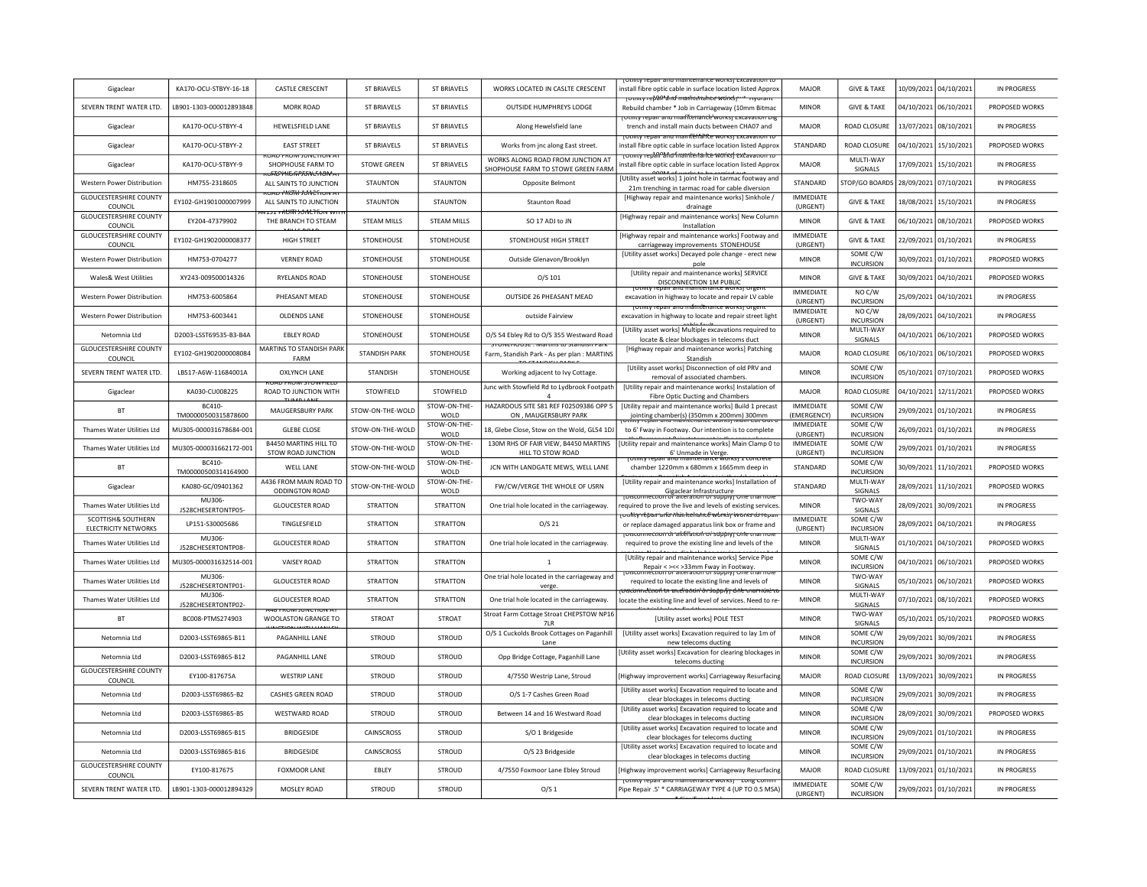| Gigaclear                                  | KA170-OCU-STBYY-16-18         | CASTLE CRESCENT                                                      | ST BRIAVELS        | ST BRIAVELS          | WORKS LOCATED IN CASITE CRESCENT                                                    | install fibre optic cable in surface location listed Approx                                                                      | MAIOR                           | <b>GIVE &amp; TAKE</b>       | 10/09/2021 | 04/10/2021 | IN PROGRESS           |
|--------------------------------------------|-------------------------------|----------------------------------------------------------------------|--------------------|----------------------|-------------------------------------------------------------------------------------|----------------------------------------------------------------------------------------------------------------------------------|---------------------------------|------------------------------|------------|------------|-----------------------|
| SEVERN TRENT WATER LTD.                    | LB901-1303-000012893848       | <b>MORK ROAD</b>                                                     | <b>ST BRIAVELS</b> | <b>ST BRIAVELS</b>   | OUTSIDE HUMPHREYS LODGE                                                             | roumuv rebâtî and mamuenance worksr<br>Rebuild chamber * Job in Carriageway (10mm Bitmac                                         | <b>MINOR</b>                    | <b>GIVE &amp; TAKE</b>       | 04/10/2021 | 06/10/2021 | PROPOSED WORKS        |
| Gigaclear                                  | KA170-OCU-STBYY-4             | HEWELSFIELD LANE                                                     | <b>ST BRIAVELS</b> | <b>ST BRIAVELS</b>   | Along Hewelsfield lane                                                              | rounty repair and maniteriance works; excavation pie<br>trench and install main ducts between CHA07 and                          | MAJOR                           | ROAD CLOSURE                 | 13/07/2021 | 08/10/2021 | <b>IN PROGRESS</b>    |
| Gigaclear                                  | KA170-OCU-STBYY-2             | <b>EAST STREET</b>                                                   | <b>ST BRIAVELS</b> | <b>ST BRIAVELS</b>   | Works from jnc along East street.                                                   | <u>וסמוונץ וכטמו מוזם והמוונכו החליכי שטוגאן בגנמיממטורט</u><br>install fibre optic cable in surface location listed Approx      | STANDARD                        | ROAD CLOSURE                 | 04/10/2021 | 15/10/2021 | PROPOSED WORKS        |
| Gigaclear                                  | KA170-OCU-STBYY-9             | SHOPHOUSE FARM TO                                                    | <b>STOWE GREEN</b> | <b>ST BRIAVELS</b>   | WORKS ALONG ROAD FROM JUNCTION AT<br>SHOPHOUSE FARM TO STOWE GREEN FARM             | <u>וסמוונץ וכולה "and firamterialite works באלמיממטורמ</u><br>install fibre optic cable in surface location listed Approx        | <b>MAJOR</b>                    | MULTI-WAY<br>SIGNALS         | 17/09/2021 | 15/10/2021 | <b>IN PROGRESS</b>    |
| Western Power Distribution                 | HM755-2318605                 | ᡕᠣ <del>ᡘᠯᡘᢂ᠋᠖᠗ᡗ᠖</del> ᠰᢗᡏ <b>ᡤ᠐ᠰ</b> ᡃᢆ᠇<br>ALL SAINTS TO JUNCTION | <b>STAUNTON</b>    | <b>STAUNTON</b>      | Opposite Belmont                                                                    | [Utility asset works] 1 joint hole in tarmac footway and<br>21m trenching in tarmac road for cable diversion                     | <b>STANDARD</b>                 | STOP/GO BOARDS               | 28/09/2021 | 07/10/2021 | IN PROGRESS           |
| <b>GLOUCESTERSHIRE COUNTY</b><br>COUNCIL   | EY102-GH1901000007999         | <del>wan MYTU MNC mwa</del><br>ALL SAINTS TO JUNCTION                | <b>STAUNTON</b>    | <b>STAUNTON</b>      | <b>Staunton Road</b>                                                                | [Highway repair and maintenance works] Sinkhole /<br>drainage                                                                    | <b>IMMEDIATE</b><br>(URGENT)    | <b>GIVE &amp; TAKE</b>       | 18/08/2021 | 15/10/2021 | <b>IN PROGRESS</b>    |
| <b>GLOUCESTERSHIRE COUNTY</b><br>COUNCIL   | EY204-47379902                | <b> riviti jonC1fon wm</b><br>THE BRANCH TO STEAM                    | <b>STEAM MILLS</b> | <b>STEAM MILLS</b>   | SO 17 ADJ to JN                                                                     | [Highway repair and maintenance works] New Column<br>Installation                                                                | <b>MINOR</b>                    | <b>GIVE &amp; TAKE</b>       | 06/10/2021 | 08/10/2021 | PROPOSED WORKS        |
| <b>GLOUCESTERSHIRE COUNTY</b><br>COUNCIL   | EY102-GH1902000008377         | <b>HIGH STREET</b>                                                   | STONEHOUSE         | STONEHOUSE           | STONEHOUSE HIGH STREET                                                              | [Highway repair and maintenance works] Footway and<br>carriageway improvements STONEHOUSE                                        | IMMEDIATE<br>(URGENT)           | <b>GIVE &amp; TAKE</b>       | 22/09/2021 | 01/10/2021 | <b>IN PROGRESS</b>    |
| Western Power Distribution                 | HM753-0704277                 | <b>VERNEY ROAD</b>                                                   | STONEHOUSE         | STONEHOUSE           | Outside Glenavon/Brooklyn                                                           | [Utility asset works] Decayed pole change - erect new<br>pole                                                                    | <b>MINOR</b>                    | SOME C/W<br><b>INCURSION</b> | 30/09/2021 | 01/10/2021 | PROPOSED WORKS        |
| Wales& West Utilities                      | XY243-009500014326            | <b>RYELANDS ROAD</b>                                                 | STONEHOUSE         | STONEHOUSE           | $O/S$ 101                                                                           | [Utility repair and maintenance works] SERVICE<br>DISCONNECTION 1M PUBLIC                                                        | <b>MINOR</b>                    | <b>GIVE &amp; TAKE</b>       | 30/09/2021 | 04/10/2021 | PROPOSED WORKS        |
| Western Power Distribution                 | HM753-6005864                 | PHEASANT MEAD                                                        | STONEHOUSE         | STONEHOUSE           | OUTSIDE 26 PHEASANT MEAD                                                            | excavation in highway to locate and repair LV cable                                                                              | <b>IMMFDIATE</b><br>(URGENT)    | NO C/W<br><b>INCURSION</b>   | 25/09/2021 | 04/10/2021 | <b>IN PROGRESS</b>    |
| Western Power Distribution                 | HM753-6003441                 | OLDENDS LANE                                                         | STONEHOUSE         | STONEHOUSE           | outside Fairview                                                                    | <u>roulity repair and maintenance works rorgen</u><br>excavation in highway to locate and repair street light                    | IMMEDIATE<br>(URGENT)           | NO C/W<br><b>INCURSION</b>   | 28/09/2021 | 04/10/2021 | <b>IN PROGRESS</b>    |
| Netomnia Ltd                               | D2003-LSST69535-B3-B4A        | <b>EBLEY ROAD</b>                                                    | STONEHOUSE         | STONEHOUSE           | O/S 54 Ebley Rd to O/S 355 Westward Road                                            | [Utility asset works] Multiple excavations required to<br>locate & clear blockages in telecoms duct                              | <b>MINOR</b>                    | MULTI-WAY<br>SIGNALS         | 04/10/2021 | 06/10/2021 | PROPOSED WORKS        |
| <b>GLOUCESTERSHIRE COUNTY</b><br>COUNCIL   | EY102-GH1902000008084         | MARTINS TO STANDISH PARK<br>FARM                                     | STANDISH PARK      | STONEHOUSE           | STONEHOUSE: Martins to Standish Park<br>Farm, Standish Park - As per plan : MARTINS | [Highway repair and maintenance works] Patching<br>Standish                                                                      | MAJOR                           | ROAD CLOSURE                 | 06/10/2021 | 06/10/2021 | PROPOSED WORKS        |
| SEVERN TRENT WATER LTD.                    | LB517-A6W-11684001A           | <b>OXLYNCH LANE</b>                                                  | <b>STANDISH</b>    | STONEHOUSE           | Working adjacent to Ivy Cottage.                                                    | [Utility asset works] Disconnection of old PRV and<br>removal of associated chambers.                                            | <b>MINOR</b>                    | SOME C/W<br><b>INCURSION</b> | 05/10/2021 | 07/10/2021 | PROPOSED WORKS        |
| Gigaclear                                  | KA030-CU008225                | <b>AU FRUM STUWFIELL</b><br>ROAD TO JUNCTION WITH                    | STOWFIFLD          | STOWFIFLD            | Junc with Stowfield Rd to Lydbrook Footpath                                         | [Utility repair and maintenance works] Instalation of<br><b>Fibre Optic Ducting and Chambers</b>                                 | MAIOR                           | ROAD CLOSURE                 | 04/10/2021 | 12/11/2021 | PROPOSED WORKS        |
| <b>BT</b>                                  | BC410-<br>TM00000500315878600 | MAUGERSBURY PARK                                                     | STOW-ON-THE-WOLD   | STOW-ON-THE-<br>WOLD | HAZARDOUS SITE S81 REF F02509386 OPP 5<br>ON . MAUGERSBURY PARK                     | <b>IUtility repair and maintenance works] Build 1 precast</b>                                                                    | <b>IMMFDIATE</b><br>(EMERGENCY) | SOME C/W<br><b>INCURSION</b> | 29/09/2021 | 01/10/2021 | <b>IN PROGRESS</b>    |
| Thames Water Utilities Ltd                 | MU305-000031678684-001        | <b>GLEBE CLOSE</b>                                                   | STOW-ON-THE-WOLD   | STOW-ON-THE-<br>WOLD | 18, Glebe Close, Stow on the Wold, GL54 1D.                                         | to 6' Fway in Footway. Our intention is to complete                                                                              | <b>IMMEDIATE</b><br>(URGENT)    | SOME C/W<br><b>INCURSION</b> | 26/09/2021 | 01/10/2021 | <b>IN PROGRESS</b>    |
| Thames Water Utilities Ltd                 | MU305-000031662172-001        | <b>B4450 MARTINS HILL TO</b><br>STOW ROAD JUNCTION                   | STOW-ON-THE-WOLD   | STOW-ON-THE-<br>WOLD | 130M RHS OF FAIR VIEW, B4450 MARTINS<br>HILL TO STOW ROAD                           | [Utility repair and maintenance works] Main Clamp 0 to                                                                           | IMMEDIATE<br>(URGENT)           | SOME C/W<br><b>INCURSION</b> | 29/09/2021 | 01/10/2021 | <b>IN PROGRESS</b>    |
| <b>BT</b>                                  | BC410<br>TM00000500314164900  | WELL LANE                                                            | STOW-ON-THE-WOLD   | STOW-ON-THE-<br>WOLD | JCN WITH LANDGATE MEWS. WELL LANE                                                   | 6' Unmade in Verge<br>chamber 1220mm x 680mm x 1665mm deep in                                                                    | STANDARD                        | SOME C/W<br><b>INCURSION</b> | 30/09/2021 | 11/10/2021 | PROPOSED WORKS        |
| Gigaclear                                  | KA080-GC/09401362             | A436 FROM MAIN ROAD TO<br><b>ODDINGTON ROAD</b>                      | STOW-ON-THE-WOLD   | STOW-ON-THE-<br>WOLD | <b>FW/CW/VERGE THE WHOLE OF USRN</b>                                                | [Utility repair and maintenance works] Installation of<br>Gigaclear Infrastructure                                               | <b>STANDARD</b>                 | MULTI-WAY<br><b>SIGNALS</b>  | 28/09/2021 | 11/10/2021 | PROPOSED WORKS        |
| Thames Water Utilities Ltd                 | MU306-<br>J528CHESERTONTP05-  | <b>GLOUCESTER ROAD</b>                                               | <b>STRATTON</b>    | <b>STRATTON</b>      | One trial hole located in the carriageway.                                          | equired to prove the live and levels of existing services                                                                        | <b>MINOR</b>                    | TWO-WAY<br>SIGNALS           | 28/09/2021 | 30/09/2021 | <b>IN PROGRESS</b>    |
| SCOTTISH& SOUTHERN<br>ELECTRICITY NETWORKS | LP151-S30005686               | TINGLESFIELD                                                         | <b>STRATTON</b>    | <b>STRATTON</b>      | O/S <sub>21</sub>                                                                   | <del>oulitv rebair arlu maintehance worksr works to repa</del> i<br>or replace damaged apparatus link box or frame and           | <b>IMMEDIATE</b><br>(URGENT)    | SOME C/W<br><b>INCURSION</b> | 28/09/2021 | 04/10/2021 | <b>IN PROGRESS</b>    |
| Thames Water Utilities Ltd                 | MU306<br>J528CHESERTONTP08-   | <b>GLOUCESTER ROAD</b>                                               | STRATTON           | <b>STRATTON</b>      | One trial hole located in the carriageway.                                          | <u>roiscoimection or aitél'ation or supply roite triarmoie</u><br>required to prove the existing line and levels of the          | <b>MINOR</b>                    | MULTI-WAY<br>SIGNALS         | 01/10/2021 | 04/10/2021 | PROPOSED WORKS        |
| Thames Water Utilities Ltd                 | MU305-000031632514-001        | VAISEY ROAD                                                          | <b>STRATTON</b>    | <b>STRATTON</b>      | $\overline{1}$                                                                      | [Utility repair and maintenance works] Service Pipe<br>Renair < ><< >33mm Fway in Footway                                        | <b>MINOR</b>                    | SOME C/W<br><b>INCURSION</b> | 04/10/2021 | 06/10/2021 | PROPOSED WORKS        |
| Thames Water Utilities Ltd                 | MU306-<br>J528CHESERTONTP01-  | <b>GLOUCESTER ROAD</b>                                               | <b>STRATTON</b>    | <b>STRATTON</b>      | One trial hole located in the carriageway and<br>verge                              | <u>nection or alteration or supply) one than no</u><br>required to locate the existing line and levels of                        | <b>MINOR</b>                    | TWO-WAY<br><b>SIGNALS</b>    | 05/10/2021 | 06/10/2021 | <b>PROPOSED WORKS</b> |
| Thames Water Utilities Ltd                 | MU306-<br>J528CHESERTONTP02-  | <b>GLOUCESTER ROAD</b>                                               | <b>STRATTON</b>    | <b>STRATTON</b>      | One trial hole located in the carriageway.                                          | <del>asconnection bi artel ation or supply; One than noie t</del><br>locate the existing line and level of services. Need to re- | <b>MINOR</b>                    | MULTI-WAY<br>SIGNALS         | 07/10/2021 | 08/10/2021 | PROPOSED WORKS        |
| <b>BT</b>                                  | BC008-PTMS274903              | <b>HO FINORFJORK FIGHT A</b><br><b>WOOLASTON GRANGE TO</b>           | <b>STROAT</b>      | <b>STROAT</b>        | Stroat Farm Cottage Stroat CHEPSTOW NP16<br>7LR                                     | [Utility asset works] POLE TEST                                                                                                  | <b>MINOR</b>                    | TWO-WAY<br>SIGNALS           | 05/10/2021 | 05/10/2021 | PROPOSED WORKS        |
| Netomnia Ltd                               | D2003-LSST69865-B11           | PAGANHILL LANE                                                       | STROUD             | <b>STROUD</b>        | O/S 1 Cuckolds Brook Cottages on Paganhill<br>Lane                                  | [Utility asset works] Excavation required to lay 1m of<br>new telecoms ducting                                                   | <b>MINOR</b>                    | SOME C/W<br><b>INCURSION</b> | 29/09/2021 | 30/09/2021 | <b>IN PROGRESS</b>    |
| Netomnia Ltd                               | D2003-LSST69865-B12           | PAGANHILL LANE                                                       | STROUD             | <b>STROUD</b>        | Opp Bridge Cottage, Paganhill Lane                                                  | [Utility asset works] Excavation for clearing blockages in<br>telecoms ducting                                                   | <b>MINOR</b>                    | SOME C/W<br><b>INCURSION</b> | 29/09/2021 | 30/09/2021 | <b>IN PROGRESS</b>    |
| <b>GLOUCESTERSHIRE COUNTY</b><br>COUNCIL   | EY100-817675A                 | <b>WESTRIP LANE</b>                                                  | STROUD             | <b>STROUD</b>        | 4/7550 Westrip Lane, Stroud                                                         | [Highway improvement works] Carriageway Resurfacin                                                                               | <b>MAJOR</b>                    | ROAD CLOSURE                 | 13/09/2021 | 30/09/2021 | <b>IN PROGRESS</b>    |
| Netomnia Ltd                               | D2003-LSST69865-B2            | CASHES GREEN ROAD                                                    | <b>STROUD</b>      | <b>STROUD</b>        | O/S 1-7 Cashes Green Road                                                           | <b>IUtility asset works] Excavation required to locate and</b><br>clear blockages in telecoms ducting                            | <b>MINOR</b>                    | SOME C/W<br><b>INCURSION</b> | 29/09/2021 | 30/09/2021 | IN PROGRESS           |
| Netomnia Ltd                               | D2003-LSST69865-B5            | WESTWARD ROAD                                                        | STROUD             | <b>STROUD</b>        | Between 14 and 16 Westward Road                                                     | [Utility asset works] Excavation required to locate and<br>clear blockages in telecoms ducting                                   | <b>MINOR</b>                    | SOME C/W<br><b>INCURSION</b> | 28/09/2021 | 30/09/2021 | PROPOSED WORKS        |
| Netomnia Ltd                               | D2003-LSST69865-B15           | <b>BRIDGESIDE</b>                                                    | CAINSCROSS         | <b>STROUD</b>        | S/O 1 Bridgeside                                                                    | [Utility asset works] Excavation required to locate and<br>clear blockages for telecoms ducting                                  | <b>MINOR</b>                    | SOME C/W<br><b>INCURSION</b> | 29/09/2021 | 01/10/2021 | <b>IN PROGRESS</b>    |
| Netomnia Ltd                               | D2003-LSST69865-B16           | <b>BRIDGESIDE</b>                                                    | CAINSCROSS         | <b>STROUD</b>        | O/S 23 Bridgeside                                                                   | [Utility asset works] Excavation required to locate and<br>clear blockages in telecoms ducting                                   | <b>MINOR</b>                    | SOME C/W<br><b>INCURSION</b> | 29/09/2021 | 01/10/2021 | <b>IN PROGRESS</b>    |
| <b>GLOUCESTERSHIRE COUNTY</b><br>COUNCIL   | EY100-817675                  | <b>FOXMOOR LANE</b>                                                  | EBLEY              | <b>STROUD</b>        | 4/7550 Foxmoor Lane Ebley Stroud                                                    | [Highway improvement works] Carriageway Resurfacing                                                                              | <b>MAJOR</b>                    | ROAD CLOSURE                 | 13/09/2021 | 01/10/2021 | <b>IN PROGRESS</b>    |
| SEVERN TRENT WATER LTD.                    | LB901-1303-000012894329       | MOSLEY ROAD                                                          | <b>STROUD</b>      | <b>STROUD</b>        | O/S <sub>1</sub>                                                                    | TOthity repair and maintenance works   Long Cor<br>Pipe Repair .5' * CARRIAGEWAY TYPE 4 (UP TO 0.5 MSA)                          | <b>IMMFDIATE</b><br>(URGENT)    | SOME C/W<br><b>INCURSION</b> | 29/09/2021 | 01/10/2021 | <b>IN PROGRESS</b>    |
|                                            |                               |                                                                      |                    |                      |                                                                                     |                                                                                                                                  |                                 |                              |            |            |                       |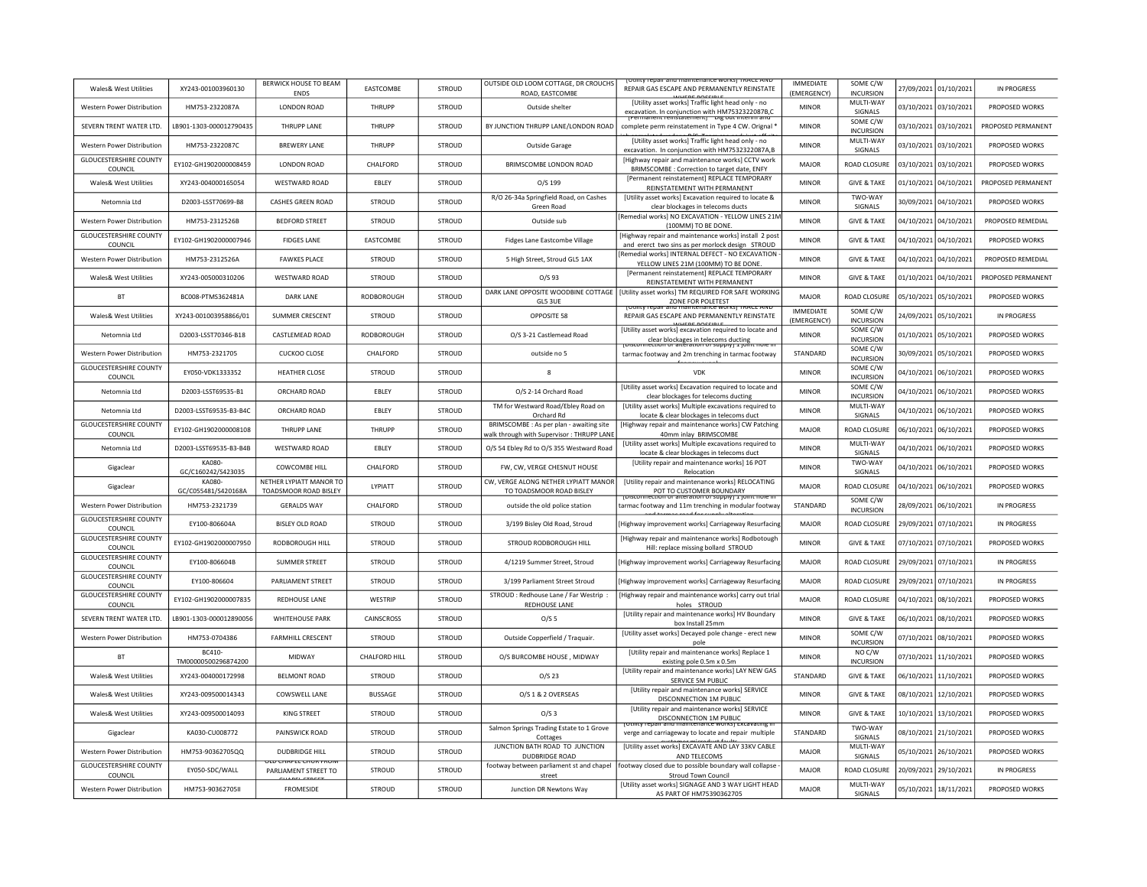| Wales& West Utilities                    | XY243-001003960130                  | BERWICK HOUSE TO BEAM<br>ENDS                    | <b>FASTCOMBE</b>  | STROUD        | OUTSIDE OLD LOOM COTTAGE, DR CROUCHS<br>ROAD, EASTCOMBE                                | REPAIR GAS ESCAPE AND PERMANENTLY REINSTATE                                                               | <b>IMMEDIATE</b><br>(EMERGENCY) | SOME C/W<br><b>INCURSION</b> | 27/09/2021 | 01/10/2021            | IN PROGRESS           |
|------------------------------------------|-------------------------------------|--------------------------------------------------|-------------------|---------------|----------------------------------------------------------------------------------------|-----------------------------------------------------------------------------------------------------------|---------------------------------|------------------------------|------------|-----------------------|-----------------------|
| Western Power Distribution               | HM753-2322087A                      | <b>LONDON ROAD</b>                               | THRUPP            | STROUD        | Outside shelter                                                                        | [Utility asset works] Traffic light head only - no<br>excavation. In conjunction with HM7532322087B,      | <b>MINOR</b>                    | MULTI-WAY<br>SIGNALS         | 03/10/2021 | 03/10/2021            | PROPOSED WORKS        |
| SEVERN TRENT WATER LTD.                  | LB901-1303-000012790435             | THRUPP LANE                                      | THRUPP            | STROUD        | BY JUNCTION THRUPP LANE/LONDON ROAD                                                    | ranent remstatement   Dig out<br>complete perm reinstatement in Type 4 CW. Orignal '                      | <b>MINOR</b>                    | SOME C/W<br><b>INCURSION</b> | 03/10/2021 | 03/10/2021            | PROPOSED PERMANENT    |
| Western Power Distribution               | HM753-2322087C                      | <b>BREWERY LANE</b>                              | <b>THRUPP</b>     | STROUD        | Outside Garage                                                                         | [Utility asset works] Traffic light head only - no<br>excavation. In conjunction with HM7532322087A,B     | <b>MINOR</b>                    | MULTI-WAY<br>SIGNALS         | 03/10/2021 | 03/10/2021            | PROPOSED WORKS        |
| <b>GLOUCESTERSHIRE COUNTY</b><br>COUNCIL | EY102-GH1902000008459               | LONDON ROAD                                      | CHALFORD          | <b>STROUD</b> | BRIMSCOMBE LONDON ROAD                                                                 | [Highway repair and maintenance works] CCTV work<br>BRIMSCOMBE : Correction to target date, ENFY          | <b>MAJOR</b>                    | ROAD CLOSURE                 | 03/10/2021 | 03/10/2021            | PROPOSED WORKS        |
| Wales& West Utilities                    | XY243-004000165054                  | <b>WESTWARD ROAD</b>                             | <b>FBI FY</b>     | STROUD        | O/S 199                                                                                | [Permanent reinstatement] REPLACE TEMPORARY<br>REINSTATEMENT WITH PERMANENT                               | <b>MINOR</b>                    | <b>GIVE &amp; TAKE</b>       | 01/10/2021 | 04/10/2021            | PROPOSED PERMANENT    |
| Netomnia Ltd                             | D2003-LSST70699-B8                  | <b>CASHES GREEN ROAD</b>                         | STROUD            | STROUD        | R/O 26-34a Springfield Road, on Cashes<br>Green Road                                   | [Utility asset works] Excavation required to locate &<br>clear blockages in telecoms ducts                | <b>MINOR</b>                    | TWO-WAY<br>SIGNALS           | 30/09/2021 | 04/10/2021            | PROPOSED WORKS        |
| Western Power Distribution               | HM753-2312526B                      | <b>BEDFORD STREET</b>                            | STROUD            | <b>STROUD</b> | Outside sub                                                                            | Remedial works] NO EXCAVATION - YELLOW LINES 21M<br>(100MM) TO BE DONE.                                   | <b>MINOR</b>                    | <b>GIVE &amp; TAKE</b>       | 04/10/2021 | 04/10/2021            | PROPOSED REMEDIAL     |
| <b>GLOUCESTERSHIRE COUNTY</b><br>COUNCIL | EY102-GH1902000007946               | <b>FIDGES LANE</b>                               | EASTCOMBE         | <b>STROUD</b> | Fidges Lane Eastcombe Village                                                          | [Highway repair and maintenance works] install 2 post<br>and ererct two sins as per morlock design STROUD | <b>MINOR</b>                    | <b>GIVE &amp; TAKE</b>       | 04/10/2021 | 04/10/2021            | PROPOSED WORKS        |
| Western Power Distribution               | HM753-2312526A                      | <b>FAWKES PLACE</b>                              | STROUD            | <b>STROUD</b> | 5 High Street, Stroud GL5 1AX                                                          | [Remedial works] INTERNAL DEFECT - NO EXCAVATION<br>YELLOW LINES 21M (100MM) TO BE DONE.                  | <b>MINOR</b>                    | <b>GIVE &amp; TAKE</b>       | 04/10/2021 | 04/10/2021            | PROPOSED REMEDIAL     |
| Wales& West Utilities                    | XY243-005000310206                  | <b>WESTWARD ROAD</b>                             | STROUD            | STROUD        | $O/S$ 93                                                                               | [Permanent reinstatement] REPLACE TEMPORARY<br>REINSTATEMENT WITH PERMANENT                               | <b>MINOR</b>                    | <b>GIVE &amp; TAKE</b>       | 01/10/2021 | 04/10/2021            | PROPOSED PERMANENT    |
| <b>BT</b>                                | BC008-PTMS362481A                   | <b>DARK LANF</b>                                 | <b>RODBOROUGH</b> | <b>STROUD</b> | DARK LANE OPPOSITE WOODBINE COTTAGE<br>GL5 3UE                                         | Utility asset works] TM REQUIRED FOR SAFE WORKING<br>ZONE FOR POLETEST                                    | <b>MAJOR</b>                    | ROAD CLOSURE                 | 05/10/2021 | 05/10/2021            | PROPOSED WORKS        |
| <b>Wales&amp; West Utilities</b>         | XY243-001003958866/01               | <b>SUMMER CRESCENT</b>                           | STROUD            | STROUD        | OPPOSITE 58                                                                            | REPAIR GAS ESCAPE AND PERMANENTLY REINSTATE                                                               | <b>IMMFDIATE</b><br>(EMERGENCY) | SOME C/W<br><b>INCURSION</b> | 24/09/2021 | 05/10/2021            | IN PROGRESS           |
| Netomnia Itd                             | D2003-LSST70346-B18                 | CASTLEMEAD ROAD                                  | RODBOROUGH        | <b>STROUD</b> | O/S 3-21 Castlemead Road                                                               | [Utility asset works] excavation required to locate and<br>clear blockages in telecoms ducting            | <b>MINOR</b>                    | SOME C/W<br><b>INCURSION</b> | 01/10/2021 | 05/10/2021            | PROPOSED WORKS        |
| Western Power Distribution               | HM753-2321705                       | <b>CUCKOO CLOSE</b>                              | CHALFORD          | STROUD        | outside no 5                                                                           | tarmac footway and 2m trenching in tarmac footway                                                         | STANDARD                        | SOME C/W<br><b>INCURSION</b> | 30/09/2021 | 05/10/2021            | PROPOSED WORKS        |
| <b>GLOUCESTERSHIRE COUNTY</b><br>COUNCIL | EY050-VDK1333352                    | HEATHER CLOSE                                    | STROUD            | STROUD        | 8                                                                                      | <b>VDK</b>                                                                                                | <b>MINOR</b>                    | SOME C/W<br><b>INCURSION</b> | 04/10/2021 | 06/10/2021            | PROPOSED WORKS        |
| Netomnia Ltd                             | D2003-LSST69535-B1                  | ORCHARD ROAD                                     | <b>FBI FY</b>     | STROUD        | O/S 2-14 Orchard Road                                                                  | [Utility asset works] Excavation required to locate and<br>clear blockages for telecoms ducting           | <b>MINOR</b>                    | SOME C/W<br><b>INCURSION</b> | 04/10/2021 | 06/10/2021            | PROPOSED WORKS        |
| Netomnia Ltd                             | D2003-LSST69535-B3-B4C              | ORCHARD ROAD                                     | EBLEY             | STROUD        | TM for Westward Road/Ebley Road on<br>Orchard Rd                                       | [Utility asset works] Multiple excavations required to<br>locate & clear blockages in telecoms duct       | <b>MINOR</b>                    | MULTI-WAY<br>SIGNALS         | 04/10/2021 | 06/10/2021            | PROPOSED WORKS        |
| <b>GLOUCESTERSHIRE COUNTY</b><br>COUNCIL | EY102-GH1902000008108               | THRUPP LANE                                      | THRUPP            | STROUD        | BRIMSCOMBE : As per plan - awaiting site<br>valk through with Supervisor : THRUPP LANE | [Highway repair and maintenance works] CW Patching<br>40mm inlay BRIMSCOMBE                               | MAIOR                           | ROAD CLOSURE                 | 06/10/2021 | 06/10/2021            | PROPOSED WORKS        |
| Netomnia Ltd                             | D2003-LSST69535-B3-B4B              | WESTWARD ROAD                                    | EBLEY             | STROUD        | O/S 54 Ebley Rd to O/S 355 Westward Road                                               | [Utility asset works] Multiple excavations required to<br>locate & clear blockages in telecoms duct       | <b>MINOR</b>                    | MULTI-WAY<br>SIGNALS         | 04/10/2021 | 06/10/2021            | PROPOSED WORKS        |
| Gigaclear                                | <b>KA080-</b><br>GC/C160242/S423035 | COWCOMBE HILL                                    | CHALFORD          | STROUD        | FW, CW, VERGE CHESNUT HOUSE                                                            | [Utility repair and maintenance works] 16 POT<br>Relocation                                               | <b>MINOR</b>                    | TWO-WAY<br>SIGNALS           | 04/10/2021 | 06/10/2021            | PROPOSED WORKS        |
| Gigaclear                                | KA080-<br>GC/C055481/S420168A       | NETHER LYPIATT MANOR TO<br>TOADSMOOR ROAD BISLEY | LYPIATT           | STROUD        | CW, VERGE ALONG NETHER LYPIATT MANOR<br>TO TOADSMOOR ROAD BISLEY                       | [Utility repair and maintenance works] RELOCATING<br>POT TO CUSTOMER BOUNDARY                             | MAJOR                           | ROAD CLOSURE                 | 04/10/2021 | 06/10/2021            | PROPOSED WORKS        |
| Western Power Distribution               | HM753-2321739                       | <b>GERALDS WAY</b>                               | CHALFORD          | <b>STROUD</b> | outside the old police station                                                         | tarmac footway and 11m trenching in modular footway                                                       | STANDARD                        | SOME C/W<br>INCURSION        | 28/09/2021 | 06/10/2021            | <b>IN PROGRESS</b>    |
| <b>GLOUCESTERSHIRE COUNTY</b><br>COUNCIL | FY100-806604A                       | <b>BISLEY OLD ROAD</b>                           | <b>STROUD</b>     | STROUD        | 3/199 Bisley Old Road, Stroud                                                          | [Highway improvement works] Carriageway Resurfacing                                                       | MAJOR                           | ROAD CLOSURE                 | 29/09/2021 | 07/10/2021            | <b>IN PROGRESS</b>    |
| <b>GLOUCESTERSHIRE COUNTY</b><br>COUNCIL | EY102-GH1902000007950               | RODBOROUGH HILL                                  | STROUD            | STROUD        | STROUD RODBOROUGH HILL                                                                 | [Highway repair and maintenance works] Rodbotough<br>Hill: replace missing bollard STROUD                 | <b>MINOR</b>                    | <b>GIVE &amp; TAKE</b>       | 07/10/2021 | 07/10/2021            | PROPOSED WORKS        |
| <b>GLOUCESTERSHIRE COUNTY</b><br>COUNCIL | EY100-806604B                       | <b>SUMMER STREET</b>                             | STROUD            | STROUD        | 4/1219 Summer Street, Stroud                                                           | Highway improvement works] Carriageway Resurfacing                                                        | MAJOR                           | ROAD CLOSURE                 | 29/09/2021 | 07/10/2021            | IN PROGRESS           |
| <b>GLOUCESTERSHIRE COUNTY</b><br>COUNCIL | EY100-806604                        | <b>PARLIAMENT STREET</b>                         | <b>STROUD</b>     | <b>STROUD</b> | 3/199 Parliament Street Stroud                                                         | [Highway improvement works] Carriageway Resurfacing                                                       | MAJOR                           | ROAD CLOSURE                 | 29/09/2021 | 07/10/2021            | <b>IN PROGRESS</b>    |
| <b>GLOUCESTERSHIRE COUNTY</b><br>COUNCIL | EY102-GH1902000007835               | REDHOUSE LANE                                    | WESTRIP           | <b>STROUD</b> | STROUD: Redhouse Lane / Far Westrip<br>REDHOUSE LANE                                   | [Highway repair and maintenance works] carry out trial<br>holes STROUD                                    | <b>MAJOR</b>                    | ROAD CLOSURE                 | 04/10/2021 | 08/10/2021            | PROPOSED WORKS        |
| SEVERN TRENT WATER LTD.                  | LB901-1303-000012890056             | <b>WHITEHOUSE PARK</b>                           | CAINSCROSS        | STROUD        | O/S <sub>5</sub>                                                                       | [Utility repair and maintenance works] HV Boundary<br>box Install 25mm                                    | <b>MINOR</b>                    | <b>GIVE &amp; TAKE</b>       | 06/10/2021 | 08/10/2021            | <b>PROPOSED WORKS</b> |
| Western Power Distribution               | HM753-0704386                       | FARMHILL CRESCENT                                | <b>STROUD</b>     | STROUD        | Outside Copperfield / Traquair.                                                        | [Utility asset works] Decayed pole change - erect new<br>pole                                             | <b>MINOR</b>                    | SOME C/W<br><b>INCURSION</b> | 07/10/2021 | 08/10/2021            | PROPOSED WORKS        |
| <b>BT</b>                                | BC410-<br>TM00000500296874200       | MIDWAY                                           | CHALFORD HILL     | STROUD        | O/S BURCOMBE HOUSE, MIDWAY                                                             | [Utility repair and maintenance works] Replace 1<br>existing pole 0.5m x 0.5m                             | <b>MINOR</b>                    | NO C/W<br><b>INCURSION</b>   | 07/10/2021 | 11/10/2021            | PROPOSED WORKS        |
| Wales& West Utilities                    | XY243-004000172998                  | <b>BELMONT ROAD</b>                              | STROUD            | STROUD        | $O/S$ 23                                                                               | [Utility repair and maintenance works] LAY NEW GAS<br>SERVICE 5M PUBLIC                                   | STANDARD                        | <b>GIVE &amp; TAKE</b>       | 06/10/2021 | 11/10/2021            | PROPOSED WORKS        |
| Wales& West Utilities                    | XY243-009500014343                  | COWSWELL LANE                                    | <b>BUSSAGE</b>    | STROUD        | O/S 1 & 2 OVERSEAS                                                                     | [Utility repair and maintenance works] SERVICE<br>DISCONNECTION 1M PUBLIC                                 | <b>MINOR</b>                    | <b>GIVE &amp; TAKE</b>       | 08/10/2021 | 12/10/2021            | PROPOSED WORKS        |
| Wales& West Utilities                    | XY243-009500014093                  | KING STREET                                      | STROUD            | STROUD        | O/S3                                                                                   | [Utility repair and maintenance works] SERVICE<br>DISCONNECTION 1M PUBLIC                                 | <b>MINOR</b>                    | <b>GIVE &amp; TAKE</b>       | 10/10/2021 | 13/10/2021            | PROPOSED WORKS        |
| Gigaclear                                | KA030-CU008772                      | PAINSWICK ROAD                                   | STROUD            | STROUD        | Salmon Springs Trading Estate to 1 Grove<br>Cottages                                   | repair and maintenance works) excavating i<br>verge and carriageway to locate and repair multiple         | STANDARD                        | TWO-WAY<br>SIGNALS           | 08/10/2021 | 21/10/2021            | PROPOSED WORKS        |
| Western Power Distribution               | HM753-90362705QQ                    | <b>DUDBRIDGE HILL</b>                            | STROUD            | STROUD        | JUNCTION BATH ROAD TO JUNCTION<br><b>DUDBRIDGE ROAD</b>                                | [Utility asset works] EXCAVATE AND LAY 33KV CABLE<br>AND TELECOMS                                         | MAJOR                           | MULTI-WAY<br><b>SIGNALS</b>  | 05/10/2021 | 26/10/2021            | PROPOSED WORKS        |
| <b>GLOUCESTERSHIRE COUNTY</b><br>COUNCIL | EY050-SDC/WALL                      | PARLIAMENT STREET TO                             | STROUD            | STROUD        | footway between parliament st and chapel<br>street                                     | footway closed due to possible boundary wall collapse<br><b>Stroud Town Council</b>                       | MAJOR                           | <b>ROAD CLOSURE</b>          |            | 20/09/2021 29/10/2021 | <b>IN PROGRESS</b>    |
| Western Power Distribution               | HM753-90362705II                    | <b>FROMESIDE</b>                                 | STROUD            | STROUD        | Junction DR Newtons Way                                                                | [Utility asset works] SIGNAGE AND 3 WAY LIGHT HEAD<br>AS PART OF HM75390362705                            | MAJOR                           | MULTI-WAY<br>SIGNALS         |            | 05/10/2021 18/11/2021 | PROPOSED WORKS        |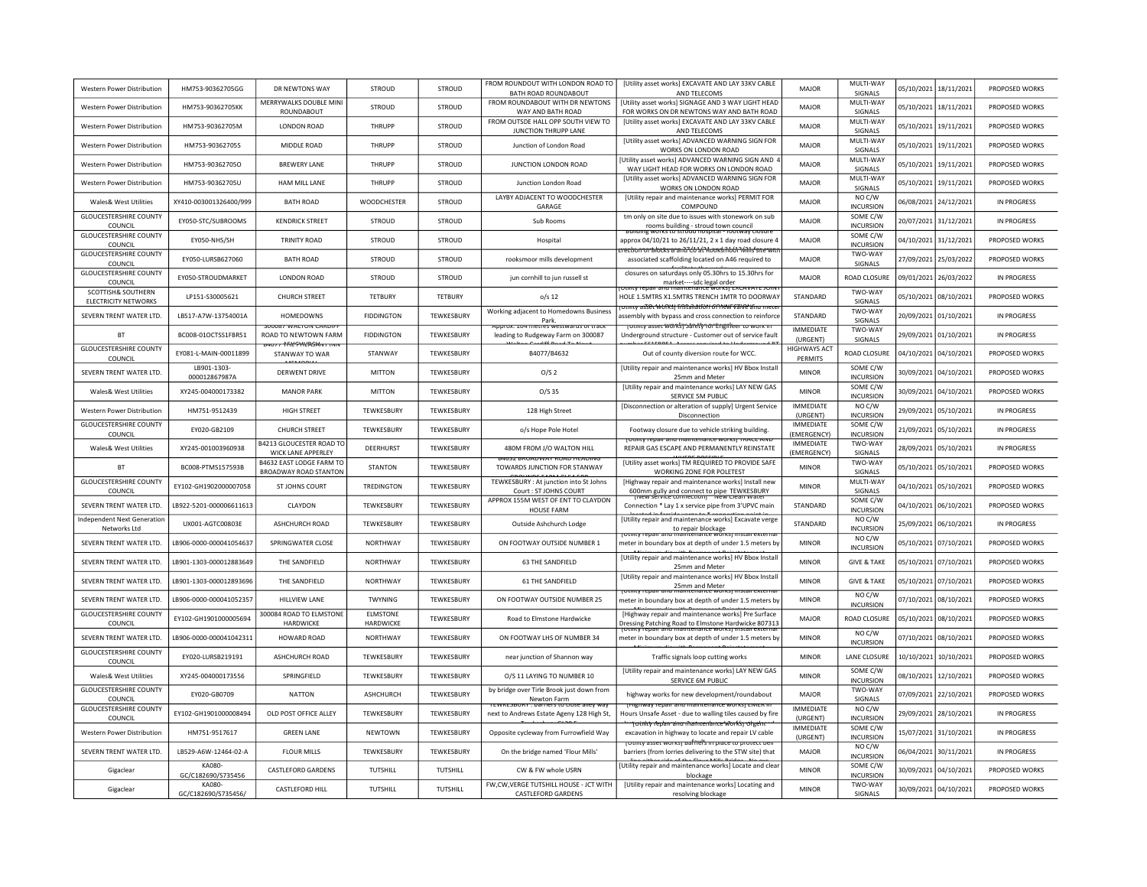| Western Power Distribution                         | HM753-90362705GG             | DR NEWTONS WAY                                    | STROUD                              | <b>STROUD</b>     | FROM ROUNDOUT WITH LONDON ROAD TO<br>BATH ROAD ROUNDABOUT                  | [Utility asset works] EXCAVATE AND LAY 33KV CABLE<br>AND TELECOMS                                                                          | MAIOR                           | MULTI-WAY<br>SIGNALS            |            | 05/10/2021 18/11/2021 | PROPOSED WORKS     |
|----------------------------------------------------|------------------------------|---------------------------------------------------|-------------------------------------|-------------------|----------------------------------------------------------------------------|--------------------------------------------------------------------------------------------------------------------------------------------|---------------------------------|---------------------------------|------------|-----------------------|--------------------|
| Western Power Distribution                         | HM753-90362705KK             | MERRYWALKS DOUBLE MINI<br>ROUNDABOUT              | <b>STROUD</b>                       | STROUD            | FROM ROUNDABOUT WITH DR NEWTONS<br>WAY AND BATH ROAD                       | [Utility asset works] SIGNAGE AND 3 WAY LIGHT HEAD<br>FOR WORKS ON DR NEWTONS WAY AND BATH ROAD                                            | <b>MAJOR</b>                    | MULTI-WAY<br>SIGNALS            |            | 05/10/2021 18/11/2021 | PROPOSED WORKS     |
| Western Power Distribution                         | HM753-90362705M              | <b>LONDON ROAD</b>                                | THRUPP                              | STROUD            | FROM OUTSDE HALL OPP SOUTH VIEW TO                                         | [Utility asset works] EXCAVATE AND LAY 33KV CABLE                                                                                          | <b>MAJOR</b>                    | MULTI-WAY                       | 05/10/2021 | 19/11/2021            | PROPOSED WORKS     |
| Western Power Distribution                         | HM753-90362705S              | MIDDLE ROAD                                       | <b>THRUPP</b>                       | <b>STROUD</b>     | JUNCTION THRUPP LANE<br>Junction of London Road                            | AND TELECOMS<br>[Utility asset works] ADVANCED WARNING SIGN FOR<br>WORKS ON LONDON ROAD                                                    | <b>MAJOR</b>                    | SIGNALS<br>MULTI-WAY<br>SIGNALS | 05/10/2021 | 19/11/2021            | PROPOSED WORKS     |
| Western Power Distribution                         | HM753-90362705O              | <b>BREWERY LANE</b>                               | THRUPP                              | <b>STROUD</b>     | <b>IUNCTION LONDON ROAD</b>                                                | Utility asset works] ADVANCED WARNING SIGN AND 4<br>WAY LIGHT HEAD FOR WORKS ON LONDON ROAD                                                | MAIOR                           | MULTI-WAY<br><b>SIGNALS</b>     | 05/10/2021 | 19/11/2021            | PROPOSED WORKS     |
| Western Power Distribution                         | HM753-90362705U              | HAM MILL LANE                                     | THRUPP                              | STROUD            | Junction London Road                                                       | <b>IUtility asset works] ADVANCED WARNING SIGN FOR</b><br>WORKS ON LONDON ROAD                                                             | <b>MAJOR</b>                    | MULTI-WAY<br>SIGNALS            | 05/10/2021 | 19/11/2021            | PROPOSED WORKS     |
| Wales& West Utilities                              | XY410-003001326400/999       | <b>BATH ROAD</b>                                  | WOODCHESTER                         | STROUD            | LAYBY ADJACENT TO WOODCHESTER<br>GARAGE                                    | [Utility repair and maintenance works] PERMIT FOR<br>COMPOUND                                                                              | <b>MAJOR</b>                    | NO C/W<br><b>INCURSION</b>      | 06/08/2021 | 24/12/2021            | <b>IN PROGRESS</b> |
| <b>GLOUCESTERSHIRE COUNTY</b><br>COUNCIL           | EY050-STC/SUBROOMS           | <b>KENDRICK STREET</b>                            | STROUD                              | STROUD            | Sub Rooms                                                                  | tm only on site due to issues with stonework on sub<br>rooms building - stroud town council                                                | MAJOR                           | SOME C/W<br><b>INCURSION</b>    | 0/07/2021  | 31/12/2021            | <b>IN PROGRESS</b> |
| <b>GLOUCESTERSHIRE COUNTY</b><br>COUNCIL           | EY050-NHS/SH                 | TRINITY ROAD                                      | STROUD                              | STROUD            | Hospital                                                                   | ie works to stroug nospital - Tootway closu<br>approx 04/10/21 to 26/11/21, 2 x 1 day road closure 4                                       | MAJOR                           | SOME C/W<br><b>INCURSION</b>    | 14/10/2021 | 31/12/2021            | PROPOSED WORKS     |
| <b>GLOUCESTERSHIRE COUNTY</b><br>COUNCIL           | EY050-LURSB627060            | <b>BATH ROAD</b>                                  | STROUD                              | STROUD            | rooksmoor mills development                                                | echomor blocks is and CO al Rookshiddi Willis site wit<br>associated scaffolding located on A46 required to                                | <b>MAJOR</b>                    | TWO-WAY<br>SIGNALS              | 27/09/2021 | 25/03/2022            | PROPOSED WORKS     |
| <b>GLOUCESTERSHIRE COUNTY</b><br>COUNCIL           | EY050-STROUDMARKET           | <b>LONDON ROAD</b>                                | STROUD                              | STROUD            | jun cornhill to jun russell st                                             | closures on saturdays only 05.30hrs to 15.30hrs for<br>market----sdc legal order                                                           | MAJOR                           | ROAD CLOSURE                    | 09/01/2021 | 26/03/2022            | <b>IN PROGRESS</b> |
| SCOTTISH& SOUTHERN<br><b>ELECTRICITY NETWORKS</b>  | LP151-S30005621              | <b>CHURCH STREET</b>                              | <b>TETBURY</b>                      | TETBURY           | $o/s$ 12                                                                   | HOLE 1.5MTRS X1.5MTRS TRENCH 1MTR TO DOORWAY                                                                                               | STANDARD                        | TWO-WAY<br>SIGNALS              |            | 05/10/2021 08/10/2021 | PROPOSED WORKS     |
| SEVERN TRENT WATER LTD.                            | LB517-A7W-13754001A          | <b>HOMEDOWNS</b>                                  | <b>FIDDINGTON</b>                   | TEWKESBURY        | Working adjacent to Homedowns Business<br>Park                             | mtv asset <del>WURKI FRStallatfüll GPNeW ፍãive Viru met</del><br>assembly with bypass and cross connection to reinforce                    | STANDARD                        | TWO-WAY<br>SIGNALS              |            | 20/09/2021 01/10/2021 | <b>IN PROGRESS</b> |
| <b>BT</b>                                          | BC008-01OCTSS1FBR51          | ROAD TO NEWTOWN FARM                              | <b>FIDDINGTON</b>                   | TEWKESBURY        | יכסיא נווכנוכט איכט<br>aius yi tigur<br>leading to Rudgeway Farm on 300087 | jouinty asset works) sarety for Engineer to work in<br>Underground structure - Customer out of service fault                               | IMMEDIATE<br>(URGENT)           | TWO-WAY<br>SIGNALS              | 29/09/2021 | 01/10/2021            | <b>IN PROGRESS</b> |
| <b>GLOUCESTERSHIRE COUNTY</b><br>COUNCIL           | EY081-L-MAIN-00011899        | STANWAY TO WAR                                    | STANWAY                             | TEWKESBURY        | B4077/B4632                                                                | Out of county diversion route for WCC.                                                                                                     | <b>HIGHWAYS ACT</b><br>PERMITS  | ROAD CLOSURE                    | 04/10/2021 | 04/10/2021            | PROPOSED WORKS     |
| SEVERN TRENT WATER LTD.                            | LB901-1303-<br>000012867987A | DERWENT DRIVE                                     | <b>MITTON</b>                       | <b>TFWKFSBURY</b> | O/S <sub>2</sub>                                                           | [Utility repair and maintenance works] HV Bbox Install<br>25mm and Meter                                                                   | <b>MINOR</b>                    | SOME C/W<br><b>INCURSION</b>    | 30/09/2021 | 04/10/2021            | PROPOSED WORKS     |
| Wales& West Utilities                              | XY245-004000173382           | <b>MANOR PARK</b>                                 | <b>MITTON</b>                       | TEWKESBURY        | $O/S$ 35                                                                   | [Utility repair and maintenance works] LAY NEW GAS<br>SERVICE 5M PUBLIC                                                                    | <b>MINOR</b>                    | SOME C/W<br><b>INCURSION</b>    | 30/09/2021 | 04/10/2021            | PROPOSED WORKS     |
| Western Power Distribution                         | HM751-9512439                | HIGH STREET                                       | TEWKESBURY                          | TEWKESBURY        | 128 High Street                                                            | [Disconnection or alteration of supply] Urgent Service<br>Disconnection                                                                    | <b>IMMEDIATE</b><br>(URGENT)    | NO C/W<br><b>INCURSION</b>      | 29/09/2021 | 05/10/2021            | IN PROGRESS        |
| <b>GLOUCESTERSHIRE COUNTY</b><br>COUNCIL           | EY020-GB2109                 | <b>CHURCH STREET</b>                              | TEWKESBURY                          | TEWKESBURY        | o/s Hope Pole Hotel                                                        | Footway closure due to vehicle striking building.                                                                                          | <b>IMMFDIATE</b><br>(EMERGENCY) | SOME C/W<br><b>INCURSION</b>    | 21/09/2021 | 05/10/2021            | <b>IN PROGRESS</b> |
| Wales& West Utilities                              | XY245-001003960938           | B4213 GLOUCESTER ROAD TO<br>WICK LANE APPERLEY    | DEERHURST                           | TEWKESBURY        | 480M FROM J/O WALTON HILL                                                  | <b>FOURLY TEDAIL AND MARKEMANCE WORKS</b> TRACE AND<br>REPAIR GAS ESCAPE AND PERMANENTLY REINSTATE                                         | <b>IMMEDIATE</b><br>(EMERGENCY) | <b>TWO-WAY</b><br>SIGNALS       | 28/09/2021 | 05/10/2021            | <b>IN PROGRESS</b> |
| <b>BT</b>                                          | BC008-PTMS157593B            | B4632 EAST LODGE FARM TO<br>BROADWAY ROAD STANTON | <b>STANTON</b>                      | TEWKESBURY        | TOWARDS JUNCTION FOR STANWAY                                               | [Utility asset works] TM REQUIRED TO PROVIDE SAFE<br>WORKING ZONE FOR POLETEST                                                             | <b>MINOR</b>                    | TWO-WAY<br>SIGNALS              | 05/10/2021 | 05/10/2021            | PROPOSED WORKS     |
| <b>GLOUCESTERSHIRE COUNTY</b><br>COUNCIL           | EY102-GH1902000007058        | ST JOHNS COURT                                    | TREDINGTON                          | TEWKESBURY        | TEWKESBURY : At junction into St Johns<br>Court: ST JOHNS COURT            | [Highway repair and maintenance works] Install new<br>600mm gully and connect to pipe TEWKESBURY<br>The Service connection The World Water | <b>MINOR</b>                    | MULTI-WAY<br>SIGNALS            | 04/10/2021 | 05/10/2021            | PROPOSED WORKS     |
| SEVERN TRENT WATER LTD.                            | LB922-5201-000006611613      | <b>CLAYDON</b>                                    | <b>TFWKFSBURY</b>                   | TFWKFSBURY        | APPROX 155M WEST OF ENT TO CLAYDON<br><b>HOUSE FARM</b>                    | Connection * Lay 1 x service pipe from 3'UPVC main                                                                                         | <b>STANDARD</b>                 | SOME C/W<br><b>INCURSION</b>    | 04/10/2021 | 06/10/2021            | PROPOSED WORKS     |
| <b>Independent Next Generation</b><br>Networks Ltd | UX001-AGTC00803E             | ASHCHURCH ROAD                                    | TEWKESBURY                          | TEWKESBURY        | Outside Ashchurch Lodge                                                    | [Utility repair and maintenance works] Excavate verge<br>to repair blockage<br>Tounty repair and maintenance works                         | STANDARD                        | NO C/W<br><b>INCURSION</b>      | 25/09/2021 | 06/10/2021            | <b>IN PROGRESS</b> |
| SEVERN TRENT WATER LTD.                            | LB906-0000-000041054637      | SPRINGWATER CLOSE                                 | <b>NORTHWAY</b>                     | <b>TFWKFSBURY</b> | ON FOOTWAY OUTSIDE NUMBER 1                                                | meter in boundary box at depth of under 1.5 meters by                                                                                      | <b>MINOR</b>                    | NO C/W<br><b>INCURSION</b>      | 05/10/2021 | 07/10/2021            | PROPOSED WORKS     |
| SEVERN TRENT WATER LTD.                            | LB901-1303-000012883649      | THE SANDFIELD                                     | <b>NORTHWAY</b>                     | <b>TEWKESBURY</b> | 63 THE SANDFIELD                                                           | [Utility repair and maintenance works] HV Bbox Install<br>25mm and Meter                                                                   | <b>MINOR</b>                    | <b>GIVE &amp; TAKE</b>          | 05/10/2021 | 07/10/2021            | PROPOSED WORKS     |
| SEVERN TRENT WATER LTD.                            | LB901-1303-000012893696      | THE SANDFIELD                                     | NORTHWAY                            | TEWKESBURY        | 61 THE SANDFIELD                                                           | [Utility repair and maintenance works] HV Bbox Install<br>25mm and Meter<br><del>Imantenance works</del>                                   | <b>MINOR</b>                    | <b>GIVE &amp; TAKE</b>          | 05/10/2021 | 07/10/2021            | PROPOSED WORKS     |
| SEVERN TRENT WATER LTD.                            | LB906-0000-000041052357      | <b>HILLVIEW LANE</b>                              | <b>TWYNING</b>                      | <b>TFWKFSBURY</b> | ON FOOTWAY OUTSIDE NUMBER 25                                               | meter in boundary box at depth of under 1.5 meters by                                                                                      | <b>MINOR</b>                    | NO C/W<br><b>INCURSION</b>      | 07/10/2021 | 08/10/2021            | PROPOSED WORKS     |
| <b>GLOUCESTERSHIRE COUNTY</b><br>COUNCIL           | EY102-GH1901000005694        | 300084 ROAD TO ELMSTONE<br><b>HARDWICKE</b>       | <b>ELMSTONE</b><br><b>HARDWICKE</b> | TEWKESBURY        | Road to Elmstone Hardwicke                                                 | [Highway repair and maintenance works] Pre Surface<br>Dressing Patching Road to Elmstone Hardwicke 807313                                  | <b>MAJOR</b>                    | ROAD CLOSURE                    | 05/10/2021 | 08/10/2021            | PROPOSED WORKS     |
| SEVERN TRENT WATER LTD.                            | LB906-0000-000041042311      | HOWARD ROAD                                       | NORTHWAY                            | TEWKESBURY        | ON FOOTWAY LHS OF NUMBER 34                                                | meter in boundary box at depth of under 1.5 meters by                                                                                      | <b>MINOR</b>                    | NO C/W<br><b>INCURSION</b>      | 07/10/2021 | 08/10/2021            | PROPOSED WORKS     |
| <b>GLOUCESTERSHIRE COUNTY</b><br>COUNCIL           | EY020-LURSB219191            | <b>ASHCHURCH ROAD</b>                             | TEWKESBURY                          | <b>TEWKESBURY</b> | near junction of Shannon way                                               | Traffic signals loop cutting works                                                                                                         | <b>MINOR</b>                    | LANE CLOSURE                    | 10/10/2021 | 10/10/2021            | PROPOSED WORKS     |
| Wales& West Utilities                              | XY245-004000173556           | SPRINGFIELD                                       | TEWKESBURY                          | TEWKESBURY        | O/S 11 LAYING TO NUMBER 10                                                 | [Utility repair and maintenance works] LAY NEW GAS<br>SERVICE 6M PUBLIC                                                                    | <b>MINOR</b>                    | SOME C/W<br><b>INCURSION</b>    | 08/10/2021 | 12/10/2021            | PROPOSED WORKS     |
| <b>GLOUCESTERSHIRE COUNTY</b><br>COUNCIL           | EY020-GB0709                 | <b>NATTON</b>                                     | ASHCHURCH                           | <b>TEWKESBURY</b> | by bridge over Tirle Brook just down from<br>Newton Farm                   | highway works for new development/roundabout<br>I righway repair and maintenance works   Eivier in                                         | <b>MAJOR</b>                    | TWO-WAY<br>SIGNALS              | 07/09/2021 | 22/10/2021            | PROPOSED WORKS     |
| <b>GLOUCESTERSHIRE COUNTY</b><br>COUNCIL           | FY102-GH1901000008494        | OLD POST OFFICE ALLEY                             | <b>TFWKFSBURY</b>                   | TEWKESBURY        | next to Andrews Estate Ageny 128 High St,                                  | Hours Unsafe Asset - due to walling tiles caused by fire                                                                                   | <b>IMMEDIATE</b><br>(URGENT)    | NO C/W<br><b>INCURSION</b>      | 29/09/2021 | 28/10/2021            | IN PROGRESS        |
| Western Power Distribution                         | HM751-9517617                | <b>GREEN LANE</b>                                 | <b>NFWTOWN</b>                      | <b>TFWKFSBURY</b> | Opposite cycleway from Furrowfield Way                                     | <del>`i otnity repair and maintenance work's orgent</del><br>excavation in highway to locate and repair LV cable                           | <b>IMMEDIATE</b><br>(URGENT)    | SOME C/W<br><b>INCURSION</b>    |            | 15/07/2021 31/10/2021 | IN PROGRESS        |
| SEVERN TRENT WATER LTD.                            | LB529-A6W-12464-02-A         | <b>FLOUR MILLS</b>                                | TEWKESBURY                          | TEWKESBURY        | On the bridge named 'Flour Mills'                                          | <del>στιπιγ asset works) pafriel's in piace το protect σei</del><br>barriers (from lorries delivering to the STW site) that                | MAJOR                           | NO C/W<br><b>INCURSION</b>      |            | 06/04/2021 30/11/2021 | <b>IN PROGRESS</b> |
| Gigaclear                                          | KA080-<br>GC/C182690/S735456 | CASTLEFORD GARDENS                                | TUTSHILL                            | TUTSHILL          | CW & FW whole USRN                                                         | [Utility repair and maintenance works] Locate and clear<br>blockage                                                                        | <b>MINOR</b>                    | SOME C/W<br><b>INCURSION</b>    | 30/09/2021 | 04/10/2021            | PROPOSED WORKS     |
|                                                    |                              |                                                   |                                     |                   | FW, CW, VERGE TUTSHILL HOUSE - JCT WITH                                    |                                                                                                                                            |                                 |                                 |            |                       |                    |